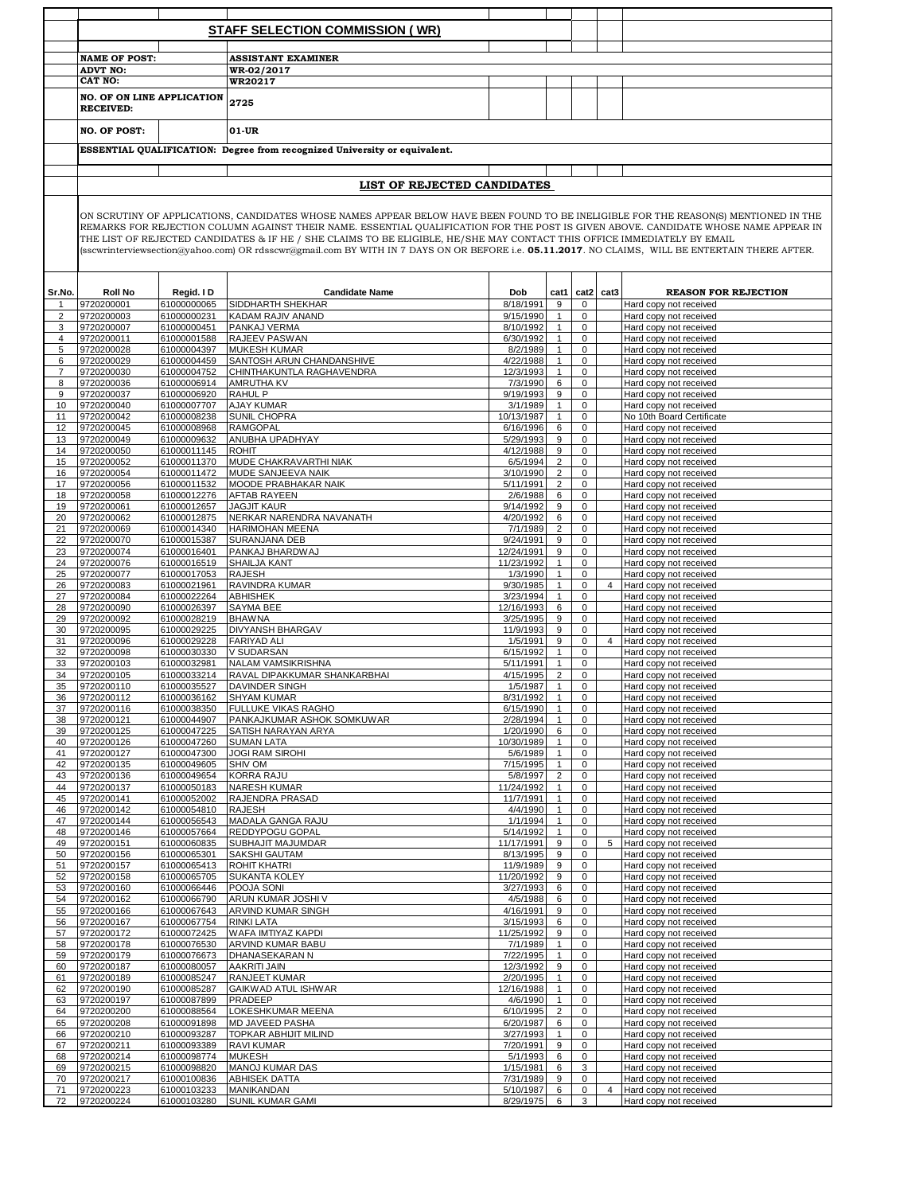|                     |                                                       |                            | <b>STAFF SELECTION COMMISSION (WR)</b>                                                                                                                                                                                                                                                                                                                                                                                                                                                                                                                       |                         |                              |                             |                |                                                       |
|---------------------|-------------------------------------------------------|----------------------------|--------------------------------------------------------------------------------------------------------------------------------------------------------------------------------------------------------------------------------------------------------------------------------------------------------------------------------------------------------------------------------------------------------------------------------------------------------------------------------------------------------------------------------------------------------------|-------------------------|------------------------------|-----------------------------|----------------|-------------------------------------------------------|
|                     |                                                       |                            |                                                                                                                                                                                                                                                                                                                                                                                                                                                                                                                                                              |                         |                              |                             |                |                                                       |
|                     | <b>NAME OF POST:</b>                                  |                            | <b>ASSISTANT EXAMINER</b>                                                                                                                                                                                                                                                                                                                                                                                                                                                                                                                                    |                         |                              |                             |                |                                                       |
|                     | <b>ADVT NO:</b><br><b>CAT NO:</b>                     |                            | WR-02/2017                                                                                                                                                                                                                                                                                                                                                                                                                                                                                                                                                   |                         |                              |                             |                |                                                       |
|                     |                                                       |                            | WR20217                                                                                                                                                                                                                                                                                                                                                                                                                                                                                                                                                      |                         |                              |                             |                |                                                       |
|                     | <b>NO. OF ON LINE APPLICATION</b><br><b>RECEIVED:</b> |                            | 2725                                                                                                                                                                                                                                                                                                                                                                                                                                                                                                                                                         |                         |                              |                             |                |                                                       |
|                     | <b>NO. OF POST:</b>                                   |                            | 01-UR                                                                                                                                                                                                                                                                                                                                                                                                                                                                                                                                                        |                         |                              |                             |                |                                                       |
|                     |                                                       |                            | ESSENTIAL QUALIFICATION: Degree from recognized University or equivalent.                                                                                                                                                                                                                                                                                                                                                                                                                                                                                    |                         |                              |                             |                |                                                       |
|                     |                                                       |                            |                                                                                                                                                                                                                                                                                                                                                                                                                                                                                                                                                              |                         |                              |                             |                |                                                       |
|                     |                                                       |                            | LIST OF REJECTED CANDIDATES                                                                                                                                                                                                                                                                                                                                                                                                                                                                                                                                  |                         |                              |                             |                |                                                       |
|                     |                                                       |                            | ON SCRUTINY OF APPLICATIONS, CANDIDATES WHOSE NAMES APPEAR BELOW HAVE BEEN FOUND TO BE INELIGIBLE FOR THE REASON(S) MENTIONED IN THE<br>REMARKS FOR REJECTION COLUMN AGAINST THEIR NAME. ESSENTIAL QUALIFICATION FOR THE POST IS GIVEN ABOVE. CANDIDATE WHOSE NAME APPEAR IN<br>THE LIST OF REJECTED CANDIDATES & IF HE / SHE CLAIMS TO BE ELIGIBLE, HE/SHE MAY CONTACT THIS OFFICE IMMEDIATELY BY EMAIL<br>(sscwrinterviewsection@yahoo.com) OR rdsscwr@gmail.com BY WITH IN 7 DAYS ON OR BEFORE i.e. 05.11.2017. NO CLAIMS, WILL BE ENTERTAIN THERE AFTER. |                         |                              |                             |                |                                                       |
|                     |                                                       |                            |                                                                                                                                                                                                                                                                                                                                                                                                                                                                                                                                                              |                         |                              |                             |                |                                                       |
| Sr.No.<br>1.        | <b>Roll No</b><br>9720200001                          | Regid. I D<br>61000000065  | <b>Candidate Name</b><br>SIDDHARTH SHEKHAR                                                                                                                                                                                                                                                                                                                                                                                                                                                                                                                   | Dob<br>8/18/1991        | cat1<br>9                    | cat2<br>$\mathbf 0$         | cat3           | <b>REASON FOR REJECTION</b><br>Hard copy not received |
| $\overline{2}$      | 9720200003                                            | 61000000231                | KADAM RAJIV ANAND                                                                                                                                                                                                                                                                                                                                                                                                                                                                                                                                            | 9/15/1990               | $\mathbf{1}$                 | $\mathbf 0$                 |                | Hard copy not received                                |
| 3                   | 9720200007                                            | 61000000451                | PANKAJ VERMA                                                                                                                                                                                                                                                                                                                                                                                                                                                                                                                                                 | 8/10/1992               | $\mathbf{1}$                 | 0                           |                | Hard copy not received                                |
| $\overline{4}$      | 9720200011                                            | 61000001588                | RAJEEV PASWAN                                                                                                                                                                                                                                                                                                                                                                                                                                                                                                                                                | 6/30/1992               | $\mathbf{1}$                 | 0                           |                | Hard copy not received                                |
| 5                   | 9720200028                                            | 61000004397                | <b>MUKESH KUMAR</b>                                                                                                                                                                                                                                                                                                                                                                                                                                                                                                                                          | 8/2/1989                | $\mathbf{1}$<br>$\mathbf{1}$ | 0                           |                | Hard copy not received<br>Hard copy not received      |
| 6<br>$\overline{7}$ | 9720200029<br>9720200030                              | 61000004459<br>61000004752 | SANTOSH ARUN CHANDANSHIVE<br>CHINTHAKUNTLA RAGHAVENDRA                                                                                                                                                                                                                                                                                                                                                                                                                                                                                                       | 4/22/1988<br>12/3/1993  | $\mathbf{1}$                 | $\mathbf 0$<br>$\mathbf 0$  |                | Hard copy not received                                |
| 8                   | 9720200036                                            | 61000006914                | <b>AMRUTHA KV</b>                                                                                                                                                                                                                                                                                                                                                                                                                                                                                                                                            | 7/3/1990                | 6                            | $\mathbf 0$                 |                | Hard copy not received                                |
| 9                   | 9720200037                                            | 61000006920                | <b>RAHUL P</b>                                                                                                                                                                                                                                                                                                                                                                                                                                                                                                                                               | 9/19/1993               | 9                            | $\mathbf 0$                 |                | Hard copy not received                                |
| 10                  | 9720200040                                            | 61000007707                | <b>AJAY KUMAR</b>                                                                                                                                                                                                                                                                                                                                                                                                                                                                                                                                            | 3/1/1989                | $\mathbf{1}$                 | $\mathbf 0$                 |                | Hard copy not received                                |
| 11                  | 9720200042                                            | 61000008238                | SUNIL CHOPRA                                                                                                                                                                                                                                                                                                                                                                                                                                                                                                                                                 | 10/13/1987              | $\mathbf{1}$                 | $\overline{0}$              |                | No 10th Board Certificate                             |
| 12<br>13            | 9720200045<br>9720200049                              | 61000008968<br>61000009632 | <b>RAMGOPAL</b><br>ANUBHA UPADHYAY                                                                                                                                                                                                                                                                                                                                                                                                                                                                                                                           | 6/16/1996<br>5/29/1993  | 6<br>9                       | $\mathbf 0$<br>$\mathbf 0$  |                | Hard copy not received<br>Hard copy not received      |
| 14                  | 9720200050                                            | 61000011145                | <b>ROHIT</b>                                                                                                                                                                                                                                                                                                                                                                                                                                                                                                                                                 | 4/12/1988               | 9                            | $\mathsf 0$                 |                | Hard copy not received                                |
| 15                  | 9720200052                                            | 61000011370                | MUDE CHAKRAVARTHI NIAK                                                                                                                                                                                                                                                                                                                                                                                                                                                                                                                                       | 6/5/1994                | $\overline{2}$               | $\mathsf 0$                 |                | Hard copy not received                                |
| 16                  | 9720200054                                            | 61000011472                | MUDE SANJEEVA NAIK                                                                                                                                                                                                                                                                                                                                                                                                                                                                                                                                           | 3/10/1990               | $\overline{2}$               | $\mathbf 0$                 |                | Hard copy not received                                |
| 17                  | 9720200056                                            | 61000011532                | MOODE PRABHAKAR NAIK                                                                                                                                                                                                                                                                                                                                                                                                                                                                                                                                         | 5/11/1991               | $\overline{2}$               | $\mathbf 0$                 |                | Hard copy not received                                |
| 18                  | 9720200058                                            | 61000012276                | <b>AFTAB RAYEEN</b>                                                                                                                                                                                                                                                                                                                                                                                                                                                                                                                                          | 2/6/1988                | 6                            | $\overline{0}$              |                | Hard copy not received                                |
| 19<br>20            | 9720200061<br>9720200062                              | 61000012657<br>61000012875 | <b>JAGJIT KAUR</b><br>NERKAR NARENDRA NAVANATH                                                                                                                                                                                                                                                                                                                                                                                                                                                                                                               | 9/14/1992<br>4/20/1992  | 9<br>6                       | $\mathsf{O}$<br>$\mathsf 0$ |                | Hard copy not received<br>Hard copy not received      |
| 21                  | 9720200069                                            | 61000014340                | <b>HARIMOHAN MEENA</b>                                                                                                                                                                                                                                                                                                                                                                                                                                                                                                                                       | 7/1/1989                | $\overline{2}$               | 0                           |                | Hard copy not received                                |
| 22                  | 9720200070                                            | 61000015387                | SURANJANA DEB                                                                                                                                                                                                                                                                                                                                                                                                                                                                                                                                                | 9/24/1991               | 9                            | 0                           |                | Hard copy not received                                |
| 23                  | 9720200074                                            | 61000016401                | PANKAJ BHARDWAJ                                                                                                                                                                                                                                                                                                                                                                                                                                                                                                                                              | 12/24/1991              | 9                            | 0                           |                | Hard copy not received                                |
| 24                  | 9720200076                                            | 61000016519                | SHAILJA KANT                                                                                                                                                                                                                                                                                                                                                                                                                                                                                                                                                 | 11/23/1992              | $\mathbf{1}$                 | 0                           |                | Hard copy not received                                |
| 25                  | 9720200077                                            | 61000017053                | <b>RAJESH</b>                                                                                                                                                                                                                                                                                                                                                                                                                                                                                                                                                | 1/3/1990                | $\mathbf{1}$                 | $\mathbf 0$                 |                | Hard copy not received                                |
| 26<br>27            | 9720200083<br>9720200084                              | 61000021961<br>61000022264 | RAVINDRA KUMAR<br><b>ABHISHEK</b>                                                                                                                                                                                                                                                                                                                                                                                                                                                                                                                            | 9/30/1985<br>3/23/1994  | $\mathbf{1}$<br>$\mathbf{1}$ | 0<br>$\mathbf 0$            | $\overline{4}$ | Hard copy not received<br>Hard copy not received      |
| 28                  | 9720200090                                            | 61000026397                | SAYMA BEE                                                                                                                                                                                                                                                                                                                                                                                                                                                                                                                                                    | 12/16/1993              | 6                            | 0                           |                | Hard copy not received                                |
| 29                  | 9720200092                                            | 61000028219                | <b>BHAWNA</b>                                                                                                                                                                                                                                                                                                                                                                                                                                                                                                                                                | 3/25/1995               | 9                            | 0                           |                | Hard copy not received                                |
| 30                  | 9720200095                                            | 61000029225                | DIVYANSH BHARGAV                                                                                                                                                                                                                                                                                                                                                                                                                                                                                                                                             | 11/9/1993               | 9                            | 0                           |                | Hard copy not received                                |
| 31                  | 9720200096                                            | 61000029228                | <b>FARIYAD ALI</b>                                                                                                                                                                                                                                                                                                                                                                                                                                                                                                                                           | 1/5/1991                | 9                            | 0                           | $\overline{4}$ | Hard copy not received                                |
| 32<br>33            | 9720200098<br>9720200103                              | 61000030330<br>61000032981 | V SUDARSAN<br>NALAM VAMSIKRISHNA                                                                                                                                                                                                                                                                                                                                                                                                                                                                                                                             | 6/15/1992<br>5/11/1991  | $\mathbf{1}$<br>$\mathbf{1}$ | $\mathbf 0$<br>$\mathbf 0$  |                | Hard copy not received<br>Hard copy not received      |
| 34                  | 9720200105                                            | 61000033214                | RAVAL DIPAKKUMAR SHANKARBHAI                                                                                                                                                                                                                                                                                                                                                                                                                                                                                                                                 | 4/15/1995               | $\overline{2}$               | $\mathbf 0$                 |                | Hard copy not received                                |
| 35                  | 9720200110                                            | 61000035527                | <b>DAVINDER SINGH</b>                                                                                                                                                                                                                                                                                                                                                                                                                                                                                                                                        | 1/5/1987                | $\mathbf{1}$                 | 0                           |                | Hard copy not received                                |
| 36                  | 9720200112                                            | 61000036162                | <b>SHYAM KUMAR</b>                                                                                                                                                                                                                                                                                                                                                                                                                                                                                                                                           | 8/31/1992               | $\mathbf{1}$                 | $\mathsf{O}$                |                | Hard copy not received                                |
| 37                  | 9720200116                                            | 61000038350                | FULLUKE VIKAS RAGHO                                                                                                                                                                                                                                                                                                                                                                                                                                                                                                                                          | 6/15/1990               | $\mathbf{1}$                 | $\mathsf{O}$                |                | Hard copy not received                                |
| 38                  | 9720200121                                            | 61000044907                | PANKAJKUMAR ASHOK SOMKUWAR                                                                                                                                                                                                                                                                                                                                                                                                                                                                                                                                   | 2/28/1994               | $\mathbf{1}$                 | $\mathsf{O}$                |                | Hard copy not received                                |
| 39<br>40            | 9720200125<br>9720200126                              | 61000047225<br>61000047260 | SATISH NARAYAN ARYA<br><b>SUMAN LATA</b>                                                                                                                                                                                                                                                                                                                                                                                                                                                                                                                     | 1/20/1990<br>10/30/1989 | 6<br>$\mathbf{1}$            | $\mathbf 0$<br>$\mathbf 0$  |                | Hard copy not received<br>Hard copy not received      |
| 41                  | 9720200127                                            | 61000047300                | <b>JOGI RAM SIROHI</b>                                                                                                                                                                                                                                                                                                                                                                                                                                                                                                                                       | 5/6/1989                | $\mathbf{1}$                 | $\mathbf 0$                 |                | Hard copy not received                                |
| 42                  | 9720200135                                            | 61000049605                | SHIV OM                                                                                                                                                                                                                                                                                                                                                                                                                                                                                                                                                      | 7/15/1995               | $\mathbf{1}$                 | 0                           |                | Hard copy not received                                |
| 43                  | 9720200136                                            | 61000049654                | KORRA RAJU                                                                                                                                                                                                                                                                                                                                                                                                                                                                                                                                                   | 5/8/1997                | $\overline{2}$               | $\mathsf{O}\xspace$         |                | Hard copy not received                                |
| 44                  | 9720200137                                            | 61000050183                | <b>NARESH KUMAR</b>                                                                                                                                                                                                                                                                                                                                                                                                                                                                                                                                          | 11/24/1992              | $\mathbf{1}$                 | $\mathbf 0$                 |                | Hard copy not received                                |
| 45<br>46            | 9720200141<br>9720200142                              | 61000052002<br>61000054810 | RAJENDRA PRASAD<br>RAJESH                                                                                                                                                                                                                                                                                                                                                                                                                                                                                                                                    | 11/7/1991<br>4/4/1990   | $\mathbf{1}$<br>$\mathbf{1}$ | $\mathbf 0$<br>0            |                | Hard copy not received<br>Hard copy not received      |
| 47                  | 9720200144                                            | 61000056543                | MADALA GANGA RAJU                                                                                                                                                                                                                                                                                                                                                                                                                                                                                                                                            | 1/1/1994                | $\mathbf{1}$                 | $\mathbf 0$                 |                | Hard copy not received                                |
| 48                  | 9720200146                                            | 61000057664                | REDDYPOGU GOPAL                                                                                                                                                                                                                                                                                                                                                                                                                                                                                                                                              | 5/14/1992               | $\mathbf{1}$                 | 0                           |                | Hard copy not received                                |
| 49                  | 9720200151                                            | 61000060835                | SUBHAJIT MAJUMDAR                                                                                                                                                                                                                                                                                                                                                                                                                                                                                                                                            | 11/17/1991              | 9                            | $\mathsf{O}\xspace$         | 5              | Hard copy not received                                |
| 50                  | 9720200156                                            | 61000065301                | SAKSHI GAUTAM                                                                                                                                                                                                                                                                                                                                                                                                                                                                                                                                                | 8/13/1995               | 9                            | 0                           |                | Hard copy not received                                |
| 51                  | 9720200157                                            | 61000065413                | <b>ROHIT KHATRI</b><br>SUKANTA KOLEY                                                                                                                                                                                                                                                                                                                                                                                                                                                                                                                         | 11/9/1989<br>11/20/1992 | 9                            | 0<br>0                      |                | Hard copy not received                                |
| 52<br>53            | 9720200158<br>9720200160                              | 61000065705<br>61000066446 | POOJA SONI                                                                                                                                                                                                                                                                                                                                                                                                                                                                                                                                                   | 3/27/1993               | 9<br>6                       | $\mathbf 0$                 |                | Hard copy not received<br>Hard copy not received      |
| 54                  | 9720200162                                            | 61000066790                | ARUN KUMAR JOSHI V                                                                                                                                                                                                                                                                                                                                                                                                                                                                                                                                           | 4/5/1988                | 6                            | 0                           |                | Hard copy not received                                |
| 55                  | 9720200166                                            | 61000067643                | ARVIND KUMAR SINGH                                                                                                                                                                                                                                                                                                                                                                                                                                                                                                                                           | 4/16/1991               | 9                            | 0                           |                | Hard copy not received                                |
| 56                  | 9720200167                                            | 61000067754                | RINKI LATA                                                                                                                                                                                                                                                                                                                                                                                                                                                                                                                                                   | 3/15/1993               | 6                            | 0                           |                | Hard copy not received                                |
| 57<br>58            | 9720200172<br>9720200178                              | 61000072425<br>61000076530 | WAFA IMTIYAZ KAPDI<br>ARVIND KUMAR BABU                                                                                                                                                                                                                                                                                                                                                                                                                                                                                                                      | 11/25/1992<br>7/1/1989  | 9<br>$\mathbf{1}$            | 0<br>$\mathbf 0$            |                | Hard copy not received<br>Hard copy not received      |
| 59                  | 9720200179                                            | 61000076673                | DHANASEKARAN N                                                                                                                                                                                                                                                                                                                                                                                                                                                                                                                                               | 7/22/1995               | $\mathbf{1}$                 | $\mathbf 0$                 |                | Hard copy not received                                |
| 60                  | 9720200187                                            | 61000080057                | <b>AAKRITI JAIN</b>                                                                                                                                                                                                                                                                                                                                                                                                                                                                                                                                          | 12/3/1992               | 9                            | $\mathbf 0$                 |                | Hard copy not received                                |
| 61                  | 9720200189                                            | 61000085247                | RANJEET KUMAR                                                                                                                                                                                                                                                                                                                                                                                                                                                                                                                                                | 2/20/1995               | $\mathbf{1}$                 | $\mathbf 0$                 |                | Hard copy not received                                |
| 62                  | 9720200190                                            | 61000085287                | GAIKWAD ATUL ISHWAR                                                                                                                                                                                                                                                                                                                                                                                                                                                                                                                                          | 12/16/1988              | $\mathbf{1}$                 | 0                           |                | Hard copy not received                                |
| 63                  | 9720200197                                            | 61000087899                | PRADEEP                                                                                                                                                                                                                                                                                                                                                                                                                                                                                                                                                      | 4/6/1990                | $\mathbf{1}$                 | 0                           |                | Hard copy not received                                |
| 64<br>65            | 9720200200<br>9720200208                              | 61000088564<br>61000091898 | LOKESHKUMAR MEENA<br>MD JAVEED PASHA                                                                                                                                                                                                                                                                                                                                                                                                                                                                                                                         | 6/10/1995<br>6/20/1987  | $\overline{2}$<br>6          | 0<br>$\mathbf 0$            |                | Hard copy not received<br>Hard copy not received      |
| 66                  | 9720200210                                            | 61000093287                | TOPKAR ABHIJIT MILIND                                                                                                                                                                                                                                                                                                                                                                                                                                                                                                                                        | 3/27/1993               | $\mathbf{1}$                 | $\mathbf 0$                 |                | Hard copy not received                                |
| 67                  | 9720200211                                            | 61000093389                | RAVI KUMAR                                                                                                                                                                                                                                                                                                                                                                                                                                                                                                                                                   | 7/20/1991               | 9                            | 0                           |                | Hard copy not received                                |
| 68                  | 9720200214                                            | 61000098774                | <b>MUKESH</b>                                                                                                                                                                                                                                                                                                                                                                                                                                                                                                                                                | 5/1/1993                | 6                            | $\mathsf{O}\xspace$         |                | Hard copy not received                                |
| 69                  | 9720200215                                            | 61000098820                | MANOJ KUMAR DAS                                                                                                                                                                                                                                                                                                                                                                                                                                                                                                                                              | 1/15/1981               | 6                            | 3                           |                | Hard copy not received                                |
| 70                  | 9720200217                                            | 61000100836                | ABHISEK DATTA                                                                                                                                                                                                                                                                                                                                                                                                                                                                                                                                                | 7/31/1989               | 9                            | $\mathsf{O}$                |                | Hard copy not received                                |
| 71<br>72            | 9720200223<br>9720200224                              | 61000103233<br>61000103280 | MANIKANDAN<br>SUNIL KUMAR GAMI                                                                                                                                                                                                                                                                                                                                                                                                                                                                                                                               | 5/10/1987<br>8/29/1975  | 6<br>6                       | 0<br>3                      | $\overline{4}$ | Hard copy not received<br>Hard copy not received      |
|                     |                                                       |                            |                                                                                                                                                                                                                                                                                                                                                                                                                                                                                                                                                              |                         |                              |                             |                |                                                       |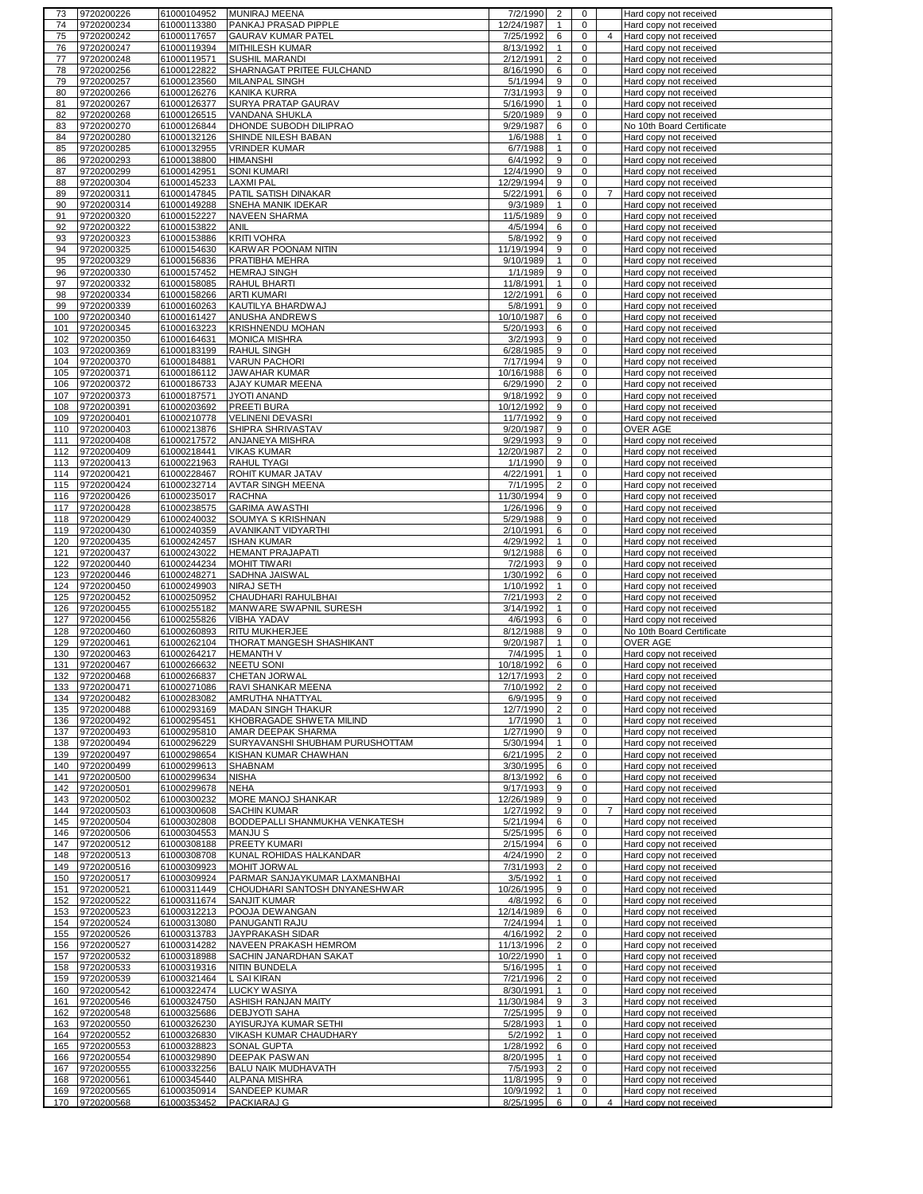| 74         | 9720200226               | 61000104952                | MUNIRAJ MEENA                   | 7/2/1990               | 2                 | $\mathbf{0}$      |                | Hard copy not received                           |
|------------|--------------------------|----------------------------|---------------------------------|------------------------|-------------------|-------------------|----------------|--------------------------------------------------|
|            | 9720200234               | 61000113380                | PANKAJ PRASAD PIPPLE            | 12/24/1987             | $\mathbf{1}$      | $\mathbf 0$       |                | Hard copy not received                           |
| 75         | 9720200242               | 61000117657                | <b>GAURAV KUMAR PATEL</b>       | 7/25/1992              | 6                 | 0                 | 4              | Hard copy not received                           |
| 76         | 9720200247               | 61000119394                | MITHILESH KUMAR                 | 8/13/1992              | $\mathbf{1}$      | $\mathbf 0$       |                | Hard copy not received                           |
|            |                          | 61000119571                |                                 |                        | $\overline{2}$    | 0                 |                |                                                  |
| 77         | 9720200248               |                            | SUSHIL MARANDI                  | 2/12/1991              |                   |                   |                | Hard copy not received                           |
| 78         | 9720200256               | 61000122822                | SHARNAGAT PRITEE FULCHAND       | 8/16/1990              | 6                 | 0                 |                | Hard copy not received                           |
| 79         | 9720200257               | 61000123560                | MILANPAL SINGH                  | 5/1/1994               | 9                 | 0                 |                | Hard copy not received                           |
| 80         | 9720200266               | 61000126276                | <b>KANIKA KURRA</b>             | 7/31/1993              | 9                 | 0                 |                | Hard copy not received                           |
| 81         | 9720200267               | 61000126377                | SURYA PRATAP GAURAV             | 5/16/1990              | $\mathbf{1}$      | 0                 |                | Hard copy not received                           |
| 82         | 9720200268               | 61000126515                | VANDANA SHUKLA                  | 5/20/1989              | 9                 | 0                 |                | Hard copy not received                           |
|            |                          |                            |                                 |                        |                   |                   |                |                                                  |
| 83         | 9720200270               | 61000126844                | DHONDE SUBODH DILIPRAO          | 9/29/1987              | 6                 | 0                 |                | No 10th Board Certificate                        |
| 84         | 9720200280               | 61000132126                | SHINDE NILESH BABAN             | 1/6/1988               | $\mathbf{1}$      | $\mathbf 0$       |                | Hard copy not received                           |
| 85         | 9720200285               | 61000132955                | <b>VRINDER KUMAR</b>            | 6/7/1988               | $\mathbf{1}$      | 0                 |                | Hard copy not received                           |
| 86         | 9720200293               | 61000138800                | <b>HIMANSHI</b>                 | 6/4/1992               | 9                 | 0                 |                | Hard copy not received                           |
| 87         | 9720200299               | 61000142951                | <b>SONI KUMARI</b>              | 12/4/1990              | 9                 | $\mathbf 0$       |                | Hard copy not received                           |
| 88         | 9720200304               | 61000145233                | <b>LAXMI PAL</b>                | 12/29/1994             | 9                 | 0                 |                | Hard copy not received                           |
| 89         | 9720200311               | 61000147845                | PATIL SATISH DINAKAR            | 5/22/1991              | 6                 | $\mathbf 0$       | $\overline{7}$ | Hard copy not received                           |
|            |                          |                            |                                 |                        |                   |                   |                |                                                  |
| 90         | 9720200314               | 61000149288                | <b>SNEHA MANIK IDEKAR</b>       | 9/3/1989               | $\mathbf{1}$      | 0                 |                | Hard copy not received                           |
| 91         | 9720200320               | 61000152227                | <b>NAVEEN SHARMA</b>            | 11/5/1989              | 9                 | $\mathbf 0$       |                | Hard copy not received                           |
| 92         | 9720200322               | 61000153822                | ANIL                            | 4/5/1994               | 6                 | 0                 |                | Hard copy not received                           |
| 93         | 9720200323               | 61000153886                | <b>KRITI VOHRA</b>              | 5/8/1992               | 9                 | 0                 |                | Hard copy not received                           |
| 94         | 9720200325               | 61000154630                | KARWAR POONAM NITIN             | 11/19/1994             | 9                 | 0                 |                | Hard copy not received                           |
| 95         | 9720200329               | 61000156836                | PRATIBHA MEHRA                  | 9/10/1989              | $\mathbf{1}$      | 0                 |                |                                                  |
|            |                          |                            |                                 |                        |                   |                   |                | Hard copy not received                           |
| 96         | 9720200330               | 61000157452                | <b>HEMRAJ SINGH</b>             | 1/1/1989               | 9                 | 0                 |                | Hard copy not received                           |
| 97         | 9720200332               | 61000158085                | RAHUL BHARTI                    | 11/8/1991              | $\mathbf{1}$      | $\mathbf 0$       |                | Hard copy not received                           |
| 98         | 9720200334               | 61000158266                | <b>ARTI KUMARI</b>              | 12/2/1991              | 6                 | $\mathbf 0$       |                | Hard copy not received                           |
| 99         | 9720200339               | 61000160263                | KAUTILYA BHARDWAJ               | 5/8/1991               | 9                 | $\mathbf 0$       |                | Hard copy not received                           |
| 100        | 9720200340               | 61000161427                | ANUSHA ANDREWS                  | 10/10/1987             | 6                 | 0                 |                | Hard copy not received                           |
|            | 9720200345               |                            | KRISHNENDU MOHAN                |                        |                   |                   |                |                                                  |
| 101        |                          | 61000163223                |                                 | 5/20/1993              | 6                 | $\mathbf 0$       |                | Hard copy not received                           |
| 102        | 9720200350               | 61000164631                | <b>MONICA MISHRA</b>            | 3/2/1993               | 9                 | 0                 |                | Hard copy not received                           |
| 103        | 9720200369               | 61000183199                | RAHUL SINGH                     | 6/28/1985              | 9                 | 0                 |                | Hard copy not received                           |
| 104        | 9720200370               | 61000184881                | <b>VARUN PACHORI</b>            | 7/17/1994              | 9                 | 0                 |                | Hard copy not received                           |
| 105        | 9720200371               | 61000186112                | <b>JAWAHAR KUMAR</b>            | 10/16/1988             | 6                 | 0                 |                | Hard copy not received                           |
|            |                          |                            |                                 |                        |                   |                   |                |                                                  |
| 106        | 9720200372               | 61000186733                | AJAY KUMAR MEENA                | 6/29/1990              | $\overline{2}$    | 0                 |                | Hard copy not received                           |
| 107        | 9720200373               | 61000187571                | JYOTI ANAND                     | 9/18/1992              | 9                 | 0                 |                | Hard copy not received                           |
| 108        | 9720200391               | 61000203692                | PREETI BURA                     | 10/12/1992             | 9                 | 0                 |                | Hard copy not received                           |
| 109        | 9720200401               | 61000210778                | <b>VELINENI DEVASRI</b>         | 11/7/1992              | 9                 | 0                 |                | Hard copy not received                           |
| 110        | 9720200403               | 61000213876                | SHIPRA SHRIVASTAV               | $\frac{1}{9}{20}/1987$ | 9                 | 0                 |                | <b>OVER AGE</b>                                  |
| 111        | 9720200408               | 61000217572                | ANJANEYA MISHRA                 | 9/29/1993              | 9                 | $\mathbf 0$       |                | Hard copy not received                           |
|            |                          |                            |                                 |                        |                   |                   |                |                                                  |
| 112        | 9720200409               | 61000218441                | <b>VIKAS KUMAR</b>              | 12/20/1987             | $\overline{2}$    | 0                 |                | Hard copy not received                           |
| 113        | 9720200413               | 61000221963                | <b>RAHUL TYAGI</b>              | 1/1/1990               | 9                 | $\mathbf 0$       |                | Hard copy not received                           |
| 114        | 9720200421               | 61000228467                | ROHIT KUMAR JATAV               | 4/22/1991              | $\mathbf{1}$      | 0                 |                | Hard copy not received                           |
| 115        | 9720200424               | 61000232714                | <b>AVTAR SINGH MEENA</b>        | 7/1/1995               | $\overline{2}$    | 0                 |                | Hard copy not received                           |
| 116        | 9720200426               | 61000235017                | <b>RACHNA</b>                   | 11/30/1994             | 9                 | $\mathbf 0$       |                |                                                  |
|            |                          |                            |                                 |                        |                   |                   |                | Hard copy not received                           |
| 117        | 9720200428               | 61000238575                | <b>GARIMA AWASTHI</b>           | 1/26/1996              | 9                 | 0                 |                | Hard copy not received                           |
| 118        | 9720200429               | 61000240032                | SOUMYA S KRISHNAN               | 5/29/1988              | 9                 | $\mathbf 0$       |                | Hard copy not received                           |
| 119        | 9720200430               | 61000240359                | AVANIKANT VIDYARTHI             | 2/10/1991              | 6                 | 0                 |                | Hard copy not received                           |
| 120        | 9720200435               | 61000242457                | <b>ISHAN KUMAR</b>              | 4/29/1992              | $\mathbf{1}$      | 0                 |                | Hard copy not received                           |
| 121        | 9720200437               | 61000243022                | <b>HEMANT PRAJAPATI</b>         | 9/12/1988              | 6                 | 0                 |                | Hard copy not received                           |
| 122        | 9720200440               | 61000244234                | <b>MOHIT TIWARI</b>             | 7/2/1993               | 9                 | $\mathbf 0$       |                | Hard copy not received                           |
| 123        | 9720200446               | 61000248271                | SADHNA JAISWAL                  | 1/30/1992              | 6                 | 0                 |                |                                                  |
|            |                          |                            |                                 |                        |                   |                   |                | Hard copy not received                           |
| 124        | 9720200450               | 61000249903                | NIRAJ SETH                      | 1/10/1992              | $\mathbf{1}$      | $\mathbf 0$       |                | Hard copy not received                           |
| 125        | 9720200452               | 61000250952                | CHAUDHARI RAHULBHAI             | 7/21/1993              | $\overline{c}$    | 0                 |                | Hard copy not received                           |
| 126        | 9720200455               | 61000255182                | MANWARE SWAPNIL SURESH          | 3/14/1992              | $\mathbf{1}$      | $\mathbf 0$       |                | Hard copy not received                           |
| 127        | 9720200456               | 61000255826                | <b>VIBHA YADAV</b>              | 4/6/1993               | 6                 | 0                 |                | Hard copy not received                           |
| 128        | 9720200460               | 61000260893                | RITU MUKHERJEE                  | 8/12/1988              | 9                 | $\mathbf 0$       |                | No 10th Board Certificate                        |
| 129        | 9720200461               | 61000262104                | THORAT MANGESH SHASHIKANT       | 9/20/1987              | $\mathbf{1}$      | 0                 |                | OVER AGE                                         |
| 130        | 9720200463               | 61000264217                | <b>HEMANTH V</b>                | 7/4/1995               | $\mathbf{1}$      | 0                 |                | Hard copy not received                           |
|            |                          |                            | <b>NEETU SONI</b>               | 10/18/1992             |                   |                   |                |                                                  |
| 131        | 9720200467               |                            |                                 |                        |                   |                   |                | Hard copy not received                           |
| 132        |                          | 61000266632                |                                 |                        | 6                 | 0                 |                |                                                  |
|            | 9720200468               | 61000266837                | CHETAN JORWAL                   | 12/17/1993             | $\overline{2}$    | $\mathbf 0$       |                | Hard copy not received                           |
| 133        | 9720200471               | 61000271086                | RAVI SHANKAR MEENA              | 7/10/1992              |                   | 0                 |                | Hard copy not received                           |
| 134        | 9720200482               | 61000283082                | AMRUTHA NHATTYAL                | 6/9/1995               | 9                 | 0                 |                | Hard copy not received                           |
|            |                          |                            |                                 |                        |                   | 0                 |                |                                                  |
| 135        | 9720200488               | 61000293169                | MADAN SINGH THAKUR              | 12/7/1990              | $\overline{2}$    |                   |                | Hard copy not received                           |
| 136        | 9720200492               | 61000295451                | KHOBRAGADE SHWETA MILIND        | 1/7/1990               | $\mathbf{1}$      | 0                 |                | Hard copy not received                           |
| 137        | 9720200493               | 61000295810                | AMAR DEEPAK SHARMA              | 1/27/1990              | 9                 | 0                 |                | Hard copy not received                           |
| 138        | 9720200494               | 61000296229                | SURYAVANSHI SHUBHAM PURUSHOTTAM | 5/30/1994              | $\mathbf{1}$      | $\mathbf 0$       |                | Hard copy not received                           |
| 139        | 9720200497               | 61000298654                | KISHAN KUMAR CHAWHAN            | 6/21/1995              | $\overline{c}$    | 0                 |                | Hard copy not received                           |
| 140        | 9720200499               | 61000299613                | SHABNAM                         | 3/30/1995              | 6                 | 0                 |                | Hard copy not received                           |
|            |                          |                            |                                 |                        |                   | 0                 |                |                                                  |
| 141        | 9720200500               | 61000299634                | <b>NISHA</b>                    | 8/13/1992              | 6                 |                   |                | Hard copy not received                           |
| 142        | 9720200501               | 61000299678                | <b>NEHA</b>                     | 9/17/1993              | 9                 | 0                 |                | Hard copy not received                           |
| 143        | 9720200502               | 61000300232                | MORE MANOJ SHANKAR              | 12/26/1989             | 9                 | $\mathbf 0$       |                | Hard copy not received                           |
| 144        | 9720200503               | 61000300608                | <b>SACHIN KUMAR</b>             | 1/27/1992              | 9                 | 0                 | $\overline{7}$ | Hard copy not received                           |
| 145        | 9720200504               | 61000302808                | BODDEPALLI SHANMUKHA VENKATESH  | 5/21/1994              | 6                 | $\mathbf 0$       |                | Hard copy not received                           |
| 146        | 9720200506               | 61000304553                | <b>MANJUS</b>                   | 5/25/1995              | 6                 | 0                 |                | Hard copy not received                           |
|            |                          |                            |                                 |                        |                   | 0                 |                |                                                  |
| 147        | 9720200512               | 61000308188                | PREETY KUMARI                   | 2/15/1994              | 6                 |                   |                | Hard copy not received                           |
| 148        | 9720200513               | 61000308708                | KUNAL ROHIDAS HALKANDAR         | 4/24/1990              | $\overline{2}$    | 0                 |                | Hard copy not received                           |
| 149        | 9720200516               | 61000309923                | <b>MOHIT JORWAL</b>             | 7/31/1993              | $\overline{2}$    | $\mathbf 0$       |                | Hard copy not received                           |
| 150        | 9720200517               | 61000309924                | PARMAR SANJAYKUMAR LAXMANBHAI   | 3/5/1992               | $\mathbf{1}$      | 0                 |                | Hard copy not received                           |
| 151        | 9720200521               | 61000311449                | CHOUDHARI SANTOSH DNYANESHWAR   | 10/26/1995             | 9                 | $\mathbf 0$       |                | Hard copy not received                           |
|            |                          |                            | <b>SANJIT KUMAR</b>             |                        | 6                 | 0                 |                |                                                  |
| 152        | 9720200522               | 61000311674                |                                 | 4/8/1992               |                   |                   |                | Hard copy not received                           |
| 153        | 9720200523               | 61000312213                | POOJA DEWANGAN                  | 12/14/1989             | 6                 | $\mathbf 0$       |                | Hard copy not received                           |
| 154        | 9720200524               | 61000313080                | PANUGANTI RAJU                  | 7/24/1994              | $\mathbf{1}$      | 0                 |                | Hard copy not received                           |
| 155        | 9720200526               | 61000313783                | JAYPRAKASH SIDAR                | 4/16/1992              | $\overline{2}$    | $\mathbf 0$       |                | Hard copy not received                           |
| 156        | 9720200527               | 61000314282                | NAVEEN PRAKASH HEMROM           | 11/13/1996             | $\overline{2}$    | $\mathbf 0$       |                | Hard copy not received                           |
| 157        | 9720200532               | 61000318988                | SACHIN JANARDHAN SAKAT          | 10/22/1990             | $\mathbf{1}$      | $\mathbf 0$       |                | Hard copy not received                           |
| 158        | 9720200533               | 61000319316                | NITIN BUNDELA                   | 5/16/1995              | $\mathbf{1}$      | 0                 |                | Hard copy not received                           |
| 159        | 9720200539               |                            | L SAI KIRAN                     |                        | $\overline{2}$    | 0                 |                |                                                  |
|            |                          | 61000321464                |                                 | 7/21/1996              | $\mathbf{1}$      | 0                 |                | Hard copy not received                           |
| 160        | 9720200542               | 61000322474                | <b>LUCKY WASIYA</b>             | 8/30/1991              |                   |                   |                | Hard copy not received                           |
| 161        | 9720200546               | 61000324750                | ASHISH RANJAN MAITY             | 11/30/1984             | 9                 | 3                 |                | Hard copy not received                           |
| 162        | 9720200548               | 61000325686                | DEBJYOTI SAHA                   | 7/25/1995              | 9                 | 0                 |                | Hard copy not received                           |
| 163        | 9720200550               | 61000326230                | AYISURJYA KUMAR SETHI           | 5/28/1993              | $\mathbf{1}$      | $\mathbf 0$       |                | Hard copy not received                           |
| 164        | 9720200552               | 61000326830                | VIKASH KUMAR CHAUDHARY          | 5/2/1992               | $\mathbf{1}$      | 0                 |                | Hard copy not received                           |
| 165        | 9720200553               | 61000328823                | <b>SONAL GUPTA</b>              | 1/28/1992              | 6                 | 0                 |                | Hard copy not received                           |
| 166        | 9720200554               | 61000329890                | DEEPAK PASWAN                   | 8/20/1995              | $\mathbf{1}$      | 0                 |                | Hard copy not received                           |
|            |                          |                            |                                 |                        |                   |                   |                |                                                  |
| 167        | 9720200555               | 61000332256                | BALU NAIK MUDHAVATH             | 7/5/1993               | $\overline{2}$    | 0                 |                | Hard copy not received                           |
| 168        | 9720200561               | 61000345440                | ALPANA MISHRA                   | 11/8/1995              | 9                 | 0                 |                | Hard copy not received                           |
| 169<br>170 | 9720200565<br>9720200568 | 61000350914<br>61000353452 | SANDEEP KUMAR<br>PACKIARAJ G    | 10/9/1992<br>8/25/1995 | $\mathbf{1}$<br>6 | 0<br>$\mathsf{O}$ | $\overline{4}$ | Hard copy not received<br>Hard copy not received |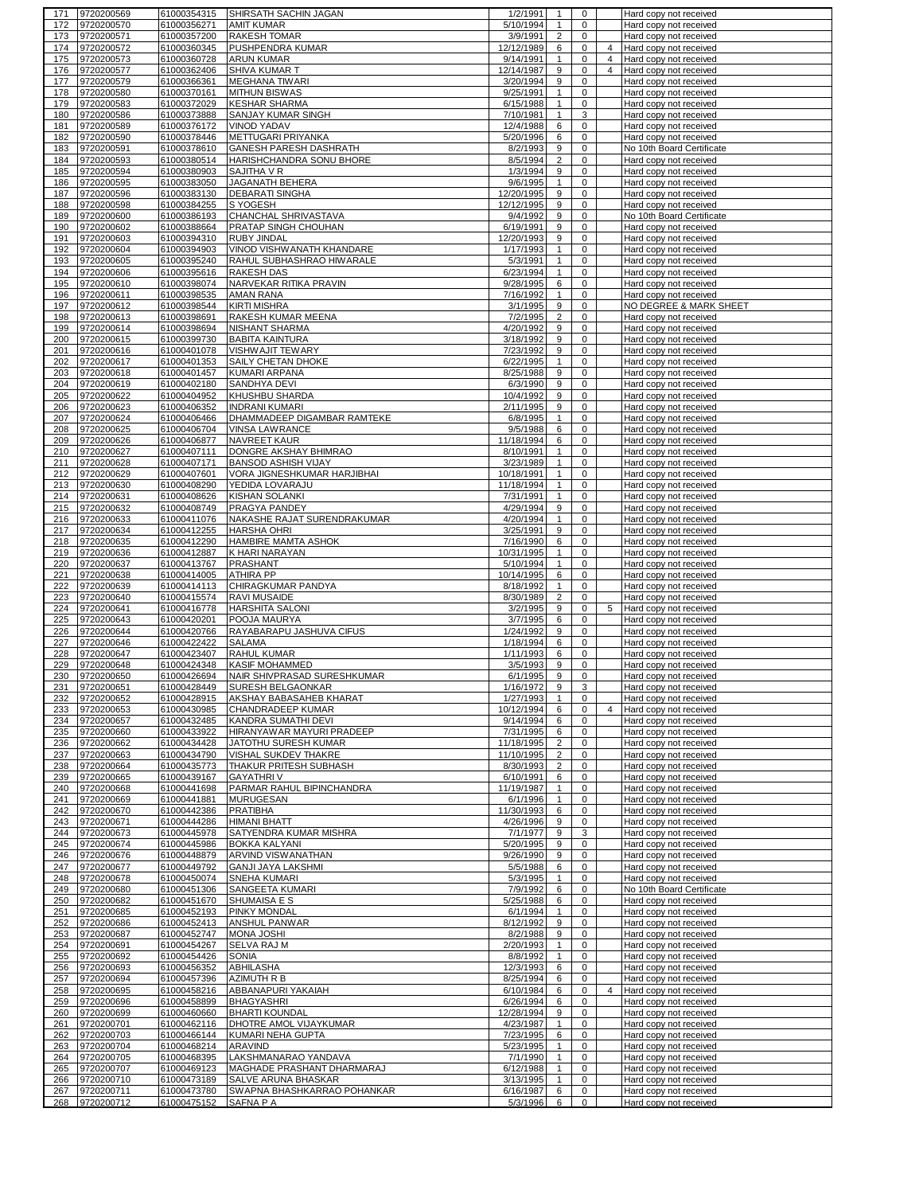| 171        | 9720200569               | 61000354315                | <b>SHIRSATH SACHIN JAGAN</b>                | 1/2/1991              | 1              | 0                          |   | Hard copy not received                           |
|------------|--------------------------|----------------------------|---------------------------------------------|-----------------------|----------------|----------------------------|---|--------------------------------------------------|
| 172        | 9720200570               | 61000356271                | <b>AMIT KUMAR</b>                           | 5/10/1994             | $\mathbf{1}$   | $\mathbf 0$                |   | Hard copy not received                           |
| 173        | 9720200571               | 61000357200                | RAKESH TOMAR                                | 3/9/1991              | $\overline{2}$ | 0                          |   | Hard copy not received                           |
| 174        | 9720200572               | 61000360345                | PUSHPENDRA KUMAR                            | 12/12/1989            | 6              | $\mathbf 0$                | 4 | Hard copy not received                           |
| 175        | 9720200573               | 61000360728                | <b>ARUN KUMAR</b>                           | 9/14/1991             | $\mathbf{1}$   | $\mathbf 0$                | 4 | Hard copy not received                           |
| 176        | 9720200577               | 61000362406                | <b>SHIVA KUMAR T</b>                        | 12/14/1987            | 9              | 0                          | 4 | Hard copy not received                           |
| 177        | 9720200579               | 61000366361                | <b>MEGHANA TIWARI</b>                       | 3/20/1994             | 9              | 0                          |   | Hard copy not received                           |
| 178        | 9720200580               | 61000370161                | <b>MITHUN BISWAS</b>                        | 9/25/1991             | $\mathbf{1}$   | 0                          |   | Hard copy not received                           |
| 179        | 9720200583               | 61000372029                | <b>KESHAR SHARMA</b>                        | 6/15/1988             | $\mathbf{1}$   | 0                          |   | Hard copy not received                           |
| 180        | 9720200586               | 61000373888                | SANJAY KUMAR SINGH                          | 7/10/1981             | $\mathbf{1}$   | 3                          |   | Hard copy not received                           |
|            |                          |                            |                                             |                       |                |                            |   |                                                  |
| 181        | 9720200589               | 61000376172                | <b>VINOD YADAV</b>                          | 12/4/1988             | 6              | $\mathbf 0$                |   | Hard copy not received                           |
| 182        | 9720200590               | 61000378446                | METTUGARI PRIYANKA                          | 5/20/1996             | 6              | 0                          |   | Hard copy not received                           |
| 183        | 9720200591               | 61000378610                | GANESH PARESH DASHRATH                      | 8/2/1993              | 9              | $\mathbf 0$                |   | No 10th Board Certificate                        |
| 184        | 9720200593               | 61000380514                | HARISHCHANDRA SONU BHORE                    | 8/5/1994              | $\overline{c}$ | $\mathbf 0$                |   | Hard copy not received                           |
| 185        | 9720200594               | 61000380903                | SAJITHA V R                                 | 1/3/1994              | 9              | $\mathbf 0$                |   | Hard copy not received                           |
| 186        | 9720200595               | 61000383050                | JAGANATH BEHERA                             | 9/6/1995              | $\mathbf{1}$   | 0                          |   | Hard copy not received                           |
| 187        | 9720200596               | 61000383130                | <b>DEBARATI SINGHA</b>                      | 12/20/1995            | 9              | $\mathbf 0$                |   | Hard copy not received                           |
| 188        | 9720200598               | 61000384255                | S YOGESH                                    | 12/12/1995            | 9              | $\mathbf 0$                |   | Hard copy not received                           |
| 189        | 9720200600               | 61000386193                | CHANCHAL SHRIVASTAVA                        | 9/4/1992              | 9              | $\mathbf 0$                |   | No 10th Board Certificate                        |
| 190        | 9720200602               | 61000388664                | PRATAP SINGH CHOUHAN                        | 6/19/1991             | 9              | 0                          |   | Hard copy not received                           |
| 191        | 9720200603               | 61000394310                | <b>RUBY JINDAL</b>                          | 12/20/1993            | 9              | 0                          |   | Hard copy not received                           |
| 192        | 9720200604               | 61000394903                | VINOD VISHWANATH KHANDARE                   | 1/17/1993             | $\mathbf{1}$   | $\mathbf 0$                |   | Hard copy not received                           |
| 193        | 9720200605               | 61000395240                | RAHUL SUBHASHRAO HIWARALE                   | 5/3/1991              | $\mathbf{1}$   | 0                          |   | Hard copy not received                           |
| 194        | 9720200606               | 61000395616                | <b>RAKESH DAS</b>                           | 6/23/1994             | $\mathbf{1}$   | 0                          |   | Hard copy not received                           |
| 195        | 9720200610               | 61000398074                | NARVEKAR RITIKA PRAVIN                      | 9/28/1995             | 6              | 0                          |   | Hard copy not received                           |
| 196        | 9720200611               | 61000398535                | <b>AMAN RANA</b>                            | 7/16/1992             | $\mathbf{1}$   | $\mathbf 0$                |   | Hard copy not received                           |
| 197        | 9720200612               | 61000398544                | <b>KIRTI MISHRA</b>                         | 3/1/1995              | 9              | 0                          |   | NO DEGREE & MARK SHEET                           |
|            |                          |                            |                                             | 7/2/1995              |                |                            |   |                                                  |
| 198        | 9720200613               | 61000398691                | RAKESH KUMAR MEENA<br><b>NISHANT SHARMA</b> |                       | $\overline{2}$ | $\mathbf 0$<br>0           |   | Hard copy not received                           |
| 199        | 9720200614               | 61000398694                |                                             | 4/20/1992             | 9              |                            |   | Hard copy not received                           |
| 200        | 9720200615               | 61000399730                | <b>BABITA KAINTURA</b>                      | 3/18/1992             | 9              | $\mathbf 0$                |   | Hard copy not received                           |
| 201        | 9720200616               | 61000401078                | <b>VISHWAJIT TEWARY</b>                     | 7/23/1992             | 9              | 0                          |   | Hard copy not received                           |
| 202        | 9720200617               | 61000401353                | SAILY CHETAN DHOKE                          | 6/22/1995             | $\mathbf{1}$   | $\mathbf 0$                |   | Hard copy not received                           |
| 203        | 9720200618               | 61000401457                | <b>KUMARI ARPANA</b>                        | 8/25/1988             | 9              | 0                          |   | Hard copy not received                           |
| 204        | 9720200619               | 61000402180                | SANDHYA DEVI                                | 6/3/1990              | 9              | $\mathbf 0$                |   | Hard copy not received                           |
| 205        | 9720200622               | 61000404952                | KHUSHBU SHARDA                              | 10/4/1992             | 9              | 0                          |   | Hard copy not received                           |
| 206        | 9720200623               | 61000406352                | <b>INDRANI KUMARI</b>                       | 2/11/1995             | 9              | 0                          |   | Hard copy not received                           |
| 207        | 9720200624               | 61000406466                | DHAMMADEEP DIGAMBAR RAMTEKE                 | 6/8/1995              | $\mathbf{1}$   | 0                          |   | Hard copy not received                           |
| 208        | 9720200625               | 61000406704                | <b>VINSA LAWRANCE</b>                       | 9/5/1988              | 6              | $\mathbf 0$                |   | Hard copy not received                           |
| 209        | 9720200626               | 61000406877                | NAVREET KAUR                                | 11/18/1994            | 6              | $\mathbf 0$                |   | Hard copy not received                           |
| 210        | 9720200627               | 61000407111                | DONGRE AKSHAY BHIMRAO                       | 8/10/1991             | $\mathbf{1}$   | $\mathbf 0$                |   | Hard copy not received                           |
| 211        | 9720200628               | 61000407171                | BANSOD ASHISH VIJAY                         | 3/23/1989             | $\mathbf{1}$   | 0                          |   | Hard copy not received                           |
| 212        | 9720200629               | 61000407601                | VORA JIGNESHKUMAR HARJIBHAI                 | 10/18/1991            | $\mathbf{1}$   | $\mathbf 0$                |   | Hard copy not received                           |
| 213        | 9720200630               | 61000408290                | YEDIDA LOVARAJU                             | 11/18/1994            | $\mathbf{1}$   | $\mathbf 0$                |   | Hard copy not received                           |
| 214        | 9720200631               | 61000408626                | KISHAN SOLANKI                              | 7/31/1991             | $\mathbf{1}$   | $\mathbf 0$                |   | Hard copy not received                           |
| 215        | 9720200632               | 61000408749                | PRAGYA PANDEY                               | 4/29/1994             | 9              | $\mathbf 0$                |   | Hard copy not received                           |
| 216        | 9720200633               | 61000411076                | NAKASHE RAJAT SURENDRAKUMAR                 | 4/20/1994             | $\mathbf{1}$   | $\mathbf 0$                |   | Hard copy not received                           |
| 217        | 9720200634               | 61000412255                | <b>HARSHA OHRI</b>                          | 3/25/1991             | 9              | $\mathbf 0$                |   | Hard copy not received                           |
| 218        | 9720200635               | 61000412290                | HAMBIRE MAMTA ASHOK                         | 7/16/1990             | 6              | 0                          |   | Hard copy not received                           |
| 219        | 9720200636               | 61000412887                | K HARI NARAYAN                              | 10/31/1995            | $\mathbf{1}$   | 0                          |   | Hard copy not received                           |
|            |                          |                            |                                             |                       |                |                            |   |                                                  |
|            |                          |                            |                                             |                       |                |                            |   |                                                  |
| 220        | 9720200637               | 61000413767                | <b>PRASHANT</b>                             | 5/10/1994             | $\mathbf{1}$   | $\mathbf 0$                |   | Hard copy not received                           |
| 221        | 9720200638               | 61000414005                | <b>ATHIRA PP</b>                            | 10/14/1995            | 6              | $\mathbf 0$                |   | Hard copy not received                           |
| 222        | 9720200639               | 61000414113                | CHIRAGKUMAR PANDYA                          | 8/18/1992             | $\mathbf{1}$   | $\mathbf 0$                |   | Hard copy not received                           |
| 223        | 9720200640               | 61000415574                | <b>RAVI MUSAIDE</b>                         | 8/30/1989             | $\overline{2}$ | $\mathbf 0$                |   | Hard copy not received                           |
| 224        | 9720200641               | 61000416778                | HARSHITA SALONI                             | 3/2/1995              | 9              | $\mathbf 0$                | 5 | Hard copy not received                           |
| 225        | 9720200643               | 61000420201                | POOJA MAURYA                                | 3/7/1995              | 6              | 0                          |   | Hard copy not received                           |
| 226        | 9720200644               | 61000420766                | RAYABARAPU JASHUVA CIFUS                    | 1/24/1992             | 9              | 0                          |   | Hard copy not received                           |
| 227        | 9720200646               | 61000422422                | <b>SALAMA</b>                               | 1/18/1994             | 6              | 0                          |   | Hard copy not received                           |
| 228        | 9720200647               | 61000423407                | <b>RAHUL KUMAR</b>                          | 1/11/1993             | 6              | 0                          |   | Hard copy not received                           |
| 229        | 9720200648               | 61000424348                | <b>KASIF MOHAMMED</b>                       | 3/5/1993              | 9              | $\mathbf 0$                |   | Hard copy not received                           |
| 230        | 9720200650               | 61000426694                | NAIR SHIVPRASAD SURESHKUMAR                 | 6/1/1995              | 9              | 0                          |   | Hard copy not received                           |
| 231        | 9720200651               | 61000428449                | <b>SURESH BELGAONKAR</b>                    | 1/16/1972             | 9              | 3                          |   | Hard copy not received                           |
| 232        | 9720200652               | 61000428915                | AKSHAY BABASAHEB KHARAT                     | 1/27/1993             | $\mathbf{1}$   | 0                          |   | Hard copy not received                           |
| 233        | 9720200653               | 61000430985                | CHANDRADEEP KUMAR                           | 10/12/1994            | 6              | $\mathbf 0$                | 4 | Hard copy not received                           |
| 234        | 9720200657               | 61000432485                | KANDRA SUMATHI DEVI                         | 9/14/1994             | 6              | 0                          |   | Hard copy not received                           |
| 235        | 9720200660               | 61000433922                | HIRANYAWAR MAYURI PRADEEP                   | 7/31/1995             | 6              | $\mathbf 0$                |   | Hard copy not received                           |
| 236        | 9720200662               | 61000434428                | JATOTHU SURESH KUMAR                        | 11/18/1995            | $\overline{2}$ | 0                          |   | Hard copy not received                           |
| 237        | 9720200663               | 61000434790                | VISHAL SUKDEV THAKRE                        | 11/10/1995            | $\overline{2}$ | $\mathbf 0$                |   | Hard copy not received                           |
| 238        | 9720200664               | 61000435773                | THAKUR PRITESH SUBHASH                      | 8/30/1993             | $\overline{2}$ | 0                          |   | Hard copy not received                           |
|            |                          |                            | <b>GAYATHRIV</b>                            |                       |                | $\mathbf 0$                |   |                                                  |
| 239        | 9720200665               | 61000439167                |                                             | 6/10/1991             | 6              |                            |   | Hard copy not received                           |
| 240        | 9720200668               | 61000441698                | PARMAR RAHUL BIPINCHANDRA                   | 11/19/1987            | $\mathbf{1}$   | 0                          |   | Hard copy not received                           |
| 241        | 9720200669               | 61000441881                | MURUGESAN                                   | 6/1/1996              | $\mathbf{1}$   | 0                          |   | Hard copy not received                           |
| 242        | 9720200670               | 61000442386                | PRATIBHA                                    | 11/30/1993            | 6              | $\mathbf 0$                |   | Hard copy not received                           |
| 243        | 9720200671               | 61000444286                | HIMANI BHATT                                | 4/26/1996             | 9              | 0                          |   | Hard copy not received                           |
| 244        | 9720200673               | 61000445978                | SATYENDRA KUMAR MISHRA                      | 7/1/1977              | 9              | 3                          |   | Hard copy not received                           |
| 245        | 9720200674               | 61000445986                | <b>BOKKA KALYANI</b>                        | 5/20/1995             | 9              | 0                          |   | Hard copy not received                           |
| 246        | 9720200676               | 61000448879                | ARVIND VISWANATHAN                          | 9/26/1990             | 9              | 0                          |   | Hard copy not received                           |
| 247        | 9720200677               | 61000449792                | GANJI JAYA LAKSHMI                          | 5/5/1988              | 6              | 0                          |   | Hard copy not received                           |
| 248        | 9720200678               | 61000450074                | SNEHA KUMARI                                | 5/3/1995              | $\mathbf{1}$   | $\mathbf 0$                |   | Hard copy not received                           |
| 249        | 9720200680               | 61000451306                | SANGEETA KUMARI                             | 7/9/1992              | 6              | $\mathbf 0$                |   | No 10th Board Certificate                        |
| 250        | 9720200682               | 61000451670                | SHUMAISA E S                                | 5/25/1988             | 6              | $\mathbf 0$                |   | Hard copy not received                           |
| 251        | 9720200685               | 61000452193                | PINKY MONDAL                                | 6/1/1994              | $\mathbf{1}$   | 0                          |   | Hard copy not received                           |
| 252        | 9720200686               | 61000452413                | ANSHUL PANWAR                               | 8/12/1992             | 9              | $\mathbf 0$                |   | Hard copy not received                           |
| 253        | 9720200687               | 61000452747                | MONA JOSHI                                  | 8/2/1988              | 9              | 0                          |   | Hard copy not received                           |
| 254        | 9720200691               | 61000454267                | <b>SELVA RAJ M</b>                          | 2/20/1993             | $\mathbf{1}$   | $\mathbf 0$                |   | Hard copy not received                           |
| 255        | 9720200692               | 61000454426                | SONIA                                       | 8/8/1992              | $\mathbf{1}$   | 0                          |   | Hard copy not received                           |
| 256        | 9720200693               | 61000456352                | ABHILASHA                                   | 12/3/1993             | 6              | 0                          |   | Hard copy not received                           |
| 257        | 9720200694               | 61000457396                | AZIMUTH R B                                 | 8/25/1994             | 6              | 0                          |   | Hard copy not received                           |
| 258        | 9720200695               | 61000458216                | ABBANAPURI YAKAIAH                          | 6/10/1984             | 6              | 0                          | 4 | Hard copy not received                           |
| 259        | 9720200696               | 61000458899                | <b>BHAGYASHRI</b>                           | 6/26/1994             | 6              | 0                          |   | Hard copy not received                           |
| 260        | 9720200699               | 61000460660                | <b>BHARTI KOUNDAL</b>                       | 12/28/1994            | 9              | $\mathbf 0$                |   | Hard copy not received                           |
| 261        | 9720200701               | 61000462116                | DHOTRE AMOL VIJAYKUMAR                      | 4/23/1987             | $\mathbf{1}$   | 0                          |   | Hard copy not received                           |
| 262        | 9720200703               | 61000466144                | KUMARI NEHA GUPTA                           | 7/23/1995             | 6              | $\mathbf 0$                |   | Hard copy not received                           |
| 263        | 9720200704               | 61000468214                | ARAVIND                                     | 5/23/1995             | $\mathbf{1}$   | $\mathbf 0$                |   | Hard copy not received                           |
| 264        | 9720200705               | 61000468395                | LAKSHMANARAO YANDAVA                        | 7/1/1990              | $\mathbf{1}$   | $\mathbf 0$                |   | Hard copy not received                           |
| 265        | 9720200707               | 61000469123                | MAGHADE PRASHANT DHARMARAJ                  | 6/12/1988             | $\mathbf{1}$   | 0                          |   | Hard copy not received                           |
| 266        | 9720200710               | 61000473189                | SALVE ARUNA BHASKAR                         | 3/13/1995             | $\mathbf{1}$   | 0                          |   | Hard copy not received                           |
| 267<br>268 | 9720200711<br>9720200712 | 61000473780<br>61000475152 | SWAPNA BHASHKARRAO POHANKAR<br>SAFNA P A    | 6/16/1987<br>5/3/1996 | 6<br>6         | $\mathbf 0$<br>$\mathbf 0$ |   | Hard copy not received<br>Hard copy not received |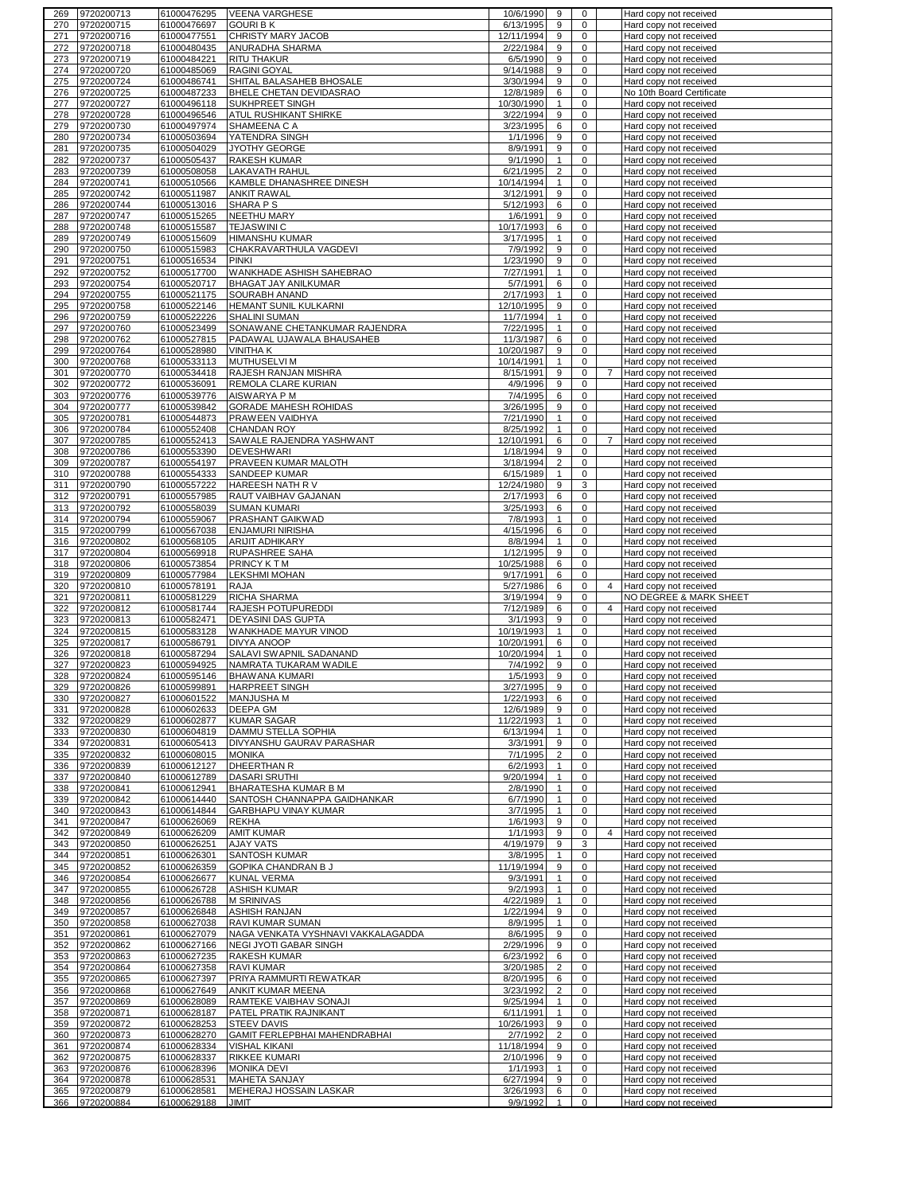| 269        | 9720200713                   | 61000476295                | <b>VEENA VARGHESE</b>                             | 10/6/1990              | 9                   | 0                |                | Hard copy not received                           |
|------------|------------------------------|----------------------------|---------------------------------------------------|------------------------|---------------------|------------------|----------------|--------------------------------------------------|
| 270        | 9720200715                   | 61000476697                | <b>GOURI B K</b>                                  | 6/13/1995              | 9                   | 0                |                | Hard copy not received                           |
| 271        | 9720200716                   | 61000477551                | CHRISTY MARY JACOB                                | 12/11/1994             | 9                   | 0                |                | Hard copy not received                           |
| 272        | 9720200718                   | 61000480435                | ANURADHA SHARMA                                   | 2/22/1984              | 9                   | 0                |                | Hard copy not received                           |
| 273        | 9720200719                   | 61000484221                | <b>RITU THAKUR</b>                                | 6/5/1990               | 9                   | 0                |                | Hard copy not received                           |
| 274        | 9720200720                   | 61000485069                | <b>RAGINI GOYAL</b>                               | 9/14/1988              | 9                   | 0                |                | Hard copy not received                           |
| 275        | 9720200724                   | 61000486741                | SHITAL BALASAHEB BHOSALE                          | 3/30/1994              | 9                   | 0                |                | Hard copy not received                           |
| 276        | 9720200725                   | 61000487233                | BHELE CHETAN DEVIDASRAO                           | 12/8/1989              | 6                   | 0                |                | No 10th Board Certificate                        |
| 277        | 9720200727                   | 61000496118                | <b>SUKHPREET SINGH</b>                            | 10/30/1990             | $\mathbf{1}$        | 0                |                | Hard copy not received                           |
| 278        | 9720200728                   | 61000496546                | ATUL RUSHIKANT SHIRKE                             | 3/22/1994              | 9                   | 0                |                | Hard copy not received                           |
| 279        | 9720200730<br>9720200734     | 61000497974<br>61000503694 | SHAMEENA C A                                      | 3/23/1995              | 6<br>9              | 0<br>$\mathbf 0$ |                | Hard copy not received                           |
| 280<br>281 | 9720200735                   | 61000504029                | YATENDRA SINGH<br>JYOTHY GEORGE                   | 1/1/1996<br>8/9/1991   | 9                   | 0                |                | Hard copy not received<br>Hard copy not received |
| 282        | 9720200737                   | 61000505437                | <b>RAKESH KUMAR</b>                               | 9/1/1990               | $\mathbf{1}$        | $\mathbf 0$      |                | Hard copy not received                           |
| 283        | 9720200739                   | 61000508058                | <b>LAKAVATH RAHUL</b>                             | 6/21/1995              | $\overline{2}$      | 0                |                | Hard copy not received                           |
| 284        | 9720200741                   | 61000510566                | KAMBLE DHANASHREE DINESH                          | 10/14/1994             | $\mathbf{1}$        | $\mathbf 0$      |                | Hard copy not received                           |
| 285        | 9720200742                   | 61000511987                | <b>ANKIT RAWAL</b>                                | 3/12/1991              | 9                   | 0                |                | Hard copy not received                           |
| 286        | 9720200744                   | 61000513016                | SHARA P S                                         | 5/12/1993              | 6                   | 0                |                | Hard copy not received                           |
| 287        | 9720200747                   | 61000515265                | <b>NEETHU MARY</b>                                | 1/6/1991               | 9                   | 0                |                | Hard copy not received                           |
| 288        | 9720200748                   | 61000515587                | <b>TEJASWINI C</b>                                | 10/17/1993             | 6                   | $\pmb{0}$        |                | Hard copy not received                           |
| 289        | 9720200749                   | 61000515609                | <b>HIMANSHU KUMAR</b>                             | 3/17/1995              | $\mathbf{1}$        | 0                |                | Hard copy not received                           |
| 290        | 9720200750                   | 61000515983                | CHAKRAVARTHULA VAGDEVI                            | 7/9/1992               | 9                   | 0                |                | Hard copy not received                           |
| 291        | 9720200751                   | 61000516534                | <b>PINKI</b>                                      | 1/23/1990              | 9                   | 0                |                | Hard copy not received                           |
| 292        | 9720200752                   | 61000517700                | WANKHADE ASHISH SAHEBRAO                          | 7/27/1991              | $\mathbf{1}$        | 0                |                | Hard copy not received                           |
| 293        | 9720200754                   | 61000520717                | <b>BHAGAT JAY ANILKUMAR</b>                       | 5/7/1991               | 6                   | 0                |                | Hard copy not received                           |
| 294        | 9720200755                   | 61000521175                | <b>SOURABH ANAND</b>                              | 2/17/1993              | $\mathbf{1}$        | 0                |                | Hard copy not received                           |
| 295        | 9720200758                   | 61000522146                | HEMANT SUNIL KULKARNI                             | 12/10/1995             | 9                   | 0                |                | Hard copy not received                           |
| 296        | 9720200759                   | 61000522226                | <b>SHALINI SUMAN</b>                              | 11/7/1994              | $\mathbf{1}$        | $\mathbf 0$      |                | Hard copy not received                           |
| 297        | 9720200760                   | 61000523499                | SONAWANE CHETANKUMAR RAJENDRA                     | 7/22/1995              | $\mathbf{1}$        | 0                |                | Hard copy not received                           |
| 298        | 9720200762                   | 61000527815                | PADAWAL UJAWALA BHAUSAHEB                         | 11/3/1987              | 6                   | 0                |                | Hard copy not received                           |
| 299        | 9720200764                   | 61000528980                | <b>VINITHAK</b>                                   | 10/20/1987             | 9                   | 0                |                | Hard copy not received                           |
| 300        | 9720200768                   | 61000533113                | <b>MUTHUSELVIM</b>                                | 10/14/1991             | $\mathbf{1}$        | 0<br>0           |                | Hard copy not received                           |
| 301        | 9720200770                   | 61000534418                | RAJESH RANJAN MISHRA                              | 8/15/1991<br>4/9/1996  | 9<br>9              | 0                | $\overline{7}$ | Hard copy not received                           |
| 302<br>303 | 9720200772<br>9720200776     | 61000536091<br>61000539776 | REMOLA CLARE KURIAN<br>AISWARYA P M               | 7/4/1995               | 6                   | 0                |                | Hard copy not received<br>Hard copy not received |
| 304        | 9720200777                   | 61000539842                | <b>GORADE MAHESH ROHIDAS</b>                      | 3/26/1995              | 9                   | 0                |                | Hard copy not received                           |
| 305        | 9720200781                   | 61000544873                | PRAWEEN VAIDHYA                                   | 7/21/1990              | $\mathbf{1}$        | 0                |                | Hard copy not received                           |
| 306        | 9720200784                   | 61000552408                | <b>CHANDAN ROY</b>                                | 8/25/1992              | $\mathbf{1}$        | 0                |                | Hard copy not received                           |
| 307        | 9720200785                   | 61000552413                | SAWALE RAJENDRA YASHWANT                          | 12/10/1991             | 6                   | $\mathbf 0$      | $\overline{7}$ | Hard copy not received                           |
| 308        | 9720200786                   | 61000553390                | <b>DEVESHWARI</b>                                 | 1/18/1994              | 9                   | 0                |                | Hard copy not received                           |
| 309        | 9720200787                   | 61000554197                | PRAVEEN KUMAR MALOTH                              | 3/18/1994              | $\overline{2}$      | $\mathbf 0$      |                | Hard copy not received                           |
| 310        | 9720200788                   | 61000554333                | SANDEEP KUMAR                                     | 6/15/1989              | $\mathbf{1}$        | 0                |                | Hard copy not received                           |
| 311        | 9720200790                   | 61000557222                | HAREESH NATH R V                                  | 12/24/1980             | 9                   | 3                |                | Hard copy not received                           |
| 312        | 9720200791                   | 61000557985                | RAUT VAIBHAV GAJANAN                              | 2/17/1993              | 6                   | 0                |                | Hard copy not received                           |
| 313        | 9720200792                   | 61000558039                | <b>SUMAN KUMARI</b>                               | 3/25/1993              | 6                   | 0                |                | Hard copy not received                           |
| 314        | 9720200794                   | 61000559067                | PRASHANT GAIKWAD                                  | 7/8/1993               | $\mathbf{1}$        | $\mathbf 0$      |                | Hard copy not received                           |
| 315<br>316 | 9720200799<br>9720200802     | 61000567038<br>61000568105 | <b>ENJAMURI NIRISHA</b><br><b>ARIJIT ADHIKARY</b> | 4/15/1996<br>8/8/1994  | 6<br>$\mathbf{1}$   | 0<br>0           |                | Hard copy not received<br>Hard copy not received |
| 317        | 9720200804                   | 61000569918                | <b>RUPASHREE SAHA</b>                             | 1/12/1995              | 9                   | 0                |                | Hard copy not received                           |
|            | 9720200806                   | 61000573854                | <b>PRINCY KTM</b>                                 |                        | 6                   | $\mathbf 0$      |                | Hard copy not received                           |
|            |                              |                            |                                                   |                        |                     |                  |                |                                                  |
| 318<br>319 |                              |                            |                                                   | 10/25/1988             | 6                   | 0                |                |                                                  |
| 320        | 9720200809<br>9720200810     | 61000577984<br>61000578191 | <b>LEKSHMI MOHAN</b><br>RAJA                      | 9/17/1991<br>5/27/1986 | 6                   | 0                | $\overline{4}$ | Hard copy not received<br>Hard copy not received |
| 321        | 9720200811                   | 61000581229                | <b>RICHA SHARMA</b>                               | 3/19/1994              | 9                   | 0                |                | NO DEGREE & MARK SHEET                           |
| 322        | 9720200812                   | 61000581744                | <b>RAJESH POTUPUREDDI</b>                         | 7/12/1989              | 6                   | $\mathbf 0$      | $\overline{4}$ | Hard copy not received                           |
| 323        | 9720200813                   | 61000582471                | <b>DEYASINI DAS GUPTA</b>                         | 3/1/1993               | 9                   | 0                |                | Hard copy not received                           |
| 324        | 9720200815                   | 61000583128                | WANKHADE MAYUR VINOD                              | 10/19/1993             | $\mathbf{1}$        | 0                |                | Hard copy not received                           |
| 325        | 9720200817                   | 61000586791                | <b>DIVYA ANOOP</b>                                | 10/20/1991             | 6                   | 0                |                | Hard copy not received                           |
| 326        | 9720200818                   | 61000587294                | SALAVI SWAPNIL SADANAND                           | 10/20/1994             | $\mathbf{1}$        | 0                |                | Hard copy not received                           |
| 327        | 9720200823                   | 61000594925                | NAMRATA TUKARAM WADILE                            | 7/4/1992               | 9                   | 0                |                | Hard copy not received                           |
| 328        | 9720200824<br>329 9720200826 | 61000595146<br>61000599891 | <b>BHAWANA KUMARI</b>                             | 1/5/1993               | 9                   | 0<br>0           |                | Hard copy not received                           |
| 330        | 9720200827                   | 61000601522                | HARPREET SINGH<br><b>MANJUSHA M</b>               | 3/27/1995<br>1/22/1993 | 9<br>6              | 0                |                | Hard copy not received<br>Hard copy not received |
| 331        | 9720200828                   | 61000602633                | <b>DEEPA GM</b>                                   | 12/6/1989              | 9                   | 0                |                | Hard copy not received                           |
| 332        | 9720200829                   | 61000602877                | <b>KUMAR SAGAR</b>                                | 11/22/1993             | $\mathbf{1}$        | $\mathbf 0$      |                | Hard copy not received                           |
| 333        | 9720200830                   | 61000604819                | DAMMU STELLA SOPHIA                               | 6/13/1994              | $\mathbf{1}$        | 0                |                | Hard copy not received                           |
| 334        | 9720200831                   | 61000605413                | DIVYANSHU GAURAV PARASHAR                         | 3/3/1991               | 9                   | $\mathbf 0$      |                | Hard copy not received                           |
| 335        | 9720200832                   | 61000608015                | <b>MONIKA</b>                                     | 7/1/1995               | $\overline{2}$      | 0                |                | Hard copy not received                           |
| 336        | 9720200839                   | 61000612127                | <b>DHEERTHAN R</b>                                | 6/2/1993               | $\mathbf{1}$        | $\mathbf 0$      |                | Hard copy not received                           |
| 337        | 9720200840                   | 61000612789                | <b>DASARI SRUTHI</b>                              | 9/20/1994              | $\mathbf{1}$        | 0                |                | Hard copy not received                           |
| 338        | 9720200841                   | 61000612941                | BHARATESHA KUMAR B M                              | 2/8/1990               | $\mathbf{1}$        | $\pmb{0}$        |                | Hard copy not received                           |
| 339        | 9720200842                   | 61000614440                | SANTOSH CHANNAPPA GAIDHANKAR                      | 6/7/1990               | $\mathbf{1}$        | $\mathbf 0$      |                | Hard copy not received                           |
| 340        | 9720200843                   | 61000614844                | <b>GARBHAPU VINAY KUMAR</b>                       | 3/7/1995               | $\mathbf{1}$        | $\mathbf 0$      |                | Hard copy not received                           |
| 341        | 9720200847                   | 61000626069                | <b>REKHA</b>                                      | 1/6/1993               | 9                   | 0                |                | Hard copy not received                           |
| 342        | 9720200849                   | 61000626209                | <b>AMIT KUMAR</b>                                 | 1/1/1993               | 9<br>9              | 0<br>3           | $\overline{4}$ | Hard copy not received                           |
| 343<br>344 | 9720200850<br>9720200851     | 61000626251<br>61000626301 | <b>AJAY VATS</b><br><b>SANTOSH KUMAR</b>          | 4/19/1979<br>3/8/1995  | $\mathbf{1}$        | 0                |                | Hard copy not received<br>Hard copy not received |
| 345        | 9720200852                   | 61000626359                | GOPIKA CHANDRAN B J                               | 11/19/1994             | 9                   | $\mathbf 0$      |                | Hard copy not received                           |
| 346        | 9720200854                   | 61000626677                | <b>KUNAL VERMA</b>                                | 9/3/1991               | $\mathbf{1}$        | 0                |                | Hard copy not received                           |
| 347        | 9720200855                   | 61000626728                | <b>ASHISH KUMAR</b>                               | 9/2/1993               | $\mathbf{1}$        | 0                |                | Hard copy not received                           |
| 348        | 9720200856                   | 61000626788                | <b>M SRINIVAS</b>                                 | 4/22/1989              | $\mathbf{1}$        | 0                |                | Hard copy not received                           |
| 349        | 9720200857                   | 61000626848                | <b>ASHISH RANJAN</b>                              | 1/22/1994              | 9                   | 0                |                | Hard copy not received                           |
| 350        | 9720200858                   | 61000627038                | RAVI KUMAR SUMAN                                  | 8/9/1995               | $\mathbf{1}$        | 0                |                | Hard copy not received                           |
| 351        | 9720200861                   | 61000627079                | NAGA VENKATA VYSHNAVI VAKKALAGADDA                | 8/6/1995               | 9                   | 0                |                | Hard copy not received                           |
| 352        | 9720200862                   | 61000627166                | NEGI JYOTI GABAR SINGH                            | 2/29/1996              | 9                   | 0<br>0           |                | Hard copy not received                           |
| 353<br>354 | 9720200863<br>9720200864     | 61000627235<br>61000627358 | <b>RAKESH KUMAR</b><br><b>RAVI KUMAR</b>          | 6/23/1992<br>3/20/1985 | 6<br>$\overline{2}$ | 0                |                | Hard copy not received<br>Hard copy not received |
| 355        | 9720200865                   | 61000627397                | PRIYA RAMMURTI REWATKAR                           | 8/20/1995              | 6                   | 0                |                | Hard copy not received                           |
| 356        | 9720200868                   | 61000627649                | ANKIT KUMAR MEENA                                 | 3/23/1992              | $\overline{2}$      | 0                |                | Hard copy not received                           |
| 357        | 9720200869                   | 61000628089                | RAMTEKE VAIBHAV SONAJI                            | 9/25/1994              | $\mathbf{1}$        | 0                |                | Hard copy not received                           |
| 358        | 9720200871                   | 61000628187                | PATEL PRATIK RAJNIKANT                            | 6/11/1991              | $\mathbf{1}$        | 0                |                | Hard copy not received                           |
| 359        | 9720200872                   | 61000628253                | <b>STEEV DAVIS</b>                                | 10/26/1993             | 9                   | $\mathbf 0$      |                | Hard copy not received                           |
| 360        | 9720200873                   | 61000628270                | GAMIT FERLEPBHAI MAHENDRABHAI                     | 2/7/1992               | $\overline{2}$      | 0                |                | Hard copy not received                           |
| 361        | 9720200874                   | 61000628334                | <b>VISHAL KIKANI</b>                              | 11/18/1994             | 9                   | $\mathbf 0$      |                | Hard copy not received                           |
| 362        | 9720200875                   | 61000628337                | <b>RIKKEE KUMARI</b>                              | 2/10/1996              | 9<br>$\mathbf{1}$   | 0<br>$\mathbf 0$ |                | Hard copy not received                           |
| 363<br>364 | 9720200876<br>9720200878     | 61000628396<br>61000628531 | <b>MONIKA DEVI</b><br><b>MAHETA SANJAY</b>        | 1/1/1993<br>6/27/1994  | 9                   | 0                |                | Hard copy not received<br>Hard copy not received |
| 365        | 9720200879<br>9720200884     | 61000628581<br>61000629188 | MEHERAJ HOSSAIN LASKAR<br><b>JIMIT</b>            | 3/26/1993<br>9/9/1992  | 6<br>$\mathbf{1}$   | 0<br>$\mathbf 0$ |                | Hard copy not received<br>Hard copy not received |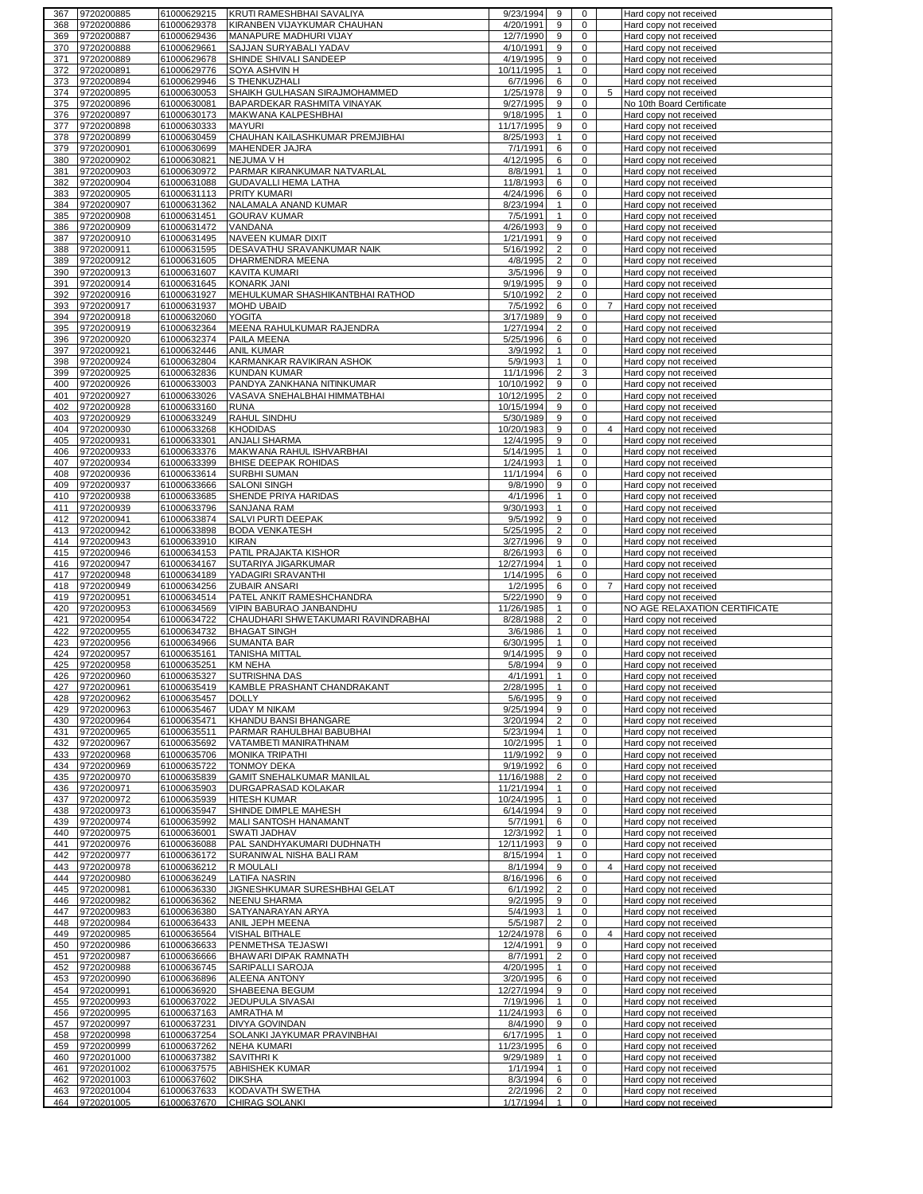| 367        | 9720200885               | 61000629215                | KRUTI RAMESHBHAI SAVALIYA                      | 9/23/1994              | 9                              | 0                          |                | Hard copy not received                              |
|------------|--------------------------|----------------------------|------------------------------------------------|------------------------|--------------------------------|----------------------------|----------------|-----------------------------------------------------|
| 368        | 9720200886               | 61000629378                | KIRANBEN VIJAYKUMAR CHAUHAN                    | 4/20/1991              | 9                              | $\mathbf 0$                |                | Hard copy not received                              |
| 369        | 9720200887               | 61000629436                | MANAPURE MADHURI VIJAY                         | 12/7/1990              | 9                              | 0                          |                | Hard copy not received                              |
| 370        | 9720200888               | 61000629661                | SAJJAN SURYABALI YADAV                         | 4/10/1991              | 9                              | 0                          |                | Hard copy not received                              |
| 371        | 9720200889               | 61000629678                | SHINDE SHIVALI SANDEEP                         | 4/19/1995              | 9                              | $\mathbf 0$                |                | Hard copy not received                              |
| 372        | 9720200891               | 61000629776                | SOYA ASHVIN H                                  | 10/11/1995             | $\mathbf{1}$                   | $\mathbf 0$                |                | Hard copy not received                              |
| 373        | 9720200894               | 61000629946                | S THENKUZHALI<br>SHAIKH GULHASAN SIRAJMOHAMMED | 6/7/1996               | 6                              | 0<br>$\mathbf 0$           |                | Hard copy not received                              |
| 374<br>375 | 9720200895<br>9720200896 | 61000630053<br>61000630081 | BAPARDEKAR RASHMITA VINAYAK                    | 1/25/1978<br>9/27/1995 | 9<br>9                         | 0                          | 5              | Hard copy not received<br>No 10th Board Certificate |
| 376        | 9720200897               | 61000630173                | MAKWANA KALPESHBHAI                            | 9/18/1995              | $\mathbf{1}$                   | $\mathbf 0$                |                | Hard copy not received                              |
| 377        | 9720200898               | 61000630333                | <b>MAYURI</b>                                  | 11/17/1995             | 9                              | 0                          |                | Hard copy not received                              |
| 378        | 9720200899               | 61000630459                | CHAUHAN KAILASHKUMAR PREMJIBHAI                | 8/25/1993              | $\mathbf{1}$                   | $\mathsf 0$                |                | Hard copy not received                              |
| 379        | 9720200901               | 61000630699                | MAHENDER JAJRA                                 | 7/1/1991               | 6                              | $\mathbf 0$                |                | Hard copy not received                              |
| 380        | 9720200902               | 61000630821                | NEJUMA V H                                     | 4/12/1995              | 6                              | $\mathbf 0$                |                | Hard copy not received                              |
| 381        | 9720200903               | 61000630972                | PARMAR KIRANKUMAR NATVARLAL                    | 8/8/1991               | $\mathbf{1}$                   | 0                          |                | Hard copy not received                              |
| 382        | 9720200904               | 61000631088                | <b>GUDAVALLI HEMA LATHA</b>                    | 11/8/1993              | 6                              | $\pmb{0}$                  |                | Hard copy not received                              |
| 383        | 9720200905               | 61000631113                | PRITY KUMARI                                   | 4/24/1996              | 6                              | $\mathbf 0$                |                | Hard copy not received                              |
| 384        | 9720200907               | 61000631362                | NALAMALA ANAND KUMAR                           | 8/23/1994              | $\mathbf{1}$                   | 0                          |                | Hard copy not received                              |
| 385        | 9720200908               | 61000631451                | <b>GOURAV KUMAR</b>                            | 7/5/1991               | $\mathbf{1}$                   | $\mathbf 0$                |                | Hard copy not received                              |
| 386        | 9720200909               | 61000631472                | VANDANA                                        | 4/26/1993              | 9                              | $\pmb{0}$                  |                | Hard copy not received                              |
| 387        | 9720200910               | 61000631495                | NAVEEN KUMAR DIXIT                             | 1/21/1991              | 9                              | $\mathbf 0$                |                | Hard copy not received                              |
| 388        | 9720200911               | 61000631595                | DESAVATHU SRAVANKUMAR NAIK                     | 5/16/1992              | $\overline{c}$                 | 0                          |                | Hard copy not received                              |
| 389        | 9720200912               | 61000631605                | DHARMENDRA MEENA                               | 4/8/1995               | 2                              | 0                          |                | Hard copy not received                              |
| 390        | 9720200913               | 61000631607                | <b>KAVITA KUMARI</b>                           | 3/5/1996               | 9                              | 0                          |                | Hard copy not received                              |
| 391        | 9720200914               | 61000631645                | KONARK JANI                                    | 9/19/1995              | 9                              | $\mathbf 0$                |                | Hard copy not received                              |
| 392        | 9720200916               | 61000631927                | MEHULKUMAR SHASHIKANTBHAI RATHOD               | 5/10/1992              | $\overline{c}$                 | 0                          |                | Hard copy not received                              |
| 393        | 9720200917               | 61000631937                | MOHD UBAID                                     | 7/5/1992               | 6                              | $\mathbf 0$                | $\overline{7}$ | Hard copy not received                              |
| 394        | 9720200918               | 61000632060                | <b>YOGITA</b>                                  | 3/17/1989              | 9                              | 0                          |                | Hard copy not received                              |
| 395        | 9720200919               | 61000632364                | MEENA RAHULKUMAR RAJENDRA                      | 1/27/1994              | $\overline{\mathbf{c}}$        | 0                          |                | Hard copy not received                              |
| 396        | 9720200920               | 61000632374                | PAILA MEENA                                    | 5/25/1996              | 6                              | 0                          |                | Hard copy not received                              |
| 397        | 9720200921               | 61000632446                | <b>ANIL KUMAR</b>                              | 3/9/1992               | $\mathbf{1}$                   | $\mathbf 0$                |                | Hard copy not received                              |
| 398        | 9720200924               | 61000632804                | KARMANKAR RAVIKIRAN ASHOK                      | 5/9/1993               | $\mathbf{1}$                   | 0                          |                | Hard copy not received                              |
| 399        | 9720200925               | 61000632836                | <b>KUNDAN KUMAR</b>                            | 11/1/1996              | $\overline{2}$                 | 3                          |                | Hard copy not received                              |
| 400        | 9720200926               | 61000633003                | PANDYA ZANKHANA NITINKUMAR                     | 10/10/1992             | 9                              | 0                          |                | Hard copy not received                              |
| 401        | 9720200927               | 61000633026                | VASAVA SNEHALBHAI HIMMATBHAI                   | 10/12/1995             | $\overline{2}$                 | $\mathbf 0$                |                | Hard copy not received                              |
| 402        | 9720200928               | 61000633160                | <b>RUNA</b>                                    | 10/15/1994             | 9                              | $\mathbf 0$                |                | Hard copy not received                              |
| 403        | 9720200929               | 61000633249                | RAHUL SINDHU                                   | 5/30/1989              | 9                              | $\mathbf 0$                |                | Hard copy not received                              |
| 404        | 9720200930               | 61000633268                | <b>KHODIDAS</b>                                | 10/20/1983             | 9                              | $\mathbf 0$                | $\overline{4}$ | Hard copy not received                              |
| 405        | 9720200931               | 61000633301                | ANJALI SHARMA                                  | 12/4/1995              | 9                              | $\mathbf 0$                |                | Hard copy not received                              |
| 406        | 9720200933               | 61000633376                | MAKWANA RAHUL ISHVARBHAI                       | 5/14/1995              | $\mathbf{1}$                   | 0                          |                | Hard copy not received                              |
| 407        | 9720200934               | 61000633399                | BHISE DEEPAK ROHIDAS                           | 1/24/1993              | $\mathbf{1}$                   | $\mathsf 0$                |                | Hard copy not received                              |
| 408        | 9720200936               | 61000633614                | <b>SURBHI SUMAN</b>                            | 11/1/1994              | 6                              | $\mathbf 0$                |                | Hard copy not received                              |
| 409        | 9720200937               | 61000633666                | <b>SALONI SINGH</b>                            | 9/8/1990               | 9                              | 0                          |                | Hard copy not received                              |
| 410        | 9720200938               | 61000633685                | SHENDE PRIYA HARIDAS                           | 4/1/1996               | $\mathbf{1}$                   | $\mathbf 0$                |                | Hard copy not received                              |
| 411        | 9720200939               | 61000633796                | <b>SANJANA RAM</b>                             | 9/30/1993              | $\mathbf{1}$                   | 0                          |                | Hard copy not received                              |
| 412        | 9720200941               | 61000633874                | SALVI PURTI DEEPAK                             | 9/5/1992               | 9                              | $\mathbf 0$                |                | Hard copy not received                              |
| 413        | 9720200942               | 61000633898                | <b>BODA VENKATESH</b>                          | 5/25/1995              | $\overline{c}$                 | 0                          |                | Hard copy not received                              |
| 414        | 9720200943               | 61000633910                | <b>KIRAN</b>                                   | 3/27/1996              | 9                              | 0                          |                | Hard copy not received                              |
| 415        | 9720200946               | 61000634153                | PATIL PRAJAKTA KISHOR                          | 8/26/1993              | 6                              | $\pmb{0}$                  |                | Hard copy not received                              |
|            |                          |                            |                                                |                        |                                |                            |                |                                                     |
| 416        | 9720200947               | 61000634167                | SUTARIYA JIGARKUMAR                            | 12/27/1994             | $\mathbf{1}$                   | $\mathbf 0$                |                | Hard copy not received                              |
| 417        | 9720200948               | 61000634189                | YADAGIRI SRAVANTHI                             | 1/14/1995              | 6                              | 0                          |                | Hard copy not received                              |
| 418        | 9720200949               | 61000634256                | ZUBAIR ANSARI                                  | 1/2/1995               | 6                              | $\mathbf 0$                | $\overline{7}$ | Hard copy not received                              |
| 419        | 9720200951               | 61000634514                | PATEL ANKIT RAMESHCHANDRA                      | 5/22/1990              | 9                              | 0                          |                | Hard copy not received                              |
| 420        | 9720200953               | 61000634569                | VIPIN BABURAO JANBANDHU                        | 11/26/1985             | $\mathbf{1}$                   | $\mathbf 0$                |                | NO AGE RELAXATION CERTIFICATE                       |
| 421        | 9720200954               | 61000634722                | CHAUDHARI SHWETAKUMARI RAVINDRABHAI            | 8/28/1988              | $\overline{c}$                 | 0                          |                | Hard copy not received                              |
| 422        | 9720200955               | 61000634732                | <b>BHAGAT SINGH</b>                            | 3/6/1986               | $\mathbf{1}$                   | $\mathbf 0$                |                | Hard copy not received                              |
| 423        | 9720200956               | 61000634966                | <b>SUMANTA BAR</b>                             | 6/30/1995              | $\mathbf{1}$                   | 0                          |                | Hard copy not received                              |
| 424        | 9720200957               | 61000635161                | <b>TANISHA MITTAL</b>                          | 9/14/1995              | 9                              | $\mathbf 0$                |                | Hard copy not received                              |
| 425        | 9720200958               | 61000635251                | <b>KM NEHA</b>                                 | 5/8/1994               | 9                              | $\mathbf 0$                |                | Hard copy not received                              |
| 426        | 9720200960               | 61000635327                | SUTRISHNA DAS                                  | 4/1/1991               | $\mathbf{1}$                   | $\mathbf 0$                |                | Hard copy not received                              |
| 427        | 9720200961               | 61000635419                | KAMBLE PRASHANT CHANDRAKANT                    | 2/28/1995              |                                | U                          |                | Hard copy not received                              |
| 428        | 9720200962               | 61000635457                | <b>DOLLY</b>                                   | 5/6/1995               | 9                              | $\mathbf 0$                |                | Hard copy not received                              |
| 429        | 9720200963               | 61000635467                | <b>UDAY M NIKAM</b>                            | 9/25/1994              | 9                              | $\mathbf 0$<br>$\mathbf 0$ |                | Hard copy not received                              |
| 430        | 9720200964               | 61000635471                | KHANDU BANSI BHANGARE                          | 3/20/1994              | $\overline{2}$                 | $\mathbf 0$                |                | Hard copy not received                              |
| 431        | 9720200965               | 61000635511                | PARMAR RAHULBHAI BABUBHAI                      | 5/23/1994              | $\mathbf{1}$                   | $\mathbf 0$                |                | Hard copy not received                              |
| 432        | 9720200967               | 61000635692                | VATAMBETI MANIRATHNAM                          | 10/2/1995              | $\mathbf{1}$<br>9              | $\mathbf 0$                |                | Hard copy not received                              |
| 433<br>434 | 9720200968<br>9720200969 | 61000635706<br>61000635722 | <b>MONIKA TRIPATHI</b><br><b>TONMOY DEKA</b>   | 11/9/1992<br>9/19/1992 | 6                              | 0                          |                | Hard copy not received<br>Hard copy not received    |
| 435        | 9720200970               | 61000635839                | GAMIT SNEHALKUMAR MANILAL                      | 11/16/1988             | $\overline{c}$                 | 0                          |                | Hard copy not received                              |
| 436        | 9720200971               | 61000635903                | DURGAPRASAD KOLAKAR                            | 11/21/1994             | $\mathbf{1}$                   | 0                          |                | Hard copy not received                              |
| 437        | 9720200972               | 61000635939                | <b>HITESH KUMAR</b>                            | 10/24/1995             | $\mathbf{1}$                   | $\mathbf 0$                |                | Hard copy not received                              |
| 438        | 9720200973               | 61000635947                | SHINDE DIMPLE MAHESH                           | 6/14/1994              | 9                              | $\mathbf 0$                |                | Hard copy not received                              |
| 439        | 9720200974               | 61000635992                | MALI SANTOSH HANAMANT                          | 5/7/1991               | 6                              | $\mathbf 0$                |                | Hard copy not received                              |
| 440        | 9720200975               | 61000636001                | SWATI JADHAV                                   | 12/3/1992              | $\mathbf{1}$                   | 0                          |                | Hard copy not received                              |
| 441        | 9720200976               | 61000636088                | PAL SANDHYAKUMARI DUDHNATH                     | 12/11/1993             | 9                              | $\mathbf 0$                |                | Hard copy not received                              |
| 442        | 9720200977               | 61000636172                | SURANIWAL NISHA BALI RAM                       | 8/15/1994              | $\mathbf{1}$                   | $\mathbf 0$                |                | Hard copy not received                              |
| 443        | 9720200978               | 61000636212                | R MOULALI                                      | 8/1/1994               | 9                              | 0                          | 4              | Hard copy not received                              |
| 444        | 9720200980               | 61000636249                | <b>LATIFA NASRIN</b>                           | 8/16/1996              | 6                              | 0                          |                | Hard copy not received                              |
| 445        | 9720200981               | 61000636330                | JIGNESHKUMAR SURESHBHAI GELAT                  | 6/1/1992               | $\overline{2}$                 | $\mathbf 0$                |                | Hard copy not received                              |
| 446        | 9720200982               | 61000636362                | <b>NEENU SHARMA</b>                            | 9/2/1995               | 9                              | 0                          |                | Hard copy not received                              |
| 447        | 9720200983               | 61000636380                | SATYANARAYAN ARYA                              | 5/4/1993               | $\mathbf{1}$                   | 0                          |                | Hard copy not received                              |
| 448        | 9720200984               | 61000636433                | ANIL JEPH MEENA                                | 5/5/1987               | $\overline{c}$                 | 0                          |                | Hard copy not received                              |
| 449        | 9720200985               | 61000636564                | VISHAL BITHALE                                 | 12/24/1978             | 6                              | $\mathbf 0$                | $\overline{4}$ | Hard copy not received                              |
| 450        | 9720200986               | 61000636633                | PENMETHSA TEJASWI                              | 12/4/1991              | 9                              | 0                          |                | Hard copy not received                              |
| 451        | 9720200987               | 61000636666                | BHAWARI DIPAK RAMNATH                          | 8/7/1991               | $\overline{2}$                 | $\mathbf 0$                |                | Hard copy not received                              |
| 452        | 9720200988               | 61000636745                | SARIPALLI SAROJA                               | 4/20/1995              | $\mathbf{1}$                   | 0                          |                | Hard copy not received                              |
| 453        | 9720200990               | 61000636896                | ALEENA ANTONY                                  | 3/20/1995              | 6                              | $\mathbf 0$                |                | Hard copy not received                              |
| 454        | 9720200991               | 61000636920                | SHABEENA BEGUM                                 | 12/27/1994             | 9                              | $\mathbf 0$                |                | Hard copy not received                              |
| 455        | 9720200993               | 61000637022                | JEDUPULA SIVASAI                               | 7/19/1996              | $\mathbf{1}$                   | $\mathbf 0$                |                | Hard copy not received                              |
| 456        | 9720200995               | 61000637163                | AMRATHA M                                      | 11/24/1993             | 6                              | $\mathbf 0$                |                | Hard copy not received                              |
| 457        | 9720200997               | 61000637231                | DIVYA GOVINDAN                                 | 8/4/1990               | 9                              | $\mathbf 0$                |                | Hard copy not received                              |
| 458        | 9720200998               | 61000637254                | SOLANKI JAYKUMAR PRAVINBHAI                    | 6/17/1995              | $\mathbf{1}$                   | $\mathbf 0$                |                | Hard copy not received                              |
| 459        | 9720200999               | 61000637262                | <b>NEHA KUMARI</b>                             | 11/23/1995             | 6                              | $\mathbf 0$                |                | Hard copy not received                              |
| 460        | 9720201000               | 61000637382                | <b>SAVITHRIK</b>                               | 9/29/1989              | $\mathbf{1}$                   | 0                          |                | Hard copy not received                              |
| 461        | 9720201002               | 61000637575                | <b>ABHISHEK KUMAR</b>                          | 1/1/1994               | $\mathbf{1}$                   | 0                          |                | Hard copy not received                              |
| 462        | 9720201003               | 61000637602                | <b>DIKSHA</b>                                  | 8/3/1994               | 6                              | $\mathbf 0$                |                | Hard copy not received                              |
| 463<br>464 | 9720201004<br>9720201005 | 61000637633<br>61000637670 | KODAVATH SWETHA<br><b>CHIRAG SOLANKI</b>       | 2/2/1996<br>1/17/1994  | $\overline{2}$<br>$\mathbf{1}$ | 0<br>$\mathsf{O}$          |                | Hard copy not received<br>Hard copy not received    |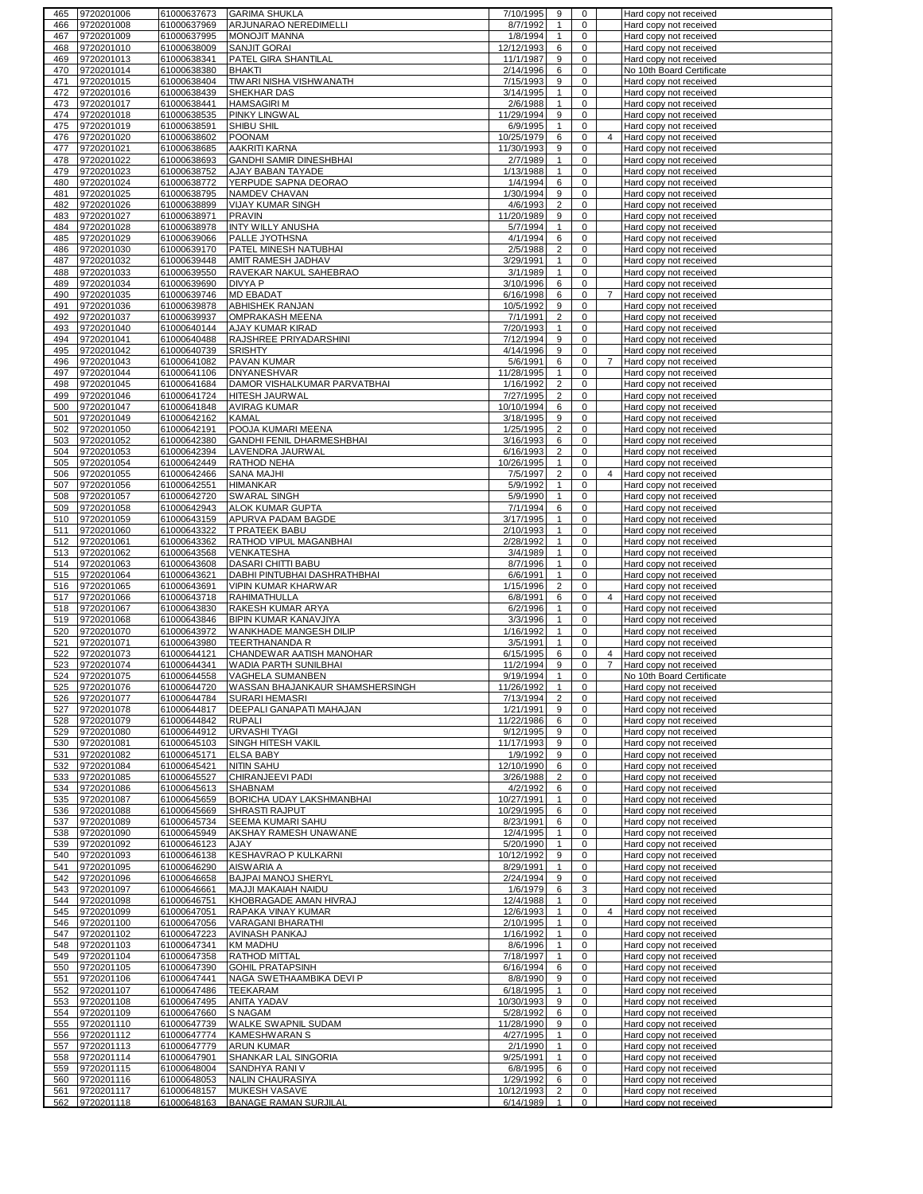| 465        | 9720201006               | 61000637673                | <b>GARIMA SHUKLA</b>                              | 7/10/1995               | 9                              | 0                           |                | Hard copy not received                           |
|------------|--------------------------|----------------------------|---------------------------------------------------|-------------------------|--------------------------------|-----------------------------|----------------|--------------------------------------------------|
| 466        | 9720201008               | 61000637969                | ARJUNARAO NEREDIMELLI                             | 8/7/1992                | $\mathbf{1}$                   | 0                           |                | Hard copy not received                           |
| 467        | 9720201009               | 61000637995                | MONOJIT MANNA                                     | 1/8/1994                | $\mathbf{1}$                   | 0                           |                | Hard copy not received                           |
| 468        | 9720201010               | 61000638009                | <b>SANJIT GORAI</b>                               | 12/12/1993              | 6                              | $\mathbf 0$                 |                | Hard copy not received                           |
| 469        | 9720201013               | 61000638341                | PATEL GIRA SHANTILAL                              | 11/1/1987               | 9                              | 0                           |                | Hard copy not received                           |
| 470        | 9720201014               | 61000638380                | <b>BHAKTI</b>                                     | 2/14/1996               | 6                              | $\mathbf 0$                 |                | No 10th Board Certificate                        |
| 471        | 9720201015               | 61000638404                | TIWARI NISHA VISHWANATH                           | 7/15/1993               | 9                              | 0                           |                | Hard copy not received                           |
| 472        | 9720201016               | 61000638439<br>61000638441 | SHEKHAR DAS                                       | 3/14/1995               | $\mathbf{1}$                   | $\mathbf 0$                 |                | Hard copy not received<br>Hard copy not received |
| 473<br>474 | 9720201017<br>9720201018 | 61000638535                | <b>HAMSAGIRI M</b><br>PINKY LINGWAL               | 2/6/1988<br>11/29/1994  | $\mathbf{1}$<br>9              | 0<br>0                      |                | Hard copy not received                           |
| 475        | 9720201019               | 61000638591                | SHIBU SHIL                                        | 6/9/1995                | $\mathbf{1}$                   | 0                           |                | Hard copy not received                           |
| 476        | 9720201020               | 61000638602                | <b>POONAM</b>                                     | 10/25/1979              | 6                              | $\mathbf 0$                 | $\overline{4}$ | Hard copy not received                           |
| 477        | 9720201021               | 61000638685                | <b>AAKRITI KARNA</b>                              | 11/30/1993              | 9                              | 0                           |                | Hard copy not received                           |
| 478        | 9720201022               | 61000638693                | GANDHI SAMIR DINESHBHAI                           | 2/7/1989                | $\mathbf{1}$                   | $\mathbf 0$                 |                | Hard copy not received                           |
| 479        | 9720201023               | 61000638752                | AJAY BABAN TAYADE                                 | 1/13/1988               | $\mathbf{1}$                   | 0                           |                | Hard copy not received                           |
| 480        | 9720201024               | 61000638772                | YERPUDE SAPNA DEORAO                              | 1/4/1994                | 6                              | $\mathbf 0$                 |                | Hard copy not received                           |
| 481        | 9720201025               | 61000638795                | NAMDEV CHAVAN                                     | 1/30/1994               | 9                              | 0                           |                | Hard copy not received                           |
| 482        | 9720201026               | 61000638899                | <b>VIJAY KUMAR SINGH</b>                          | 4/6/1993                | $\overline{c}$                 | $\mathbf 0$                 |                | Hard copy not received                           |
| 483        | 9720201027               | 61000638971                | <b>PRAVIN</b>                                     | 11/20/1989              | 9                              | 0                           |                | Hard copy not received                           |
| 484        | 9720201028               | 61000638978                | <b>INTY WILLY ANUSHA</b>                          | 5/7/1994                | $\mathbf{1}$                   | $\pmb{0}$                   |                | Hard copy not received                           |
| 485        | 9720201029               | 61000639066                | PALLE JYOTHSNA                                    | 4/1/1994                | 6                              | 0                           |                | Hard copy not received                           |
| 486        | 9720201030               | 61000639170                | PATEL MINESH NATUBHAI                             | 2/5/1988                | $\overline{2}$                 | 0                           |                | Hard copy not received                           |
| 487        | 9720201032               | 61000639448                | AMIT RAMESH JADHAV                                | 3/29/1991               | $\mathbf{1}$                   | 0                           |                | Hard copy not received                           |
| 488        | 9720201033               | 61000639550                | RAVEKAR NAKUL SAHEBRAO                            | 3/1/1989                | $\mathbf{1}$                   | 0                           |                | Hard copy not received                           |
| 489        | 9720201034               | 61000639690                | DIVYA P                                           | 3/10/1996               | 6                              | $\mathbf 0$                 |                | Hard copy not received                           |
| 490        | 9720201035               | 61000639746                | <b>MD EBADAT</b>                                  | 6/16/1998               | 6                              | 0                           | $\overline{7}$ | Hard copy not received                           |
| 491        | 9720201036               | 61000639878                | ABHISHEK RANJAN                                   | 10/5/1992               | 9                              | 0                           |                | Hard copy not received                           |
| 492        | 9720201037               | 61000639937                | <b>OMPRAKASH MEENA</b>                            | 7/1/1991                | $\overline{c}$                 | 0                           |                | Hard copy not received                           |
| 493        | 9720201040               | 61000640144                | AJAY KUMAR KIRAD                                  | 7/20/1993               | $\mathbf{1}$                   | 0                           |                | Hard copy not received                           |
| 494        | 9720201041               | 61000640488                | RAJSHREE PRIYADARSHINI                            | 7/12/1994               | 9                              | 0                           |                | Hard copy not received                           |
| 495        | 9720201042               | 61000640739                | <b>SRISHTY</b>                                    | 4/14/1996               | 9                              | 0                           |                | Hard copy not received                           |
| 496        | 9720201043               | 61000641082                | PAVAN KUMAR                                       | 5/6/1991                | 6                              | 0                           | 7              | Hard copy not received                           |
| 497        | 9720201044               | 61000641106                | <b>DNYANESHVAR</b>                                | 11/28/1995              | $\mathbf{1}$                   | $\mathbf 0$                 |                | Hard copy not received                           |
| 498        | 9720201045               | 61000641684                | DAMOR VISHALKUMAR PARVATBHAI                      | 1/16/1992               | $\overline{2}$                 | 0                           |                | Hard copy not received                           |
| 499        | 9720201046               | 61000641724                | HITESH JAURWAL                                    | 7/27/1995               | $\overline{c}$                 | 0                           |                | Hard copy not received                           |
| 500        | 9720201047               | 61000641848                | <b>AVIRAG KUMAR</b>                               | 10/10/1994              | 6                              | 0                           |                | Hard copy not received                           |
| 501        | 9720201049               | 61000642162                | <b>KAMAL</b>                                      | 3/18/1995               | 9                              | $\mathbf 0$                 |                | Hard copy not received                           |
| 502        | 9720201050               | 61000642191                | POOJA KUMARI MEENA                                | 1/25/1995               | $\overline{c}$                 | 0                           |                | Hard copy not received                           |
| 503        | 9720201052               | 61000642380                | GANDHI FENIL DHARMESHBHAI                         | 3/16/1993               | 6                              | $\mathbf 0$                 |                | Hard copy not received                           |
| 504        | 9720201053               | 61000642394                | LAVENDRA JAURWAL                                  | 6/16/1993               | $\overline{2}$                 | 0                           |                | Hard copy not received                           |
| 505        | 9720201054               | 61000642449                | RATHOD NEHA                                       | 10/26/1995              | $\mathbf{1}$                   | $\mathbf 0$                 |                | Hard copy not received                           |
| 506        | 9720201055               | 61000642466                | <b>SANA MAJHI</b>                                 | 7/5/1997                | $\overline{2}$                 | 0                           | 4              | Hard copy not received                           |
| 507        | 9720201056               | 61000642551                | <b>HIMANKAR</b>                                   | 5/9/1992                | $\mathbf{1}$                   | $\mathbf 0$                 |                | Hard copy not received                           |
| 508        | 9720201057               | 61000642720                | SWARAL SINGH                                      | 5/9/1990                | $\mathbf{1}$                   | 0                           |                | Hard copy not received                           |
| 509        | 9720201058               | 61000642943                | <b>ALOK KUMAR GUPTA</b>                           | 7/1/1994                | 6                              | $\pmb{0}$                   |                | Hard copy not received                           |
| 510        | 9720201059               | 61000643159                | APURVA PADAM BAGDE                                | 3/17/1995               | $\mathbf{1}$                   | $\mathbf 0$                 |                | Hard copy not received                           |
| 511        | 9720201060               | 61000643322                | T PRATEEK BABU                                    | 2/10/1993               | $\mathbf{1}$                   | $\mathbf 0$                 |                | Hard copy not received                           |
| 512        | 9720201061               | 61000643362                | RATHOD VIPUL MAGANBHAI                            | 2/28/1992               | $\mathbf{1}$                   | 0                           |                | Hard copy not received                           |
| 513        | 9720201062               | 61000643568                | <b>VENKATESHA</b>                                 | 3/4/1989                | $\mathbf{1}$                   | 0                           |                | Hard copy not received                           |
| 514        | 9720201063               | 61000643608                | DASARI CHITTI BABU                                | 8/7/1996                | $\mathbf{1}$                   | $\mathbf 0$                 |                | Hard copy not received                           |
|            |                          |                            |                                                   |                         |                                |                             |                |                                                  |
| 515        | 9720201064               | 61000643621                | DABHI PINTUBHAI DASHRATHBHAI                      | 6/6/1991                | $\mathbf{1}$                   | 0                           |                | Hard copy not received                           |
| 516        | 9720201065               | 61000643691                | VIPIN KUMAR KHARWAR                               | 1/15/1996               | $\overline{2}$                 | $\mathbf 0$                 |                | Hard copy not received                           |
| 517        | 9720201066               | 61000643718                | <b>RAHIMATHULLA</b>                               | 6/8/1991                | 6                              | 0                           | $\overline{4}$ | Hard copy not received                           |
| 518        | 9720201067               | 61000643830                | RAKESH KUMAR ARYA                                 | 6/2/1996                | $\mathbf{1}$                   | $\mathbf 0$                 |                | Hard copy not received                           |
| 519        | 9720201068               | 61000643846                | BIPIN KUMAR KANAVJIYA                             | 3/3/1996                | $\mathbf{1}$                   | 0                           |                | Hard copy not received                           |
| 520        | 9720201070               | 61000643972                | WANKHADE MANGESH DILIP                            | 1/16/1992               | $\mathbf{1}$                   | $\mathbf 0$                 |                | Hard copy not received                           |
| 521        | 9720201071               | 61000643980                | <b>TEERTHANANDA R</b>                             | 3/5/1991                | 1                              | 0                           |                | Hard copy not received                           |
| 522        | 9720201073               | 61000644121                | CHANDEWAR AATISH MANOHAR                          | 6/15/1995               | 6                              | $\mathbf 0$                 | 4              | Hard copy not received                           |
| 523        | 9720201074               | 61000644341                | WADIA PARTH SUNILBHAI                             | 11/2/1994               | 9                              | 0                           | 7              | Hard copy not received                           |
| 524        | 9720201075               | 61000644558                | VAGHELA SUMANBEN                                  | 9/19/1994               | $\mathbf{1}$                   | 0                           |                | No 10th Board Certificate                        |
|            | 525 9720201076           | 61000644720                | WASSAN BHAJANKAUR SHAMSHERSINGH                   | 11/26/1992              |                                | 0                           |                | Hard copy not received                           |
| 526        | 9720201077               | 61000644784                | <b>SURARI HEMASRI</b><br>DEEPALI GANAPATI MAHAJAN | 7/13/1994               | $\overline{2}$<br>9            | 0<br>0                      |                | Hard copy not received                           |
| 527<br>528 | 9720201078               | 61000644817                | <b>RUPALI</b>                                     | 1/21/1991               | 6                              | $\mathbf 0$                 |                | Hard copy not received                           |
| 529        | 9720201079               | 61000644842                | <b>URVASHI TYAGI</b>                              | 11/22/1986              |                                | 0                           |                | Hard copy not received                           |
| 530        | 9720201080<br>9720201081 | 61000644912<br>61000645103 | <b>SINGH HITESH VAKIL</b>                         | 9/12/1995<br>11/17/1993 | 9<br>9                         | $\mathbf 0$                 |                | Hard copy not received<br>Hard copy not received |
| 531        | 9720201082               | 61000645171                | <b>ELSA BABY</b>                                  | 1/9/1992                | 9                              | 0                           |                | Hard copy not received                           |
| 532        | 9720201084               | 61000645421                | NITIN SAHU                                        | 12/10/1990              | 6                              | $\mathbf 0$                 |                | Hard copy not received                           |
| 533        | 9720201085               | 61000645527                | CHIRANJEEVI PADI                                  | 3/26/1988               | $\overline{2}$                 | $\mathbf 0$                 |                | Hard copy not received                           |
| 534        | 9720201086               | 61000645613                | SHABNAM                                           | 4/2/1992                | 6                              | $\mathbf 0$                 |                | Hard copy not received                           |
| 535        | 9720201087               | 61000645659                | BORICHA UDAY LAKSHMANBHAI                         | 10/27/1991              | $\mathbf{1}$                   | $\mathbf 0$                 |                | Hard copy not received                           |
| 536        | 9720201088               | 61000645669                | SHRASTI RAJPUT                                    | 10/29/1995              | 6                              | $\mathbf 0$                 |                | Hard copy not received                           |
| 537        | 9720201089               | 61000645734                | SEEMA KUMARI SAHU                                 | 8/23/1991               | 6                              | $\mathbf 0$                 |                | Hard copy not received                           |
| 538        | 9720201090               | 61000645949                | AKSHAY RAMESH UNAWANE                             | 12/4/1995               | $\mathbf{1}$                   | 0                           |                | Hard copy not received                           |
| 539        | 9720201092               | 61000646123                | AJAY                                              | 5/20/1990               | $\mathbf{1}$                   | 0                           |                | Hard copy not received                           |
| 540        | 9720201093               | 61000646138                | KESHAVRAO P KULKARNI                              | 10/12/1992              | 9                              | $\mathbf 0$                 |                | Hard copy not received                           |
| 541        | 9720201095               | 61000646290                | AISWARIA A                                        | 8/29/1991               | $\mathbf{1}$                   | $\mathbf 0$                 |                | Hard copy not received                           |
| 542        | 9720201096               | 61000646658                | <b>BAJPAI MANOJ SHERYL</b>                        | 2/24/1994               | 9                              | 0                           |                | Hard copy not received                           |
| 543        | 9720201097               | 61000646661                | MAJJI MAKAIAH NAIDU                               | 1/6/1979                | 6                              | 3                           |                | Hard copy not received                           |
| 544        | 9720201098               | 61000646751                | KHOBRAGADE AMAN HIVRAJ                            | 12/4/1988               | $\mathbf{1}$                   | $\mathbf 0$                 |                | Hard copy not received                           |
| 545        | 9720201099               | 61000647051                | RAPAKA VINAY KUMAR                                | 12/6/1993               | $\mathbf{1}$                   | 0                           | 4              | Hard copy not received                           |
| 546        | 9720201100               | 61000647056                | VARAGANI BHARATHI                                 | 2/10/1995               | $\mathbf{1}$                   | 0                           |                | Hard copy not received                           |
| 547        | 9720201102               | 61000647223                | AVINASH PANKAJ                                    | 1/16/1992               | $\mathbf{1}$                   | $\mathbf 0$                 |                | Hard copy not received                           |
| 548        | 9720201103               | 61000647341                | <b>KM MADHU</b>                                   | 8/6/1996                | $\mathbf{1}$                   | 0                           |                | Hard copy not received                           |
| 549        | 9720201104               | 61000647358                | <b>RATHOD MITTAL</b>                              | 7/18/1997               | $\mathbf{1}$                   | $\mathbf 0$                 |                | Hard copy not received                           |
| 550        | 9720201105               | 61000647390                | <b>GOHIL PRATAPSINH</b>                           | 6/16/1994               | 6                              | 0                           |                | Hard copy not received                           |
| 551        | 9720201106               | 61000647441                | NAGA SWETHAAMBIKA DEVI P                          | 8/8/1990                | 9                              | 0                           |                | Hard copy not received                           |
| 552        | 9720201107               | 61000647486                | <b>TEEKARAM</b>                                   | 6/18/1995               | $\mathbf{1}$                   | 0                           |                | Hard copy not received                           |
| 553        | 9720201108               | 61000647495                | ANITA YADAV                                       | 10/30/1993              | 9                              | $\mathbf 0$                 |                | Hard copy not received                           |
| 554        | 9720201109               | 61000647660                | S NAGAM                                           | 5/28/1992               | 6                              | 0                           |                | Hard copy not received                           |
| 555        | 9720201110               | 61000647739                | WALKE SWAPNIL SUDAM                               | 11/28/1990              | 9                              | $\mathbf 0$                 |                | Hard copy not received                           |
| 556        | 9720201112               | 61000647774                | <b>KAMESHWARAN S</b>                              | 4/27/1995               | $\mathbf{1}$                   | 0                           |                | Hard copy not received                           |
| 557        | 9720201113               | 61000647779                | <b>ARUN KUMAR</b>                                 | 2/1/1990                | $\mathbf{1}$                   | $\mathbf 0$                 |                | Hard copy not received                           |
| 558        | 9720201114               | 61000647901                | SHANKAR LAL SINGORIA                              | 9/25/1991               | $\mathbf{1}$                   | 0                           |                | Hard copy not received                           |
| 559        | 9720201115               | 61000648004                | SANDHYA RANI V                                    | 6/8/1995                | 6                              | $\mathbf 0$                 |                | Hard copy not received                           |
| 560        | 9720201116               | 61000648053                | NALIN CHAURASIYA                                  | 1/29/1992               | 6                              | 0                           |                | Hard copy not received                           |
| 561<br>562 | 9720201117<br>9720201118 | 61000648157<br>61000648163 | MUKESH VASAVE<br><b>BANAGE RAMAN SURJILAL</b>     | 10/12/1993<br>6/14/1989 | $\overline{2}$<br>$\mathbf{1}$ | $\mathbf 0$<br>$\mathbf{0}$ |                | Hard copy not received<br>Hard copy not received |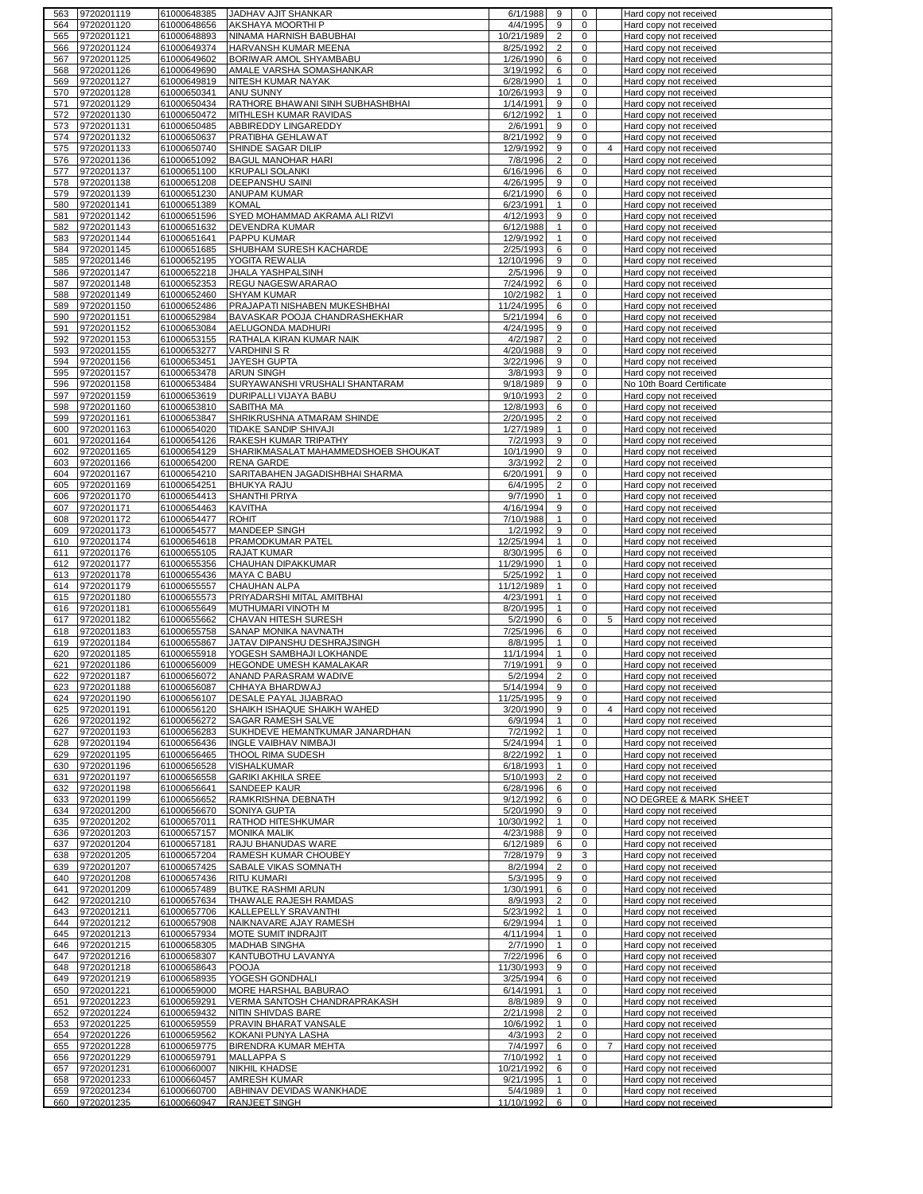| 9720201119<br>563                      | 61000648385                | JADHAV AJIT SHANKAR                                        | 6/1/1988               | 9                       | 0                   |                | Hard copy not received                           |
|----------------------------------------|----------------------------|------------------------------------------------------------|------------------------|-------------------------|---------------------|----------------|--------------------------------------------------|
| 9720201120<br>564                      | 61000648656                | AKSHAYA MOORTHI P                                          | 4/4/1995               | 9                       | 0                   |                | Hard copy not received                           |
| 9720201121<br>565                      | 61000648893                | NINAMA HARNISH BABUBHAI                                    | 10/21/1989             | $\overline{2}$          | 0                   |                | Hard copy not received                           |
| 9720201124<br>566                      | 61000649374                | HARVANSH KUMAR MEENA                                       | 8/25/1992              | $\overline{2}$          | 0                   |                | Hard copy not received                           |
| 9720201125<br>567                      | 61000649602                | BORIWAR AMOL SHYAMBABU                                     | 1/26/1990              | 6                       | 0                   |                | Hard copy not received                           |
| 9720201126<br>568                      | 61000649690                | AMALE VARSHA SOMASHANKAR                                   | 3/19/1992              | 6                       | 0                   |                | Hard copy not received                           |
| 9720201127<br>569                      | 61000649819                | NITESH KUMAR NAYAK                                         | 6/28/1990              | $\mathbf{1}$            | 0                   |                | Hard copy not received                           |
| 9720201128<br>570                      | 61000650341                | ANU SUNNY                                                  | 10/26/1993             | 9                       | 0<br>0              |                | Hard copy not received                           |
| 9720201129<br>571<br>9720201130<br>572 | 61000650434<br>61000650472 | RATHORE BHAWANI SINH SUBHASHBHAI<br>MITHLESH KUMAR RAVIDAS | 1/14/1991<br>6/12/1992 | 9<br>$\mathbf{1}$       | 0                   |                | Hard copy not received                           |
| 9720201131<br>573                      | 61000650485                | ABBIREDDY LINGAREDDY                                       | 2/6/1991               | 9                       | 0                   |                | Hard copy not received<br>Hard copy not received |
| 9720201132<br>574                      | 61000650637                | PRATIBHA GEHLAWAT                                          | 8/21/1992              | 9                       | $\mathbf 0$         |                | Hard copy not received                           |
| 9720201133<br>575                      | 61000650740                | SHINDE SAGAR DILIP                                         | 12/9/1992              | 9                       | 0                   | $\overline{4}$ | Hard copy not received                           |
| 9720201136<br>576                      | 61000651092                | <b>BAGUL MANOHAR HARI</b>                                  | 7/8/1996               | $\overline{2}$          | $\mathbf 0$         |                | Hard copy not received                           |
| 9720201137<br>577                      | 61000651100                | <b>KRUPALI SOLANKI</b>                                     | 6/16/1996              | 6                       | 0                   |                | Hard copy not received                           |
| 578<br>9720201138                      | 61000651208                | <b>DEEPANSHU SAINI</b>                                     | 4/26/1995              | 9                       | 0                   |                | Hard copy not received                           |
| 579<br>9720201139                      | 61000651230                | ANUPAM KUMAR                                               | 6/21/1990              | 6                       | 0                   |                | Hard copy not received                           |
| 580<br>9720201141                      | 61000651389                | <b>KOMAL</b>                                               | 6/23/1991              | $\mathbf{1}$            | 0                   |                | Hard copy not received                           |
| 581<br>9720201142                      | 61000651596                | SYED MOHAMMAD AKRAMA ALI RIZVI                             | 4/12/1993              | 9                       | 0                   |                | Hard copy not received                           |
| 582<br>9720201143                      | 61000651632                | <b>DEVENDRA KUMAR</b>                                      | 6/12/1988              | $\mathbf{1}$            | $\pmb{0}$           |                | Hard copy not received                           |
| 583<br>9720201144                      | 61000651641                | PAPPU KUMAR                                                | 12/9/1992              | $\mathbf{1}$            | 0                   |                | Hard copy not received                           |
| 9720201145<br>584                      | 61000651685                | SHUBHAM SURESH KACHARDE                                    | 2/25/1993              | 6                       | 0                   |                | Hard copy not received                           |
| 9720201146<br>585                      | 61000652195                | YOGITA REWALIA                                             | 12/10/1996             | 9                       | 0                   |                | Hard copy not received                           |
| 9720201147<br>586                      | 61000652218                | <b>JHALA YASHPALSINH</b>                                   | 2/5/1996               | 9                       | 0                   |                | Hard copy not received                           |
| 9720201148<br>587                      | 61000652353                | REGU NAGESWARARAO                                          | 7/24/1992              | 6                       | 0                   |                | Hard copy not received                           |
| 9720201149<br>588                      | 61000652460                | <b>SHYAM KUMAR</b>                                         | 10/2/1982              | $\mathbf{1}$            | 0                   |                | Hard copy not received                           |
| 9720201150<br>589                      | 61000652486                | PRAJAPATI NISHABEN MUKESHBHAI                              | 11/24/1995             | 6                       | 0                   |                | Hard copy not received                           |
| 9720201151<br>590                      | 61000652984                | BAVASKAR POOJA CHANDRASHEKHAR                              | 5/21/1994              | 6                       | 0                   |                | Hard copy not received                           |
| 9720201152<br>591                      | 61000653084                | AELUGONDA MADHURI                                          | 4/24/1995              | 9                       | 0                   |                | Hard copy not received                           |
| 9720201153<br>592                      | 61000653155                | RATHALA KIRAN KUMAR NAIK                                   | 4/2/1987               | $\overline{2}$          | 0                   |                | Hard copy not received                           |
| 9720201155<br>593                      | 61000653277                | <b>VARDHINI S R</b>                                        | 4/20/1988              | 9                       | 0                   |                | Hard copy not received                           |
| 9720201156<br>594                      | 61000653451                | <b>JAYESH GUPTA</b>                                        | 3/22/1996              | 9                       | 0                   |                | Hard copy not received                           |
| 9720201157<br>595                      | 61000653478                | <b>ARUN SINGH</b>                                          | 3/8/1993               | 9                       | 0                   |                | Hard copy not received                           |
| 9720201158<br>596                      | 61000653484                | SURYAWANSHI VRUSHALI SHANTARAM                             | 9/18/1989              | 9                       | 0                   |                | No 10th Board Certificate                        |
| 9720201159<br>597                      | 61000653619                | DURIPALLI VIJAYA BABU                                      | 9/10/1993              | $\overline{\mathbf{c}}$ | 0                   |                | Hard copy not received                           |
| 9720201160<br>598                      | 61000653810                | SABITHA MA                                                 | 12/8/1993              | 6                       | 0                   |                | Hard copy not received                           |
| 9720201161<br>599<br>600               | 61000653847                | SHRIKRUSHNA ATMARAM SHINDE                                 | 2/20/1995              | $\overline{2}$          | 0<br>0              |                | Hard copy not received<br>Hard copy not received |
| 9720201163<br>9720201164<br>601        | 61000654020<br>61000654126 | TIDAKE SANDIP SHIVAJI<br>RAKESH KUMAR TRIPATHY             | 1/27/1989<br>7/2/1993  | $\mathbf{1}$<br>9       | $\mathbf 0$         |                | Hard copy not received                           |
| 9720201165<br>602                      | 61000654129                | SHARIKMASALAT MAHAMMEDSHOEB SHOUKAT                        | 10/1/1990              | 9                       | 0                   |                | Hard copy not received                           |
| 9720201166<br>603                      | 61000654200                | <b>RENA GARDE</b>                                          | 3/3/1992               | $\overline{2}$          | $\mathbf 0$         |                | Hard copy not received                           |
| 604<br>9720201167                      | 61000654210                | SARITABAHEN JAGADISHBHAI SHARMA                            | 6/20/1991              | 9                       | 0                   |                | Hard copy not received                           |
| 9720201169<br>605                      | 61000654251                | <b>BHUKYA RAJU</b>                                         | 6/4/1995               | $\overline{2}$          | 0                   |                | Hard copy not received                           |
| 9720201170<br>606                      | 61000654413                | <b>SHANTHI PRIYA</b>                                       | 9/7/1990               | $\mathbf{1}$            | 0                   |                | Hard copy not received                           |
| 607<br>9720201171                      | 61000654463                | <b>KAVITHA</b>                                             | 4/16/1994              | 9                       | $\pmb{0}$           |                | Hard copy not received                           |
| 608<br>9720201172                      | 61000654477                | <b>ROHIT</b>                                               | 7/10/1988              | $\mathbf{1}$            | 0                   |                | Hard copy not received                           |
| 9720201173<br>609                      | 61000654577                | MANDEEP SINGH                                              | 1/2/1992               | 9                       | 0                   |                | Hard copy not received                           |
| 9720201174<br>610                      | 61000654618                | PRAMODKUMAR PATEL                                          | 12/25/1994             | $\mathbf{1}$            | 0                   |                | Hard copy not received                           |
|                                        | 61000655105                | <b>RAJAT KUMAR</b>                                         |                        | 6                       |                     |                |                                                  |
|                                        |                            |                                                            |                        |                         |                     |                |                                                  |
| 9720201176<br>611                      |                            |                                                            | 8/30/1995              |                         | 0                   |                | Hard copy not received                           |
| 612<br>9720201177                      | 61000655356                | CHAUHAN DIPAKKUMAR                                         | 11/29/1990             | $\mathbf{1}$            | $\mathbf 0$         |                | Hard copy not received                           |
| 9720201178<br>613                      | 61000655436                | <b>MAYA C BABU</b>                                         | 5/25/1992              | $\mathbf{1}$            | 0                   |                | Hard copy not received                           |
| 9720201179<br>614                      | 61000655557                | <b>CHAUHAN ALPA</b>                                        | 11/12/1989             | $\mathbf{1}$            | $\mathbf 0$         |                | Hard copy not received                           |
| 9720201180<br>615                      | 61000655573                | PRIYADARSHI MITAL AMITBHAI                                 | 4/23/1991              | $\mathbf{1}$            | 0                   |                | Hard copy not received                           |
| 9720201181<br>616                      | 61000655649                | MUTHUMARI VINOTH M                                         | 8/20/1995              | $\mathbf{1}$            | $\mathbf 0$         |                | Hard copy not received                           |
| 9720201182<br>617                      | 61000655662                | <b>CHAVAN HITESH SURESH</b>                                | 5/2/1990               | 6                       | 0                   |                | 5 Hard copy not received                         |
| 9720201183<br>618<br>619               | 61000655758                | SANAP MONIKA NAVNATH                                       | 7/25/1996              | 6<br>1                  | 0<br>0              |                | Hard copy not received                           |
| 9720201184<br>9720201185<br>620        | 61000655867<br>61000655918 | JATAV DIPANSHU DESHRAJSINGH<br>YOGESH SAMBHAJI LOKHANDE    | 8/8/1995<br>11/1/1994  | $\mathbf{1}$            | 0                   |                | Hard copy not received<br>Hard copy not received |
| 621<br>9720201186                      | 61000656009                | HEGONDE UMESH KAMALAKAR                                    | 7/19/1991              | 9                       | 0                   |                | Hard copy not received                           |
| 622<br>9720201187                      | 61000656072                | ANAND PARASRAM WADIVE                                      | 5/2/1994               | $\overline{2}$          | 0                   |                | Hard copy not received                           |
| 623 9720201188                         | 61000656087                | <b>CHHAYA BHARDWAJ</b>                                     | 5/14/1994              | 9                       | 0                   |                | Hard copy not received                           |
| 9720201190<br>624                      | 61000656107                | <b>DESALE PAYAL JIJABRAO</b>                               | 11/25/1995             | 9                       | 0                   |                | Hard copy not received                           |
| 9720201191<br>625                      | 61000656120                | SHAIKH ISHAQUE SHAIKH WAHED                                | 3/20/1990              | 9                       | 0                   | $\overline{4}$ | Hard copy not received                           |
| 9720201192<br>626                      | 61000656272                | SAGAR RAMESH SALVE                                         | 6/9/1994               | $\mathbf{1}$            | $\mathbf 0$         |                | Hard copy not received                           |
| 9720201193<br>627                      | 61000656283                | SUKHDEVE HEMANTKUMAR JANARDHAN                             | 7/2/1992               | $\mathbf{1}$            | 0                   |                | Hard copy not received                           |
| 9720201194<br>628                      | 61000656436                | <b>INGLE VAIBHAV NIMBAJI</b>                               | 5/24/1994              | $\mathbf{1}$            | $\mathbf 0$         |                | Hard copy not received                           |
| 9720201195<br>629                      | 61000656465                | THOOL RIMA SUDESH                                          | 8/22/1992              | $\mathbf{1}$            | 0                   |                | Hard copy not received                           |
| 9720201196<br>630                      | 61000656528                | VISHALKUMAR                                                | 6/18/1993              | $\mathbf{1}$            | $\mathbf 0$         |                | Hard copy not received                           |
| 9720201197<br>631                      | 61000656558                | <b>GARIKI AKHILA SREE</b>                                  | 5/10/1993              | $\overline{2}$          | 0                   |                | Hard copy not received                           |
| 9720201198<br>632                      | 61000656641                | SANDEEP KAUR                                               | 6/28/1996              | 6                       | $\pmb{0}$           |                | Hard copy not received                           |
| 633<br>9720201199                      | 61000656652                | RAMKRISHNA DEBNATH                                         | 9/12/1992              | 6                       | 0                   |                | NO DEGREE & MARK SHEET                           |
| 9720201200<br>634                      | 61000656670                | SONIYA GUPTA                                               | 5/20/1990              | 9                       | 0                   |                | Hard copy not received                           |
| 9720201202<br>635                      | 61000657011                | RATHOD HITESHKUMAR                                         | 10/30/1992             | $\mathbf{1}$            | 0                   |                | Hard copy not received                           |
| 9720201203<br>636                      | 61000657157                | <b>MONIKA MALIK</b>                                        | 4/23/1988              | 9                       | 0                   |                | Hard copy not received                           |
| 9720201204<br>637                      | 61000657181                | RAJU BHANUDAS WARE                                         | 6/12/1989              | 6                       | 0                   |                | Hard copy not received                           |
| 9720201205<br>638                      | 61000657204                | RAMESH KUMAR CHOUBEY                                       | 7/28/1979              | 9                       | 3                   |                | Hard copy not received                           |
| 9720201207<br>639                      | 61000657425                | SABALE VIKAS SOMNATH                                       | 8/2/1994               | $\overline{c}$          | 0                   |                | Hard copy not received                           |
| 9720201208<br>640<br>9720201209<br>641 | 61000657436                | <b>RITU KUMARI</b>                                         | 5/3/1995<br>1/30/1991  | 9<br>6                  | 0<br>0              |                | Hard copy not received                           |
| 642                                    | 61000657489                | <b>BUTKE RASHMI ARUN</b><br>THAWALE RAJESH RAMDAS          | 8/9/1993               | $\overline{2}$          | 0                   |                | Hard copy not received                           |
| 9720201210<br>9720201211<br>643        | 61000657634<br>61000657706 | KALLEPELLY SRAVANTHI                                       | 5/23/1992              | $\mathbf{1}$            | 0                   |                | Hard copy not received<br>Hard copy not received |
| 9720201212<br>644                      | 61000657908                | NAIKNAVARE AJAY RAMESH                                     | 6/29/1994              | $\mathbf{1}$            | 0                   |                | Hard copy not received                           |
| 9720201213<br>645                      | 61000657934                | MOTE SUMIT INDRAJIT                                        | 4/11/1994              | $\mathbf{1}$            | 0                   |                | Hard copy not received                           |
| 9720201215<br>646                      | 61000658305                | <b>MADHAB SINGHA</b>                                       | 2/7/1990               | $\mathbf{1}$            | 0                   |                | Hard copy not received                           |
| 9720201216<br>647                      | 61000658307                | KANTUBOTHU LAVANYA                                         | 7/22/1996              | 6                       | 0                   |                | Hard copy not received                           |
| 9720201218<br>648                      | 61000658643                | <b>POOJA</b>                                               | 11/30/1993             | 9                       | 0                   |                | Hard copy not received                           |
| 9720201219<br>649                      | 61000658935                | YOGESH GONDHALI                                            | 3/25/1994              | 6                       | 0                   |                | Hard copy not received                           |
| 9720201221<br>650                      | 61000659000                | MORE HARSHAL BABURAO                                       | 6/14/1991              | $\mathbf{1}$            | 0                   |                | Hard copy not received                           |
| 9720201223<br>651                      | 61000659291                | VERMA SANTOSH CHANDRAPRAKASH                               | 8/8/1989               | 9                       | 0                   |                | Hard copy not received                           |
| 9720201224<br>652                      | 61000659432                | NITIN SHIVDAS BARE                                         | 2/21/1998              | $\overline{2}$          | 0                   |                | Hard copy not received                           |
| 9720201225<br>653                      | 61000659559                | PRAVIN BHARAT VANSALE                                      | 10/6/1992              | $\mathbf{1}$            | $\mathbf 0$         |                | Hard copy not received                           |
| 9720201226<br>654                      | 61000659562                | KOKANI PUNYA LASHA                                         | 4/3/1993               | $\overline{2}$          | 0                   |                | Hard copy not received                           |
| 9720201228<br>655                      | 61000659775                | <b>BIRENDRA KUMAR MEHTA</b>                                | 7/4/1997               | 6                       | $\mathbf 0$         | $\overline{7}$ | Hard copy not received                           |
| 9720201229<br>656                      | 61000659791                | <b>MALLAPPA S</b>                                          | 7/10/1992              | $\mathbf{1}$            | 0                   |                | Hard copy not received                           |
| 9720201231<br>657                      | 61000660007                | <b>NIKHIL KHADSE</b>                                       | 10/21/1992             | 6                       | 0                   |                | Hard copy not received                           |
| 9720201233<br>658                      | 61000660457                | <b>AMRESH KUMAR</b>                                        | 9/21/1995              | $\mathbf{1}$            | 0                   |                | Hard copy not received                           |
| 9720201234<br>659<br>660 9720201235    | 61000660700<br>61000660947 | ABHINAV DEVIDAS WANKHADE<br>RANJEET SINGH                  | 5/4/1989<br>11/10/1992 | $\mathbf{1}$<br>6       | 0<br>$\overline{0}$ |                | Hard copy not received<br>Hard copy not received |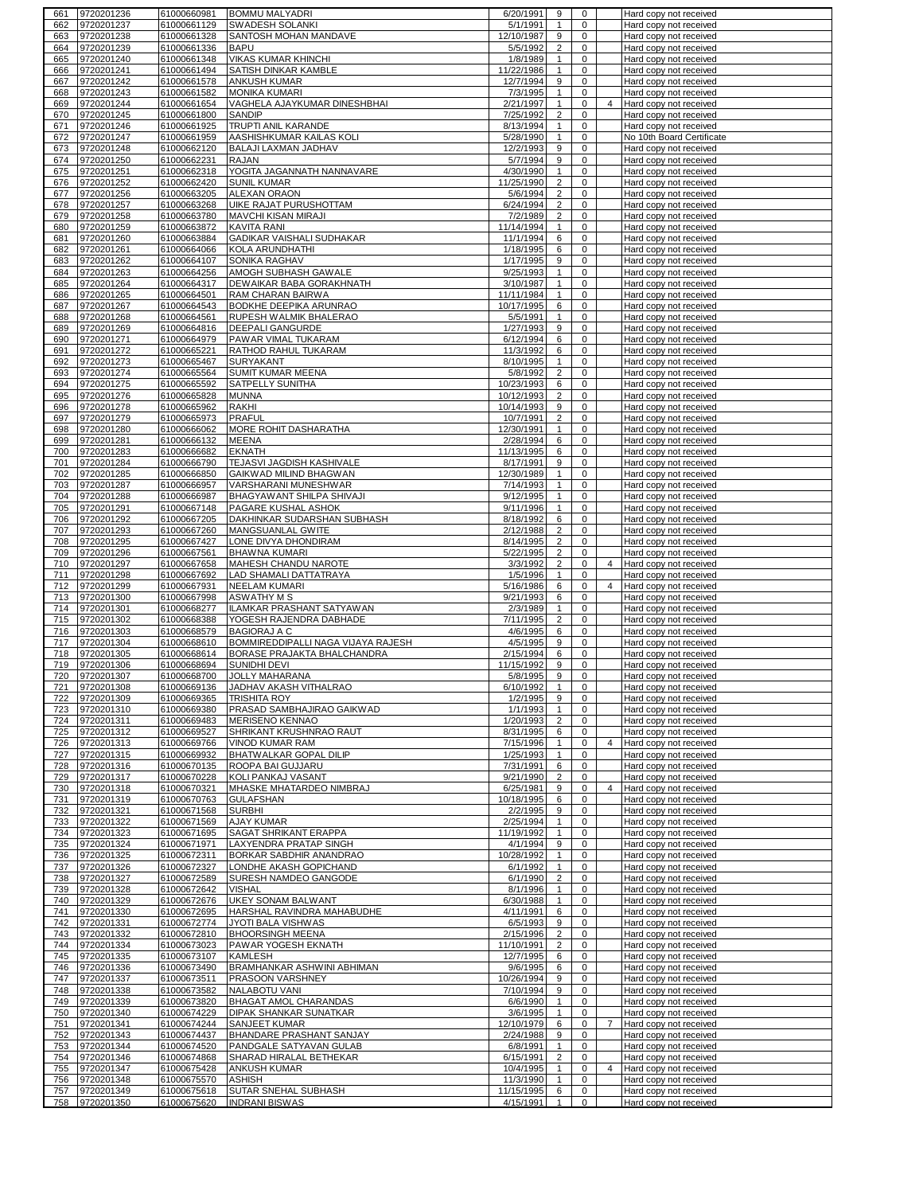| 661        | 9720201236                   | 61000660981                | <b>BOMMU MALYADRI</b>                                | 6/20/1991               | 9                              | $\mathbf 0$                        |                | Hard copy not received                           |
|------------|------------------------------|----------------------------|------------------------------------------------------|-------------------------|--------------------------------|------------------------------------|----------------|--------------------------------------------------|
| 662        | 9720201237                   | 61000661129                | SWADESH SOLANKI                                      | 5/1/1991                | $\mathbf{1}$                   | 0                                  |                | Hard copy not received                           |
| 663        | 9720201238                   | 61000661328                | SANTOSH MOHAN MANDAVE                                | 12/10/1987              | 9                              | $\mathbf 0$                        |                | Hard copy not received                           |
| 664        | 9720201239                   | 61000661336                | <b>BAPU</b>                                          | 5/5/1992                | $\overline{2}$                 | $\pmb{0}$                          |                | Hard copy not received                           |
| 665        | 9720201240                   | 61000661348                | <b>VIKAS KUMAR KHINCHI</b>                           | 1/8/1989                | $\mathbf{1}$                   | 0                                  |                | Hard copy not received                           |
| 666        | 9720201241                   | 61000661494                | SATISH DINKAR KAMBLE                                 | 11/22/1986              | $\mathbf{1}$                   | 0                                  |                | Hard copy not received                           |
| 667        | 9720201242                   | 61000661578                | <b>ANKUSH KUMAR</b>                                  | 12/7/1994               | 9                              | 0                                  |                | Hard copy not received                           |
| 668        | 9720201243                   | 61000661582                | <b>MONIKA KUMARI</b>                                 | 7/3/1995<br>2/21/1997   | $\mathbf{1}$                   | $\mathbf 0$                        |                | Hard copy not received                           |
| 669        | 9720201244<br>9720201245     | 61000661654<br>61000661800 | VAGHELA AJAYKUMAR DINESHBHAI<br>SANDIP               | 7/25/1992               | $\mathbf{1}$<br>$\overline{c}$ | 0<br>0                             | $\overline{4}$ | Hard copy not received<br>Hard copy not received |
| 670<br>671 | 9720201246                   | 61000661925                | TRUPTI ANIL KARANDE                                  | 8/13/1994               | $\mathbf{1}$                   | 0                                  |                | Hard copy not received                           |
| 672        | 9720201247                   | 61000661959                | AASHISHKUMAR KAILAS KOLI                             | 5/28/1990               | $\mathbf{1}$                   | $\mathbf 0$                        |                | No 10th Board Certificate                        |
| 673        | 9720201248                   | 61000662120                | BALAJI LAXMAN JADHAV                                 | 12/2/1993               | 9                              | 0                                  |                | Hard copy not received                           |
| 674        | 9720201250                   | 61000662231                | <b>RAJAN</b>                                         | 5/7/1994                | 9                              | $\mathbf 0$                        |                | Hard copy not received                           |
| 675        | 9720201251                   | 61000662318                | YOGITA JAGANNATH NANNAVARE                           | 4/30/1990               | $\mathbf{1}$                   | 0                                  |                | Hard copy not received                           |
| 676        | 9720201252                   | 61000662420                | <b>SUNIL KUMAR</b>                                   | 11/25/1990              | $\overline{2}$                 | $\mathbf 0$                        |                | Hard copy not received                           |
| 677        | 9720201256                   | 61000663205                | <b>ALEXAN ORAON</b>                                  | 5/6/1994                | $\overline{c}$                 | 0                                  |                | Hard copy not received                           |
| 678        | 9720201257                   | 61000663268                | UIKE RAJAT PURUSHOTTAM                               | 6/24/1994               | $\overline{2}$                 | $\mathbf 0$                        |                | Hard copy not received                           |
| 679        | 9720201258                   | 61000663780                | <b>MAVCHI KISAN MIRAJI</b>                           | 7/2/1989                | $\overline{2}$                 | $\mathbf 0$                        |                | Hard copy not received                           |
| 680        | 9720201259                   | 61000663872                | <b>KAVITA RANI</b>                                   | 11/14/1994              | $\mathbf{1}$                   | $\mathsf 0$                        |                | Hard copy not received                           |
| 681        | 9720201260                   | 61000663884                | GADIKAR VAISHALI SUDHAKAR                            | 11/1/1994               | 6                              | $\mathbf 0$                        |                | Hard copy not received                           |
| 682        | 9720201261                   | 61000664066                | KOLA ARUNDHATHI                                      | 1/18/1995               | 6                              | 0                                  |                | Hard copy not received                           |
| 683        | 9720201262                   | 61000664107                | SONIKA RAGHAV                                        | 1/17/1995               | 9                              | 0                                  |                | Hard copy not received                           |
| 684        | 9720201263                   | 61000664256                | AMOGH SUBHASH GAWALE                                 | 9/25/1993               | $\mathbf{1}$                   | 0                                  |                | Hard copy not received                           |
| 685        | 9720201264                   | 61000664317                | DEWAIKAR BABA GORAKHNATH                             | 3/10/1987               | $\mathbf{1}$                   | $\mathbf 0$                        |                | Hard copy not received                           |
| 686        | 9720201265                   | 61000664501                | RAM CHARAN BAIRWA                                    | 11/11/1984              | $\mathbf{1}$                   | $\mathbf 0$                        |                | Hard copy not received                           |
| 687        | 9720201267                   | 61000664543                | BODKHE DEEPIKA ARUNRAO                               | 10/17/1995              | 6                              | 0                                  |                | Hard copy not received                           |
| 688        | 9720201268                   | 61000664561                | RUPESH WALMIK BHALERAO                               | 5/5/1991                | $\mathbf{1}$                   | $\mathsf 0$                        |                | Hard copy not received                           |
| 689        | 9720201269                   | 61000664816                | DEEPALI GANGURDE                                     | 1/27/1993               | 9                              | $\pmb{0}$                          |                | Hard copy not received                           |
| 690        | 9720201271                   | 61000664979                | PAWAR VIMAL TUKARAM                                  | 6/12/1994               | 6                              | 0                                  |                | Hard copy not received                           |
| 691<br>692 | 9720201272<br>9720201273     | 61000665221<br>61000665467 | RATHOD RAHUL TUKARAM<br><b>SURYAKANT</b>             | 11/3/1992<br>8/10/1995  | 6<br>$\mathbf{1}$              | 0<br>0                             |                | Hard copy not received<br>Hard copy not received |
| 693        | 9720201274                   | 61000665564                | SUMIT KUMAR MEENA                                    | 5/8/1992                | $\overline{2}$                 | $\pmb{0}$                          |                | Hard copy not received                           |
| 694        | 9720201275                   | 61000665592                | SATPELLY SUNITHA                                     | 10/23/1993              | 6                              | 0                                  |                | Hard copy not received                           |
| 695        | 9720201276                   | 61000665828                | <b>MUNNA</b>                                         | 10/12/1993              | 2                              | 0                                  |                | Hard copy not received                           |
| 696        | 9720201278                   | 61000665962                | <b>RAKHI</b>                                         | 10/14/1993              | 9                              | 0                                  |                | Hard copy not received                           |
| 697        | 9720201279                   | 61000665973                | <b>PRAFUL</b>                                        | 10/7/1991               | $\overline{2}$                 | 0                                  |                | Hard copy not received                           |
| 698        | 9720201280                   | 61000666062                | MORE ROHIT DASHARATHA                                | 12/30/1991              | $\mathbf{1}$                   | $\mathbf 0$                        |                | Hard copy not received                           |
| 699        | 9720201281                   | 61000666132                | <b>MEENA</b>                                         | 2/28/1994               | 6                              | $\mathbf 0$                        |                | Hard copy not received                           |
| 700        | 9720201283                   | 61000666682                | <b>EKNATH</b>                                        | 11/13/1995              | 6                              | $\mathbf 0$                        |                | Hard copy not received                           |
| 701        | 9720201284                   | 61000666790                | TEJASVI JAGDISH KASHIVALE                            | 8/17/1991               | 9                              | $\mathbf 0$                        |                | Hard copy not received                           |
| 702        | 9720201285                   | 61000666850                | GAIKWAD MILIND BHAGWAN                               | 12/30/1989              | $\mathbf{1}$                   | 0                                  |                | Hard copy not received                           |
| 703        | 9720201287                   | 61000666957                | VARSHARANI MUNESHWAR                                 | 7/14/1993               | $\mathbf{1}$                   | $\mathbf 0$                        |                | Hard copy not received                           |
| 704        | 9720201288                   | 61000666987                | BHAGYAWANT SHILPA SHIVAJI                            | 9/12/1995               | $\mathbf{1}$                   | $\mathbf 0$                        |                | Hard copy not received                           |
| 705<br>706 | 9720201291                   | 61000667148                | PAGARE KUSHAL ASHOK                                  | 9/11/1996               | $\mathbf{1}$<br>6              | $\mathsf 0$<br>$\mathsf{O}\xspace$ |                | Hard copy not received                           |
| 707        | 9720201292<br>9720201293     | 61000667205<br>61000667260 | DAKHINKAR SUDARSHAN SUBHASH<br>MANGSUANLAL GWITE     | 8/18/1992<br>2/12/1988  | $\overline{2}$                 | $\mathbf 0$                        |                | Hard copy not received<br>Hard copy not received |
| 708        | 9720201295                   | 61000667427                | LONE DIVYA DHONDIRAM                                 | 8/14/1995               | $\overline{2}$                 | $\mathbf 0$                        |                | Hard copy not received                           |
| 709        | 9720201296                   | 61000667561                | <b>BHAWNA KUMARI</b>                                 | 5/22/1995               | $\overline{2}$                 | $\pmb{0}$                          |                | Hard copy not received                           |
| 710        | 9720201297                   | 61000667658                | MAHESH CHANDU NAROTE                                 | 3/3/1992                | $\overline{2}$                 | $\mathbf 0$                        | $\overline{4}$ | Hard copy not received                           |
|            |                              |                            |                                                      |                         |                                |                                    |                |                                                  |
| 711        | 9720201298                   | 61000667692                | LAD SHAMALI DATTATRAYA                               | 1/5/1996                | $\mathbf{1}$                   | $\mathbf 0$                        |                | Hard copy not received                           |
| 712        | 9720201299                   | 61000667931                | <b>NEELAM KUMARI</b>                                 | 5/16/1986               | 6                              | $\mathbf 0$                        | $\overline{4}$ | Hard copy not received                           |
| 713        | 9720201300                   | 61000667998                | <b>ASWATHY M S</b>                                   | 9/21/1993               | 6                              | $\mathbf 0$                        |                | Hard copy not received                           |
| 714        | 9720201301                   | 61000668277                | ILAMKAR PRASHANT SATYAWAN                            | 2/3/1989                | $\mathbf{1}$                   | $\mathbf 0$                        |                | Hard copy not received                           |
| 715        | 9720201302                   | 61000668388                | YOGESH RAJENDRA DABHADE                              | 7/11/1995               | $\overline{c}$                 | 0                                  |                | Hard copy not received                           |
| 716        | 9720201303                   | 61000668579                | <b>BAGIORAJ A C</b>                                  | 4/6/1995                | 6                              | 0                                  |                | Hard copy not received                           |
| 717        | 9720201304                   | 61000668610                | BOMMIREDDIPALLI NAGA VIJAYA RAJESH                   | 4/5/1995                | 9                              | 0                                  |                | Hard copy not received                           |
| 718        | 9720201305                   | 61000668614                | BORASE PRAJAKTA BHALCHANDRA                          | 2/15/1994               | 6                              | 0                                  |                | Hard copy not received                           |
| 719        | 9720201306                   | 61000668694                | SUNIDHI DEVI                                         | 11/15/1992              | 9                              | 0                                  |                | Hard copy not received                           |
| 720<br>721 | 9720201307                   | 61000668700                | <b>JOLLY MAHARANA</b>                                | 5/8/1995                | 9                              | 0<br>0                             |                | Hard copy not received                           |
| 722        | 9720201308<br>9720201309     | 61000669136<br>61000669365 | <b>JADHAV AKASH VITHALRAO</b><br><b>TRISHITA ROY</b> | 6/10/1992<br>1/2/1995   | 9                              | 0                                  |                | Hard copy not received<br>Hard copy not received |
| 723        | 9720201310                   | 61000669380                | PRASAD SAMBHAJIRAO GAIKWAD                           | 1/1/1993                | $\mathbf{1}$                   | 0                                  |                | Hard copy not received                           |
| 724        | 9720201311                   | 61000669483                | <b>MERISENO KENNAO</b>                               | 1/20/1993               | 2                              | $\mathbf 0$                        |                | Hard copy not received                           |
| 725        | 9720201312                   | 61000669527                | SHRIKANT KRUSHNRAO RAUT                              | 8/31/1995               | 6                              | $\mathbf 0$                        |                | Hard copy not received                           |
| 726        | 9720201313                   | 61000669766                | <b>VINOD KUMAR RAM</b>                               | 7/15/1996               | $\mathbf{1}$                   | $\mathbf 0$                        | $\overline{4}$ | Hard copy not received                           |
| 727        | 9720201315                   | 61000669932                | BHATWALKAR GOPAL DILIP                               | 1/25/1993               | $\mathbf{1}$                   | 0                                  |                | Hard copy not received                           |
| 728        | 9720201316                   | 61000670135                | ROOPA BAI GUJJARU                                    | 7/31/1991               | 6                              | $\mathbf 0$                        |                | Hard copy not received                           |
| 729        | 9720201317                   | 61000670228                | KOLI PANKAJ VASANT                                   | 9/21/1990               | $\overline{2}$                 | $\mathbf 0$                        |                | Hard copy not received                           |
| 730        | 9720201318                   | 61000670321                | MHASKE MHATARDEO NIMBRAJ                             | 6/25/1981               | 9                              | $\mathsf 0$                        | $\overline{4}$ | Hard copy not received                           |
| 731        | 9720201319                   | 61000670763                | <b>GULAFSHAN</b>                                     | 10/18/1995              | 6                              | $\mathbf 0$                        |                | Hard copy not received                           |
| 732        | 9720201321                   | 61000671568                | <b>SURBHI</b>                                        | 2/2/1995                | 9<br>$\mathbf{1}$              | $\mathbf 0$                        |                | Hard copy not received                           |
| 733<br>734 | 9720201322<br>9720201323     | 61000671569<br>61000671695 | <b>AJAY KUMAR</b><br>SAGAT SHRIKANT ERAPPA           | 2/25/1994<br>11/19/1992 | $\mathbf{1}$                   | $\mathbf 0$<br>$\mathbf 0$         |                | Hard copy not received                           |
| 735        | 9720201324                   | 61000671971                | <b>LAXYENDRA PRATAP SINGH</b>                        | 4/1/1994                | 9                              | $\mathbf 0$                        |                | Hard copy not received<br>Hard copy not received |
| 736        | 9720201325                   | 61000672311                | BORKAR SABDHIR ANANDRAO                              | 10/28/1992              | $\mathbf{1}$                   | $\mathbf 0$                        |                | Hard copy not received                           |
| 737        | 9720201326                   | 61000672327                | LONDHE AKASH GOPICHAND                               | 6/1/1992                | $\mathbf{1}$                   | $\mathbf 0$                        |                | Hard copy not received                           |
| 738        | 9720201327                   | 61000672589                | SURESH NAMDEO GANGODE                                | 6/1/1990                | $\overline{c}$                 | $\mathsf 0$                        |                | Hard copy not received                           |
| 739        | 9720201328                   | 61000672642                | <b>VISHAL</b>                                        | 8/1/1996                | $\mathbf{1}$                   | $\mathbf 0$                        |                | Hard copy not received                           |
| 740        | 9720201329                   | 61000672676                | UKEY SONAM BALWANT                                   | 6/30/1988               | $\mathbf{1}$                   | $\mathbf 0$                        |                | Hard copy not received                           |
| 741        | 9720201330                   | 61000672695                | HARSHAL RAVINDRA MAHABUDHE                           | 4/11/1991               | 6                              | $\mathbf 0$                        |                | Hard copy not received                           |
| 742        | 9720201331                   | 61000672774                | JYOTI BALA VISHWAS                                   | 6/5/1993                | 9                              | 0                                  |                | Hard copy not received                           |
| 743<br>744 | 9720201332                   | 61000672810                | <b>BHOORSINGH MEENA</b>                              | 2/15/1996               | $\overline{2}$                 | $\mathbf 0$<br>0                   |                | Hard copy not received                           |
| 745        | 9720201334<br>9720201335     | 61000673023<br>61000673107 | PAWAR YOGESH EKNATH<br><b>KAMLESH</b>                | 11/10/1991<br>12/7/1995 | $\overline{2}$<br>6            | 0                                  |                | Hard copy not received<br>Hard copy not received |
| 746        | 9720201336                   | 61000673490                | BRAMHANKAR ASHWINI ABHIMAN                           | 9/6/1995                | 6                              | 0                                  |                | Hard copy not received                           |
| 747        | 9720201337                   | 61000673511                | PRASOON VARSHNEY                                     | 10/26/1994              | 9                              | 0                                  |                | Hard copy not received                           |
| 748        | 9720201338                   | 61000673582                | NALABOTU VANI                                        | 7/10/1994               | 9                              | 0                                  |                | Hard copy not received                           |
| 749        | 9720201339                   | 61000673820                | BHAGAT AMOL CHARANDAS                                | 6/6/1990                | $\mathbf{1}$                   | $\mathbf 0$                        |                | Hard copy not received                           |
| 750        | 9720201340                   | 61000674229                | DIPAK SHANKAR SUNATKAR                               | 3/6/1995                | $\mathbf{1}$                   | $\mathbf 0$                        |                | Hard copy not received                           |
| 751        | 9720201341                   | 61000674244                | <b>SANJEET KUMAR</b>                                 | 12/10/1979              | 6                              | $\mathbf 0$                        | $\overline{7}$ | Hard copy not received                           |
| 752        | 9720201343                   | 61000674437                | BHANDARE PRASHANT SANJAY                             | 2/24/1988               | 9                              | $\mathbf 0$                        |                | Hard copy not received                           |
| 753        | 9720201344                   | 61000674520                | PANDGALE SATYAVAN GULAB                              | 6/8/1991                | $\mathbf{1}$                   | $\mathbf 0$                        |                | Hard copy not received                           |
| 754<br>755 | 9720201346<br>9720201347     | 61000674868<br>61000675428 | SHARAD HIRALAL BETHEKAR<br><b>ANKUSH KUMAR</b>       | 6/15/1991<br>10/4/1995  | $\overline{2}$<br>$\mathbf{1}$ | $\mathbf 0$<br>$\mathbf 0$         | $\overline{4}$ | Hard copy not received<br>Hard copy not received |
| 756        | 9720201348                   | 61000675570                | <b>ASHISH</b>                                        | 11/3/1990               | $\mathbf{1}$                   | 0                                  |                | Hard copy not received                           |
| 757        | 9720201349<br>758 9720201350 | 61000675618<br>61000675620 | SUTAR SNEHAL SUBHASH<br><b>INDRANI BISWAS</b>        | 11/15/1995<br>4/15/1991 | 6<br>$\mathbf{1}$              | $\mathbf 0$<br>$\mathbf 0$         |                | Hard copy not received<br>Hard copy not received |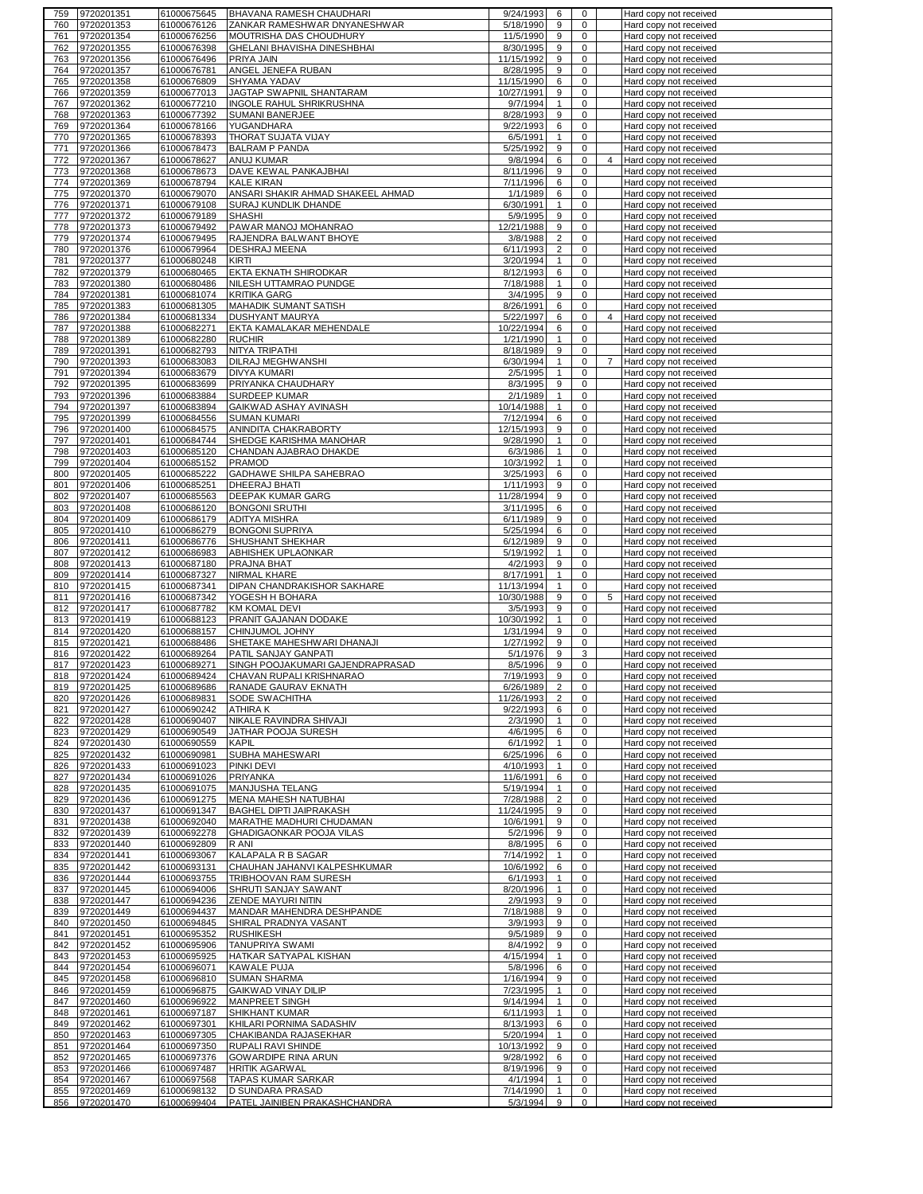| 9720201351<br>759                      | 61000675645                | BHAVANA RAMESH CHAUDHARI                          | 9/24/1993             | 6                 | 0                   |                | Hard copy not received                           |
|----------------------------------------|----------------------------|---------------------------------------------------|-----------------------|-------------------|---------------------|----------------|--------------------------------------------------|
| 9720201353<br>760                      | 61000676126                | ZANKAR RAMESHWAR DNYANESHWAR                      | 5/18/1990             | 9                 | 0                   |                | Hard copy not received                           |
| 9720201354<br>761                      | 61000676256                | MOUTRISHA DAS CHOUDHURY                           | 11/5/1990             | 9                 | 0                   |                | Hard copy not received                           |
| 9720201355<br>762                      | 61000676398                | GHELANI BHAVISHA DINESHBHAI                       | 8/30/1995             | 9                 | $\mathbf 0$         |                | Hard copy not received                           |
| 9720201356<br>763                      | 61000676496                | PRIYA JAIN                                        | 11/15/1992            | 9                 | 0                   |                | Hard copy not received                           |
| 9720201357<br>764                      | 61000676781                | ANGEL JENEFA RUBAN                                | 8/28/1995             | 9                 | 0                   |                | Hard copy not received                           |
| 9720201358<br>765                      | 61000676809                | <b>SHYAMA YADAV</b>                               | 11/15/1990            | 6                 | 0                   |                | Hard copy not received                           |
| 9720201359<br>766                      | 61000677013                | JAGTAP SWAPNIL SHANTARAM                          | 10/27/1991            | 9                 | 0                   |                | Hard copy not received                           |
| 9720201362<br>767                      | 61000677210                | INGOLE RAHUL SHRIKRUSHNA                          | 9/7/1994              | $\mathbf{1}$      | 0                   |                | Hard copy not received                           |
| 9720201363<br>768                      | 61000677392                | SUMANI BANERJEE                                   | 8/28/1993             | 9                 | 0                   |                | Hard copy not received                           |
| 9720201364<br>769                      | 61000678166                | YUGANDHARA                                        | 9/22/1993             | 6                 | 0                   |                | Hard copy not received                           |
| 9720201365<br>770                      | 61000678393                | THORAT SUJATA VIJAY                               | 6/5/1991              | $\mathbf{1}$      | 0                   |                |                                                  |
|                                        |                            |                                                   |                       |                   |                     |                | Hard copy not received                           |
| 9720201366<br>771                      | 61000678473                | <b>BALRAM P PANDA</b>                             | 5/25/1992             | 9                 | 0                   |                | Hard copy not received                           |
| 9720201367<br>772                      | 61000678627                | <b>ANUJ KUMAR</b>                                 | 9/8/1994              | 6                 | 0                   | 4              | Hard copy not received                           |
| 9720201368<br>773                      | 61000678673                | DAVE KEWAL PANKAJBHAI                             | 8/11/1996             | 9                 | 0                   |                | Hard copy not received                           |
| 774<br>9720201369                      | 61000678794                | <b>KALE KIRAN</b>                                 | 7/11/1996             | 6                 | 0                   |                | Hard copy not received                           |
| 9720201370<br>775                      | 61000679070                | ANSARI SHAKIR AHMAD SHAKEEL AHMAD                 | 1/1/1989              | 6                 | 0                   |                | Hard copy not received                           |
| 776<br>9720201371                      | 61000679108                | <b>SURAJ KUNDLIK DHANDE</b>                       | 6/30/1991             | $\mathbf{1}$      | $\mathbf 0$         |                | Hard copy not received                           |
| 9720201372<br>777                      | 61000679189                | <b>SHASHI</b>                                     | 5/9/1995              | 9                 | 0                   |                | Hard copy not received                           |
| 9720201373<br>778                      | 61000679492                | PAWAR MANOJ MOHANRAO                              | 12/21/1988            | 9                 | $\mathbf 0$         |                | Hard copy not received                           |
| 779<br>9720201374                      | 61000679495                | RAJENDRA BALWANT BHOYE                            | 3/8/1988              | $\overline{c}$    | 0                   |                | Hard copy not received                           |
| 780<br>9720201376                      | 61000679964                | <b>DESHRAJ MEENA</b>                              | 6/11/1993             | $\overline{2}$    | 0                   |                | Hard copy not received                           |
| 9720201377<br>781                      | 61000680248                | <b>KIRTI</b>                                      | 3/20/1994             | $\mathbf{1}$      | 0                   |                | Hard copy not received                           |
|                                        |                            |                                                   |                       |                   |                     |                |                                                  |
| 782<br>9720201379                      | 61000680465                | EKTA EKNATH SHIRODKAR                             | 8/12/1993             | 6                 | 0                   |                | Hard copy not received                           |
| 783<br>9720201380                      | 61000680486                | NILESH UTTAMRAO PUNDGE                            | 7/18/1988             | $\mathbf{1}$      | 0                   |                | Hard copy not received                           |
| 9720201381<br>784                      | 61000681074                | <b>KRITIKA GARG</b>                               | 3/4/1995              | 9                 | 0                   |                | Hard copy not received                           |
| 785<br>9720201383                      | 61000681305                | <b>MAHADIK SUMANT SATISH</b>                      | 8/26/1991             | 6                 | 0                   |                | Hard copy not received                           |
| 786<br>9720201384                      | 61000681334                | <b>DUSHYANT MAURYA</b>                            | 5/22/1997             | 6                 | $\pmb{0}$           | $\overline{4}$ | Hard copy not received                           |
| 787<br>9720201388                      | 61000682271                | EKTA KAMALAKAR MEHENDALE                          | 10/22/1994            | 6                 | 0                   |                | Hard copy not received                           |
| 788<br>9720201389                      | 61000682280                | <b>RUCHIR</b>                                     | 1/21/1990             | $\mathbf{1}$      | 0                   |                | Hard copy not received                           |
| 9720201391<br>789                      | 61000682793                | NITYA TRIPATHI                                    | 8/18/1989             | 9                 | 0                   |                | Hard copy not received                           |
| 9720201393<br>790                      | 61000683083                | DILRAJ MEGHWANSHI                                 | 6/30/1994             | $\mathbf{1}$      | 0                   | $\overline{7}$ | Hard copy not received                           |
| 9720201394<br>791                      | 61000683679                | <b>DIVYA KUMARI</b>                               | 2/5/1995              | $\mathbf{1}$      | 0                   |                | Hard copy not received                           |
| 9720201395<br>792                      | 61000683699                | PRIYANKA CHAUDHARY                                | 8/3/1995              | 9                 | 0                   |                | Hard copy not received                           |
| 793                                    |                            |                                                   | 2/1/1989              | $\mathbf{1}$      | 0                   |                |                                                  |
| 9720201396                             | 61000683884                | SURDEEP KUMAR                                     |                       |                   |                     |                | Hard copy not received                           |
| 9720201397<br>794                      | 61000683894                | GAIKWAD ASHAY AVINASH                             | 10/14/1988            | $\mathbf{1}$      | 0                   |                | Hard copy not received                           |
| 9720201399<br>795                      | 61000684556                | <b>SUMAN KUMARI</b>                               | 7/12/1994             | 6                 | 0                   |                | Hard copy not received                           |
| 9720201400<br>796                      | 61000684575                | ANINDITA CHAKRABORTY                              | 12/15/1993            | 9                 | 0                   |                | Hard copy not received                           |
| 9720201401<br>797                      | 61000684744                | SHEDGE KARISHMA MANOHAR                           | 9/28/1990             | $\mathbf{1}$      | 0                   |                | Hard copy not received                           |
| 9720201403<br>798                      | 61000685120                | CHANDAN AJABRAO DHAKDE                            | 6/3/1986              | $\mathbf{1}$      | 0                   |                | Hard copy not received                           |
| 9720201404<br>799                      | 61000685152                | <b>PRAMOD</b>                                     | 10/3/1992             | $\mathbf{1}$      | 0                   |                | Hard copy not received                           |
| 9720201405<br>800                      | 61000685222                | GADHAWE SHILPA SAHEBRAO                           | 3/25/1993             | 6                 | 0                   |                | Hard copy not received                           |
| 801<br>9720201406                      | 61000685251                | DHEERAJ BHATI                                     | 1/11/1993             | 9                 | 0                   |                | Hard copy not received                           |
| 9720201407<br>802                      | 61000685563                | DEEPAK KUMAR GARG                                 | 11/28/1994            | 9                 | 0                   |                | Hard copy not received                           |
| 9720201408<br>803                      | 61000686120                | <b>BONGONI SRUTHI</b>                             | 3/11/1995             | 6                 | $\mathbf 0$         |                | Hard copy not received                           |
|                                        |                            |                                                   |                       |                   |                     |                |                                                  |
| 9720201409<br>804                      | 61000686179                | <b>ADITYA MISHRA</b>                              | 6/11/1989             | 9                 | 0                   |                | Hard copy not received                           |
| 9720201410<br>805                      | 61000686279                | <b>BONGONI SUPRIYA</b>                            | 5/25/1994             | 6                 | $\mathbf 0$         |                | Hard copy not received                           |
| 9720201411<br>806                      | 61000686776                | <b>SHUSHANT SHEKHAR</b>                           | 6/12/1989             | 9                 | 0                   |                | Hard copy not received                           |
| 807<br>9720201412                      | 61000686983                | ABHISHEK UPLAONKAR                                | 5/19/1992             | $\mathbf{1}$      | 0                   |                | Hard copy not received                           |
|                                        |                            |                                                   |                       |                   |                     |                |                                                  |
| 808<br>9720201413                      | 61000687180                | PRAJNA BHAT                                       | 4/2/1993              | 9                 | 0                   |                | Hard copy not received                           |
| 9720201414<br>809                      | 61000687327                | NIRMAL KHARE                                      | 8/17/1991             | $\mathbf{1}$      | 0                   |                | Hard copy not received                           |
| 810                                    |                            |                                                   |                       | $\mathbf{1}$      | 0                   |                |                                                  |
| 9720201415                             | 61000687341                | DIPAN CHANDRAKISHOR SAKHARE                       | 11/13/1994            |                   |                     |                | Hard copy not received                           |
| 811<br>9720201416                      | 61000687342                | YOGESH H BOHARA                                   | 10/30/1988            | 9                 | 0                   | 5              | Hard copy not received                           |
| 812<br>9720201417                      | 61000687782                | <b>KM KOMAL DEVI</b>                              | 3/5/1993              | 9                 | 0                   |                | Hard copy not received                           |
| 9720201419<br>813                      | 61000688123                | PRANIT GAJANAN DODAKE                             | 10/30/1992            | $\mathbf{1}$      | 0                   |                | Hard copy not received                           |
| 9720201420<br>814                      | 61000688157                | CHINJUMOL JOHNY                                   | 1/31/1994             | 9                 | 0                   |                | Hard copy not received                           |
| 9720201421<br>815                      | 61000688486                | SHETAKE MAHESHWARI DHANAJI                        | 1/27/1992             | 9                 | 0                   |                | Hard copy not received                           |
| 9720201422<br>816                      | 61000689264                | PATIL SANJAY GANPATI                              | 5/1/1976              | 9                 | 3                   |                | Hard copy not received                           |
| 9720201423<br>817                      | 61000689271                | SINGH POOJAKUMARI GAJENDRAPRASAD                  | 8/5/1996              | 9                 | 0                   |                | Hard copy not received                           |
| 9720201424<br>818                      | 61000689424                | CHAVAN RUPALI KRISHNARAO                          | 7/19/1993             | 9                 | 0                   |                | Hard copy not received                           |
| 819<br>9720201425                      | 61000689686                | RANADE GAURAV EKNATH                              | 6/26/1989             | 2                 | 0                   |                | Hard copy not received                           |
| 820<br>9720201426                      | 61000689831                | SODE SWACHITHA                                    | 11/26/1993            | $\overline{c}$    | 0                   |                | Hard copy not received                           |
| 9720201427<br>821                      | 61000690242                | <b>ATHIRAK</b>                                    | 9/22/1993             | 6                 | 0                   |                | Hard copy not received                           |
| 9720201428<br>822                      | 61000690407                | NIKALE RAVINDRA SHIVAJI                           | 2/3/1990              | $\mathbf{1}$      | 0                   |                | Hard copy not received                           |
| 9720201429<br>823                      | 61000690549                | JATHAR POOJA SURESH                               | 4/6/1995              | 6                 | 0                   |                | Hard copy not received                           |
| 9720201430<br>824                      |                            | <b>KAPIL</b>                                      |                       | $\mathbf{1}$      | 0                   |                |                                                  |
|                                        | 61000690559<br>61000690981 |                                                   | 6/1/1992              |                   |                     |                | Hard copy not received<br>Hard copy not received |
| 9720201432<br>825                      |                            | SUBHA MAHESWARI<br><b>PINKI DEVI</b>              | 6/25/1996             | 6                 | 0                   |                |                                                  |
| 9720201433<br>826                      | 61000691023                |                                                   | 4/10/1993             | $\mathbf{1}$      | 0                   |                | Hard copy not received                           |
| 9720201434<br>827                      | 61000691026                | <b>PRIYANKA</b>                                   | 11/6/1991             | 6                 | 0                   |                | Hard copy not received                           |
| 9720201435<br>828                      | 61000691075                | MANJUSHA TELANG                                   | 5/19/1994             | $\mathbf{1}$      | $\mathbf 0$         |                | Hard copy not received                           |
| 9720201436<br>829                      | 61000691275                | <b>MENA MAHESH NATUBHAI</b>                       | 7/28/1988             | $\overline{2}$    | 0                   |                | Hard copy not received                           |
| 9720201437<br>830                      | 61000691347                | BAGHEL DIPTI JAIPRAKASH                           | 11/24/1995            | 9                 | $\mathbf 0$         |                | Hard copy not received                           |
| 9720201438<br>831                      | 61000692040                | MARATHE MADHURI CHUDAMAN                          | 10/6/1991             | 9                 | 0                   |                | Hard copy not received                           |
| 9720201439<br>832                      | 61000692278                | <b>GHADIGAONKAR POOJA VILAS</b>                   | 5/2/1996              | 9                 | $\mathbf 0$         |                | Hard copy not received                           |
| 9720201440<br>833                      | 61000692809                | R ANI                                             | 8/8/1995              | 6                 | 0                   |                | Hard copy not received                           |
| 9720201441<br>834                      | 61000693067                | KALAPALA R B SAGAR                                | 7/14/1992             | $\mathbf{1}$      | $\mathbf 0$         |                | Hard copy not received                           |
| 9720201442<br>835                      | 61000693131                | CHAUHAN JAHANVI KALPESHKUMAR                      | 10/6/1992             | 6                 | 0                   |                | Hard copy not received                           |
| 9720201444<br>836                      | 61000693755                | TRIBHOOVAN RAM SURESH                             | 6/1/1993              | $\mathbf{1}$      | $\pmb{0}$           |                | Hard copy not received                           |
| 837<br>9720201445                      | 61000694006                | SHRUTI SANJAY SAWANT                              | 8/20/1996             | $\mathbf{1}$      | 0                   |                | Hard copy not received                           |
| 9720201447<br>838                      | 61000694236                | ZENDE MAYURI NITIN                                | 2/9/1993              | 9                 | 0                   |                | Hard copy not received                           |
| 9720201449<br>839                      | 61000694437                | MANDAR MAHENDRA DESHPANDE                         | 7/18/1988             | 9                 | 0                   |                | Hard copy not received                           |
| 9720201450<br>840                      | 61000694845                | SHIRAL PRADNYA VASANT                             | 3/9/1993              | 9                 | 0                   |                | Hard copy not received                           |
| 9720201451<br>841                      |                            | <b>RUSHIKESH</b>                                  | 9/5/1989              | 9                 | 0                   |                |                                                  |
|                                        | 61000695352                |                                                   |                       |                   |                     |                | Hard copy not received                           |
| 9720201452<br>842                      | 61000695906                | <b>TANUPRIYA SWAMI</b>                            | 8/4/1992              | 9                 | 0                   |                | Hard copy not received                           |
| 9720201453<br>843                      | 61000695925                | HATKAR SATYAPAL KISHAN                            | 4/15/1994             | $\mathbf{1}$      | 0                   |                | Hard copy not received                           |
| 9720201454<br>844                      | 61000696071                | <b>KAWALE PUJA</b>                                | 5/8/1996              | 6                 | 0                   |                | Hard copy not received                           |
| 9720201458<br>845                      | 61000696810                | <b>SUMAN SHARMA</b>                               | 1/16/1994             | 9                 | 0                   |                | Hard copy not received                           |
| 9720201459<br>846                      | 61000696875                | <b>GAIKWAD VINAY DILIP</b>                        | 7/23/1995             | $\mathbf{1}$      | 0                   |                | Hard copy not received                           |
| 9720201460<br>847                      | 61000696922                | MANPREET SINGH                                    | 9/14/1994             | $\mathbf{1}$      | 0                   |                | Hard copy not received                           |
| 9720201461<br>848                      | 61000697187                | <b>SHIKHANT KUMAR</b>                             | 6/11/1993             | $\mathbf{1}$      | 0                   |                | Hard copy not received                           |
| 9720201462<br>849                      | 61000697301                | KHILARI PORNIMA SADASHIV                          | 8/13/1993             | 6                 | 0                   |                | Hard copy not received                           |
| 9720201463<br>850                      | 61000697305                | CHAKIBANDA RAJASEKHAR                             | 5/20/1994             | $\mathbf{1}$      | 0                   |                | Hard copy not received                           |
| 9720201464<br>851                      | 61000697350                | RUPALI RAVI SHINDE                                | 10/13/1992            | 9                 | 0                   |                | Hard copy not received                           |
| 9720201465<br>852                      | 61000697376                | GOWARDIPE RINA ARUN                               | 9/28/1992             | 6                 | 0                   |                | Hard copy not received                           |
| 9720201466<br>853                      | 61000697487                | <b>HRITIK AGARWAL</b>                             | 8/19/1996             | 9                 | 0                   |                | Hard copy not received                           |
|                                        |                            |                                                   |                       |                   |                     |                |                                                  |
| 9720201467<br>854                      | 61000697568                | <b>TAPAS KUMAR SARKAR</b>                         | 4/1/1994              | $\mathbf{1}$      | 0                   |                | Hard copy not received                           |
| 9720201469<br>855<br>856<br>9720201470 | 61000698132<br>61000699404 | D SUNDARA PRASAD<br>PATEL JAINIBEN PRAKASHCHANDRA | 7/14/1990<br>5/3/1994 | $\mathbf{1}$<br>9 | 0<br>$\overline{0}$ |                | Hard copy not received<br>Hard copy not received |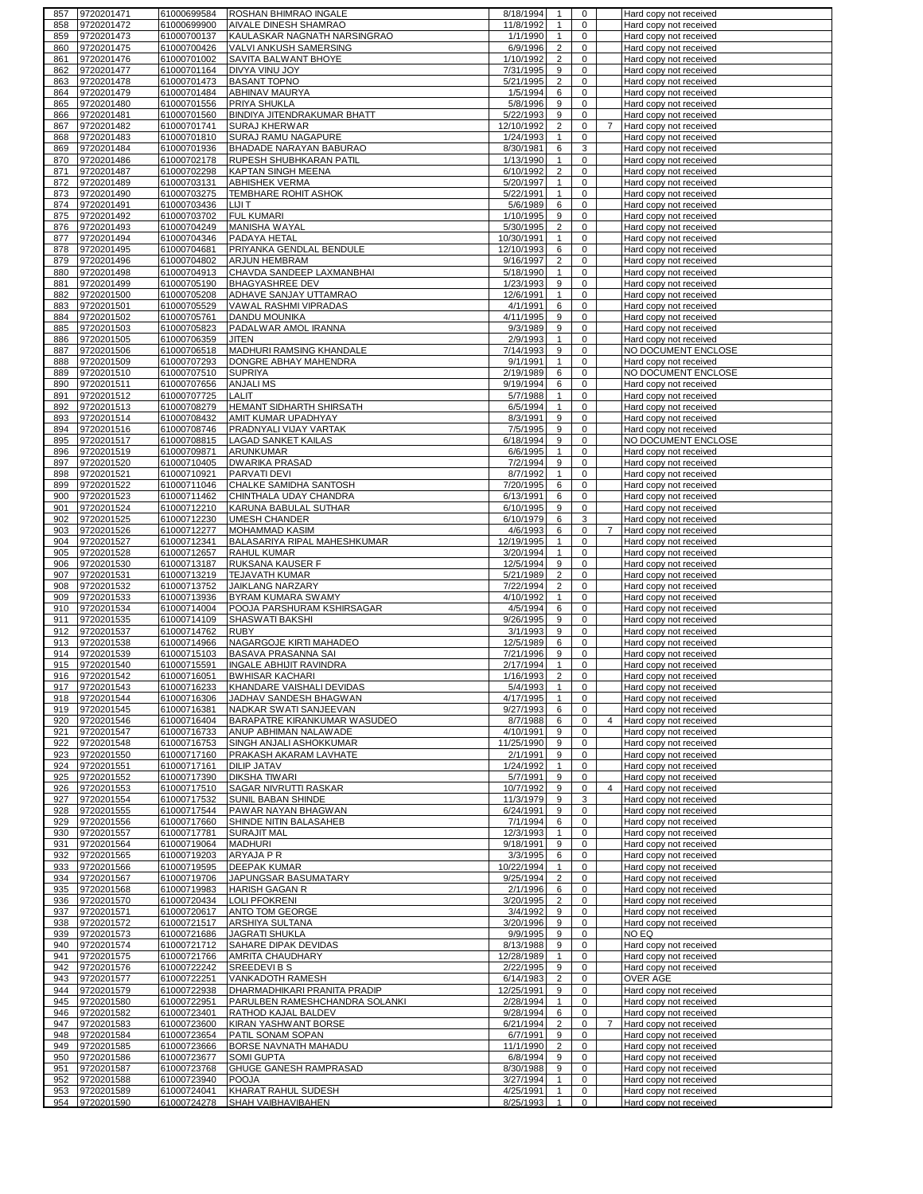| 857        | 9720201471                   | 61000699584                | ROSHAN BHIMRAO INGALE                               | 8/18/1994              | $\mathbf{1}$                     | $\mathbf 0$                | Hard copy not received                           |
|------------|------------------------------|----------------------------|-----------------------------------------------------|------------------------|----------------------------------|----------------------------|--------------------------------------------------|
| 858        | 9720201472                   | 61000699900                | AIVALE DINESH SHAMRAO                               | 11/8/1992              | $\mathbf{1}$                     | 0                          | Hard copy not received                           |
| 859        | 9720201473                   | 61000700137                | KAULASKAR NAGNATH NARSINGRAO                        | 1/1/1990               | $\mathbf{1}$                     | $\mathbf 0$                | Hard copy not received                           |
| 860        | 9720201475                   | 61000700426<br>61000701002 | VALVI ANKUSH SAMERSING                              | 6/9/1996<br>1/10/1992  | $\overline{2}$<br>$\overline{2}$ | $\mathbf 0$<br>0           | Hard copy not received                           |
| 861<br>862 | 9720201476<br>9720201477     | 61000701164                | SAVITA BALWANT BHOYE<br><b>DIVYA VINU JOY</b>       | 7/31/1995              | 9                                | 0                          | Hard copy not received<br>Hard copy not received |
| 863        | 9720201478                   | 61000701473                | <b>BASANT TOPNO</b>                                 | 5/21/1995              | $\overline{2}$                   | 0                          | Hard copy not received                           |
| 864        | 9720201479                   | 61000701484                | ABHINAV MAURYA                                      | 1/5/1994               | 6                                | $\mathbf 0$                | Hard copy not received                           |
| 865        | 9720201480                   | 61000701556                | <b>PRIYA SHUKLA</b>                                 | 5/8/1996               | 9                                | 0                          | Hard copy not received                           |
| 866        | 9720201481                   | 61000701560                | BINDIYA JITENDRAKUMAR BHATT                         | 5/22/1993              | 9                                | 0                          | Hard copy not received                           |
| 867        | 9720201482                   | 61000701741                | SURAJ KHERWAR                                       | 12/10/1992             | $\overline{c}$                   | 0<br>7                     | Hard copy not received                           |
| 868        | 9720201483                   | 61000701810                | SURAJ RAMU NAGAPURE                                 | 1/24/1993              | $\mathbf{1}$                     | $\mathbf 0$                | Hard copy not received                           |
| 869        | 9720201484                   | 61000701936                | BHADADE NARAYAN BABURAO                             | 8/30/1981              | 6                                | 3                          | Hard copy not received                           |
| 870        | 9720201486                   | 61000702178                | RUPESH SHUBHKARAN PATIL                             | 1/13/1990              | $\mathbf{1}$                     | $\mathbf 0$                | Hard copy not received                           |
| 871<br>872 | 9720201487<br>9720201489     | 61000702298<br>61000703131 | <b>KAPTAN SINGH MEENA</b><br><b>ABHISHEK VERMA</b>  | 6/10/1992<br>5/20/1997 | $\overline{c}$<br>$\mathbf{1}$   | 0<br>$\mathbf 0$           | Hard copy not received<br>Hard copy not received |
| 873        | 9720201490                   | 61000703275                | <b>TEMBHARE ROHIT ASHOK</b>                         | 5/22/1991              | $\mathbf{1}$                     | $\mathbf 0$                | Hard copy not received                           |
| 874        | 9720201491                   | 61000703436                | LIJI T                                              | 5/6/1989               | 6                                | $\mathbf 0$                | Hard copy not received                           |
| 875        | 9720201492                   | 61000703702                | <b>FUL KUMARI</b>                                   | 1/10/1995              | 9                                | $\mathbf 0$                | Hard copy not received                           |
| 876        | 9720201493                   | 61000704249                | <b>MANISHA WAYAL</b>                                | 5/30/1995              | $\overline{2}$                   | $\mathsf 0$                | Hard copy not received                           |
| 877        | 9720201494                   | 61000704346                | PADAYA HETAL                                        | 10/30/1991             | $\mathbf{1}$                     | $\mathbf 0$                | Hard copy not received                           |
| 878        | 9720201495                   | 61000704681                | PRIYANKA GENDLAL BENDULE                            | 12/10/1993             | 6                                | 0                          | Hard copy not received                           |
| 879        | 9720201496                   | 61000704802                | ARJUN HEMBRAM                                       | 9/16/1997              | $\overline{2}$                   | 0                          | Hard copy not received                           |
| 880<br>881 | 9720201498<br>9720201499     | 61000704913<br>61000705190 | CHAVDA SANDEEP LAXMANBHAI<br><b>BHAGYASHREE DEV</b> | 5/18/1990<br>1/23/1993 | $\mathbf{1}$<br>9                | 0<br>$\mathbf 0$           | Hard copy not received<br>Hard copy not received |
| 882        | 9720201500                   | 61000705208                | ADHAVE SANJAY UTTAMRAO                              | 12/6/1991              | $\mathbf{1}$                     | $\mathbf 0$                | Hard copy not received                           |
| 883        | 9720201501                   | 61000705529                | VAWAL RASHMI VIPRADAS                               | 4/1/1991               | 6                                | $\mathbf 0$                | Hard copy not received                           |
| 884        | 9720201502                   | 61000705761                | <b>DANDU MOUNIKA</b>                                | 4/11/1995              | 9                                | $\mathsf 0$                | Hard copy not received                           |
| 885        | 9720201503                   | 61000705823                | PADALWAR AMOL IRANNA                                | 9/3/1989               | 9                                | $\pmb{0}$                  | Hard copy not received                           |
| 886        | 9720201505                   | 61000706359                | <b>JITEN</b>                                        | 2/9/1993               | $\mathbf{1}$                     | 0                          | Hard copy not received                           |
| 887        | 9720201506                   | 61000706518                | MADHURI RAMSING KHANDALE                            | 7/14/1993              | 9                                | 0                          | NO DOCUMENT ENCLOSE                              |
| 888        | 9720201509                   | 61000707293                | DONGRE ABHAY MAHENDRA                               | 9/1/1991               | $\mathbf{1}$                     | $\pmb{0}$                  | Hard copy not received                           |
| 889        | 9720201510                   | 61000707510                | <b>SUPRIYA</b>                                      | 2/19/1989              | 6                                | $\mathbf 0$                | NO DOCUMENT ENCLOSE                              |
| 890<br>891 | 9720201511<br>9720201512     | 61000707656<br>61000707725 | <b>ANJALIMS</b><br>LALIT                            | 9/19/1994<br>5/7/1988  | 6<br>$\mathbf{1}$                | 0<br>0                     | Hard copy not received<br>Hard copy not received |
| 892        | 9720201513                   | 61000708279                | HEMANT SIDHARTH SHIRSATH                            | 6/5/1994               | $\mathbf{1}$                     | 0                          | Hard copy not received                           |
| 893        | 9720201514                   | 61000708432                | AMIT KUMAR UPADHYAY                                 | 8/3/1991               | 9                                | $\mathbf 0$                | Hard copy not received                           |
| 894        | 9720201516                   | 61000708746                | PRADNYALI VIJAY VARTAK                              | 7/5/1995               | 9                                | $\mathbf 0$                | Hard copy not received                           |
| 895        | 9720201517                   | 61000708815                | <b>LAGAD SANKET KAILAS</b>                          | 6/18/1994              | 9                                | $\mathbf 0$                | NO DOCUMENT ENCLOSE                              |
| 896        | 9720201519                   | 61000709871                | ARUNKUMAR                                           | 6/6/1995               | $\mathbf{1}$                     | $\mathbf 0$                | Hard copy not received                           |
| 897        | 9720201520                   | 61000710405                | <b>DWARIKA PRASAD</b>                               | 7/2/1994               | 9                                | $\mathbf 0$                | Hard copy not received                           |
| 898        | 9720201521                   | 61000710921                | PARVATI DEVI                                        | 8/7/1992               | $\mathbf{1}$                     | 0                          | Hard copy not received                           |
| 899        | 9720201522                   | 61000711046                | CHALKE SAMIDHA SANTOSH                              | 7/20/1995              | 6                                | $\mathbf 0$                | Hard copy not received                           |
| 900<br>901 | 9720201523<br>9720201524     | 61000711462<br>61000712210 | CHINTHALA UDAY CHANDRA<br>KARUNA BABULAL SUTHAR     | 6/13/1991<br>6/10/1995 | 6<br>9                           | $\mathbf 0$<br>$\mathsf 0$ | Hard copy not received                           |
| 902        | 9720201525                   | 61000712230                | <b>UMESH CHANDER</b>                                | 6/10/1979              | 6                                | 3                          | Hard copy not received<br>Hard copy not received |
| 903        | 9720201526                   | 61000712277                | MOHAMMAD KASIM                                      | 4/6/1993               | 6                                | $\mathbf 0$                | $\overline{7}$<br>Hard copy not received         |
| 904        | 9720201527                   | 61000712341                | BALASARIYA RIPAL MAHESHKUMAR                        | 12/19/1995             | $\mathbf{1}$                     | $\mathbf 0$                | Hard copy not received                           |
| 905        | 9720201528                   | 61000712657                | <b>RAHUL KUMAR</b>                                  | 3/20/1994              | $\mathbf{1}$                     | $\mathbf 0$                | Hard copy not received                           |
| 906        | 9720201530                   | 61000713187                | <b>RUKSANA KAUSER F</b>                             | 12/5/1994              | 9                                | $\mathbf 0$                | Hard copy not received                           |
| 907        | 9720201531                   | 61000713219                | <b>TEJAVATH KUMAR</b>                               | 5/21/1989              | $\overline{2}$                   | $\mathbf 0$                | Hard copy not received                           |
| 908        | 9720201532                   | 61000713752                | <b>JAIKLANG NARZARY</b>                             | 7/22/1994              | $\overline{2}$                   | $\mathbf 0$                | Hard copy not received                           |
| 909        | 9720201533                   | 61000713936                | BYRAM KUMARA SWAMY                                  | 4/10/1992              | $\mathbf{1}$                     | 0                          | Hard copy not received                           |
| 910<br>911 | 9720201534<br>9720201535     | 61000714004<br>61000714109 | POOJA PARSHURAM KSHIRSAGAR<br>SHASWATI BAKSHI       | 4/5/1994<br>9/26/1995  | 6<br>9                           | $\mathbf 0$<br>0           | Hard copy not received<br>Hard copy not received |
| 912        | 9720201537                   | 61000714762                | <b>RUBY</b>                                         | 3/1/1993               | 9                                | 0                          | Hard copy not received                           |
| 913        | 9720201538                   | 61000714966                | NAGARGOJE KIRTI MAHADEO                             | 12/5/1989              | 6                                | 0                          | Hard copy not received                           |
| 914        | 9720201539                   | 61000715103                | BASAVA PRASANNA SAI                                 | 7/21/1996              | 9                                | 0                          | Hard copy not received                           |
| 915        | 9720201540                   | 61000715591                | INGALE ABHIJIT RAVINDRA                             | 2/17/1994              | $\mathbf{1}$                     | 0                          | Hard copy not received                           |
| 916        | 9720201542                   |                            |                                                     |                        |                                  |                            |                                                  |
| 917        | 9720201543                   | 61000716051                | <b>BWHISAR KACHARI</b>                              | 1/16/1993              | $\overline{2}$                   | 0                          | Hard copy not received                           |
| 918        |                              | 61000716233                | <b>IKHANDARE VAISHALI DEVIDAS</b>                   | 5/4/1993               |                                  | 0                          | Hard copy not received                           |
|            | 9720201544                   | 61000716306                | JADHAV SANDESH BHAGWAN                              | 4/17/1995              | $\mathbf{1}$                     | 0                          | Hard copy not received                           |
| 919        | 9720201545                   | 61000716381                | NADKAR SWATI SANJEEVAN                              | 9/27/1993              | 6                                | $\mathbf 0$                | Hard copy not received                           |
| 920        | 9720201546                   | 61000716404                | <b>BARAPATRE KIRANKUMAR WASUDEO</b>                 | 8/7/1988               | 6                                | $\mathbf 0$                | $\overline{4}$<br>Hard copy not received         |
| 921        | 9720201547                   | 61000716733                | ANUP ABHIMAN NALAWADE<br>SINGH ANJALI ASHOKKUMAR    | 4/10/1991              | 9<br>9                           | 0<br>$\mathbf 0$           | Hard copy not received                           |
| 922<br>923 | 9720201548<br>9720201550     | 61000716753<br>61000717160 | PRAKASH AKARAM LAVHATE                              | 11/25/1990<br>2/1/1991 | 9                                | $\mathbf 0$                | Hard copy not received<br>Hard copy not received |
| 924        | 9720201551                   | 61000717161                | <b>DILIP JATAV</b>                                  | 1/24/1992              | $\mathbf{1}$                     | $\mathbf 0$                | Hard copy not received                           |
| 925        | 9720201552                   | 61000717390                | <b>DIKSHA TIWARI</b>                                | 5/7/1991               | 9                                | $\mathbf 0$                | Hard copy not received                           |
| 926        | 9720201553                   | 61000717510                | SAGAR NIVRUTTI RASKAR                               | 10/7/1992              | 9                                | $\mathsf 0$                | Hard copy not received<br>$\overline{4}$         |
| 927        | 9720201554                   | 61000717532                | SUNIL BABAN SHINDE                                  | 11/3/1979              | 9                                | 3                          | Hard copy not received                           |
| 928        | 9720201555                   | 61000717544                | PAWAR NAYAN BHAGWAN                                 | 6/24/1991              | 9                                | $\mathbf 0$                | Hard copy not received                           |
| 929        | 9720201556                   | 61000717660                | SHINDE NITIN BALASAHEB<br><b>SURAJIT MAL</b>        | 7/1/1994               | 6                                | $\mathbf 0$<br>0           | Hard copy not received                           |
| 930<br>931 | 9720201557<br>9720201564     | 61000717781<br>61000719064 | <b>MADHURI</b>                                      | 12/3/1993<br>9/18/1991 | $\mathbf{1}$<br>9                | $\mathbf 0$                | Hard copy not received<br>Hard copy not received |
| 932        | 9720201565                   | 61000719203                | ARYAJA PR                                           | 3/3/1995               | 6                                | 0                          | Hard copy not received                           |
| 933        | 9720201566                   | 61000719595                | DEEPAK KUMAR                                        | 10/22/1994             | $\mathbf{1}$                     | $\mathbf 0$                | Hard copy not received                           |
| 934        | 9720201567                   | 61000719706                | JAPUNGSAR BASUMATARY                                | 9/25/1994              | $\overline{c}$                   | $\pmb{0}$                  | Hard copy not received                           |
| 935        | 9720201568                   | 61000719983                | <b>HARISH GAGAN R</b>                               | 2/1/1996               | 6                                | $\mathbf 0$                | Hard copy not received                           |
| 936        | 9720201570                   | 61000720434                | <b>LOLI PFOKRENI</b>                                | 3/20/1995              | $\overline{c}$                   | $\mathbf 0$                | Hard copy not received                           |
| 937        | 9720201571                   | 61000720617                | ANTO TOM GEORGE                                     | 3/4/1992               | 9                                | 0                          | Hard copy not received                           |
| 938        | 9720201572                   | 61000721517                | ARSHIYA SULTANA                                     | 3/20/1996              | 9<br>9                           | 0<br>$\mathbf 0$           | Hard copy not received<br>NO EQ                  |
| 939<br>940 | 9720201573<br>9720201574     | 61000721686<br>61000721712 | <b>JAGRATI SHUKLA</b><br>SAHARE DIPAK DEVIDAS       | 9/9/1995<br>8/13/1988  | 9                                | 0                          | Hard copy not received                           |
| 941        | 9720201575                   | 61000721766                | AMRITA CHAUDHARY                                    | 12/28/1989             | $\mathbf{1}$                     | $\mathbf 0$                | Hard copy not received                           |
| 942        | 9720201576                   | 61000722242                | SREEDEVIBS                                          | 2/22/1995              | 9                                | 0                          | Hard copy not received                           |
| 943        | 9720201577                   | 61000722251                | VANKADOTH RAMESH                                    | 6/14/1983              | $\overline{c}$                   | 0                          | OVER AGE                                         |
| 944        | 9720201579                   | 61000722938                | DHARMADHIKARI PRANITA PRADIP                        | 12/25/1991             | 9                                | 0                          | Hard copy not received                           |
| 945        | 9720201580                   | 61000722951                | PARULBEN RAMESHCHANDRA SOLANKI                      | 2/28/1994              | $\mathbf{1}$                     | $\mathbf 0$                | Hard copy not received                           |
| 946        | 9720201582                   | 61000723401                | RATHOD KAJAL BALDEV                                 | 9/28/1994              | 6                                | 0                          | Hard copy not received                           |
| 947        | 9720201583                   | 61000723600                | KIRAN YASHWANT BORSE                                | 6/21/1994              | $\overline{2}$                   | $\mathbf 0$                | $\overline{7}$<br>Hard copy not received         |
| 948<br>949 | 9720201584                   | 61000723654                | PATIL SONAM SOPAN                                   | 6/7/1991<br>11/1/1990  | 9<br>2                           | $\mathbf 0$<br>$\mathbf 0$ | Hard copy not received                           |
| 950        | 9720201585<br>9720201586     | 61000723666<br>61000723677 | BORSE NAVNATH MAHADU<br><b>SOMI GUPTA</b>           | 6/8/1994               | 9                                | $\mathbf 0$                | Hard copy not received<br>Hard copy not received |
| 951        | 9720201587                   | 61000723768                | GHUGE GANESH RAMPRASAD                              | 8/30/1988              | 9                                | $\mathbf 0$                | Hard copy not received                           |
| 952        | 9720201588                   | 61000723940                | <b>POOJA</b>                                        | 3/27/1994              | $\mathbf{1}$                     | 0                          | Hard copy not received                           |
| 953        | 9720201589<br>954 9720201590 | 61000724041<br>61000724278 | KHARAT RAHUL SUDESH<br>SHAH VAIBHAVIBAHEN           | 4/25/1991<br>8/25/1993 | $\mathbf{1}$<br>$\mathbf{1}$     | $\mathbf 0$<br>$\mathbf 0$ | Hard copy not received<br>Hard copy not received |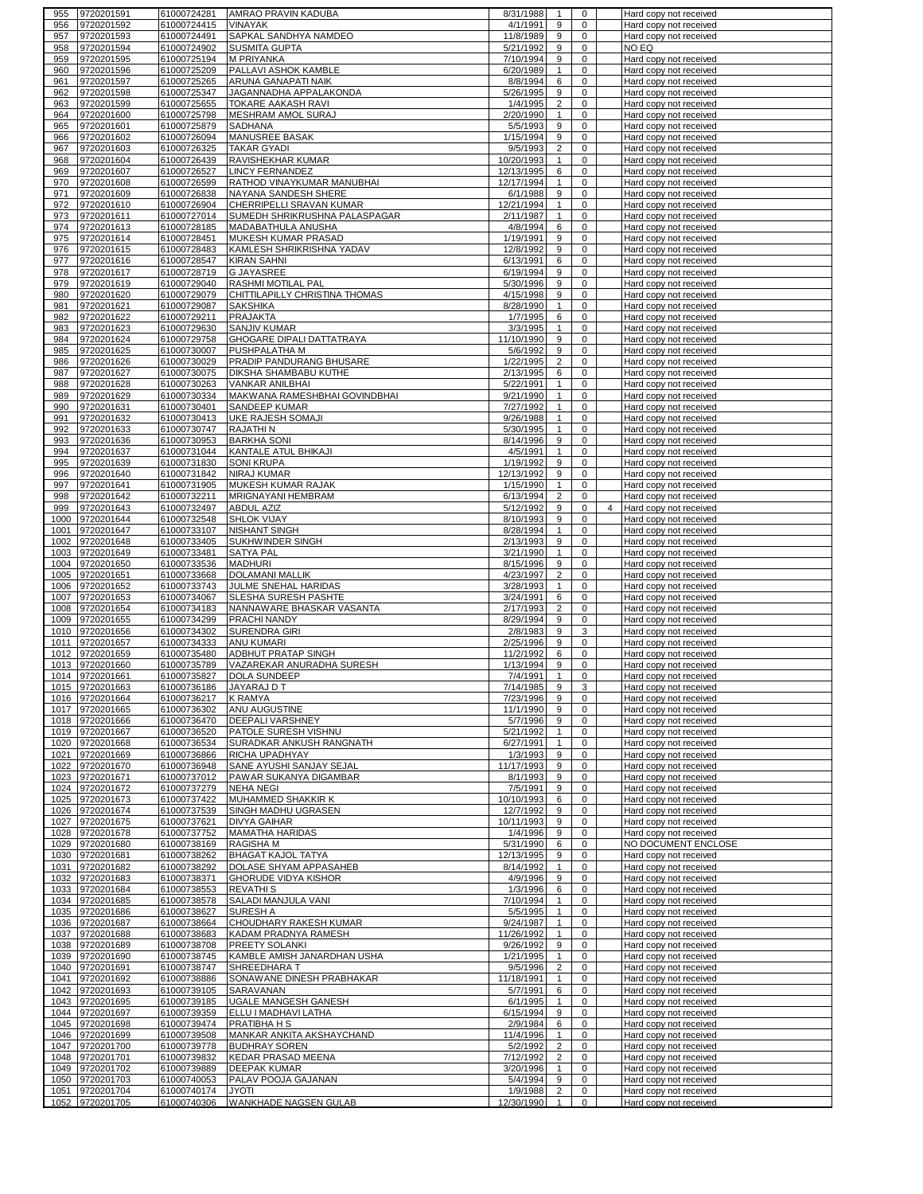| 955  | 9720201591                    | 61000724281                | AMRAO PRAVIN KADUBA                   | 8/31/1988              | 1                              | 0           | Hard copy not received                           |
|------|-------------------------------|----------------------------|---------------------------------------|------------------------|--------------------------------|-------------|--------------------------------------------------|
| 956  | 9720201592                    | 61000724415                | <b>VINAYAK</b>                        | 4/1/1991               | 9                              | $\mathbf 0$ | Hard copy not received                           |
| 957  | 9720201593                    | 61000724491                | SAPKAL SANDHYA NAMDEO                 | 11/8/1989              | 9                              | 0           | Hard copy not received                           |
| 958  | 9720201594                    | 61000724902                | <b>SUSMITA GUPTA</b>                  | 5/21/1992              | 9                              | 0           | NO EQ                                            |
| 959  | 9720201595                    | 61000725194                | <b>M PRIYANKA</b>                     | 7/10/1994              | 9                              | 0           | Hard copy not received                           |
|      |                               |                            |                                       |                        |                                |             |                                                  |
| 960  | 9720201596                    | 61000725209                | PALLAVI ASHOK KAMBLE                  | 6/20/1989              | $\mathbf{1}$                   | 0           | Hard copy not received                           |
| 961  | 9720201597                    | 61000725265                | ARUNA GANAPATI NAIK                   | 8/8/1994               | 6                              | 0           | Hard copy not received                           |
| 962  | 9720201598                    | 61000725347                | JAGANNADHA APPALAKONDA                | 5/26/1995              | 9                              | 0           | Hard copy not received                           |
| 963  | 9720201599                    | 61000725655                | <b>TOKARE AAKASH RAVI</b>             | 1/4/1995               | $\overline{c}$                 | 0           | Hard copy not received                           |
| 964  | 9720201600                    | 61000725798                | MESHRAM AMOL SURAJ                    | 2/20/1990              | $\mathbf{1}$                   | 0           | Hard copy not received                           |
| 965  | 9720201601                    | 61000725879                | SADHANA                               | 5/5/1993               | 9                              | 0           | Hard copy not received                           |
| 966  | 9720201602                    | 61000726094                | MANUSREE BASAK                        | 1/15/1994              | 9                              | 0           | Hard copy not received                           |
|      | 9720201603                    | 61000726325                | <b>TAKAR GYADI</b>                    | 9/5/1993               | $\overline{2}$                 | 0           |                                                  |
| 967  |                               |                            |                                       |                        |                                |             | Hard copy not received                           |
| 968  | 9720201604                    | 61000726439                | RAVISHEKHAR KUMAR                     | 10/20/1993             | $\mathbf{1}$                   | 0           | Hard copy not received                           |
| 969  | 9720201607                    | 61000726527                | <b>LINCY FERNANDEZ</b>                | 12/13/1995             | 6                              | 0           | Hard copy not received                           |
| 970  | 9720201608                    | 61000726599                | RATHOD VINAYKUMAR MANUBHAI            | 12/17/1994             | 1                              | 0           | Hard copy not received                           |
| 971  | 9720201609                    | 61000726838                | NAYANA SANDESH SHERE                  | 6/1/1988               | 9                              | 0           | Hard copy not received                           |
| 972  | 9720201610                    | 61000726904                | CHERRIPELLI SRAVAN KUMAR              | 12/21/1994             | $\mathbf{1}$                   | 0           | Hard copy not received                           |
| 973  | 9720201611                    | 61000727014                | SUMEDH SHRIKRUSHNA PALASPAGAR         | 2/11/1987              | $\mathbf{1}$                   | 0           | Hard copy not received                           |
|      |                               |                            | <b>MADABATHULA ANUSHA</b>             |                        | 6                              | 0           | Hard copy not received                           |
| 974  | 9720201613                    | 61000728185                |                                       | 4/8/1994               |                                |             |                                                  |
| 975  | 9720201614                    | 61000728451                | MUKESH KUMAR PRASAD                   | 1/19/1991              | 9                              | 0           | Hard copy not received                           |
| 976  | 9720201615                    | 61000728483                | KAMLESH SHRIKRISHNA YADAV             | 12/8/1992              | 9                              | 0           | Hard copy not received                           |
| 977  | 9720201616                    | 61000728547                | <b>KIRAN SAHNI</b>                    | 6/13/1991              | 6                              | 0           | Hard copy not received                           |
| 978  | 9720201617                    | 61000728719                | <b>G JAYASREE</b>                     | 6/19/1994              | 9                              | 0           | Hard copy not received                           |
| 979  | 9720201619                    | 61000729040                | RASHMI MOTILAL PAL                    | 5/30/1996              | 9                              | $\mathbf 0$ | Hard copy not received                           |
| 980  | 9720201620                    | 61000729079                | CHITTILAPILLY CHRISTINA THOMAS        | 4/15/1998              | 9                              | 0           | Hard copy not received                           |
| 981  | 9720201621                    |                            | <b>SAKSHIKA</b>                       | 8/28/1990              | $\mathbf{1}$                   | $\mathbf 0$ |                                                  |
|      |                               | 61000729087                |                                       |                        |                                |             | Hard copy not received                           |
| 982  | 9720201622                    | 61000729211                | <b>PRAJAKTA</b>                       | 1/7/1995               | 6                              | 0           | Hard copy not received                           |
| 983  | 9720201623                    | 61000729630                | <b>SANJIV KUMAR</b>                   | 3/3/1995               | $\mathbf{1}$                   | 0           | Hard copy not received                           |
| 984  | 9720201624                    | 61000729758                | GHOGARE DIPALI DATTATRAYA             | 11/10/1990             | 9                              | 0           | Hard copy not received                           |
| 985  | 9720201625                    | 61000730007                | PUSHPALATHA M                         | 5/6/1992               | 9                              | 0           | Hard copy not received                           |
| 986  | 9720201626                    | 61000730029                | PRADIP PANDURANG BHUSARE              | 1/22/1995              | $\overline{2}$                 | 0           | Hard copy not received                           |
| 987  | 9720201627                    | 61000730075                | DIKSHA SHAMBABU KUTHE                 | 2/13/1995              | 6                              | 0           |                                                  |
|      |                               |                            |                                       |                        |                                |             | Hard copy not received                           |
| 988  | 9720201628                    | 61000730263                | <b>VANKAR ANILBHAI</b>                | 5/22/1991              | $\mathbf{1}$                   | 0           | Hard copy not received                           |
| 989  | 9720201629                    | 61000730334                | MAKWANA RAMESHBHAI GOVINDBHAI         | 9/21/1990              | $\mathbf{1}$                   | 0           | Hard copy not received                           |
| 990  | 9720201631                    | 61000730401                | <b>SANDEEP KUMAR</b>                  | 7/27/1992              | $\mathbf{1}$                   | 0           | Hard copy not received                           |
| 991  | 9720201632                    | 61000730413                | <b>UKE RAJESH SOMAJI</b>              | 9/26/1988              | $\mathbf{1}$                   | 0           | Hard copy not received                           |
| 992  | 9720201633                    | 61000730747                | <b>RAJATHIN</b>                       | 5/30/1995              | $\mathbf{1}$                   | 0           | Hard copy not received                           |
| 993  | 9720201636                    | 61000730953                | <b>BARKHA SONI</b>                    | 8/14/1996              | 9                              | 0           | Hard copy not received                           |
|      |                               |                            |                                       |                        |                                |             |                                                  |
| 994  | 9720201637                    | 61000731044                | KANTALE ATUL BHIKAJI                  | 4/5/1991               | $\mathbf{1}$                   | 0           | Hard copy not received                           |
| 995  | 9720201639                    | 61000731830                | <b>SONI KRUPA</b>                     | 1/19/1992              | 9                              | 0           | Hard copy not received                           |
| 996  | 9720201640                    | 61000731842                | NIRAJ KUMAR                           | 12/13/1992             | 9                              | 0           | Hard copy not received                           |
| 997  | 9720201641                    | 61000731905                | MUKESH KUMAR RAJAK                    | 1/15/1990              | $\mathbf{1}$                   | 0           | Hard copy not received                           |
| 998  | 9720201642                    | 61000732211                | MRIGNAYANI HEMBRAM                    | 6/13/1994              | $\overline{2}$                 | 0           | Hard copy not received                           |
| 999  | 9720201643                    | 61000732497                | <b>ABDUL AZIZ</b>                     | 5/12/1992              | 9                              | 0<br>4      | Hard copy not received                           |
|      | 9720201644                    |                            |                                       |                        |                                | 0           |                                                  |
| 1000 |                               | 61000732548                | <b>SHLOK VIJAY</b>                    | 8/10/1993              | 9                              |             | Hard copy not received                           |
| 1001 | 9720201647                    | 61000733107                | <b>NISHANT SINGH</b>                  | 8/28/1994              | $\mathbf{1}$                   | 0           | Hard copy not received                           |
| 1002 | 9720201648                    | 61000733405                | SUKHWINDER SINGH                      | 2/13/1993              | 9                              | 0           | Hard copy not received                           |
|      |                               |                            |                                       |                        |                                |             |                                                  |
| 1003 | 9720201649                    | 61000733481                | <b>SATYA PAL</b>                      | 3/21/1990              | 1                              | 0           | Hard copy not received                           |
|      |                               |                            |                                       |                        |                                | 0           |                                                  |
| 1004 | 9720201650                    | 61000733536                | <b>MADHURI</b>                        | 8/15/1996              | 9                              |             | Hard copy not received                           |
| 1005 | 9720201651                    | 61000733668                | <b>DOLAMANI MALLIK</b>                | 4/23/1997              | $\overline{2}$                 | 0           | Hard copy not received                           |
| 1006 | 9720201652                    | 61000733743                | JULME SNEHAL HARIDAS                  | 3/28/1993              | $\mathbf{1}$                   | $\mathbf 0$ | Hard copy not received                           |
| 1007 | 9720201653                    | 61000734067                | SLESHA SURESH PASHTE                  | 3/24/1991              | 6                              | 0           | Hard copy not received                           |
| 1008 | 9720201654                    | 61000734183                | NANNAWARE BHASKAR VASANTA             | 2/17/1993              | $\overline{2}$                 | $\mathbf 0$ | Hard copy not received                           |
| 1009 | 9720201655                    | 61000734299                | PRACHI NANDY                          | 8/29/1994              | 9                              | 0           | Hard copy not received                           |
| 1010 | 9720201656                    | 61000734302                | SURENDRA GIRI                         | 2/8/1983               | 9                              | 3           | Hard copy not received                           |
|      |                               |                            |                                       | 2/25/1996              | 9                              | 0           |                                                  |
|      | 1011 9720201657               | 61000734333                | <b>ANU KUMARI</b>                     |                        |                                |             | Hard copy not received                           |
| 1012 | 9720201659                    | 61000735480                | <b>ADBHUT PRATAP SINGH</b>            | 11/2/1992              | 6                              | 0           | Hard copy not received                           |
| 1013 | 9720201660                    | 61000735789                | VAZAREKAR ANURADHA SURESH             | 1/13/1994              | 9                              | 0           | Hard copy not received                           |
|      | 1014 9720201661               | 61000735827                | <b>DOLA SUNDEEP</b>                   | 7/4/1991               | $\mathbf{1}$                   | 0           | Hard copy not received                           |
|      | 1015 9720201663               | 61000736186 JAYARAJ D T    |                                       | 7/14/1985              | 9                              | 3           | Hard copy not received                           |
|      | 1016 9720201664               | 61000736217                | <b>K RAMYA</b>                        | 7/23/1996              | 9                              | 0           | Hard copy not received                           |
|      | 1017 9720201665               | 61000736302                | ANU AUGUSTINE                         | 11/1/1990              | 9                              | 0           | Hard copy not received                           |
|      |                               |                            | <b>DEEPALI VARSHNEY</b>               |                        | 9                              | 0           | Hard copy not received                           |
|      | 1018 9720201666               | 61000736470                |                                       | 5/7/1996               |                                |             |                                                  |
|      | 1019 9720201667               | 61000736520                | PATOLE SURESH VISHNU                  | 5/21/1992              | $\mathbf{1}$                   | 0           | Hard copy not received                           |
|      | 1020 9720201668               | 61000736534                | SURADKAR ANKUSH RANGNATH              | 6/27/1991              | $\mathbf{1}$                   | 0           | Hard copy not received                           |
|      | 1021 9720201669               | 61000736866                | RICHA UPADHYAY                        | 1/3/1993               | 9                              | 0           | Hard copy not received                           |
|      | 1022 9720201670               | 61000736948                | SANE AYUSHI SANJAY SEJAL              | 11/17/1993             | 9                              | 0           | Hard copy not received                           |
| 1023 | 9720201671                    | 61000737012                | PAWAR SUKANYA DIGAMBAR                | 8/1/1993               | 9                              | 0           | Hard copy not received                           |
|      | 1024 9720201672               | 61000737279                | <b>NEHA NEGI</b>                      | 7/5/1991               | 9                              | 0           | Hard copy not received                           |
|      | 1025 9720201673               | 61000737422                | MUHAMMED SHAKKIR K                    | 10/10/1993             | 6                              | 0           | Hard copy not received                           |
|      | 1026 9720201674               | 61000737539                | SINGH MADHU UGRASEN                   | 12/7/1992              | 9                              | 0           | Hard copy not received                           |
|      |                               |                            |                                       |                        |                                |             |                                                  |
|      | 1027 9720201675               | 61000737621                | <b>DIVYA GAIHAR</b>                   | 10/11/1993             | 9                              | 0           | Hard copy not received                           |
|      | 1028 9720201678               | 61000737752                | <b>MAMATHA HARIDAS</b>                | 1/4/1996               | 9                              | 0           | Hard copy not received                           |
|      | 1029 9720201680               | 61000738169                | RAGISHA M                             | 5/31/1990              | 6                              | 0           | NO DOCUMENT ENCLOSE                              |
|      | 1030 9720201681               | 61000738262                | <b>BHAGAT KAJOL TATYA</b>             | 12/13/1995             | 9                              | 0           | Hard copy not received                           |
|      | 1031 9720201682               | 61000738292                | DOLASE SHYAM APPASAHEB                | 8/14/1992              | $\mathbf{1}$                   | $\mathbf 0$ | Hard copy not received                           |
|      | 1032 9720201683               | 61000738371                | <b>GHORUDE VIDYA KISHOR</b>           | 4/9/1996               | 9                              | 0           | Hard copy not received                           |
|      |                               |                            |                                       |                        |                                | $\mathbf 0$ |                                                  |
|      | 1033 9720201684               | 61000738553                | <b>REVATHIS</b>                       | 1/3/1996               | 6                              |             | Hard copy not received                           |
|      | 1034 9720201685               | 61000738578                | SALADI MANJULA VANI                   | 7/10/1994              | $\mathbf{1}$                   | 0           | Hard copy not received                           |
|      | 1035 9720201686               | 61000738627                | SURESH A                              | 5/5/1995               | $\mathbf{1}$                   | 0           | Hard copy not received                           |
|      | 1036 9720201687               | 61000738664                | CHOUDHARY RAKESH KUMAR                | 9/24/1987              | $\mathbf{1}$                   | 0           | Hard copy not received                           |
|      | 1037 9720201688               | 61000738683                | KADAM PRADNYA RAMESH                  | 11/26/1992             | $\mathbf{1}$                   | 0           | Hard copy not received                           |
|      | 1038 9720201689               | 61000738708                | PREETY SOLANKI                        | 9/26/1992              | 9                              | 0           | Hard copy not received                           |
|      | 1039 9720201690               | 61000738745                | KAMBLE AMISH JANARDHAN USHA           | 1/21/1995              | $\mathbf{1}$                   | $\mathbf 0$ | Hard copy not received                           |
|      |                               |                            |                                       |                        |                                |             |                                                  |
|      | 1040 9720201691               | 61000738747                | SHREEDHARA T                          | 9/5/1996               | $\overline{2}$                 | 0           | Hard copy not received                           |
|      | 1041 9720201692               | 61000738886                | SONAWANE DINESH PRABHAKAR             | 11/18/1991             | $\mathbf{1}$                   | 0           | Hard copy not received                           |
|      | 1042 9720201693               | 61000739105                | SARAVANAN                             | 5/7/1991               | 6                              | 0           | Hard copy not received                           |
|      | 1043 9720201695               | 61000739185                | UGALE MANGESH GANESH                  | 6/1/1995               | $\mathbf{1}$                   | 0           | Hard copy not received                           |
|      | 1044 9720201697               | 61000739359                | ELLU I MADHAVI LATHA                  | 6/15/1994              | 9                              | 0           | Hard copy not received                           |
|      | 1045 9720201698               | 61000739474                | PRATIBHA H S                          | 2/9/1984               | 6                              | 0           | Hard copy not received                           |
|      | 1046 9720201699               | 61000739508                | MANKAR ANKITA AKSHAYCHAND             | 11/4/1996              | $\mathbf{1}$                   | 0           | Hard copy not received                           |
|      |                               |                            |                                       |                        |                                | 0           |                                                  |
|      | 1047 9720201700               | 61000739778                | <b>BUDHRAY SOREN</b>                  | 5/2/1992               | $\overline{2}$                 |             | Hard copy not received                           |
| 1048 | 9720201701                    | 61000739832                | <b>KEDAR PRASAD MEENA</b>             | 7/12/1992              | 2                              | 0           | Hard copy not received                           |
|      | 1049 9720201702               | 61000739889                | <b>DEEPAK KUMAR</b>                   | 3/20/1996              | $\mathbf{1}$                   | 0           | Hard copy not received                           |
| 1050 | 9720201703                    | 61000740053                | PALAV POOJA GAJANAN                   | 5/4/1994               | 9                              | 0           | Hard copy not received                           |
| 1051 | 9720201704<br>1052 9720201705 | 61000740174<br>61000740306 | <b>JYOTI</b><br>WANKHADE NAGSEN GULAB | 1/9/1988<br>12/30/1990 | $\overline{2}$<br>$\mathbf{1}$ | 0<br>0      | Hard copy not received<br>Hard copy not received |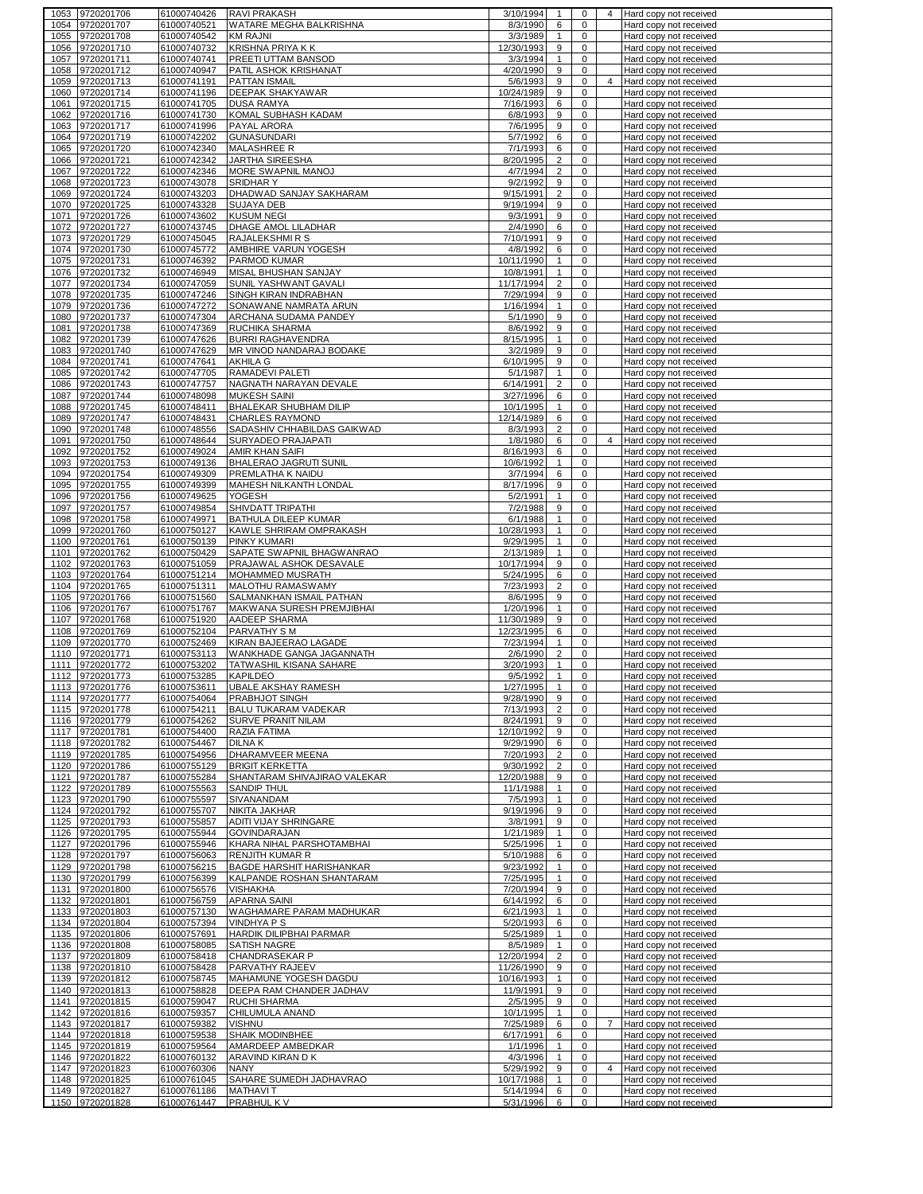| 1053         | 9720201706                         | 61000740426                | <b>RAVI PRAKASH</b>                                 | 3/10/1994               | 1                   | 0                          |                | 4 Hard copy not received                         |
|--------------|------------------------------------|----------------------------|-----------------------------------------------------|-------------------------|---------------------|----------------------------|----------------|--------------------------------------------------|
| 1054         | 9720201707                         | 61000740521                | WATARE MEGHA BALKRISHNA                             | 8/3/1990                | 6                   | 0                          |                | Hard copy not received                           |
| 1055         | 9720201708                         | 61000740542                | <b>KM RAJNI</b>                                     | 3/3/1989                | $\mathbf{1}$        | 0                          |                | Hard copy not received                           |
| 1056         | 9720201710<br>9720201711           | 61000740732                | <b>KRISHNA PRIYA K K</b><br>PREETI UTTAM BANSOD     | 12/30/1993              | 9                   | $\mathbf 0$<br>$\mathbf 0$ |                | Hard copy not received                           |
| 1057<br>1058 | 9720201712                         | 61000740741<br>61000740947 | PATIL ASHOK KRISHANAT                               | 3/3/1994<br>4/20/1990   | $\mathbf{1}$<br>9   | $\mathbf 0$                |                | Hard copy not received<br>Hard copy not received |
| 1059         | 9720201713                         | 61000741191                | PATTAN ISMAIL                                       | 5/6/1993                | 9                   | 0                          | 4              | Hard copy not received                           |
| 1060         | 9720201714                         | 61000741196                | DEEPAK SHAKYAWAR                                    | 10/24/1989              | 9                   | $\mathbf 0$                |                | Hard copy not received                           |
| 1061         | 9720201715                         | 61000741705                | <b>DUSA RAMYA</b>                                   | 7/16/1993               | 6                   | 0                          |                | Hard copy not received                           |
| 1062         | 9720201716                         | 61000741730                | KOMAL SUBHASH KADAM                                 | 6/8/1993                | 9                   | 0                          |                | Hard copy not received                           |
| 1063         | 9720201717                         | 61000741996                | PAYAL ARORA                                         | 7/6/1995                | 9                   | 0                          |                | Hard copy not received                           |
| 1064         | 9720201719                         | 61000742202                | <b>GUNASUNDARI</b>                                  | 5/7/1992                | 6                   | 0                          |                | Hard copy not received                           |
| 1065         | 9720201720                         | 61000742340                | MALASHREE R                                         | 7/1/1993                | 6                   | $\mathbf 0$                |                | Hard copy not received                           |
| 1066         | 9720201721                         | 61000742342                | JARTHA SIREESHA                                     | 8/20/1995               | $\overline{2}$      | $\mathbf 0$                |                | Hard copy not received                           |
| 1067         | 9720201722                         | 61000742346                | MORE SWAPNIL MANOJ                                  | 4/7/1994                | $\overline{2}$      | 0                          |                | Hard copy not received                           |
| 1068<br>1069 | 9720201723<br>9720201724           | 61000743078<br>61000743203 | <b>SRIDHARY</b><br>DHADWAD SANJAY SAKHARAM          | 9/2/1992<br>9/15/1991   | 9<br>$\overline{c}$ | 0<br>$\mathbf 0$           |                | Hard copy not received<br>Hard copy not received |
| 1070         | 9720201725                         | 61000743328                | SUJAYA DEB                                          | 9/19/1994               | 9                   | 0                          |                | Hard copy not received                           |
| 1071         | 9720201726                         | 61000743602                | <b>KUSUM NEGI</b>                                   | 9/3/1991                | 9                   | 0                          |                | Hard copy not received                           |
| 1072         | 9720201727                         | 61000743745                | DHAGE AMOL LILADHAR                                 | 2/4/1990                | 6                   | 0                          |                | Hard copy not received                           |
| 1073         | 9720201729                         | 61000745045                | <b>RAJALEKSHMIRS</b>                                | 7/10/1991               | 9                   | 0                          |                | Hard copy not received                           |
| 1074         | 9720201730                         | 61000745772                | AMBHIRE VARUN YOGESH                                | 4/8/1992                | 6                   | 0                          |                | Hard copy not received                           |
| 1075         | 9720201731                         | 61000746392                | PARMOD KUMAR                                        | 10/11/1990              | $\mathbf{1}$        | 0                          |                | Hard copy not received                           |
| 1076         | 9720201732                         | 61000746949                | MISAL BHUSHAN SANJAY                                | 10/8/1991               | $\mathbf{1}$        | 0                          |                | Hard copy not received                           |
| 1077         | 9720201734                         | 61000747059                | SUNIL YASHWANT GAVALI                               | 11/17/1994              | $\overline{2}$      | 0                          |                | Hard copy not received                           |
| 1078         | 9720201735                         | 61000747246                | SINGH KIRAN INDRABHAN                               | 7/29/1994               | 9                   | 0                          |                | Hard copy not received                           |
| 1079         | 9720201736                         | 61000747272                | SONAWANE NAMRATA ARUN                               | 1/16/1994               | $\mathbf{1}$        | $\mathbf 0$                |                | Hard copy not received                           |
| 1080<br>1081 | 9720201737<br>9720201738           | 61000747304<br>61000747369 | ARCHANA SUDAMA PANDEY<br>RUCHIKA SHARMA             | 5/1/1990<br>8/6/1992    | 9<br>9              | 0<br>0                     |                | Hard copy not received<br>Hard copy not received |
| 1082         | 9720201739                         | 61000747626                | <b>BURRI RAGHAVENDRA</b>                            | 8/15/1995               | $\mathbf{1}$        | 0                          |                | Hard copy not received                           |
| 1083         | 9720201740                         | 61000747629                | MR VINOD NANDARAJ BODAKE                            | 3/2/1989                | 9                   | $\mathbf 0$                |                | Hard copy not received                           |
| 1084         | 9720201741                         | 61000747641                | <b>AKHILA G</b>                                     | 6/10/1995               | 9                   | 0                          |                | Hard copy not received                           |
| 1085         | 9720201742                         | 61000747705                | RAMADEVI PALETI                                     | 5/1/1987                | $\mathbf{1}$        | 0                          |                | Hard copy not received                           |
| 1086         | 9720201743                         | 61000747757                | NAGNATH NARAYAN DEVALE                              | 6/14/1991               | $\overline{c}$      | $\mathbf 0$                |                | Hard copy not received                           |
| 1087         | 9720201744                         | 61000748098                | <b>MUKESH SAINI</b>                                 | 3/27/1996               | 6                   | $\mathbf 0$                |                | Hard copy not received                           |
| 1088         | 9720201745                         | 61000748411                | BHALEKAR SHUBHAM DILIP                              | 10/1/1995               | $\mathbf{1}$        | 0                          |                | Hard copy not received                           |
| 1089         | 9720201747                         | 61000748431                | <b>CHARLES RAYMOND</b>                              | 12/14/1989              | 6                   | 0                          |                | Hard copy not received                           |
| 1090         | 9720201748                         | 61000748556                | SADASHIV CHHABILDAS GAIKWAD                         | 8/3/1993                | $\overline{2}$      | $\mathbf 0$                |                | Hard copy not received                           |
| 1091         | 9720201750                         | 61000748644                | SURYADEO PRAJAPATI                                  | 1/8/1980                | 6                   | 0                          | 4              | Hard copy not received                           |
| 1092         | 9720201752                         | 61000749024                | AMIR KHAN SAIFI                                     | 8/16/1993               | 6                   | 0                          |                | Hard copy not received                           |
| 1093         | 9720201753                         | 61000749136                | BHALERAO JAGRUTI SUNIL                              | 10/6/1992               | $\mathbf{1}$<br>6   | 0<br>0                     |                | Hard copy not received                           |
| 1094<br>1095 | 9720201754<br>9720201755           | 61000749309<br>61000749399 | PREMLATHA K NAIDU<br>MAHESH NILKANTH LONDAL         | 3/7/1994<br>8/17/1996   | 9                   | 0                          |                | Hard copy not received<br>Hard copy not received |
| 1096         | 9720201756                         | 61000749625                | YOGESH                                              | 5/2/1991                | $\mathbf{1}$        | 0                          |                | Hard copy not received                           |
| 1097         | 9720201757                         | 61000749854                | SHIVDATT TRIPATHI                                   | 7/2/1988                | 9                   | 0                          |                | Hard copy not received                           |
| 1098         | 9720201758                         | 61000749971                | BATHULA DILEEP KUMAR                                | 6/1/1988                | $\mathbf{1}$        | $\mathbf 0$                |                | Hard copy not received                           |
| 1099         | 9720201760                         | 61000750127                | KAWLE SHRIRAM OMPRAKASH                             | 10/28/1993              | $\mathbf{1}$        | 0                          |                | Hard copy not received                           |
| 1100         | 9720201761                         | 61000750139                | PINKY KUMARI                                        | 9/29/1995               | $\mathbf{1}$        | 0                          |                | Hard copy not received                           |
| 1101         | 9720201762                         | 61000750429                | SAPATE SWAPNIL BHAGWANRAO                           | 2/13/1989               | $\mathbf{1}$        | 0                          |                | Hard copy not received                           |
| 1102         | 9720201763                         | 61000751059                | PRAJAWAL ASHOK DESAVALE                             | 10/17/1994              | 9                   | 0                          |                | Hard copy not received                           |
| 1103         | 9720201764                         | 61000751214                | MOHAMMED MUSRATH                                    | 5/24/1995               | 6                   | 0                          |                | Hard copy not received                           |
| 1104         | 9720201765                         | 61000751311                | <b>MALOTHU RAMASWAMY</b>                            | 7/23/1993               | $\overline{2}$      | $\mathbf 0$                |                | Hard copy not received                           |
| 1105         | 9720201766                         | 61000751560                | SALMANKHAN ISMAIL PATHAN                            | 8/6/1995                | 9                   | 0                          |                | Hard copy not received                           |
| 1106<br>1107 | 9720201767<br>9720201768           | 61000751767<br>61000751920 | MAKWANA SURESH PREMJIBHAI<br>AADEEP SHARMA          | 1/20/1996<br>11/30/1989 | $\mathbf{1}$<br>9   | 0<br>0                     |                | Hard copy not received<br>Hard copy not received |
| 1108         | 9720201769                         | 61000752104                | <b>PARVATHY SM</b>                                  | 12/23/1995              | 6                   | $\mathbf 0$                |                | Hard copy not received                           |
| 1109         | 9720201770                         | 61000752469                | KIRAN BAJEERAO LAGADE                               | 7/23/1994               | $\mathbf{1}$        | 0                          |                | Hard copy not received                           |
| 1110         | 9720201771                         | 61000753113                | WANKHADE GANGA JAGANNATH                            | 2/6/1990                | $\overline{2}$      | $\mathbf 0$                |                | Hard copy not received                           |
| 1111         | 9720201772                         | 61000753202                | TATWASHIL KISANA SAHARE                             | 3/20/1993               | $\mathbf{1}$        | 0                          |                | Hard copy not received                           |
| 1112         | 9720201773                         | 61000753285                | <b>KAPILDEO</b>                                     | 9/5/1992                | $\mathbf{1}$        | $\mathbf 0$                |                | Hard copy not received                           |
|              | 1113 19720201776                   | 61000753611                | <b>UBALE AKSHAY RAMESH</b>                          | 1/27/1995               |                     | U                          |                | Hard copy not received                           |
|              | 1114 9720201777                    | 61000754064                | <b>PRABHJOT SINGH</b>                               | 9/28/1990               | 9                   | 0                          |                | Hard copy not received                           |
|              | 1115 9720201778                    | 61000754211                | BALU TUKARAM VADEKAR                                | 7/13/1993               | $\overline{2}$      | $\mathbf 0$                |                | Hard copy not received                           |
|              | 1116 9720201779                    | 61000754262                | <b>SURVE PRANIT NILAM</b>                           | 8/24/1991               | 9                   | $\mathbf 0$                |                | Hard copy not received                           |
|              | 1117 9720201781<br>1118 9720201782 | 61000754400<br>61000754467 | RAZIA FATIMA<br><b>DILNAK</b>                       | 12/10/1992<br>9/29/1990 | 9<br>6              | $\mathbf 0$<br>$\mathbf 0$ |                | Hard copy not received<br>Hard copy not received |
|              | 1119 9720201785                    | 61000754956                | DHARAMVEER MEENA                                    | 7/20/1993               | $\overline{2}$      | 0                          |                | Hard copy not received                           |
|              | 1120 9720201786                    | 61000755129                | <b>BRIGIT KERKETTA</b>                              | 9/30/1992               | $\overline{2}$      | 0                          |                | Hard copy not received                           |
|              | 1121 9720201787                    | 61000755284                | SHANTARAM SHIVAJIRAO VALEKAR                        | 12/20/1988              | 9                   | 0                          |                | Hard copy not received                           |
|              | 1122 9720201789                    | 61000755563                | <b>SANDIP THUL</b>                                  | 11/1/1988               | $\mathbf{1}$        | 0                          |                | Hard copy not received                           |
|              | 1123 9720201790                    | 61000755597                | SIVANANDAM                                          | 7/5/1993                | $\mathbf{1}$        | 0                          |                | Hard copy not received                           |
|              | 1124 9720201792                    | 61000755707                | NIKITA JAKHAR                                       | 9/19/1996               | 9                   | 0                          |                | Hard copy not received                           |
| 1125         | 9720201793                         | 61000755857                | ADITI VIJAY SHRINGARE                               | 3/8/1991                | 9                   | $\mathbf 0$                |                | Hard copy not received                           |
|              | 1126 9720201795                    | 61000755944                | GOVINDARAJAN                                        | 1/21/1989               | $\mathbf{1}$        | 0                          |                | Hard copy not received                           |
|              | 1127 9720201796                    | 61000755946                | KHARA NIHAL PARSHOTAMBHAI<br><b>RENJITH KUMAR R</b> | 5/25/1996               | $\mathbf{1}$        | $\mathbf 0$                |                | Hard copy not received                           |
|              | 1128 9720201797<br>1129 9720201798 | 61000756063<br>61000756215 | BAGDE HARSHIT HARISHANKAR                           | 5/10/1988<br>9/23/1992  | 6<br>$\mathbf{1}$   | 0<br>$\mathbf 0$           |                | Hard copy not received<br>Hard copy not received |
|              | 1130 9720201799                    | 61000756399                | KALPANDE ROSHAN SHANTARAM                           | 7/25/1995               | $\mathbf{1}$        | 0                          |                | Hard copy not received                           |
|              | 1131 9720201800                    | 61000756576                | <b>VISHAKHA</b>                                     | 7/20/1994               | 9                   | 0                          |                | Hard copy not received                           |
|              | 1132 9720201801                    | 61000756759                | <b>APARNA SAINI</b>                                 | 6/14/1992               | 6                   | 0                          |                | Hard copy not received                           |
|              | 1133 9720201803                    | 61000757130                | WAGHAMARE PARAM MADHUKAR                            | 6/21/1993               | $\mathbf{1}$        | 0                          |                | Hard copy not received                           |
|              | 1134 9720201804                    | 61000757394                | <b>VINDHYA P S</b>                                  | 5/20/1993               | 6                   | 0                          |                | Hard copy not received                           |
|              | 1135 9720201806                    | 61000757691                | HARDIK DILIPBHAI PARMAR                             | 5/25/1989               | $\mathbf{1}$        | $\mathbf 0$                |                | Hard copy not received                           |
|              | 1136 9720201808                    | 61000758085                | SATISH NAGRE                                        | 8/5/1989                | $\mathbf{1}$        | $\mathbf 0$                |                | Hard copy not received                           |
|              | 1137 9720201809                    | 61000758418                | <b>CHANDRASEKAR P</b>                               | 12/20/1994              | $\overline{2}$      | $\mathbf 0$                |                | Hard copy not received                           |
|              | 1138 9720201810                    | 61000758428                | PARVATHY RAJEEV                                     | 11/26/1990              | 9                   | 0                          |                | Hard copy not received                           |
|              | 1139 9720201812                    | 61000758745                | MAHAMUNE YOGESH DAGDU                               | 10/16/1993              | $\mathbf{1}$        | 0                          |                | Hard copy not received                           |
|              | 1140 9720201813<br>1141 9720201815 | 61000758828<br>61000759047 | DEEPA RAM CHANDER JADHAV<br>RUCHI SHARMA            | 11/9/1991<br>2/5/1995   | 9<br>9              | 0<br>0                     |                | Hard copy not received                           |
|              | 1142 9720201816                    | 61000759357                | CHILUMULA ANAND                                     | 10/1/1995               | $\mathbf{1}$        | 0                          |                | Hard copy not received<br>Hard copy not received |
|              | 1143 9720201817                    | 61000759382                | <b>VISHNU</b>                                       | 7/25/1989               | 6                   | 0                          | $\overline{7}$ | Hard copy not received                           |
|              | 1144 9720201818                    | 61000759538                | SHAIK MODINBHEE                                     | 6/17/1991               | 6                   | 0                          |                | Hard copy not received                           |
|              | 1145 9720201819                    | 61000759564                | AMARDEEP AMBEDKAR                                   | 1/1/1996                | $\mathbf{1}$        | $\mathbf 0$                |                | Hard copy not received                           |
|              | 1146 9720201822                    | 61000760132                | ARAVIND KIRAN D K                                   | 4/3/1996                | $\mathbf{1}$        | 0                          |                | Hard copy not received                           |
|              | 1147 9720201823                    | 61000760306                | <b>NANY</b>                                         | 5/29/1992               | 9                   | 0                          | 4              | Hard copy not received                           |
|              |                                    | 61000761045                | SAHARE SUMEDH JADHAVRAO                             | 10/17/1988              | $\mathbf{1}$        | 0                          |                | Hard copy not received                           |
|              | 1148 9720201825                    |                            |                                                     |                         |                     |                            |                |                                                  |
| 1149<br>1150 | 9720201827<br>9720201828           | 61000761186<br>61000761447 | <b>MATHAVIT</b><br><b>PRABHULKV</b>                 | 5/14/1994<br>5/31/1996  | 6<br>6              | 0<br>0                     |                | Hard copy not received<br>Hard copy not received |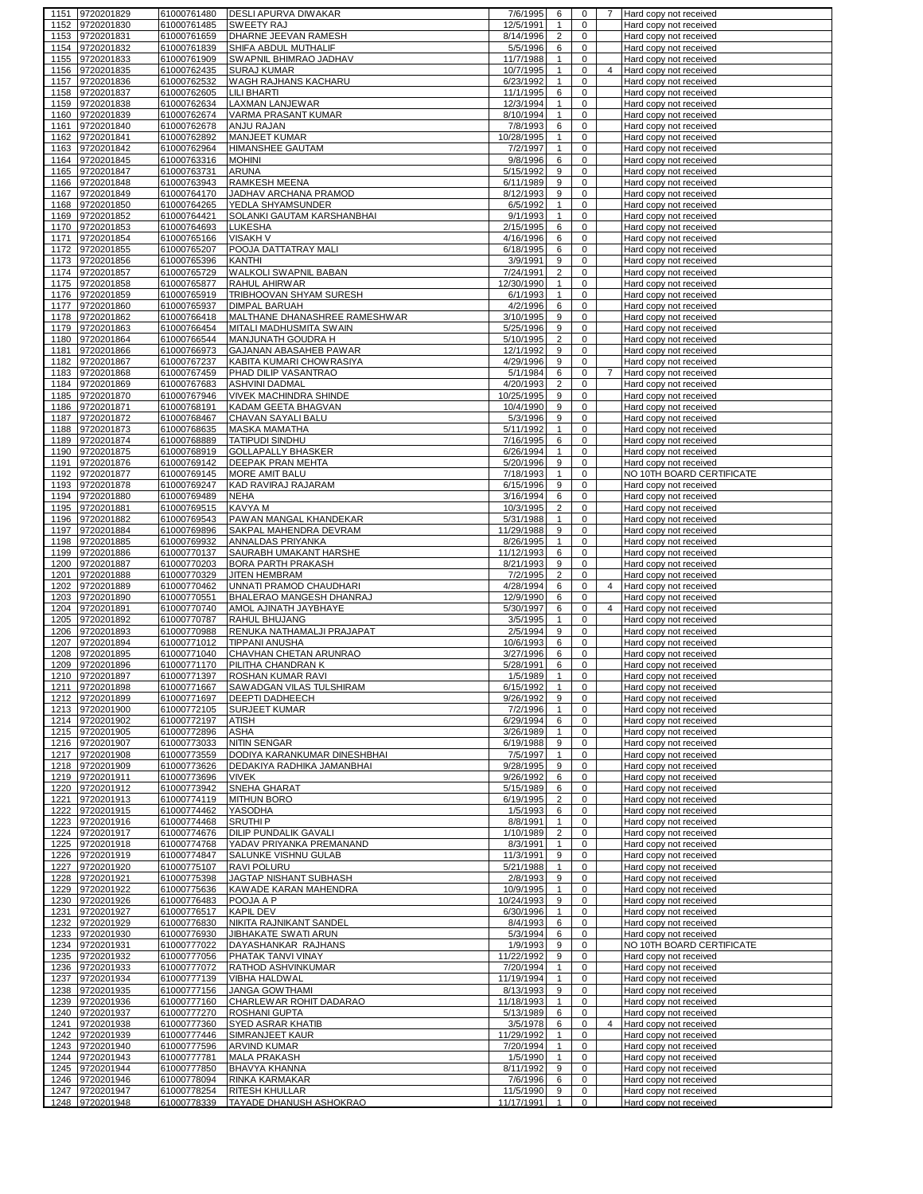|              | 1151 9720201829                    | 61000761480                | DESLI APURVA DIWAKAR                               | 7/6/1995                | 6                            | 0                                  | 7              | Hard copy not received                              |
|--------------|------------------------------------|----------------------------|----------------------------------------------------|-------------------------|------------------------------|------------------------------------|----------------|-----------------------------------------------------|
| 1152         | 9720201830                         | 61000761485                | <b>SWEETY RAJ</b>                                  | 12/5/1991               | $\mathbf{1}$                 | 0                                  |                | Hard copy not received                              |
| 1153         | 9720201831                         | 61000761659                | DHARNE JEEVAN RAMESH                               | 8/14/1996               | $\overline{2}$               | $\mathbf 0$                        |                | Hard copy not received                              |
| 1154         | 9720201832                         | 61000761839                | SHIFA ABDUL MUTHALIF                               | 5/5/1996                | 6                            | $\mathsf 0$                        |                | Hard copy not received                              |
| 1155<br>1156 | 9720201833<br>9720201835           | 61000761909<br>61000762435 | SWAPNIL BHIMRAO JADHAV<br><b>SURAJ KUMAR</b>       | 11/7/1988<br>10/7/1995  | $\mathbf{1}$<br>$\mathbf{1}$ | $\mathbf 0$<br>$\mathbf 0$         | 4              | Hard copy not received<br>Hard copy not received    |
| 1157         | 9720201836                         | 61000762532                | WAGH RAJHANS KACHARU                               | 6/23/1992               | $\mathbf{1}$                 | $\mathbf 0$                        |                | Hard copy not received                              |
| 1158         | 9720201837                         | 61000762605                | <b>LILI BHARTI</b>                                 | 11/1/1995               | 6                            | $\mathbf 0$                        |                | Hard copy not received                              |
| 1159         | 9720201838                         | 61000762634                | LAXMAN LANJEWAR                                    | 12/3/1994               | $\mathbf{1}$                 | 0                                  |                | Hard copy not received                              |
| 1160         | 9720201839                         | 61000762674                | VARMA PRASANT KUMAR                                | 8/10/1994               | $\mathbf{1}$                 | $\mathbf 0$                        |                | Hard copy not received                              |
| 1161         | 9720201840                         | 61000762678                | ANJU RAJAN                                         | 7/8/1993                | 6                            | $\mathbf 0$                        |                | Hard copy not received                              |
| 1162         | 9720201841                         | 61000762892                | <b>MANJEET KUMAR</b>                               | 10/28/1995              | $\mathbf{1}$                 | $\mathbf 0$                        |                | Hard copy not received                              |
| 1163         | 9720201842                         | 61000762964                | HIMANSHEE GAUTAM                                   | 7/2/1997                | $\mathbf{1}$                 | $\mathbf 0$                        |                | Hard copy not received                              |
| 1164<br>1165 | 9720201845<br>9720201847           | 61000763316<br>61000763731 | <b>MOHINI</b><br>ARUNA                             | 9/8/1996<br>5/15/1992   | 6<br>9                       | $\mathbf 0$<br>$\mathbf 0$         |                | Hard copy not received                              |
|              | 1166 9720201848                    | 61000763943                | RAMKESH MEENA                                      | 6/11/1989               | 9                            | $\mathbf 0$                        |                | Hard copy not received<br>Hard copy not received    |
|              | 1167 9720201849                    | 61000764170                | JADHAV ARCHANA PRAMOD                              | 8/12/1993               | 9                            | $\mathbf 0$                        |                | Hard copy not received                              |
|              | 1168 9720201850                    | 61000764265                | YEDLA SHYAMSUNDER                                  | 6/5/1992                | $\mathbf{1}$                 | $\mathbf 0$                        |                | Hard copy not received                              |
|              | 1169 9720201852                    | 61000764421                | SOLANKI GAUTAM KARSHANBHAI                         | 9/1/1993                | $\mathbf{1}$                 | $\mathbf 0$                        |                | Hard copy not received                              |
| 1170         | 9720201853                         | 61000764693                | LUKESHA                                            | 2/15/1995               | 6                            | $\mathbf 0$                        |                | Hard copy not received                              |
|              | 1171 9720201854                    | 61000765166                | <b>VISAKH V</b>                                    | 4/16/1996               | 6                            | $\mathbf 0$                        |                | Hard copy not received                              |
| 1172         | 9720201855                         | 61000765207<br>61000765396 | POOJA DATTATRAY MALI                               | 6/18/1995               | 6                            | 0<br>0                             |                | Hard copy not received                              |
| 1174         | 1173 9720201856<br>9720201857      | 61000765729                | KANTHI<br>WALKOLI SWAPNIL BABAN                    | 3/9/1991<br>7/24/1991   | 9<br>$\overline{c}$          | $\mathbf 0$                        |                | Hard copy not received<br>Hard copy not received    |
| 1175         | 9720201858                         | 61000765877                | RAHUL AHIRWAR                                      | 12/30/1990              | $\mathbf{1}$                 | 0                                  |                | Hard copy not received                              |
| 1176         | 9720201859                         | 61000765919                | TRIBHOOVAN SHYAM SURESH                            | 6/1/1993                | $\mathbf{1}$                 | $\mathbf 0$                        |                | Hard copy not received                              |
| 1177         | 9720201860                         | 61000765937                | <b>DIMPAL BARUAH</b>                               | 4/2/1996                | 6                            | 0                                  |                | Hard copy not received                              |
| 1178         | 9720201862                         | 61000766418                | MALTHANE DHANASHREE RAMESHWAR                      | 3/10/1995               | 9                            | $\mathbf 0$                        |                | Hard copy not received                              |
| 1179         | 9720201863                         | 61000766454                | MITALI MADHUSMITA SWAIN                            | 5/25/1996               | 9                            | $\mathbf 0$                        |                | Hard copy not received                              |
| 1180         | 9720201864                         | 61000766544                | MANJUNATH GOUDRA H                                 | 5/10/1995               | $\overline{\mathbf{c}}$      | $\mathbf 0$                        |                | Hard copy not received                              |
| 1181         | 9720201866                         | 61000766973                | GAJANAN ABASAHEB PAWAR                             | 12/1/1992               | 9                            | $\mathbf 0$                        |                | Hard copy not received                              |
| 1182<br>1183 | 9720201867<br>9720201868           | 61000767237<br>61000767459 | KABITA KUMARI CHOWRASIYA<br>PHAD DILIP VASANTRAO   | 4/29/1996<br>5/1/1984   | 9<br>6                       | $\mathbf 0$<br>$\mathsf{O}\xspace$ | $\overline{7}$ | Hard copy not received<br>Hard copy not received    |
| 1184         | 9720201869                         | 61000767683                | <b>ASHVINI DADMAL</b>                              | 4/20/1993               | $\overline{c}$               | $\mathbf 0$                        |                | Hard copy not received                              |
| 1185         | 9720201870                         | 61000767946                | <b>VIVEK MACHINDRA SHINDE</b>                      | 10/25/1995              | 9                            | $\mathbf 0$                        |                | Hard copy not received                              |
| 1186         | 9720201871                         | 61000768191                | KADAM GEETA BHAGVAN                                | 10/4/1990               | 9                            | 0                                  |                | Hard copy not received                              |
| 1187         | 9720201872                         | 61000768467                | CHAVAN SAYALI BALU                                 | 5/3/1996                | 9                            | $\mathbf 0$                        |                | Hard copy not received                              |
| 1188         | 9720201873                         | 61000768635                | <b>MASKA MAMATHA</b>                               | 5/11/1992               | $\mathbf{1}$                 | 0                                  |                | Hard copy not received                              |
| 1189         | 9720201874                         | 61000768889                | <b>TATIPUDI SINDHU</b>                             | 7/16/1995               | 6                            | $\mathbf 0$                        |                | Hard copy not received                              |
|              | 1190 9720201875                    | 61000768919                | <b>GOLLAPALLY BHASKER</b>                          | 6/26/1994               | $\mathbf{1}$                 | $\mathbf 0$                        |                | Hard copy not received                              |
| 1191<br>1192 | 9720201876                         | 61000769142                | DEEPAK PRAN MEHTA                                  | 5/20/1996               | 9<br>$\mathbf{1}$            | $\mathbf 0$<br>$\mathbf 0$         |                | Hard copy not received                              |
|              | 9720201877<br>1193 9720201878      | 61000769145<br>61000769247 | MORE AMIT BALU<br>KAD RAVIRAJ RAJARAM              | 7/18/1993<br>6/15/1996  | 9                            | $\mathbf 0$                        |                | NO 10TH BOARD CERTIFICATE<br>Hard copy not received |
|              | 1194 9720201880                    | 61000769489                | <b>NEHA</b>                                        | 3/16/1994               | 6                            | $\mathbf 0$                        |                | Hard copy not received                              |
|              | 1195 9720201881                    | 61000769515                | KAVYA M                                            | 10/3/1995               | $\overline{c}$               | $\mathsf{O}\xspace$                |                | Hard copy not received                              |
|              | 1196 9720201882                    | 61000769543                | PAWAN MANGAL KHANDEKAR                             | 5/31/1988               | $\mathbf{1}$                 | $\mathbf 0$                        |                | Hard copy not received                              |
| 1197         | 9720201884                         | 61000769896                | SAKPAL MAHENDRA DEVRAM                             | 11/29/1988              | 9                            | $\mathbf 0$                        |                | Hard copy not received                              |
| 1198         | 9720201885                         | 61000769932                | ANNALDAS PRIYANKA                                  | 8/26/1995               | $\mathbf{1}$                 | 0                                  |                | Hard copy not received                              |
| 1199         | 9720201886                         | 61000770137                | SAURABH UMAKANT HARSHE                             | 11/12/1993              | 6                            | $\mathbf 0$                        |                | Hard copy not received                              |
|              |                                    |                            |                                                    |                         |                              |                                    |                |                                                     |
| 1200         | 9720201887                         | 61000770203                | BORA PARTH PRAKASH                                 | 8/21/1993               | 9                            | 0                                  |                | Hard copy not received                              |
| 1201         | 9720201888                         | 61000770329                | JITEN HEMBRAM                                      | 7/2/1995                | $\overline{c}$               | $\mathbf 0$                        |                | Hard copy not received                              |
| 1202         | 9720201889                         | 61000770462                | UNNATI PRAMOD CHAUDHARI                            | 4/28/1994               | 6                            | $\mathbf 0$                        | $\overline{4}$ | Hard copy not received                              |
| 1203         | 9720201890                         | 61000770551                | BHALERAO MANGESH DHANRAJ                           | 12/9/1990               | 6                            | $\mathbf 0$                        |                | Hard copy not received                              |
| 1204<br>1205 | 9720201891                         | 61000770740                | AMOL AJINATH JAYBHAYE<br>RAHUL BHUJANG             | 5/30/1997<br>3/5/1995   | 6<br>$\mathbf{1}$            | $\mathbf 0$<br>0                   | $\overline{4}$ | Hard copy not received<br>Hard copy not received    |
| 1206         | 9720201892<br>9720201893           | 61000770787<br>61000770988 | RENUKA NATHAMALJI PRAJAPAT                         | 2/5/1994                | 9                            | $\mathbf 0$                        |                | Hard copy not received                              |
| 1207         | 9720201894                         | 61000771012                | <b>TIPPANI ANUSHA</b>                              | 10/6/1993               | 6                            | 0                                  |                | Hard copy not received                              |
| 1208         | 9720201895                         | 61000771040                | CHAVHAN CHETAN ARUNRAO                             | 3/27/1996               | 6                            | 0                                  |                | Hard copy not received                              |
| 1209         | 9720201896                         | 61000771170                | PILITHA CHANDRAN K                                 | 5/28/1991               | 6                            | 0                                  |                | Hard copy not received                              |
| 1210         | 9720201897                         | 61000771397                | ROSHAN KUMAR RAVI                                  | 1/5/1989                | $\mathbf{1}$                 | 0                                  |                | Hard copy not received                              |
|              | 1211 9720201898<br>1212 9720201899 | 61000771667<br>61000771697 | SAWADGAN VILAS TULSHIRAM<br><b>DEEPTI DADHEECH</b> | 6/15/1992<br>9/26/1992  | 9                            | 0<br>0                             |                | Hard copy not received<br>Hard copy not received    |
|              | 1213 9720201900                    | 61000772105                | <b>SURJEET KUMAR</b>                               | 7/2/1996                | $\mathbf{1}$                 | 0                                  |                | Hard copy not received                              |
|              | 1214 9720201902                    | 61000772197                | <b>ATISH</b>                                       | 6/29/1994               | 6                            | $\mathbf 0$                        |                | Hard copy not received                              |
|              | 1215 9720201905                    | 61000772896                | <b>ASHA</b>                                        | 3/26/1989               | $\mathbf{1}$                 | 0                                  |                | Hard copy not received                              |
|              | 1216 9720201907                    | 61000773033                | <b>NITIN SENGAR</b>                                | 6/19/1988               | 9                            | $\mathbf 0$                        |                | Hard copy not received                              |
|              | 1217 9720201908                    | 61000773559                | DODIYA KARANKUMAR DINESHBHAI                       | 7/5/1997                | $\mathbf{1}$                 | $\mathbf 0$                        |                | Hard copy not received                              |
|              | 1218 9720201909                    | 61000773626                | DEDAKIYA RADHIKA JAMANBHAI                         | 9/28/1995               | 9                            | $\mathbf 0$                        |                | Hard copy not received                              |
|              | 1219 9720201911<br>1220 9720201912 | 61000773696<br>61000773942 | <b>VIVEK</b><br>SNEHA GHARAT                       | 9/26/1992<br>5/15/1989  | 6<br>6                       | $\mathbf 0$<br>$\mathsf 0$         |                | Hard copy not received<br>Hard copy not received    |
|              | 1221 9720201913                    | 61000774119                | <b>MITHUN BORO</b>                                 | 6/19/1995               | $\overline{2}$               | $\mathbf 0$                        |                | Hard copy not received                              |
|              | 1222 9720201915                    | 61000774462                | YASODHA                                            | 1/5/1993                | 6                            | $\mathbf 0$                        |                | Hard copy not received                              |
|              | 1223 9720201916                    | 61000774468                | SRUTHI <sub>P</sub>                                | 8/8/1991                | $\mathbf{1}$                 | $\mathbf 0$                        |                | Hard copy not received                              |
|              | 1224 9720201917                    | 61000774676                | DILIP PUNDALIK GAVALI                              | 1/10/1989               | $\overline{c}$               | $\mathbf 0$                        |                | Hard copy not received                              |
|              | 1225 9720201918                    | 61000774768                | YADAV PRIYANKA PREMANAND                           | 8/3/1991                | $\mathbf{1}$                 | 0                                  |                | Hard copy not received                              |
| 1226         | 9720201919                         | 61000774847                | SALUNKE VISHNU GULAB                               | 11/3/1991               | 9                            | 0                                  |                | Hard copy not received                              |
|              | 1227 9720201920                    | 61000775107                | RAVI POLURU                                        | 5/21/1988               | $\mathbf{1}$                 | 0<br>$\mathbf 0$                   |                | Hard copy not received<br>Hard copy not received    |
|              | 1228 9720201921<br>1229 9720201922 | 61000775398<br>61000775636 | JAGTAP NISHANT SUBHASH<br>KAWADE KARAN MAHENDRA    | 2/8/1993<br>10/9/1995   | 9<br>$\mathbf{1}$            | 0                                  |                | Hard copy not received                              |
|              | 1230 9720201926                    | 61000776483                | POOJA A P                                          | 10/24/1993              | 9                            | $\mathbf 0$                        |                | Hard copy not received                              |
|              | 1231 9720201927                    | 61000776517                | <b>KAPIL DEV</b>                                   | 6/30/1996               | $\mathbf{1}$                 | $\mathbf 0$                        |                | Hard copy not received                              |
|              | 1232 9720201929                    | 61000776830                | NIKITA RAJNIKANT SANDEL                            | 8/4/1993                | 6                            | $\mathbf 0$                        |                | Hard copy not received                              |
|              | 1233 9720201930                    | 61000776930                | <b>JIBHAKATE SWATI ARUN</b>                        | 5/3/1994                | 6                            | 0                                  |                | Hard copy not received                              |
| 1234         | 9720201931                         | 61000777022                | DAYASHANKAR RAJHANS                                | 1/9/1993                | 9                            | 0                                  |                | NO 10TH BOARD CERTIFICATE                           |
|              | 1235 9720201932                    | 61000777056                | PHATAK TANVI VINAY                                 | 11/22/1992              | 9                            | $\mathbf 0$                        |                | Hard copy not received                              |
|              | 1236 9720201933<br>1237 9720201934 | 61000777072<br>61000777139 | RATHOD ASHVINKUMAR<br>VIBHA HALDWAL                | 7/20/1994<br>11/19/1994 | $\mathbf{1}$<br>$\mathbf{1}$ | $\mathbf 0$<br>0                   |                | Hard copy not received<br>Hard copy not received    |
|              | 1238 9720201935                    | 61000777156                | <b>JANGA GOWTHAMI</b>                              | 8/13/1993               | 9                            | 0                                  |                | Hard copy not received                              |
|              | 1239 9720201936                    | 61000777160                | CHARLEWAR ROHIT DADARAO                            | 11/18/1993              | $\mathbf{1}$                 | $\mathbf 0$                        |                | Hard copy not received                              |
|              | 1240 9720201937                    | 61000777270                | ROSHANI GUPTA                                      | 5/13/1989               | 6                            | $\mathbf 0$                        |                | Hard copy not received                              |
|              | 1241 9720201938                    | 61000777360                | SYED ASRAR KHATIB                                  | 3/5/1978                | 6                            | $\mathbf 0$                        | 4              | Hard copy not received                              |
|              | 1242 9720201939                    | 61000777446                | SIMRANJEET KAUR                                    | 11/29/1992              | $\mathbf{1}$                 | 0                                  |                | Hard copy not received                              |
|              | 1243 9720201940                    | 61000777596                | ARVIND KUMAR                                       | 7/20/1994               | $\mathbf{1}$                 | $\mathbf 0$                        |                | Hard copy not received                              |
|              | 1244 9720201943                    | 61000777781                | <b>MALA PRAKASH</b>                                | 1/5/1990                | $\mathbf{1}$<br>9            | 0<br>$\mathbf 0$                   |                | Hard copy not received                              |
|              | 1245 9720201944<br>1246 9720201946 | 61000777850<br>61000778094 | BHAVYA KHANNA<br>RINKA KARMAKAR                    | 8/11/1992<br>7/6/1996   | 6                            | $\mathbf 0$                        |                | Hard copy not received<br>Hard copy not received    |
|              | 1247 9720201947<br>1248 9720201948 | 61000778254<br>61000778339 | RITESH KHULLAR<br>TAYADE DHANUSH ASHOKRAO          | 11/5/1990<br>11/17/1991 | 9<br>$\mathbf{1}$            | $\mathbf 0$<br>$\mathbf{0}$        |                | Hard copy not received<br>Hard copy not received    |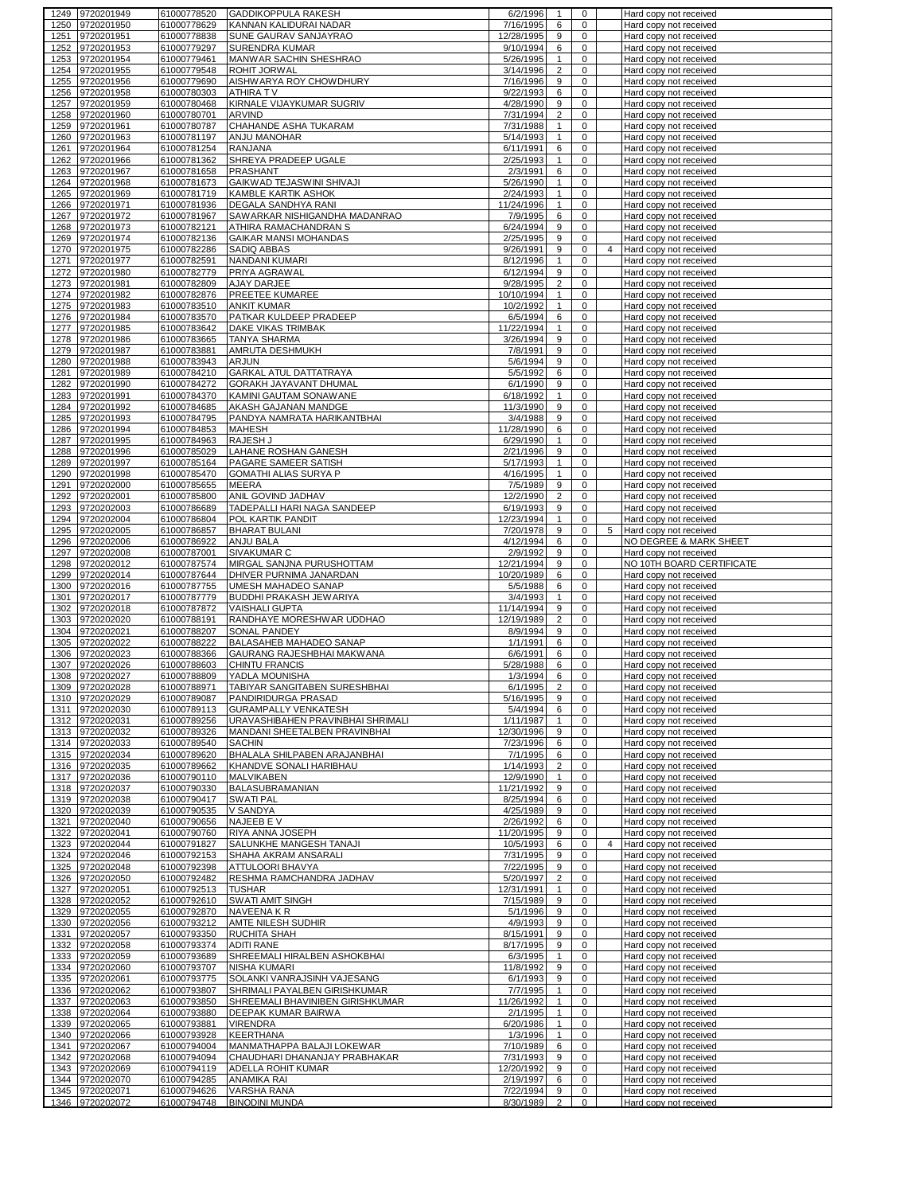|              | 1249 9720201949                    | 61000778520                | <b>GADDIKOPPULA RAKESH</b>                      | 6/2/1996               | $\mathbf{1}$            | $\mathbf 0$      |                | Hard copy not received                           |
|--------------|------------------------------------|----------------------------|-------------------------------------------------|------------------------|-------------------------|------------------|----------------|--------------------------------------------------|
| 1250         | 9720201950                         | 61000778629                | KANNAN KALIDURAI NADAR                          | 7/16/1995              | 6                       | 0                |                | Hard copy not received                           |
| 1251         | 9720201951                         | 61000778838                | SUNE GAURAV SANJAYRAO                           | 12/28/1995             | 9                       | 0                |                | Hard copy not received                           |
| 1252         | 9720201953                         | 61000779297                | <b>SURENDRA KUMAR</b>                           | 9/10/1994              | 6                       | $\mathbf 0$      |                | Hard copy not received                           |
| 1253         | 9720201954                         | 61000779461                | MANWAR SACHIN SHESHRAO                          | 5/26/1995              | $\mathbf{1}$            | 0                |                | Hard copy not received                           |
| 1254         | 9720201955                         | 61000779548                | ROHIT JORWAL                                    | 3/14/1996              | $\overline{\mathbf{c}}$ | $\mathbf 0$      |                | Hard copy not received                           |
| 1255         | 9720201956                         | 61000779690                | AISHWARYA ROY CHOWDHURY                         | 7/16/1996              | 9                       | $\pmb{0}$        |                | Hard copy not received                           |
| 1256         | 9720201958                         | 61000780303                | ATHIRA TV                                       | 9/22/1993              | 6                       | $\mathbf 0$      |                | Hard copy not received                           |
| 1257         | 9720201959                         | 61000780468                | KIRNALE VIJAYKUMAR SUGRIV                       | 4/28/1990              | 9                       | 0                |                | Hard copy not received                           |
| 1258         | 9720201960                         | 61000780701                | <b>ARVIND</b>                                   | 7/31/1994              | $\overline{\mathbf{c}}$ | 0                |                | Hard copy not received                           |
| 1259         | 9720201961                         | 61000780787                | CHAHANDE ASHA TUKARAM                           | 7/31/1988              | $\mathbf{1}$            | 0                |                | Hard copy not received                           |
| 1260         | 9720201963                         | 61000781197                | ANJU MANOHAR                                    | 5/14/1993              | $\mathbf{1}$            | $\mathbf 0$      |                | Hard copy not received                           |
| 1261         | 9720201964                         | 61000781254                | <b>RANJANA</b>                                  | 6/11/1991              | 6                       | 0                |                | Hard copy not received                           |
| 1262         | 9720201966                         | 61000781362                | SHREYA PRADEEP UGALE                            | 2/25/1993              | $\mathbf{1}$            | $\mathbf 0$      |                | Hard copy not received                           |
| 1263         | 9720201967                         | 61000781658                | <b>PRASHANT</b>                                 | 2/3/1991               | 6                       | 0                |                | Hard copy not received                           |
| 1264         | 9720201968                         | 61000781673                | GAIKWAD TEJASWINI SHIVAJI                       | 5/26/1990              | $\mathbf{1}$            | 0                |                | Hard copy not received                           |
| 1265         | 9720201969                         | 61000781719                | KAMBLE KARTIK ASHOK                             | 2/24/1993              | $\mathbf{1}$            | $\mathbf 0$      |                | Hard copy not received                           |
| 1266         | 9720201971                         | 61000781936                | DEGALA SANDHYA RANI                             | 11/24/1996             | $\mathbf{1}$            | $\mathbf 0$      |                | Hard copy not received                           |
| 1267         | 9720201972                         | 61000781967                | SAWARKAR NISHIGANDHA MADANRAO                   | 7/9/1995               | 6                       | 0                |                | Hard copy not received                           |
| 1268<br>1269 | 9720201973                         | 61000782121                | ATHIRA RAMACHANDRAN S                           | 6/24/1994              | 9<br>9                  | $\mathbf 0$<br>0 |                | Hard copy not received                           |
| 1270         | 9720201974<br>9720201975           | 61000782136<br>61000782286 | GAIKAR MANSI MOHANDAS<br>SADIQ ABBAS            | 2/25/1995<br>9/26/1991 | 9                       | $\mathbf 0$      | 4              | Hard copy not received<br>Hard copy not received |
| 1271         | 9720201977                         | 61000782591                | NANDANI KUMARI                                  | 8/12/1996              | $\mathbf{1}$            | 0                |                | Hard copy not received                           |
| 1272         | 9720201980                         | 61000782779                | PRIYA AGRAWAL                                   | 6/12/1994              | 9                       | $\mathbf 0$      |                | Hard copy not received                           |
|              | 1273 9720201981                    | 61000782809                | AJAY DARJEE                                     | 9/28/1995              | $\overline{2}$          | $\mathbf 0$      |                | Hard copy not received                           |
| 1274         | 9720201982                         | 61000782876                | PREETEE KUMAREE                                 | 10/10/1994             | $\mathbf{1}$            | $\mathbf 0$      |                | Hard copy not received                           |
|              | 1275 9720201983                    | 61000783510                | <b>ANKIT KUMAR</b>                              | 10/2/1992              | $\mathbf{1}$            | 0                |                | Hard copy not received                           |
| 1276         | 9720201984                         | 61000783570                | PATKAR KULDEEP PRADEEP                          | 6/5/1994               | 6                       | $\pmb{0}$        |                | Hard copy not received                           |
| 1277         | 9720201985                         | 61000783642                | DAKE VIKAS TRIMBAK                              | 11/22/1994             | $\mathbf{1}$            | $\mathbf 0$      |                | Hard copy not received                           |
| 1278         | 9720201986                         | 61000783665                | <b>TANYA SHARMA</b>                             | 3/26/1994              | 9                       | 0                |                | Hard copy not received                           |
| 1279         | 9720201987                         | 61000783881                | AMRUTA DESHMUKH                                 | 7/8/1991               | 9                       | $\pmb{0}$        |                | Hard copy not received                           |
| 1280         | 9720201988                         | 61000783943                | <b>ARJUN</b>                                    | 5/6/1994               | 9                       | $\pmb{0}$        |                | Hard copy not received                           |
| 1281         | 9720201989                         | 61000784210                | <b>GARKAL ATUL DATTATRAYA</b>                   | 5/5/1992               | 6                       | $\mathbf 0$      |                | Hard copy not received                           |
| 1282         | 9720201990                         | 61000784272                | <b>GORAKH JAYAVANT DHUMAL</b>                   | 6/1/1990               | 9                       | 0                |                | Hard copy not received                           |
| 1283         | 9720201991                         | 61000784370                | KAMINI GAUTAM SONAWANE                          | 6/18/1992              | $\mathbf{1}$            | 0                |                | Hard copy not received                           |
| 1284         | 9720201992                         | 61000784685                | AKASH GAJANAN MANDGE                            | 11/3/1990              | 9                       | 0                |                | Hard copy not received                           |
| 1285         | 9720201993                         | 61000784795                | PANDYA NAMRATA HARIKANTBHAI                     | 3/4/1988               | 9                       | $\mathbf 0$      |                | Hard copy not received                           |
| 1286         | 9720201994                         | 61000784853                | <b>MAHESH</b>                                   | 11/28/1990             | 6                       | 0                |                | Hard copy not received                           |
| 1287         | 9720201995                         | 61000784963                | RAJESH J                                        | 6/29/1990              | $\mathbf{1}$            | 0                |                | Hard copy not received                           |
| 1288         | 9720201996                         | 61000785029                | LAHANE ROSHAN GANESH                            | 2/21/1996              | 9                       | 0                |                | Hard copy not received                           |
| 1289         | 9720201997                         | 61000785164                | PAGARE SAMEER SATISH                            | 5/17/1993              | $\mathbf{1}$            | $\mathbf 0$      |                | Hard copy not received                           |
| 1290         | 9720201998                         | 61000785470                | GOMATHI ALIAS SURYA P                           | 4/16/1995              | $\mathbf{1}$            | 0                |                | Hard copy not received                           |
| 1291         | 9720202000                         | 61000785655                | <b>MEERA</b>                                    | 7/5/1989               | 9                       | $\mathbf 0$      |                | Hard copy not received                           |
| 1292         | 9720202001                         | 61000785800                | ANIL GOVIND JADHAV                              | 12/2/1990              | $\overline{c}$          | 0                |                | Hard copy not received                           |
| 1293         | 9720202003                         | 61000786689                | TADEPALLI HARI NAGA SANDEEP                     | 6/19/1993              | 9                       | $\mathbf 0$      |                | Hard copy not received                           |
| 1294         | 9720202004                         | 61000786804                | POL KARTIK PANDIT                               | 12/23/1994             | $\mathbf{1}$            | 0                |                | Hard copy not received                           |
| 1295         | 9720202005                         | 61000786857                | <b>BHARAT BULANI</b>                            | 7/20/1978              | 9                       | $\mathbf 0$      | 5              | Hard copy not received                           |
| 1296         | 9720202006                         | 61000786922                | ANJU BALA                                       | 4/12/1994              | 6                       | 0                |                | NO DEGREE & MARK SHEET                           |
|              |                                    |                            |                                                 |                        | 9                       |                  |                |                                                  |
| 1297         | 9720202008                         | 61000787001                | SIVAKUMAR C                                     | 2/9/1992               |                         | $\mathbf 0$      |                | Hard copy not received                           |
| 1298         | 9720202012                         | 61000787574                | MIRGAL SANJNA PURUSHOTTAM                       | 12/21/1994             | 9                       | 0                |                | NO 10TH BOARD CERTIFICATE                        |
| 1299         | 9720202014                         | 61000787644                | DHIVER PURNIMA JANARDAN                         | 10/20/1989             | 6                       | $\mathbf 0$      |                | Hard copy not received                           |
| 1300         | 9720202016                         | 61000787755                | UMESH MAHADEO SANAP                             | 5/5/1988               | 6                       | 0                |                | Hard copy not received                           |
| 1301         | 9720202017                         | 61000787779                | BUDDHI PRAKASH JEWARIYA                         | 3/4/1993               | $\mathbf{1}$            | $\pmb{0}$        |                | Hard copy not received                           |
| 1302         | 9720202018                         | 61000787872                | <b>VAISHALI GUPTA</b>                           | 11/14/1994             | 9                       | $\mathbf 0$      |                | Hard copy not received                           |
| 1303         | 9720202020                         | 61000788191                | RANDHAYE MORESHWAR UDDHAO                       | 12/19/1989             | $\overline{2}$          | 0                |                | Hard copy not received                           |
| 1304         | 9720202021                         | 61000788207                | SONAL PANDEY                                    | 8/9/1994               | 9                       | 0                |                | Hard copy not received                           |
| 1305         | 9720202022                         | 61000788222                | <b>BALASAHEB MAHADEO SANAP</b>                  | 1/1/1991               | 6                       | 0                |                | Hard copy not received                           |
| 1306<br>1307 | 9720202023                         | 61000788366                | GAURANG RAJESHBHAI MAKWANA                      | 6/6/1991               | 6                       | 0                |                | Hard copy not received                           |
|              | 9720202026                         | 61000788603                | <b>CHINTU FRANCIS</b>                           | 5/28/1988              | 6<br>6                  | 0<br>0           |                | Hard copy not received                           |
| 1308         | 9720202027<br>1309 9720202028      | 61000788809<br>61000788971 | YADLA MOUNISHA<br>TABIYAR SANGITABEN SURESHBHAI | 1/3/1994<br>6/1/1995   | 2                       | 0                |                | Hard copy not received<br>Hard copy not received |
|              | 1310 9720202029                    | 61000789087                | PANDIRIDURGA PRASAD                             | 5/16/1995              | 9                       | 0                |                | Hard copy not received                           |
| 1311         | 9720202030                         | 61000789113                | <b>GURAMPALLY VENKATESH</b>                     | 5/4/1994               | 6                       | 0                |                | Hard copy not received                           |
| 1312         | 9720202031                         | 61000789256                | URAVASHIBAHEN PRAVINBHAI SHRIMALI               | 1/11/1987              | $\mathbf{1}$            | $\mathbf 0$      |                | Hard copy not received                           |
|              | 1313 9720202032                    | 61000789326                | MANDANI SHEETALBEN PRAVINBHAI                   | 12/30/1996             | 9                       | 0                |                | Hard copy not received                           |
|              | 1314 9720202033                    | 61000789540                | <b>SACHIN</b>                                   | 7/23/1996              | 6                       | $\mathbf 0$      |                | Hard copy not received                           |
|              | 1315 9720202034                    | 61000789620                | BHALALA SHILPABEN ARAJANBHAI                    | 7/1/1995               | 6                       | $\mathbf 0$      |                | Hard copy not received                           |
| 1316         | 9720202035                         | 61000789662                | KHANDVE SONALI HARIBHAU                         | 1/14/1993              | 2                       | $\mathbf 0$      |                | Hard copy not received                           |
|              | 1317 9720202036                    | 61000790110                | <b>MALVIKABEN</b>                               | 12/9/1990              | $\mathbf{1}$            | 0                |                | Hard copy not received                           |
|              | 1318 9720202037                    | 61000790330                | <b>BALASUBRAMANIAN</b>                          | 11/21/1992             | 9                       | $\mathbf 0$      |                | Hard copy not received                           |
|              | 1319 9720202038                    | 61000790417                | <b>SWATI PAL</b>                                | 8/25/1994              | 6                       | $\mathbf 0$      |                | Hard copy not received                           |
| 1320         | 9720202039                         | 61000790535                | V SANDYA                                        | 4/25/1989              | 9                       | $\mathbf 0$      |                | Hard copy not received                           |
| 1321         | 9720202040                         | 61000790656                | NAJEEB EV                                       | 2/26/1992              | 6                       | 0                |                | Hard copy not received                           |
|              | 1322 9720202041                    | 61000790760                | RIYA ANNA JOSEPH                                | 11/20/1995             | 9                       | $\mathbf 0$      |                | Hard copy not received                           |
|              | 1323 9720202044                    | 61000791827                | SALUNKHE MANGESH TANAJI                         | 10/5/1993              | 6                       | 0                | $\overline{4}$ | Hard copy not received                           |
|              | 1324 9720202046                    | 61000792153                | SHAHA AKRAM ANSARALI                            | 7/31/1995              | 9                       | $\mathbf 0$<br>0 |                | Hard copy not received<br>Hard copy not received |
|              | 1325 9720202048<br>1326 9720202050 | 61000792398<br>61000792482 | ATTULOORI BHAVYA<br>RESHMA RAMCHANDRA JADHAV    | 7/22/1995<br>5/20/1997 | 9<br>$\overline{c}$     | $\pmb{0}$        |                | Hard copy not received                           |
|              | 1327 9720202051                    | 61000792513                | <b>TUSHAR</b>                                   | 12/31/1991             | $\mathbf{1}$            | $\mathbf 0$      |                | Hard copy not received                           |
| 1328         | 9720202052                         | 61000792610                | SWATI AMIT SINGH                                | 7/15/1989              | 9                       | $\mathbf 0$      |                | Hard copy not received                           |
|              | 1329 9720202055                    | 61000792870                | NAVEENA K R                                     | 5/1/1996               | 9                       | 0                |                | Hard copy not received                           |
| 1330         | 9720202056                         | 61000793212                | AMTE NILESH SUDHIR                              | 4/9/1993               | 9                       | 0                |                | Hard copy not received                           |
| 1331         | 9720202057                         | 61000793350                | RUCHITA SHAH                                    | 8/15/1991              | 9                       | $\mathbf 0$      |                | Hard copy not received                           |
| 1332         | 9720202058                         | 61000793374                | <b>ADITI RANE</b>                               | 8/17/1995              | 9                       | $\mathbf 0$      |                | Hard copy not received                           |
| 1333         | 9720202059                         | 61000793689                | SHREEMALI HIRALBEN ASHOKBHAI                    | 6/3/1995               | $\mathbf{1}$            | $\mathbf 0$      |                | Hard copy not received                           |
|              | 1334 9720202060                    | 61000793707                | <b>NISHA KUMARI</b>                             | 11/8/1992              | 9                       | 0                |                | Hard copy not received                           |
|              | 1335 9720202061                    | 61000793775                | SOLANKI VANRAJSINH VAJESANG                     | 6/1/1993               | 9                       | 0                |                | Hard copy not received                           |
|              | 1336 9720202062                    | 61000793807                | SHRIMALI PAYALBEN GIRISHKUMAR                   | 7/7/1995               | $\mathbf{1}$            | 0                |                | Hard copy not received                           |
| 1337         | 9720202063                         | 61000793850                | SHREEMALI BHAVINIBEN GIRISHKUMAR                | 11/26/1992             | $\mathbf{1}$            | $\mathbf 0$      |                | Hard copy not received                           |
|              | 1338 9720202064                    | 61000793880                | DEEPAK KUMAR BAIRWA                             | 2/1/1995               | $\mathbf{1}$            | 0                |                | Hard copy not received                           |
| 1339         | 9720202065                         | 61000793881                | VIRENDRA                                        | 6/20/1986              | $\mathbf{1}$            | $\mathbf 0$      |                | Hard copy not received                           |
| 1340         | 9720202066                         | 61000793928                | <b>KEERTHANA</b>                                | 1/3/1996               | $\mathbf{1}$            | 0                |                | Hard copy not received                           |
| 1341         | 9720202067                         | 61000794004                | MANMATHAPPA BALAJI LOKEWAR                      | 7/10/1989              | 6                       | $\mathbf 0$      |                | Hard copy not received                           |
| 1342         | 9720202068                         | 61000794094                | CHAUDHARI DHANANJAY PRABHAKAR                   | 7/31/1993              | 9                       | 0                |                | Hard copy not received                           |
| 1343         | 9720202069                         | 61000794119                | ADELLA ROHIT KUMAR                              | 12/20/1992             | 9                       | $\mathbf 0$      |                | Hard copy not received                           |
|              | 1344 9720202070                    | 61000794285                | ANAMIKA RAI                                     | 2/19/1997              | 6                       | 0                |                | Hard copy not received                           |
|              | 1345 9720202071<br>1346 9720202072 | 61000794626<br>61000794748 | VARSHA RANA<br><b>BINODINI MUNDA</b>            | 7/22/1994<br>8/30/1989 | 9<br>$\overline{2}$     | $\mathbf 0$<br>0 |                | Hard copy not received<br>Hard copy not received |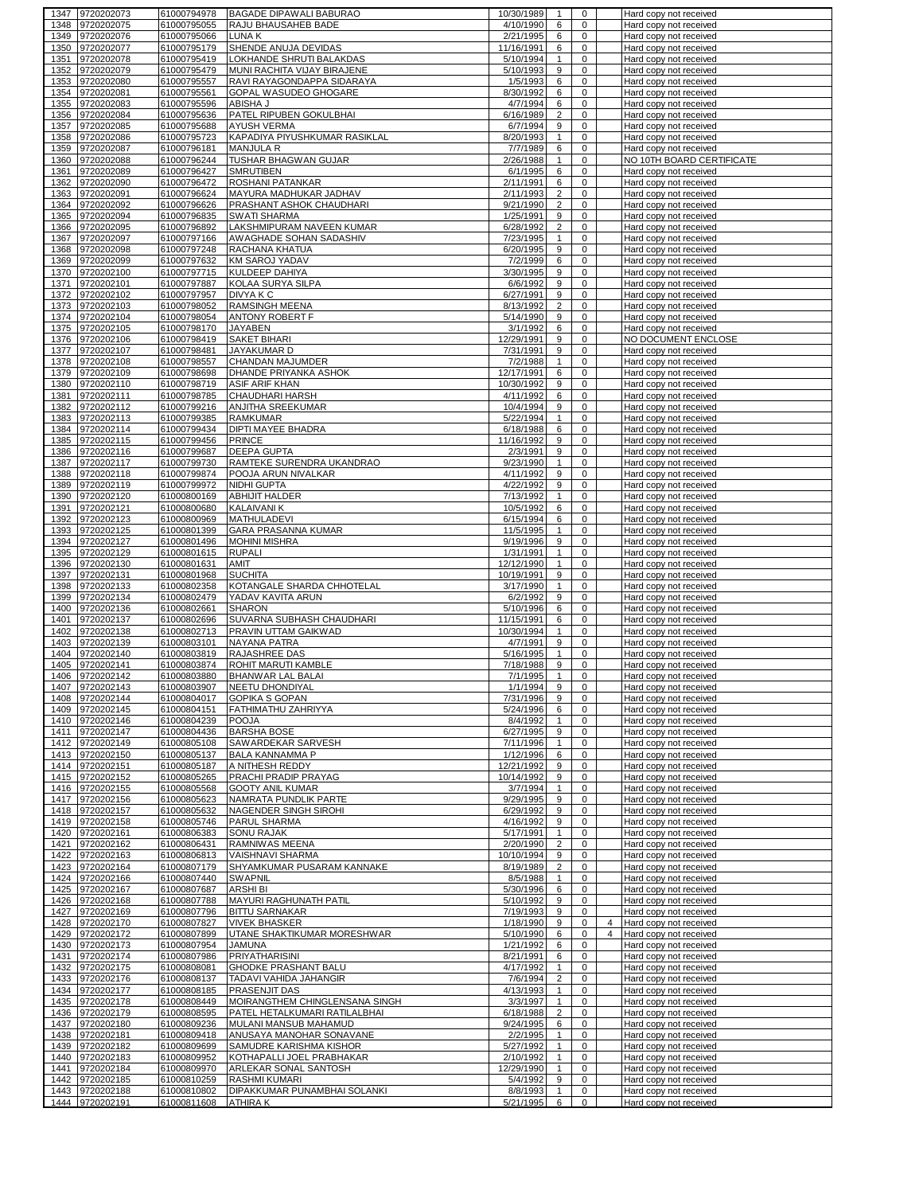| 1347         | 9720202073                         | 61000794978                | BAGADE DIPAWALI BABURAO                           | 10/30/1989             | $\mathbf{1}$                       | 0                          |                | Hard copy not received                           |
|--------------|------------------------------------|----------------------------|---------------------------------------------------|------------------------|------------------------------------|----------------------------|----------------|--------------------------------------------------|
| 1348         | 9720202075                         | 61000795055                | RAJU BHAUSAHEB BADE                               | 4/10/1990              | 6                                  | $\mathbf 0$                |                | Hard copy not received                           |
| 1349         | 9720202076                         | 61000795066                | LUNA K                                            | 2/21/1995              | 6                                  | 0                          |                | Hard copy not received                           |
| 1350         | 9720202077                         | 61000795179                | SHENDE ANUJA DEVIDAS                              | 11/16/1991             | 6                                  | 0                          |                | Hard copy not received                           |
| 1351         | 9720202078                         | 61000795419                | LOKHANDE SHRUTI BALAKDAS                          | 5/10/1994              | $\mathbf{1}$                       | $\mathbf 0$                |                | Hard copy not received                           |
| 1352         | 9720202079                         | 61000795479                | MUNI RACHITA VIJAY BIRAJENE                       | 5/10/1993              | 9                                  | $\mathbf 0$                |                | Hard copy not received                           |
| 1353         | 9720202080                         | 61000795557                | RAVI RAYAGONDAPPA SIDARAYA                        | 1/5/1993               | 6                                  | 0                          |                | Hard copy not received                           |
| 1354         | 9720202081                         | 61000795561                | GOPAL WASUDEO GHOGARE                             | 8/30/1992              | 6                                  | $\mathbf 0$                |                | Hard copy not received                           |
| 1355         | 9720202083                         | 61000795596                | ABISHA J                                          | 4/7/1994               | 6                                  | 0                          |                | Hard copy not received                           |
| 1356         | 9720202084                         | 61000795636                | PATEL RIPUBEN GOKULBHAI                           | 6/16/1989              | $\overline{2}$                     | 0                          |                | Hard copy not received                           |
| 1357         | 9720202085                         | 61000795688                | <b>AYUSH VERMA</b>                                | 6/7/1994               | 9                                  | 0                          |                | Hard copy not received                           |
| 1358         | 9720202086                         | 61000795723                | KAPADIYA PIYUSHKUMAR RASIKLAL                     | 8/20/1993              | $\mathbf{1}$                       | 0                          |                | Hard copy not received                           |
| 1359         | 9720202087                         | 61000796181                | <b>MANJULA R</b>                                  | 7/7/1989               | 6                                  | $\mathbf 0$                |                | Hard copy not received                           |
| 1360         | 9720202088                         | 61000796244                | TUSHAR BHAGWAN GUJAR                              | 2/26/1988              | $\mathbf{1}$                       | 0                          |                | NO 10TH BOARD CERTIFICATE                        |
| 1361         | 9720202089                         | 61000796427                | <b>SMRUTIBEN</b>                                  | 6/1/1995               | 6                                  | 0                          |                | Hard copy not received                           |
| 1362         | 9720202090                         | 61000796472                | ROSHANI PATANKAR                                  | 2/11/1991              | 6                                  | 0<br>0                     |                | Hard copy not received                           |
| 1363         | 9720202091<br>9720202092           | 61000796624                | MAYURA MADHUKAR JADHAV                            | 2/11/1993<br>9/21/1990 | $\overline{c}$                     | 0                          |                | Hard copy not received<br>Hard copy not received |
| 1364<br>1365 | 9720202094                         | 61000796626<br>61000796835 | PRASHANT ASHOK CHAUDHARI<br><b>SWATI SHARMA</b>   | 1/25/1991              | $\overline{2}$<br>$\boldsymbol{9}$ | $\mathbf 0$                |                | Hard copy not received                           |
| 1366         | 9720202095                         | 61000796892                | LAKSHMIPURAM NAVEEN KUMAR                         | 6/28/1992              | $\sqrt{2}$                         | 0                          |                |                                                  |
| 1367         | 9720202097                         | 61000797166                | AWAGHADE SOHAN SADASHIV                           | 7/23/1995              | $\mathbf{1}$                       | $\mathbf 0$                |                | Hard copy not received<br>Hard copy not received |
| 1368         | 9720202098                         | 61000797248                | RACHANA KHATUA                                    | 6/20/1995              | 9                                  | 0                          |                | Hard copy not received                           |
| 1369         | 9720202099                         | 61000797632                | <b>KM SAROJ YADAV</b>                             | 7/2/1999               | 6                                  | 0                          |                | Hard copy not received                           |
| 1370         | 9720202100                         | 61000797715                | KULDEEP DAHIYA                                    | 3/30/1995              | 9                                  | 0                          |                | Hard copy not received                           |
| 1371         | 9720202101                         | 61000797887                | KOLAA SURYA SILPA                                 | 6/6/1992               | 9                                  | $\mathbf 0$                |                | Hard copy not received                           |
| 1372         | 9720202102                         | 61000797957                | DIVYA K C                                         | 6/27/1991              | 9                                  | 0                          |                | Hard copy not received                           |
| 1373         | 9720202103                         | 61000798052                | RAMSINGH MEENA                                    | 8/13/1992              | $\overline{2}$                     | $\mathbf 0$                |                | Hard copy not received                           |
| 1374         | 9720202104                         | 61000798054                | <b>ANTONY ROBERT F</b>                            | 5/14/1990              | 9                                  | 0                          |                | Hard copy not received                           |
| 1375         | 9720202105                         | 61000798170                | <b>JAYABEN</b>                                    | 3/1/1992               | 6                                  | 0                          |                | Hard copy not received                           |
| 1376         | 9720202106                         | 61000798419                | <b>SAKET BIHARI</b>                               | 12/29/1991             | 9                                  | 0                          |                | NO DOCUMENT ENCLOSE                              |
| 1377         | 9720202107                         | 61000798481                | JAYAKUMAR D                                       | 7/31/1991              | $\boldsymbol{9}$                   | 0                          |                | Hard copy not received                           |
| 1378         | 9720202108                         | 61000798557                | CHANDAN MAJUMDER                                  | 7/2/1988               | $\mathbf{1}$                       | 0                          |                | Hard copy not received                           |
| 1379         | 9720202109                         | 61000798698                | DHANDE PRIYANKA ASHOK                             | 12/17/1991             | 6                                  | $\mathbf 0$                |                | Hard copy not received                           |
| 1380         | 9720202110                         | 61000798719                | <b>ASIF ARIF KHAN</b>                             | 10/30/1992             | 9                                  | 0                          |                | Hard copy not received                           |
| 1381         | 9720202111                         | 61000798785                | CHAUDHARI HARSH                                   | 4/11/1992              | 6                                  | 0                          |                | Hard copy not received                           |
| 1382         | 9720202112                         | 61000799216                | ANJITHA SREEKUMAR                                 | 10/4/1994              | 9                                  | 0                          |                | Hard copy not received                           |
| 1383         | 9720202113                         | 61000799385                | <b>RAMKUMAR</b>                                   | 5/22/1994              | $\mathbf{1}$                       | 0                          |                | Hard copy not received                           |
| 1384         | 9720202114                         | 61000799434                | DIPTI MAYEE BHADRA                                | 6/18/1988              | 6                                  | $\mathbf 0$                |                | Hard copy not received                           |
| 1385         | 9720202115                         | 61000799456                | <b>PRINCE</b>                                     | 11/16/1992             | 9                                  | 0                          |                | Hard copy not received                           |
| 1386         | 9720202116                         | 61000799687                | <b>DEEPA GUPTA</b>                                | 2/3/1991               | 9                                  | $\mathbf 0$                |                | Hard copy not received                           |
| 1387         | 9720202117                         | 61000799730                | RAMTEKE SURENDRA UKANDRAO                         | 9/23/1990              | $\mathbf{1}$                       | 0                          |                | Hard copy not received                           |
| 1388         | 9720202118                         | 61000799874                | POOJA ARUN NIVALKAR                               | 4/11/1992              | 9                                  | 0                          |                | Hard copy not received                           |
| 1389         | 9720202119                         | 61000799972                | NIDHI GUPTA                                       | 4/22/1992              | 9                                  | 0                          |                | Hard copy not received                           |
| 1390         | 9720202120                         | 61000800169                | <b>ABHIJIT HALDER</b>                             | 7/13/1992              | $\mathbf{1}$                       | 0                          |                | Hard copy not received                           |
| 1391         | 9720202121                         | 61000800680                | <b>KALAIVANI K</b>                                | 10/5/1992              | 6                                  | 0                          |                | Hard copy not received                           |
| 1392         | 9720202123                         | 61000800969                | <b>MATHULADEVI</b>                                | 6/15/1994              | 6                                  | $\mathbf 0$                |                | Hard copy not received                           |
| 1393         | 9720202125                         | 61000801399                | GARA PRASANNA KUMAR                               | 11/5/1995              | $\mathbf{1}$                       | 0                          |                | Hard copy not received                           |
| 1394         | 9720202127                         | 61000801496                | <b>MOHINI MISHRA</b>                              | 9/19/1996              | 9                                  | 0                          |                | Hard copy not received                           |
| 1395         | 9720202129                         | 61000801615                | <b>RUPALI</b>                                     | 1/31/1991              | $\mathbf{1}$                       | 0                          |                | Hard copy not received                           |
| 1396         | 9720202130                         | 61000801631                | AMIT                                              | 12/12/1990             | $\mathbf{1}$                       | $\mathbf 0$                |                | Hard copy not received                           |
| 1397         | 9720202131                         | 61000801968                | <b>SUCHITA</b>                                    | 10/19/1991             | 9                                  | 0                          |                | Hard copy not received                           |
| 1398         | 9720202133                         | 61000802358                | KOTANGALE SHARDA CHHOTELAL                        | 3/17/1990              | $\mathbf{1}$                       | $\mathbf 0$                |                | Hard copy not received                           |
| 1399         | 9720202134                         | 61000802479                | YADAV KAVITA ARUN                                 | 6/2/1992               | 9                                  | 0                          |                | Hard copy not received                           |
| 1400         | 9720202136                         | 61000802661                | <b>SHARON</b>                                     | 5/10/1996              | 6                                  | $\mathbf 0$                |                | Hard copy not received                           |
| 1401         | 9720202137                         | 61000802696                | SUVARNA SUBHASH CHAUDHARI                         | 11/15/1991             | 6                                  | 0                          |                | Hard copy not received                           |
| 1402         | 9720202138                         | 61000802713                | PRAVIN UTTAM GAIKWAD                              | 10/30/1994             | $\mathbf{1}$                       | $\mathbf 0$                |                | Hard copy not received                           |
| 1403         | 9720202139                         | 61000803101                | <b>NAYANA PATRA</b>                               | 4/7/1991               | 9                                  | 0                          |                | Hard copy not received                           |
| 1404         | 9720202140                         | 61000803819                | RAJASHREE DAS                                     | 5/16/1995              | $\mathbf{1}$                       | $\mathbf 0$                |                | Hard copy not received                           |
| 1405         | 9720202141                         | 61000803874                | ROHIT MARUTI KAMBLE                               | 7/18/1988<br>7/1/1995  | 9                                  | $\mathbf 0$                |                | Hard copy not received                           |
| 1406         | 9720202142                         | 61000803880                | BHANWAR LAL BALAI                                 |                        | $\mathbf{1}$                       | $\mathbf 0$                |                | Hard copy not received                           |
|              | 1407 9720202143<br>1408 9720202144 | 01000803907<br>61000804017 | <b>NEETU DHONDIYAL</b><br><b>GOPIKA S GOPAN</b>   | 1/1/1994<br>7/31/1996  | У<br>9                             | U<br>$\mathbf 0$           |                | Hard copy not received<br>Hard copy not received |
|              | 1409 9720202145                    | 61000804151                | FATHIMATHU ZAHRIYYA                               | 5/24/1996              | 6                                  | $\mathbf 0$                |                | Hard copy not received                           |
|              | 1410 9720202146                    | 61000804239                | <b>POOJA</b>                                      | 8/4/1992               | $\mathbf{1}$                       | 0                          |                | Hard copy not received                           |
|              | 1411 9720202147                    | 61000804436                | <b>BARSHA BOSE</b>                                | 6/27/1995              | 9                                  | $\mathbf 0$                |                | Hard copy not received                           |
|              | 1412 9720202149                    | 61000805108                | SAWARDEKAR SARVESH                                | 7/11/1996              | $\mathbf{1}$                       | $\mathbf 0$                |                | Hard copy not received                           |
|              | 1413 9720202150                    | 61000805137                | <b>BALA KANNAMMA P</b>                            | 1/12/1996              | 6                                  | $\Omega$                   |                | Hard copy not received                           |
|              | 1414 9720202151                    | 61000805187                | A NITHESH REDDY                                   | 12/21/1992             | 9                                  | 0                          |                | Hard copy not received                           |
|              | 1415 9720202152                    | 61000805265                | PRACHI PRADIP PRAYAG                              | 10/14/1992             | 9                                  | 0                          |                | Hard copy not received                           |
|              | 1416 9720202155                    | 61000805568                | <b>GOOTY ANIL KUMAR</b>                           | 3/7/1994               | $\mathbf{1}$                       | 0                          |                | Hard copy not received                           |
|              | 1417 9720202156                    | 61000805623                | NAMRATA PUNDLIK PARTE                             | 9/29/1995              | 9                                  | 0                          |                | Hard copy not received                           |
|              | 1418 9720202157                    | 61000805632                | NAGENDER SINGH SIROHI                             | 6/29/1992              | 9                                  | 0                          |                | Hard copy not received                           |
|              | 1419 9720202158                    | 61000805746                | PARUL SHARMA                                      | 4/16/1992              | 9                                  | 0                          |                | Hard copy not received                           |
|              | 1420 9720202161                    | 61000806383                | <b>SONU RAJAK</b>                                 | 5/17/1991              | $\mathbf{1}$                       | 0                          |                | Hard copy not received                           |
|              | 1421 9720202162                    | 61000806431                | RAMNIWAS MEENA                                    | 2/20/1990              | $\overline{2}$                     | $\mathbf 0$                |                | Hard copy not received                           |
|              | 1422 9720202163                    | 61000806813                | VAISHNAVI SHARMA                                  | 10/10/1994             | 9                                  | 0                          |                | Hard copy not received                           |
|              | 1423 9720202164                    | 61000807179                | SHYAMKUMAR PUSARAM KANNAKE                        | 8/19/1989              | $\overline{2}$                     | $\mathbf 0$                |                | Hard copy not received                           |
|              | 1424 9720202166                    | 61000807440                | <b>SWAPNIL</b>                                    | 8/5/1988               | $\mathbf{1}$                       | 0                          |                | Hard copy not received                           |
|              | 1425 9720202167                    | 61000807687                | <b>ARSHIBI</b>                                    | 5/30/1996              | 6                                  | $\mathbf 0$                |                | Hard copy not received                           |
|              | 1426 9720202168                    | 61000807788                | MAYURI RAGHUNATH PATIL                            | 5/10/1992              | 9                                  | 0                          |                | Hard copy not received                           |
| 1427         | 9720202169                         | 61000807796                | <b>BITTU SARNAKAR</b>                             | 7/19/1993              | 9                                  | $\mathbf 0$                |                | Hard copy not received                           |
|              | 1428 9720202170                    | 61000807827                | <b>VIVEK BHASKER</b>                              | 1/18/1990              | 9                                  | 0                          | 4              | Hard copy not received                           |
|              | 1429 9720202172                    | 61000807899                | UTANE SHAKTIKUMAR MORESHWAR                       | 5/10/1990              | 6                                  | $\mathbf 0$                | $\overline{4}$ | Hard copy not received                           |
|              | 1430 9720202173                    | 61000807954                | <b>JAMUNA</b>                                     | 1/21/1992              | 6                                  | 0                          |                | Hard copy not received                           |
|              | 1431 9720202174                    | 61000807986                | PRIYATHARISINI                                    | 8/21/1991              | 6                                  | $\mathbf 0$                |                | Hard copy not received                           |
|              | 1432 9720202175                    | 61000808081                | GHODKE PRASHANT BALU                              | 4/17/1992              | $\mathbf{1}$                       | 0                          |                | Hard copy not received                           |
|              | 1433 9720202176                    | 61000808137                | TADAVI VAHIDA JAHANGIR                            | 7/6/1994               | $\overline{2}$                     | 0                          |                | Hard copy not received                           |
|              | 1434 9720202177                    | 61000808185                | PRASENJIT DAS                                     | 4/13/1993              | $\mathbf{1}$                       | $\mathbf 0$                |                | Hard copy not received                           |
|              | 1435 9720202178                    | 61000808449                | MOIRANGTHEM CHINGLENSANA SINGH                    | 3/3/1997               | $\mathbf{1}$                       | $\mathbf 0$                |                | Hard copy not received                           |
|              | 1436 9720202179                    | 61000808595                | PATEL HETALKUMARI RATILALBHAI                     | 6/18/1988              | $\overline{2}$                     | $\mathbf 0$<br>$\mathbf 0$ |                | Hard copy not received                           |
|              | 1437 9720202180<br>1438 9720202181 | 61000809236<br>61000809418 | MULANI MANSUB MAHAMUD<br>ANUSAYA MANOHAR SONAVANE | 9/24/1995<br>2/2/1995  | 6<br>$\mathbf{1}$                  | $\Omega$                   |                | Hard copy not received<br>Hard copy not received |
| 1439         | 9720202182                         | 61000809699                | SAMUDRE KARISHMA KISHOR                           | 5/27/1992              | $\mathbf{1}$                       | $\mathbf 0$                |                | Hard copy not received                           |
|              | 1440 9720202183                    | 61000809952                | KOTHAPALLI JOEL PRABHAKAR                         | 2/10/1992              | $\mathbf{1}$                       | 0                          |                | Hard copy not received                           |
| 1441         | 9720202184                         | 61000809970                | ARLEKAR SONAL SANTOSH                             | 12/29/1990             | $\mathbf{1}$                       | 0                          |                | Hard copy not received                           |
| 1442         | 9720202185                         | 61000810259                | RASHMI KUMARI                                     | 5/4/1992               | 9                                  | 0                          |                | Hard copy not received                           |
| 1443         | 9720202188                         | 61000810802                | DIPAKKUMAR PUNAMBHAI SOLANKI                      | 8/8/1993               | $\mathbf{1}$                       | 0                          |                | Hard copy not received                           |
| 1444         | 9720202191                         | 61000811608                | <b>ATHIRAK</b>                                    | 5/21/1995              | 6                                  | 0                          |                | Hard copy not received                           |
|              |                                    |                            |                                                   |                        |                                    |                            |                |                                                  |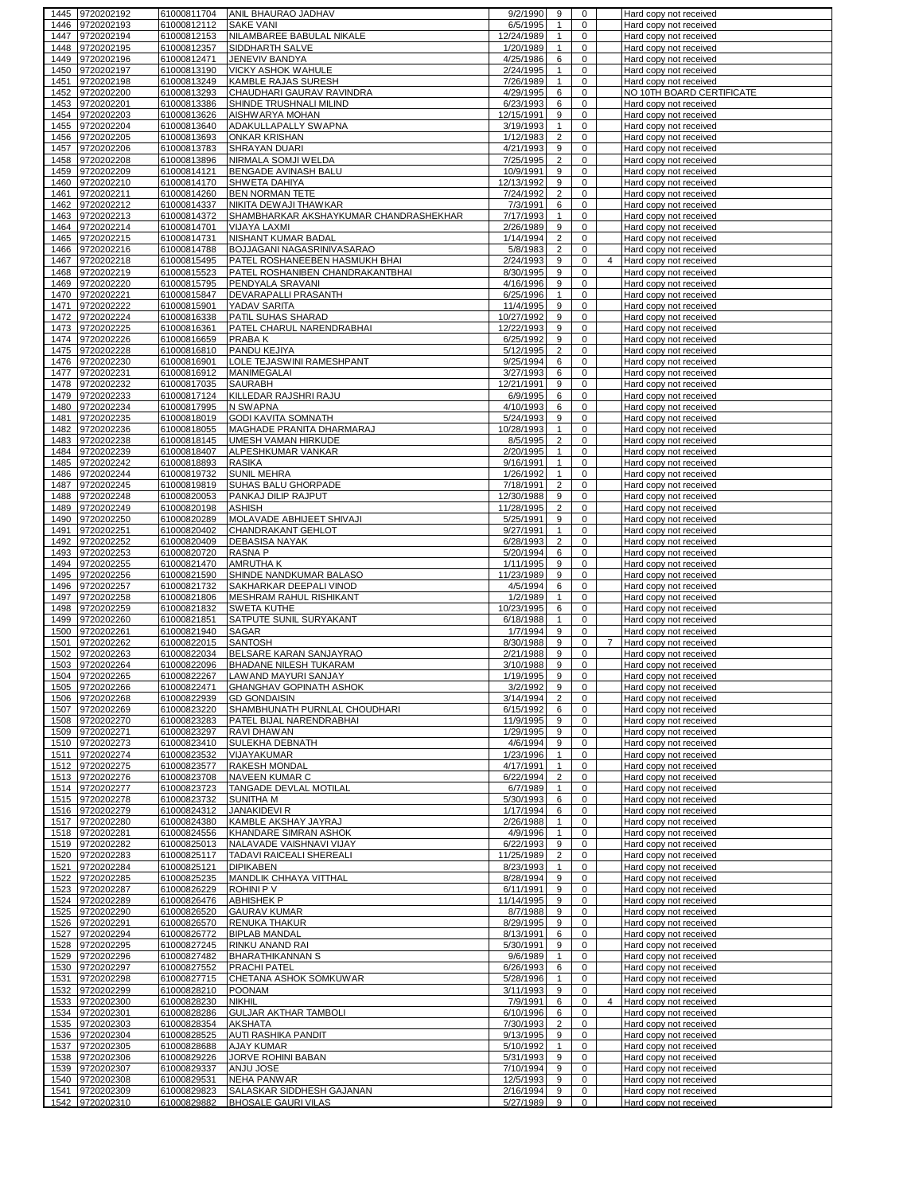|      | 1445 9720202192                    | 61000811704                | ANIL BHAURAO JADHAV                                     | 9/2/1990               | 9              | 0                |                | Hard copy not received                           |
|------|------------------------------------|----------------------------|---------------------------------------------------------|------------------------|----------------|------------------|----------------|--------------------------------------------------|
| 1446 | 9720202193                         | 61000812112                | <b>SAKE VANI</b>                                        | 6/5/1995               | $\mathbf{1}$   | $\mathbf 0$      |                | Hard copy not received                           |
| 1447 | 9720202194                         | 61000812153                | NILAMBAREE BABULAL NIKALE                               | 12/24/1989             | $\mathbf{1}$   | 0                |                | Hard copy not received                           |
| 1448 | 9720202195                         | 61000812357                | SIDDHARTH SALVE                                         | 1/20/1989              | $\mathbf{1}$   | $\mathbf 0$      |                | Hard copy not received                           |
| 1449 | 9720202196                         | 61000812471                | JENEVIV BANDYA                                          | 4/25/1986              | 6              | $\mathbf 0$      |                | Hard copy not received                           |
| 1450 | 9720202197                         | 61000813190                | VICKY ASHOK WAHULE                                      | 2/24/1995              | $\mathbf{1}$   | 0                |                |                                                  |
|      |                                    |                            |                                                         |                        |                |                  |                | Hard copy not received                           |
| 1451 | 9720202198                         | 61000813249                | <b>KAMBLE RAJAS SURESH</b>                              | 7/26/1989              | $\mathbf{1}$   | $\mathbf 0$      |                | Hard copy not received                           |
| 1452 | 9720202200                         | 61000813293                | CHAUDHARI GAURAV RAVINDRA                               | 4/29/1995              | 6              | 0                |                | NO 10TH BOARD CERTIFICATE                        |
| 1453 | 9720202201                         | 61000813386                | SHINDE TRUSHNALI MILIND                                 | 6/23/1993              | 6              | 0                |                | Hard copy not received                           |
| 1454 | 9720202203                         | 61000813626                | AISHWARYA MOHAN                                         | 12/15/1991             | 9              | 0                |                | Hard copy not received                           |
| 1455 | 9720202204                         | 61000813640                | <b>ADAKULLAPALLY SWAPNA</b>                             | 3/19/1993              | $\mathbf{1}$   | $\mathbf 0$      |                | Hard copy not received                           |
| 1456 | 9720202205                         | 61000813693                | <b>ONKAR KRISHAN</b>                                    | 1/12/1983              | $\overline{c}$ | 0                |                | Hard copy not received                           |
| 1457 | 9720202206                         | 61000813783                | SHRAYAN DUARI                                           | 4/21/1993              | 9              | $\mathbf 0$      |                | Hard copy not received                           |
|      |                                    |                            |                                                         |                        |                |                  |                |                                                  |
| 1458 | 9720202208                         | 61000813896                | NIRMALA SOMJI WELDA                                     | 7/25/1995              | $\overline{c}$ | 0                |                | Hard copy not received                           |
| 1459 | 9720202209                         | 61000814121                | BENGADE AVINASH BALU                                    | 10/9/1991              | 9              | $\mathbf 0$      |                | Hard copy not received                           |
| 1460 | 9720202210                         | 61000814170                | SHWETA DAHIYA                                           | 12/13/1992             | 9              | 0                |                | Hard copy not received                           |
| 1461 | 9720202211                         | 61000814260                | <b>BEN NORMAN TETE</b>                                  | 7/24/1992              | $\overline{2}$ | $\mathbf 0$      |                | Hard copy not received                           |
| 1462 | 9720202212                         | 61000814337                | NIKITA DEWAJI THAWKAR                                   | 7/3/1991               | 6              | $\mathbf 0$      |                | Hard copy not received                           |
| 1463 | 9720202213                         | 61000814372                | SHAMBHARKAR AKSHAYKUMAR CHANDRASHEKHAR                  | 7/17/1993              | $\mathbf{1}$   | $\mathbf 0$      |                | Hard copy not received                           |
| 1464 | 9720202214                         | 61000814701                | <b>VIJAYA LAXMI</b>                                     | 2/26/1989              | 9              | 0                |                | Hard copy not received                           |
|      |                                    |                            | <b>NISHANT KUMAR BADAL</b>                              |                        |                |                  |                |                                                  |
| 1465 | 9720202215                         | 61000814731                |                                                         | 1/14/1994              | $\overline{2}$ | $\mathbf 0$      |                | Hard copy not received                           |
| 1466 | 9720202216                         | 61000814788                | BOJJAGANI NAGASRINIVASARAO                              | 5/8/1983               | $\overline{c}$ | $\mathbf 0$      |                | Hard copy not received                           |
| 1467 | 9720202218                         | 61000815495                | PATEL ROSHANEEBEN HASMUKH BHAI                          | 2/24/1993              | 9              | $\mathbf 0$      | 4              | Hard copy not received                           |
| 1468 | 9720202219                         | 61000815523                | PATEL ROSHANIBEN CHANDRAKANTBHAI                        | 8/30/1995              | 9              | 0                |                | Hard copy not received                           |
| 1469 | 9720202220                         | 61000815795                | PENDYALA SRAVANI                                        | 4/16/1996              | 9              | 0                |                | Hard copy not received                           |
| 1470 | 9720202221                         | 61000815847                | DEVARAPALLI PRASANTH                                    | 6/25/1996              | $\mathbf{1}$   | $\mathbf 0$      |                | Hard copy not received                           |
| 1471 | 9720202222                         | 61000815901                | YADAV SARITA                                            | 11/4/1995              | 9              | 0                |                | Hard copy not received                           |
|      |                                    |                            |                                                         |                        |                |                  |                |                                                  |
| 1472 | 9720202224                         | 61000816338                | PATIL SUHAS SHARAD                                      | 10/27/1992             | 9              | 0                |                | Hard copy not received                           |
| 1473 | 9720202225                         | 61000816361                | PATEL CHARUL NARENDRABHAI                               | 12/22/1993             | 9              | 0                |                | Hard copy not received                           |
| 1474 | 9720202226                         | 61000816659                | PRABA K                                                 | 6/25/1992              | 9              | $\mathbf 0$      |                | Hard copy not received                           |
| 1475 | 9720202228                         | 61000816810                | PANDU KEJIYA                                            | 5/12/1995              | 2              | 0                |                | Hard copy not received                           |
| 1476 | 9720202230                         | 61000816901                | LOLE TEJASWINI RAMESHPANT                               | 9/25/1994              | 6              | $\mathbf 0$      |                | Hard copy not received                           |
| 1477 | 9720202231                         | 61000816912                | <b>MANIMEGALAI</b>                                      | 3/27/1993              | 6              | 0                |                | Hard copy not received                           |
| 1478 | 9720202232                         | 61000817035                | SAURABH                                                 | 12/21/1991             | 9              | $\mathbf 0$      |                | Hard copy not received                           |
|      |                                    |                            |                                                         |                        |                |                  |                |                                                  |
| 1479 | 9720202233                         | 61000817124                | KILLEDAR RAJSHRI RAJU                                   | 6/9/1995               | 6              | 0                |                | Hard copy not received                           |
| 1480 | 9720202234                         | 61000817995                | N SWAPNA                                                | 4/10/1993              | 6              | 0                |                | Hard copy not received                           |
| 1481 | 9720202235                         | 61000818019                | <b>GODI KAVITA SOMNATH</b>                              | 5/24/1993              | 9              | 0                |                | Hard copy not received                           |
| 1482 | 9720202236                         | 61000818055                | MAGHADE PRANITA DHARMARAJ                               | 10/28/1993             | $\mathbf{1}$   | $\mathbf 0$      |                | Hard copy not received                           |
| 1483 | 9720202238                         | 61000818145                | UMESH VAMAN HIRKUDE                                     | 8/5/1995               | $\overline{2}$ | 0                |                | Hard copy not received                           |
| 1484 | 9720202239                         | 61000818407                | ALPESHKUMAR VANKAR                                      | 2/20/1995              | $\mathbf{1}$   | 0                |                | Hard copy not received                           |
|      |                                    |                            |                                                         |                        |                |                  |                |                                                  |
| 1485 | 9720202242                         | 61000818893                | <b>RASIKA</b>                                           | 9/16/1991              | 1              | 0                |                | Hard copy not received                           |
| 1486 | 9720202244                         | 61000819732                | <b>SUNIL MEHRA</b>                                      | 1/26/1992              | $\mathbf{1}$   | 0                |                | Hard copy not received                           |
| 1487 | 9720202245                         | 61000819819                | SUHAS BALU GHORPADE                                     | 7/18/1991              | 2              | 0                |                | Hard copy not received                           |
| 1488 | 9720202248                         | 61000820053                | PANKAJ DILIP RAJPUT                                     | 12/30/1988             | 9              | $\mathbf 0$      |                | Hard copy not received                           |
| 1489 | 9720202249                         | 61000820198                | ASHISH                                                  | 11/28/1995             | $\overline{2}$ | 0                |                | Hard copy not received                           |
| 1490 | 9720202250                         | 61000820289                | MOLAVADE ABHIJEET SHIVAJI                               | 5/25/1991              | 9              | $\mathbf 0$      |                | Hard copy not received                           |
| 1491 | 9720202251                         | 61000820402                | CHANDRAKANT GEHLOT                                      | 9/27/1991              | $\mathbf{1}$   | $\mathbf 0$      |                |                                                  |
|      |                                    |                            |                                                         |                        |                |                  |                | Hard copy not received                           |
| 1492 | 9720202252                         | 61000820409                | <b>DEBASISA NAYAK</b>                                   | 6/28/1993              | $\overline{2}$ | 0                |                | Hard copy not received                           |
| 1493 | 9720202253                         | 61000820720                | RASNA P                                                 | 5/20/1994              | 6              | 0                |                | Hard copy not received                           |
| 1494 | 9720202255                         | 61000821470                | AMRUTHA K                                               | 1/11/1995              | 9              | 0                |                | Hard copy not received                           |
| 1495 | 9720202256                         | 61000821590                | SHINDE NANDKUMAR BALASO                                 | 11/23/1989             | 9              | $\mathbf 0$      |                | Hard copy not received                           |
| 1496 | 9720202257                         | 61000821732                | SAKHARKAR DEEPALI VINOD                                 | 4/5/1994               | 6              | $\mathbf 0$      |                | Hard copy not received                           |
|      |                                    |                            |                                                         |                        | $\mathbf{1}$   | 0                |                | Hard copy not received                           |
|      |                                    |                            |                                                         |                        |                |                  |                |                                                  |
| 1497 | 9720202258                         | 61000821806                | MESHRAM RAHUL RISHIKANT                                 | 1/2/1989               |                |                  |                |                                                  |
| 1498 | 9720202259                         | 61000821832                | <b>SWETA KUTHE</b>                                      | 10/23/1995             | 6              | 0                |                | Hard copy not received                           |
| 1499 | 9720202260                         | 61000821851                | SATPUTE SUNIL SURYAKANT                                 | 6/18/1988              | $\mathbf{1}$   | 0                |                | Hard copy not received                           |
| 1500 | 9720202261                         | 61000821940                | SAGAR                                                   | 1/7/1994               | 9              | 0                |                | Hard copy not received                           |
| 1501 | 9720202262                         | 61000822015                | <b>SANTOSH</b>                                          | 8/30/1988              | 9              | 0                | $\overline{7}$ | Hard copy not received                           |
| 1502 | 9720202263                         | 61000822034                | BELSARE KARAN SANJAYRAO                                 | 2/21/1988              | 9              | 0                |                | Hard copy not received                           |
|      |                                    |                            |                                                         |                        |                |                  |                |                                                  |
| 1503 | 9720202264                         | 61000822096                | BHADANE NILESH TUKARAM                                  | 3/10/1988              | 9              | 0                |                | Hard copy not received                           |
|      | 1504 9720202265                    | 61000822267                | <b>LAWAND MAYURI SANJAY</b>                             | 1/19/1995              | 9              | $\mathbf 0$      |                | Hard copy not received                           |
|      | 1505 9720202266                    | 61000822471                | <b>GHANGHAV GOPINATH ASHOK</b>                          | 3/2/1992               | 9              |                  |                | Hard copy not received                           |
|      | 1506 9720202268                    | 61000822939                | <b>GD GONDAISIN</b>                                     | 3/14/1994              | $\overline{2}$ | 0                |                | Hard copy not received                           |
| 1507 | 9720202269                         | 61000823220                | SHAMBHUNATH PURNLAL CHOUDHARI                           | 6/15/1992              | 6              | $\mathbf 0$      |                | Hard copy not received                           |
| 1508 | 9720202270                         | 61000823283                | PATEL BIJAL NARENDRABHAI                                | 11/9/1995              | 9              | 0                |                | Hard copy not received                           |
| 1509 | 9720202271                         | 61000823297                | <b>RAVI DHAWAN</b>                                      | 1/29/1995              | 9              | $\mathbf 0$      |                | Hard copy not received                           |
|      | 1510 9720202273                    | 61000823410                | SULEKHA DEBNATH                                         |                        | 9              | 0                |                | Hard copy not received                           |
|      |                                    |                            |                                                         | 4/6/1994               | $\mathbf{1}$   | $\mathbf 0$      |                |                                                  |
|      | 1511 9720202274                    | 61000823532                | VIJAYAKUMAR                                             | 1/23/1996              |                |                  |                | Hard copy not received                           |
|      | 1512 9720202275                    | 61000823577                | RAKESH MONDAL                                           | 4/17/1991              | $\mathbf{1}$   | 0                |                | Hard copy not received                           |
|      | 1513 9720202276                    | 61000823708                | NAVEEN KUMAR C                                          | 6/22/1994              | $\overline{2}$ | $\mathbf 0$      |                | Hard copy not received                           |
|      | 1514 9720202277                    | 61000823723                | TANGADE DEVLAL MOTILAL                                  | 6/7/1989               | $\mathbf{1}$   | 0                |                | Hard copy not received                           |
|      | 1515 9720202278                    | 61000823732                | <b>SUNITHA M</b>                                        | 5/30/1993              | 6              | $\mathbf 0$      |                | Hard copy not received                           |
|      | 1516 9720202279                    | 61000824312                | <b>JANAKIDEVI R</b>                                     | 1/17/1994              | 6              | $\mathbf 0$      |                | Hard copy not received                           |
|      | 1517 9720202280                    | 61000824380                | KAMBLE AKSHAY JAYRAJ                                    | 2/26/1988              | $\mathbf{1}$   | $\mathbf 0$      |                | Hard copy not received                           |
|      | 1518 9720202281                    | 61000824556                | KHANDARE SIMRAN ASHOK                                   | 4/9/1996               | $\mathbf{1}$   | 0                |                | Hard copy not received                           |
|      | 1519 9720202282                    | 61000825013                | NALAVADE VAISHNAVI VIJAY                                | 6/22/1993              | 9              | $\mathbf 0$      |                | Hard copy not received                           |
|      |                                    |                            |                                                         |                        |                |                  |                |                                                  |
|      | 1520 9720202283                    | 61000825117                | TADAVI RAICEALI SHEREALI                                | 11/25/1989             | 2              | $\mathbf 0$      |                | Hard copy not received                           |
|      | 1521 9720202284                    | 61000825121                | <b>DIPIKABEN</b>                                        | 8/23/1993              | $\mathbf{1}$   | $\mathbf 0$      |                | Hard copy not received                           |
|      | 1522 9720202285                    | 61000825235                | MANDLIK CHHAYA VITTHAL                                  | 8/28/1994              | 9              | $\mathbf 0$      |                | Hard copy not received                           |
|      | 1523 9720202287                    | 61000826229                | ROHINI P V                                              | 6/11/1991              | 9              | $\mathbf 0$      |                | Hard copy not received                           |
|      | 1524 9720202289                    | 61000826476                | <b>ABHISHEK P</b>                                       | 11/14/1995             | 9              | $\mathbf 0$      |                | Hard copy not received                           |
|      | 1525 9720202290                    | 61000826520                | <b>GAURAV KUMAR</b>                                     | 8/7/1988               | 9              | 0                |                | Hard copy not received                           |
|      | 1526 9720202291                    | 61000826570                | RENUKA THAKUR                                           | 8/29/1995              | 9              | 0                |                | Hard copy not received                           |
|      |                                    |                            |                                                         |                        |                |                  |                |                                                  |
|      | 1527 9720202294                    | 61000826772                | <b>BIPLAB MANDAL</b>                                    | 8/13/1991              | 6              | 0                |                | Hard copy not received                           |
|      | 1528 9720202295                    | 61000827245                | RINKU ANAND RAI                                         | 5/30/1991              | 9              | 0                |                | Hard copy not received                           |
|      | 1529 9720202296                    | 61000827482                | <b>BHARATHIKANNAN S</b>                                 | 9/6/1989               | $\mathbf{1}$   | 0                |                | Hard copy not received                           |
|      | 1530 9720202297                    | 61000827552                | PRACHI PATEL                                            | 6/26/1993              | 6              | 0                |                | Hard copy not received                           |
|      | 1531 9720202298                    | 61000827715                | CHETANA ASHOK SOMKUWAR                                  | 5/28/1996              | 1              | 0                |                | Hard copy not received                           |
|      | 1532 9720202299                    | 61000828210                | <b>POONAM</b>                                           | 3/11/1993              | 9              | $\mathbf 0$      |                | Hard copy not received                           |
|      | 1533 9720202300                    | 61000828230                | <b>NIKHIL</b>                                           | 7/9/1991               | 6              | 0                | $\overline{4}$ | Hard copy not received                           |
|      |                                    |                            |                                                         |                        |                |                  |                |                                                  |
|      | 1534 9720202301                    | 61000828286                | <b>GULJAR AKTHAR TAMBOLI</b>                            | 6/10/1996              | 6              | 0                |                | Hard copy not received                           |
|      | 1535 9720202303                    | 61000828354                | <b>AKSHATA</b>                                          | 7/30/1993              | $\overline{2}$ | 0                |                | Hard copy not received                           |
|      | 1536 9720202304                    | 61000828525                | AUTI RASHIKA PANDIT                                     | 9/13/1995              | 9              | $\mathbf 0$      |                | Hard copy not received                           |
|      | 1537 9720202305                    | 61000828688                | <b>AJAY KUMAR</b>                                       | 5/10/1992              | $\mathbf{1}$   | 0                |                | Hard copy not received                           |
|      | 1538 9720202306                    | 61000829226                | JORVE ROHINI BABAN                                      | 5/31/1993              | 9              | 0                |                | Hard copy not received                           |
|      | 1539 9720202307                    | 61000829337                | ANJU JOSE                                               | 7/10/1994              | 9              | 0                |                | Hard copy not received                           |
|      |                                    |                            |                                                         |                        |                | $\mathbf 0$      |                |                                                  |
| 1540 | 9720202308                         | 61000829531                | <b>NEHA PANWAR</b>                                      | 12/5/1993              | 9              |                  |                | Hard copy not received                           |
|      | 1541 9720202309<br>1542 9720202310 | 61000829823<br>61000829882 | SALASKAR SIDDHESH GAJANAN<br><b>BHOSALE GAURI VILAS</b> | 2/16/1994<br>5/27/1989 | 9<br>9         | 0<br>$\mathbf 0$ |                | Hard copy not received<br>Hard copy not received |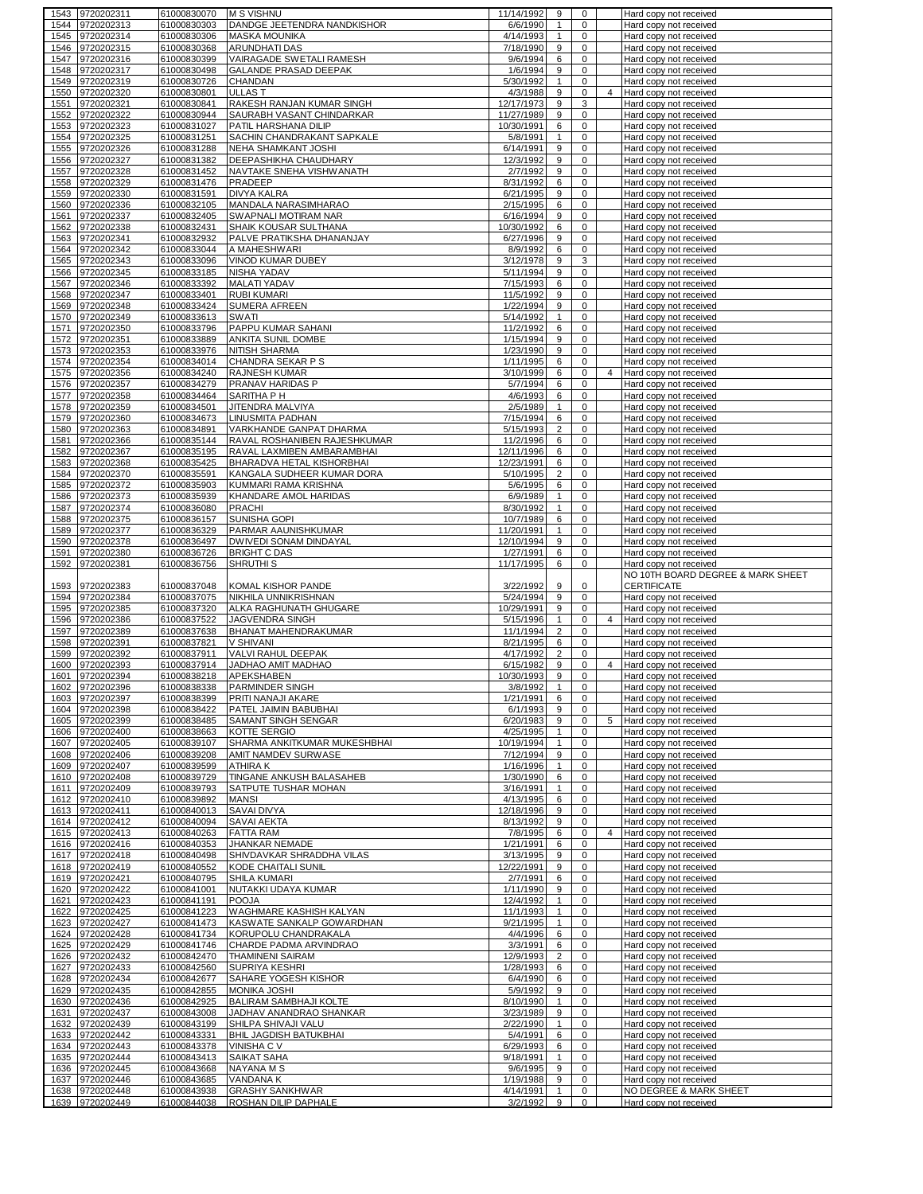|      | 1543 9720202311               | 61000830070                | <b>M S VISHNU</b>                                   | 11/14/1992              | 9                 | $\mathbf 0$      |                | Hard copy not received                           |
|------|-------------------------------|----------------------------|-----------------------------------------------------|-------------------------|-------------------|------------------|----------------|--------------------------------------------------|
| 1544 | 9720202313                    | 61000830303                | DANDGE JEETENDRA NANDKISHOR                         | 6/6/1990                | $\mathbf{1}$      | $\mathbf 0$      |                | Hard copy not received                           |
| 1545 | 9720202314                    | 61000830306                | <b>MASKA MOUNIKA</b>                                | 4/14/1993               | $\mathbf{1}$      | 0                |                | Hard copy not received                           |
| 1546 | 9720202315                    | 61000830368                | <b>ARUNDHATI DAS</b>                                | 7/18/1990               | 9                 | $\mathbf 0$      |                | Hard copy not received                           |
| 1547 | 9720202316                    | 61000830399                | VAIRAGADE SWETALI RAMESH                            | 9/6/1994                | 6                 | 0                |                | Hard copy not received                           |
|      |                               |                            |                                                     |                         |                   | $\mathbf 0$      |                |                                                  |
| 1548 | 9720202317                    | 61000830498                | GALANDE PRASAD DEEPAK                               | 1/6/1994                | 9                 |                  |                | Hard copy not received                           |
| 1549 | 9720202319                    | 61000830726                | CHANDAN                                             | 5/30/1992               | $\mathbf{1}$      | $\mathsf 0$      |                | Hard copy not received                           |
| 1550 | 9720202320                    | 61000830801                | <b>ULLAST</b>                                       | 4/3/1988                | 9                 | $\mathbf 0$      | $\overline{4}$ | Hard copy not received                           |
| 1551 | 9720202321                    | 61000830841                | RAKESH RANJAN KUMAR SINGH                           | 12/17/1973              | 9                 | 3                |                | Hard copy not received                           |
| 1552 | 9720202322                    | 61000830944                | SAURABH VASANT CHINDARKAR                           | 11/27/1989              | 9                 | 0                |                | Hard copy not received                           |
| 1553 | 9720202323                    | 61000831027                | PATIL HARSHANA DILIP                                | 10/30/1991              | 6                 | $\pmb{0}$        |                | Hard copy not received                           |
| 1554 | 9720202325                    | 61000831251                | SACHIN CHANDRAKANT SAPKALE                          | 5/8/1991                | $\mathbf{1}$      | $\mathbf 0$      |                | Hard copy not received                           |
| 1555 | 9720202326                    | 61000831288                | NEHA SHAMKANT JOSHI                                 | 6/14/1991               | 9                 | 0                |                | Hard copy not received                           |
| 1556 | 9720202327                    | 61000831382                | DEEPASHIKHA CHAUDHARY                               | 12/3/1992               | 9                 | $\mathbf 0$      |                | Hard copy not received                           |
| 1557 | 9720202328                    | 61000831452                | NAVTAKE SNEHA VISHWANATH                            | 2/7/1992                | 9                 | 0                |                | Hard copy not received                           |
| 1558 | 9720202329                    | 61000831476                | PRADEEP                                             | 8/31/1992               | 6                 | 0                |                | Hard copy not received                           |
| 1559 | 9720202330                    | 61000831591                | <b>DIVYA KALRA</b>                                  | 6/21/1995               | 9                 | 0                |                | Hard copy not received                           |
| 1560 | 9720202336                    | 61000832105                | MANDALA NARASIMHARAO                                | 2/15/1995               | 6                 | $\mathbf 0$      |                | Hard copy not received                           |
| 1561 | 9720202337                    | 61000832405                | SWAPNALI MOTIRAM NAR                                | 6/16/1994               | 9                 | 0                |                | Hard copy not received                           |
| 1562 | 9720202338                    | 61000832431                | SHAIK KOUSAR SULTHANA                               | 10/30/1992              | 6                 | $\mathbf 0$      |                | Hard copy not received                           |
| 1563 | 9720202341                    | 61000832932                | PALVE PRATIKSHA DHANANJAY                           | 6/27/1996               | 9                 | 0                |                | Hard copy not received                           |
| 1564 | 9720202342                    | 61000833044                | A MAHESHWARI                                        | 8/9/1992                | 6                 | $\mathbf 0$      |                | Hard copy not received                           |
| 1565 | 9720202343                    | 61000833096                | VINOD KUMAR DUBEY                                   | 3/12/1978               | 9                 | 3                |                | Hard copy not received                           |
| 1566 | 9720202345                    | 61000833185                | NISHA YADAV                                         | 5/11/1994               | 9                 | $\mathbf 0$      |                | Hard copy not received                           |
| 1567 |                               |                            |                                                     |                         | 6                 | $\mathbf 0$      |                |                                                  |
|      | 9720202346                    | 61000833392                | MALATI YADAV                                        | 7/15/1993               |                   |                  |                | Hard copy not received                           |
| 1568 | 9720202347                    | 61000833401                | <b>RUBI KUMARI</b>                                  | 11/5/1992               | 9                 | $\mathbf 0$      |                | Hard copy not received                           |
| 1569 | 9720202348                    | 61000833424                | <b>SUMERA AFREEN</b>                                | 1/22/1994               | 9                 | 0                |                | Hard copy not received                           |
| 1570 | 9720202349                    | 61000833613                | <b>SWATI</b>                                        | 5/14/1992               | $\mathbf{1}$      | $\pmb{0}$        |                | Hard copy not received                           |
| 1571 | 9720202350                    | 61000833796                | PAPPU KUMAR SAHANI                                  | 11/2/1992               | 6                 | $\mathbf 0$      |                | Hard copy not received                           |
| 1572 | 9720202351                    | 61000833889                | ANKITA SUNIL DOMBE                                  | 1/15/1994               | 9                 | 0                |                | Hard copy not received                           |
| 1573 | 9720202353                    | 61000833976                | NITISH SHARMA                                       | 1/23/1990               | 9                 | $\mathbf 0$      |                | Hard copy not received                           |
| 1574 | 9720202354                    | 61000834014                | CHANDRA SEKAR P S                                   | 1/11/1995               | 6                 | $\mathsf 0$      |                | Hard copy not received                           |
| 1575 | 9720202356                    | 61000834240                | <b>RAJNESH KUMAR</b>                                | 3/10/1999               | 6                 | $\mathbf 0$      | $\overline{4}$ | Hard copy not received                           |
| 1576 | 9720202357                    | 61000834279                | PRANAV HARIDAS P                                    | 5/7/1994                | 6                 | 0                |                | Hard copy not received                           |
| 1577 | 9720202358                    | 61000834464                | SARITHA P H                                         | 4/6/1993                | 6                 | $\mathbf 0$      |                | Hard copy not received                           |
| 1578 | 9720202359                    | 61000834501                | JITENDRA MALVIYA                                    | 2/5/1989                | $\mathbf{1}$      | 0                |                | Hard copy not received                           |
| 1579 | 9720202360                    | 61000834673                | <b>LINUSMITA PADHAN</b>                             | 7/15/1994               | 6                 | $\mathbf 0$      |                | Hard copy not received                           |
| 1580 | 9720202363                    | 61000834891                | VARKHANDE GANPAT DHARMA                             | 5/15/1993               | $\overline{2}$    | 0                |                | Hard copy not received                           |
| 1581 | 9720202366                    | 61000835144                | RAVAL ROSHANIBEN RAJESHKUMAR                        | 11/2/1996               | 6                 | 0                |                | Hard copy not received                           |
| 1582 | 9720202367                    | 61000835195                | RAVAL LAXMIBEN AMBARAMBHAI                          | 12/11/1996              | 6                 | 0                |                | Hard copy not received                           |
| 1583 | 9720202368                    | 61000835425                | BHARADVA HETAL KISHORBHAI                           | 12/23/1991              | 6                 | $\mathbf 0$      |                | Hard copy not received                           |
| 1584 | 9720202370                    | 61000835591                | KANGALA SUDHEER KUMAR DORA                          | 5/10/1995               | $\overline{c}$    | 0                |                | Hard copy not received                           |
| 1585 | 9720202372                    | 61000835903                | KUMMARI RAMA KRISHNA                                | 5/6/1995                | 6                 | $\mathbf 0$      |                | Hard copy not received                           |
| 1586 | 9720202373                    | 61000835939                | KHANDARE AMOL HARIDAS                               | 6/9/1989                | $\mathbf{1}$      | 0                |                | Hard copy not received                           |
| 1587 | 9720202374                    | 61000836080                | <b>PRACHI</b>                                       | 8/30/1992               | $\mathbf{1}$      | $\mathbf 0$      |                | Hard copy not received                           |
| 1588 |                               |                            | SUNISHA GOPI                                        | 10/7/1989               | 6                 | 0                |                |                                                  |
|      | 9720202375                    | 61000836157                |                                                     |                         | $\mathbf{1}$      | $\mathbf 0$      |                | Hard copy not received                           |
| 1589 | 9720202377                    | 61000836329                | PARMAR AAUNISHKUMAR                                 | 11/20/1991              |                   |                  |                | Hard copy not received                           |
| 1590 | 9720202378                    | 61000836497                | DWIVEDI SONAM DINDAYAL                              | 12/10/1994              | 9                 | 0                |                | Hard copy not received                           |
| 1591 | 9720202380                    | 61000836726                | <b>BRIGHT C DAS</b>                                 | 1/27/1991               | 6                 | $\mathbf 0$      |                | Hard copy not received                           |
|      |                               |                            |                                                     |                         |                   |                  |                |                                                  |
| 1592 | 9720202381                    | 61000836756                | SHRUTHI <sub>S</sub>                                | 11/17/1995              | 6                 | 0                |                | Hard copy not received                           |
|      |                               |                            |                                                     |                         |                   |                  |                | NO 10TH BOARD DEGREE & MARK SHEET                |
| 1593 | 9720202383                    | 61000837048                | KOMAL KISHOR PANDE                                  | 3/22/1992               | 9                 | 0                |                | <b>CERTIFICATE</b>                               |
| 1594 | 9720202384                    | 61000837075                | NIKHILA UNNIKRISHNAN                                | 5/24/1994               | 9                 | $\mathsf 0$      |                | Hard copy not received                           |
| 1595 | 9720202385                    | 61000837320                | ALKA RAGHUNATH GHUGARE                              | 10/29/1991              | 9                 | $\mathbf 0$      |                | Hard copy not received                           |
| 1596 | 9720202386                    | 61000837522                | <b>JAGVENDRA SINGH</b>                              | 5/15/1996               | $\mathbf{1}$      | $\mathbf 0$      | 4              | Hard copy not received                           |
| 1597 | 9720202389                    | 61000837638                | BHANAT MAHENDRAKUMAR                                | 11/1/1994               | $\overline{2}$    | 0                |                | Hard copy not received                           |
| 1598 | 9720202391                    | 61000837821                | V SHIVANI                                           | 8/21/1995               | 6                 | $\mathbf 0$      |                | Hard copy not received                           |
| 1599 | 9720202392                    | 61000837911                | VALVI RAHUL DEEPAK                                  | 4/17/1992               | $\overline{2}$    | $\mathbf 0$      |                | Hard copy not received                           |
| 1600 | 9720202393                    | 61000837914                | JADHAO AMIT MADHAO                                  | 6/15/1982               | 9                 | 0                | $\overline{4}$ | Hard copy not received                           |
| 1601 | 9720202394                    | 61000838218                | APEKSHABEN                                          | 10/30/1993              | 9                 | $\mathbf 0$      |                | Hard copy not received                           |
|      | 1602 9720202396               | 61000838338                | <b>PARMINDER SINGH</b>                              | 3/8/1992                | -1                | 0                |                | Hard copy not received                           |
| 1603 | 9720202397                    | 61000838399                | PRITI NANAJI AKARE                                  | 1/21/1991               | 6                 | 0                |                | Hard copy not received                           |
| 1604 | 9720202398                    | 61000838422                | PATEL JAIMIN BABUBHAI                               | 6/1/1993                | 9                 | 0                |                | Hard copy not received                           |
| 1605 | 9720202399                    | 61000838485                | SAMANT SINGH SENGAR                                 | 6/20/1983               | 9                 | 0                | 5              | Hard copy not received                           |
| 1606 | 9720202400                    | 61000838663                | KOTTE SERGIO                                        |                         | $\mathbf{1}$      | 0                |                | Hard copy not received                           |
| 1607 |                               |                            |                                                     | 4/25/1995<br>10/19/1994 | $\mathbf{1}$      | $\mathbf 0$      |                | Hard copy not received                           |
| 1608 | 9720202405                    | 61000839107<br>61000839208 | SHARMA ANKITKUMAR MUKESHBHAI<br>AMIT NAMDEV SURWASE | 7/12/1994               | 9                 | $\mathbf 0$      |                | Hard copy not received                           |
| 1609 | 9720202406<br>9720202407      | 61000839599                | ATHIRA K                                            | 1/16/1996               | $\mathbf{1}$      | $\mathbf 0$      |                | Hard copy not received                           |
|      | 1610 9720202408               |                            |                                                     |                         | 6                 | 0                |                |                                                  |
|      |                               | 61000839729                | TINGANE ANKUSH BALASAHEB<br>SATPUTE TUSHAR MOHAN    | 1/30/1990               |                   | $\mathbf 0$      |                | Hard copy not received                           |
|      | 1611 9720202409               | 61000839793                |                                                     | 3/16/1991               | $\mathbf{1}$      |                  |                | Hard copy not received                           |
|      | 1612 9720202410               | 61000839892                | <b>MANSI</b>                                        | 4/13/1995               | 6                 | $\mathbf 0$      |                | Hard copy not received                           |
|      | 1613 9720202411               | 61000840013                | <b>SAVAI DIVYA</b>                                  | 12/18/1996              | 9                 | $\mathbf 0$      |                | Hard copy not received                           |
|      | 1614 9720202412               | 61000840094                | <b>SAVAI AEKTA</b>                                  | 8/13/1992               | 9                 | $\mathbf 0$      |                | Hard copy not received                           |
|      | 1615 9720202413               | 61000840263                | FATTA RAM                                           | 7/8/1995                | 6                 | $\mathbf 0$      | 4              | Hard copy not received                           |
|      | 1616 9720202416               | 61000840353                | JHANKAR NEMADE                                      | 1/21/1991               | 6                 | 0                |                | Hard copy not received                           |
|      | 1617 9720202418               | 61000840498                | SHIVDAVKAR SHRADDHA VILAS                           | 3/13/1995               | 9                 | $\mathbf 0$      |                | Hard copy not received                           |
|      | 1618 9720202419               | 61000840552                | KODE CHAITALI SUNIL                                 | 12/22/1991              | 9                 | 0                |                | Hard copy not received                           |
|      | 1619 9720202421               | 61000840795                | SHILA KUMARI                                        | 2/7/1991                | 6                 | $\pmb{0}$        |                | Hard copy not received                           |
|      | 1620 9720202422               | 61000841001                | NUTAKKI UDAYA KUMAR                                 | 1/11/1990               | 9                 | $\mathbf 0$      |                | Hard copy not received                           |
| 1621 | 9720202423                    | 61000841191                | <b>POOJA</b>                                        | 12/4/1992               | $\mathbf{1}$      | $\mathbf 0$      |                | Hard copy not received                           |
|      | 1622 9720202425               | 61000841223                | WAGHMARE KASHISH KALYAN                             | 11/1/1993               | $\mathbf{1}$      | 0                |                | Hard copy not received                           |
| 1623 | 9720202427                    | 61000841473                | KASWATE SANKALP GOWARDHAN                           | 9/21/1995               | $\mathbf{1}$      | 0                |                | Hard copy not received                           |
| 1624 | 9720202428                    | 61000841734                | KORUPOLU CHANDRAKALA                                | 4/4/1996                | 6                 | $\mathbf 0$      |                | Hard copy not received                           |
| 1625 | 9720202429                    | 61000841746                | CHARDE PADMA ARVINDRAO                              | 3/3/1991                | 6                 | $\mathbf 0$      |                | Hard copy not received                           |
| 1626 | 9720202432                    | 61000842470                | THAMINENI SAIRAM                                    | 12/9/1993               | $\overline{c}$    | $\mathbf 0$      |                | Hard copy not received                           |
| 1627 | 9720202433                    | 61000842560                | SUPRIYA KESHRI                                      | 1/28/1993               | 6                 | $\pmb{0}$        |                | Hard copy not received                           |
|      | 1628 9720202434               | 61000842677                | SAHARE YOGESH KISHOR                                | 6/4/1990                | 6                 | $\mathbf 0$      |                | Hard copy not received                           |
| 1629 | 9720202435                    | 61000842855                | <b>MONIKA JOSHI</b>                                 | 5/9/1992                | 9                 | 0                |                | Hard copy not received                           |
| 1630 | 9720202436                    | 61000842925                | BALIRAM SAMBHAJI KOLTE                              | 8/10/1990               | $\mathbf{1}$      | $\mathbf 0$      |                | Hard copy not received                           |
| 1631 | 9720202437                    | 61000843008                | JADHAV ANANDRAO SHANKAR                             | 3/23/1989               | 9                 | 0                |                | Hard copy not received                           |
| 1632 | 9720202439                    | 61000843199                | SHILPA SHIVAJI VALU                                 | 2/22/1990               | $\mathbf{1}$      | $\mathbf 0$      |                | Hard copy not received                           |
| 1633 | 9720202442                    | 61000843331                | BHIL JAGDISH BATUKBHAI                              | 5/4/1991                | 6                 | 0                |                | Hard copy not received                           |
| 1634 | 9720202443                    | 61000843378                | VINISHA C V                                         | 6/29/1993               | 6                 | $\mathbf 0$      |                | Hard copy not received                           |
| 1635 | 9720202444                    | 61000843413                | SAIKAT SAHA                                         | 9/18/1991               | $\mathbf{1}$      | 0                |                | Hard copy not received                           |
| 1636 | 9720202445                    | 61000843668                | NAYANA M S                                          | 9/6/1995                | 9                 | $\mathbf 0$      |                | Hard copy not received                           |
| 1637 | 9720202446                    | 61000843685                | VANDANA K                                           | 1/19/1988               | 9                 | $\mathbf 0$      |                | Hard copy not received                           |
| 1638 | 9720202448<br>1639 9720202449 | 61000843938<br>61000844038 | <b>GRASHY SANKHWAR</b><br>ROSHAN DILIP DAPHALE      | 4/14/1991<br>3/2/1992   | $\mathbf{1}$<br>9 | $\mathbf 0$<br>0 |                | NO DEGREE & MARK SHEET<br>Hard copy not received |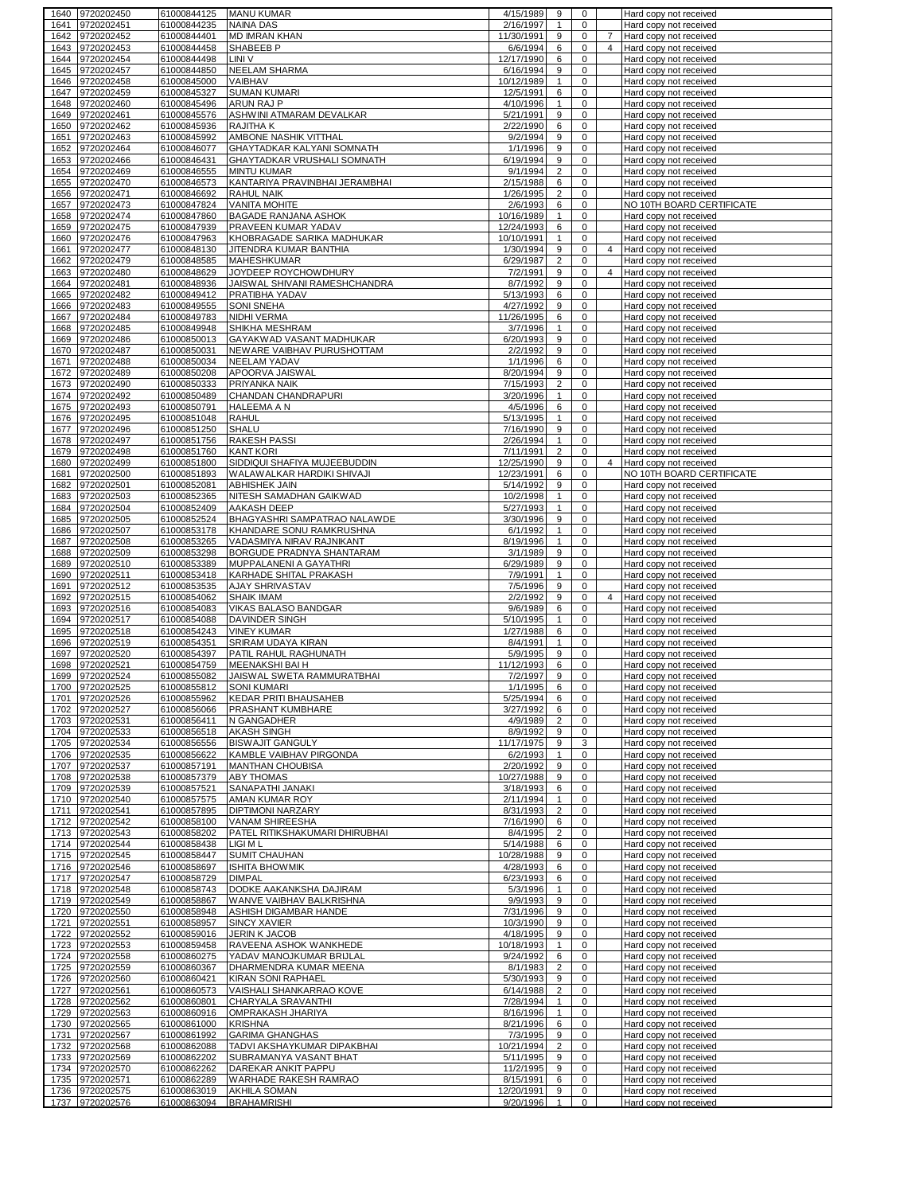|      | 1640 9720202450               | 61000844125                | <b>MANU KUMAR</b>                         | 4/15/1989               | 9                 | $\mathbf 0$ |                | Hard copy not received                           |
|------|-------------------------------|----------------------------|-------------------------------------------|-------------------------|-------------------|-------------|----------------|--------------------------------------------------|
| 1641 | 9720202451                    | 61000844235                | <b>NAINA DAS</b>                          | 2/16/1997               | $\mathbf{1}$      | $\mathbf 0$ |                | Hard copy not received                           |
| 1642 | 9720202452                    | 61000844401                | <b>MD IMRAN KHAN</b>                      | 11/30/1991              | 9                 | 0           | 7              | Hard copy not received                           |
| 1643 | 9720202453                    | 61000844458                | SHABEEB P                                 | 6/6/1994                | 6                 | $\mathbf 0$ | 4              | Hard copy not received                           |
|      |                               |                            |                                           |                         |                   | $\mathbf 0$ |                |                                                  |
| 1644 | 9720202454                    | 61000844498                | LINI V                                    | 12/17/1990              | 6                 |             |                | Hard copy not received                           |
| 1645 | 9720202457                    | 61000844850                | NEELAM SHARMA                             | 6/16/1994               | 9                 | 0           |                | Hard copy not received                           |
| 1646 | 9720202458                    | 61000845000                | VAIBHAV                                   | 10/12/1989              | $\mathbf{1}$      | 0           |                | Hard copy not received                           |
| 1647 | 9720202459                    | 61000845327                | <b>SUMAN KUMARI</b>                       | 12/5/1991               | 6                 | 0           |                | Hard copy not received                           |
| 1648 | 9720202460                    | 61000845496                | ARUN RAJ P                                | 4/10/1996               | $\mathbf{1}$      | 0           |                | Hard copy not received                           |
| 1649 | 9720202461                    | 61000845576                | ASHWINI ATMARAM DEVALKAR                  | 5/21/1991               | 9                 | 0           |                | Hard copy not received                           |
|      |                               |                            |                                           | 2/22/1990               |                   |             |                |                                                  |
| 1650 | 9720202462                    | 61000845936                | RAJITHA K                                 |                         | 6                 | 0           |                | Hard copy not received                           |
| 1651 | 9720202463                    | 61000845992                | AMBONE NASHIK VITTHAL                     | 9/2/1994                | 9                 | $\mathbf 0$ |                | Hard copy not received                           |
| 1652 | 9720202464                    | 61000846077                | GHAYTADKAR KALYANI SOMNATH                | 1/1/1996                | 9                 | 0           |                | Hard copy not received                           |
| 1653 | 9720202466                    | 61000846431                | GHAYTADKAR VRUSHALI SOMNATH               | 6/19/1994               | 9                 | 0           |                | Hard copy not received                           |
| 1654 | 9720202469                    | 61000846555                | <b>MINTU KUMAR</b>                        | 9/1/1994                | $\overline{2}$    | 0           |                | Hard copy not received                           |
| 1655 | 9720202470                    | 61000846573                | KANTARIYA PRAVINBHAI JERAMBHAI            | 2/15/1988               | 6                 | 0           |                | Hard copy not received                           |
| 1656 | 9720202471                    | 61000846692                | RAHUL NAIK                                | 1/26/1995               | $\overline{2}$    | 0           |                | Hard copy not received                           |
|      |                               |                            |                                           |                         |                   |             |                |                                                  |
| 1657 | 9720202473                    | 61000847824                | VANITA MOHITE                             | 2/6/1993                | 6                 | 0           |                | NO 10TH BOARD CERTIFICATE                        |
| 1658 | 9720202474                    | 61000847860                | BAGADE RANJANA ASHOK                      | 10/16/1989              | $\mathbf{1}$      | $\mathbf 0$ |                | Hard copy not received                           |
| 1659 | 9720202475                    | 61000847939                | PRAVEEN KUMAR YADAV                       | 12/24/1993              | 6                 | 0           |                | Hard copy not received                           |
| 1660 | 9720202476                    | 61000847963                | KHOBRAGADE SARIKA MADHUKAR                | 10/10/1991              | $\mathbf{1}$      | $\mathbf 0$ |                | Hard copy not received                           |
| 1661 | 9720202477                    | 61000848130                | JITENDRA KUMAR BANTHIA                    | 1/30/1994               | 9                 | 0           | 4              | Hard copy not received                           |
| 1662 | 9720202479                    | 61000848585                | MAHESHKUMAR                               | 6/29/1987               | $\overline{c}$    | 0           |                | Hard copy not received                           |
|      |                               |                            |                                           |                         |                   |             |                |                                                  |
| 1663 | 9720202480                    | 61000848629                | JOYDEEP ROYCHOWDHURY                      | 7/2/1991                | 9                 | 0           | 4              | Hard copy not received                           |
| 1664 | 9720202481                    | 61000848936                | JAISWAL SHIVANI RAMESHCHANDRA             | 8/7/1992                | 9                 | $\mathbf 0$ |                | Hard copy not received                           |
| 1665 | 9720202482                    | 61000849412                | PRATIBHA YADAV                            | 5/13/1993               | 6                 | $\mathbf 0$ |                | Hard copy not received                           |
| 1666 | 9720202483                    | 61000849555                | <b>SONI SNEHA</b>                         | 4/27/1992               | 9                 | $\mathbf 0$ |                | Hard copy not received                           |
| 1667 | 9720202484                    | 61000849783                | <b>NIDHI VERMA</b>                        | 11/26/1995              | 6                 | 0           |                | Hard copy not received                           |
|      |                               |                            |                                           |                         |                   |             |                |                                                  |
| 1668 | 9720202485                    | 61000849948                | SHIKHA MESHRAM                            | 3/7/1996                | $\mathbf{1}$      | 0           |                | Hard copy not received                           |
| 1669 | 9720202486                    | 61000850013                | GAYAKWAD VASANT MADHUKAR                  | 6/20/1993               | 9                 | 0           |                | Hard copy not received                           |
| 1670 | 9720202487                    | 61000850031                | NEWARE VAIBHAV PURUSHOTTAM                | 2/2/1992                | 9                 | 0           |                | Hard copy not received                           |
| 1671 | 9720202488                    | 61000850034                | <b>NEELAM YADAV</b>                       | 1/1/1996                | 6                 | 0           |                | Hard copy not received                           |
| 1672 | 9720202489                    | 61000850208                | APOORVA JAISWAL                           | 8/20/1994               | 9                 | 0           |                | Hard copy not received                           |
|      |                               | 61000850333                |                                           |                         | $\overline{2}$    | 0           |                |                                                  |
| 1673 | 9720202490                    |                            | PRIYANKA NAIK                             | 7/15/1993               |                   |             |                | Hard copy not received                           |
| 1674 | 9720202492                    | 61000850489                | CHANDAN CHANDRAPURI                       | 3/20/1996               | $\mathbf{1}$      | 0           |                | Hard copy not received                           |
| 1675 | 9720202493                    | 61000850791                | HALEEMA A N                               | 4/5/1996                | 6                 | 0           |                | Hard copy not received                           |
| 1676 | 9720202495                    | 61000851048                | <b>RAHUL</b>                              | 5/13/1995               | $\mathbf{1}$      | 0           |                | Hard copy not received                           |
| 1677 | 9720202496                    | 61000851250                | SHALU                                     | 7/16/1990               | 9                 | 0           |                | Hard copy not received                           |
| 1678 | 9720202497                    | 61000851756                | <b>RAKESH PASSI</b>                       | 2/26/1994               | $\mathbf{1}$      | 0           |                | Hard copy not received                           |
|      |                               |                            |                                           |                         |                   |             |                |                                                  |
| 1679 | 9720202498                    | 61000851760                | <b>KANT KORI</b>                          | 7/11/1991               | $\overline{2}$    | $\mathbf 0$ |                | Hard copy not received                           |
| 1680 | 9720202499                    | 61000851800                | SIDDIQUI SHAFIYA MUJEEBUDDIN              | 12/25/1990              | 9                 | 0           | 4              | Hard copy not received                           |
| 1681 | 9720202500                    | 61000851893                | WALAWALKAR HARDIKI SHIVAJI                | 12/23/1991              | 6                 | 0           |                | NO 10TH BOARD CERTIFICATE                        |
| 1682 | 9720202501                    | 61000852081                | <b>ABHISHEK JAIN</b>                      | 5/14/1992               | 9                 | 0           |                | Hard copy not received                           |
| 1683 | 9720202503                    | 61000852365                | NITESH SAMADHAN GAIKWAD                   | 10/2/1998               | $\mathbf{1}$      | $\mathbf 0$ |                | Hard copy not received                           |
| 1684 | 9720202504                    | 61000852409                | AAKASH DEEP                               | 5/27/1993               | $\mathbf{1}$      | 0           |                | Hard copy not received                           |
| 1685 | 9720202505                    | 61000852524                | BHAGYASHRI SAMPATRAO NALAWDE              | 3/30/1996               | 9                 | $\mathbf 0$ |                | Hard copy not received                           |
|      |                               |                            |                                           |                         |                   |             |                |                                                  |
| 1686 | 9720202507                    | 61000853178                | KHANDARE SONU RAMKRUSHNA                  | 6/1/1992                | $\mathbf{1}$      | 0           |                | Hard copy not received                           |
| 1687 | 9720202508                    | 61000853265                | VADASMIYA NIRAV RAJNIKANT                 | 8/19/1996               | $\mathbf{1}$      | 0           |                | Hard copy not received                           |
| 1688 | 9720202509                    | 61000853298                | BORGUDE PRADNYA SHANTARAM                 | 3/1/1989                | 9                 | 0           |                | Hard copy not received                           |
| 1689 | 9720202510                    | 61000853389                | MUPPALANENI A GAYATHRI                    | 6/29/1989               | 9                 | $\mathbf 0$ |                | Hard copy not received                           |
| 1690 | 9720202511                    | 61000853418                | KARHADE SHITAL PRAKASH                    | 7/9/1991                | $\mathbf{1}$      | 0           |                | Hard copy not received                           |
| 1691 | 9720202512                    | 61000853535                | <b>AJAY SHRIVASTAV</b>                    | 7/5/1996                | 9                 | $\mathbf 0$ |                | Hard copy not received                           |
| 1692 | 9720202515                    | 61000854062                | <b>SHAIK IMAM</b>                         | 2/2/1992                | 9                 | 0           | $\overline{4}$ | Hard copy not received                           |
| 1693 | 9720202516                    | 61000854083                | VIKAS BALASO BANDGAR                      | 9/6/1989                | 6                 | $\mathbf 0$ |                | Hard copy not received                           |
|      | 9720202517                    | 61000854088                |                                           | 5/10/1995               |                   |             |                |                                                  |
| 1694 |                               |                            | DAVINDER SINGH                            |                         | $\mathbf{1}$      | 0           |                | Hard copy not received                           |
| 1695 | 9720202518                    | 61000854243                | <b>VINEY KUMAR</b>                        | 1/27/1988               | 6                 | $\mathbf 0$ |                | Hard copy not received                           |
| 1696 | 9720202519                    | 61000854351                | SRIRAM UDAYA KIRAN                        | 8/4/1991                | $\mathbf{1}$      | 0           |                | Hard copy not received                           |
| 1697 | 9720202520                    | 61000854397                | PATIL RAHUL RAGHUNATH                     | 5/9/1995                | 9                 | 0           |                | Hard copy not received                           |
| 1698 | 9720202521                    | 61000854759                | MEENAKSHI BAI H                           | 11/12/1993              | 6                 | 0           |                | Hard copy not received                           |
| 1699 | 9720202524                    | 61000855082                | JAISWAL SWETA RAMMURATBHAI                | 7/2/1997                | 9                 | 0           |                | Hard copy not received                           |
|      | 1700 9720202525               | 61000855812                | SONI KUMARI                               | 1/1/1995                | 6                 | 0           |                | Hard copy not received                           |
|      | 1701 9720202526               | 61000855962                | <b>KEDAR PRITI BHAUSAHEB</b>              | 5/25/1994               | 6                 | 0           |                | Hard copy not received                           |
|      | 1702 9720202527               | 61000856066                | PRASHANT KUMBHARE                         | 3/27/1992               | 6                 | 0           |                |                                                  |
|      |                               |                            |                                           |                         |                   |             |                | Hard copy not received                           |
| 1703 | 9720202531                    | 61000856411                | N GANGADHER                               | 4/9/1989                | $\overline{2}$    | 0           |                | Hard copy not received                           |
| 1704 | 9720202533                    | 61000856518                | <b>AKASH SINGH</b>                        | 8/9/1992                | 9                 | 0           |                | Hard copy not received                           |
| 1705 | 9720202534                    | 61000856556                | <b>BISWAJIT GANGULY</b>                   | 11/17/1975              | 9                 | 3           |                | Hard copy not received                           |
|      | 1706 9720202535               | 61000856622                | KAMBLE VAIBHAV PIRGONDA                   | 6/2/1993                | $\mathbf{1}$      | 0           |                | Hard copy not received                           |
| 1707 | 9720202537                    | 61000857191                | MANTHAN CHOUBISA                          | 2/20/1992               | 9                 | 0           |                | Hard copy not received                           |
| 1708 | 9720202538                    | 61000857379                | ABY THOMAS                                | 10/27/1988              | 9                 | 0           |                | Hard copy not received                           |
|      |                               |                            |                                           |                         |                   |             |                |                                                  |
|      | 1709 9720202539               | 61000857521                | SANAPATHI JANAKI                          | 3/18/1993               | 6                 | 0           |                | Hard copy not received                           |
|      | 1710 9720202540               | 61000857575                | AMAN KUMAR ROY                            | 2/11/1994               | $\mathbf{1}$      | 0           |                | Hard copy not received                           |
|      | 1711 9720202541               | 61000857895                | DIPTIMONI NARZARY                         | 8/31/1993               | $\overline{2}$    | 0           |                | Hard copy not received                           |
|      | 1712 9720202542               | 61000858100                | VANAM SHIREESHA                           | 7/16/1990               | 6                 | 0           |                | Hard copy not received                           |
|      | 1713 9720202543               | 61000858202                | PATEL RITIKSHAKUMARI DHIRUBHAI            | 8/4/1995                | $\overline{2}$    | 0           |                | Hard copy not received                           |
|      | 1714 9720202544               | 61000858438                | LIGI M L                                  | 5/14/1988               | 6                 | 0           |                | Hard copy not received                           |
|      | 1715 9720202545               | 61000858447                | SUMIT CHAUHAN                             | 10/28/1988              | 9                 | 0           |                | Hard copy not received                           |
|      |                               | 61000858697                | <b>ISHITA BHOWMIK</b>                     |                         |                   | $\mathbf 0$ |                |                                                  |
|      | 1716 9720202546               |                            |                                           | 4/28/1993               | 6                 |             |                | Hard copy not received                           |
|      |                               |                            |                                           |                         |                   |             |                |                                                  |
|      | 1717 9720202547               | 61000858729                | <b>DIMPAL</b>                             | 6/23/1993               | 6                 | 0           |                | Hard copy not received                           |
|      | 1718 9720202548               | 61000858743                | DODKE AAKANKSHA DAJIRAM                   | 5/3/1996                | $\mathbf{1}$      | $\mathbf 0$ |                | Hard copy not received                           |
|      | 1719 9720202549               | 61000858867                | WANVE VAIBHAV BALKRISHNA                  | 9/9/1993                | 9                 | 0           |                | Hard copy not received                           |
|      | 1720 9720202550               | 61000858948                | ASHISH DIGAMBAR HANDE                     | 7/31/1996               | 9                 | $\mathbf 0$ |                | Hard copy not received                           |
|      | 1721 9720202551               | 61000858957                | <b>SINCY XAVIER</b>                       | 10/3/1990               | 9                 | 0           |                | Hard copy not received                           |
|      | 1722 9720202552               | 61000859016                | <b>JERIN K JACOB</b>                      | 4/18/1995               | 9                 | 0           |                | Hard copy not received                           |
|      |                               |                            |                                           |                         | $\mathbf{1}$      | 0           |                |                                                  |
|      | 1723 9720202553               | 61000859458                | RAVEENA ASHOK WANKHEDE                    | 10/18/1993              |                   |             |                | Hard copy not received                           |
|      | 1724 9720202558               | 61000860275                | YADAV MANOJKUMAR BRIJLAL                  | 9/24/1992               | 6                 | $\mathbf 0$ |                | Hard copy not received                           |
|      | 1725 9720202559               | 61000860367                | DHARMENDRA KUMAR MEENA                    | 8/1/1983                | $\overline{2}$    | $\mathbf 0$ |                | Hard copy not received                           |
|      | 1726 9720202560               | 61000860421                | KIRAN SONI RAPHAEL                        | 5/30/1993               | 9                 | 0           |                | Hard copy not received                           |
|      | 1727 9720202561               | 61000860573                | VAISHALI SHANKARRAO KOVE                  | 6/14/1988               | $\overline{2}$    | 0           |                | Hard copy not received                           |
|      | 1728 9720202562               | 61000860801                | CHARYALA SRAVANTHI                        | 7/28/1994               | $\mathbf{1}$      | 0           |                | Hard copy not received                           |
| 1729 | 9720202563                    | 61000860916                | OMPRAKASH JHARIYA                         | 8/16/1996               | $\mathbf{1}$      | 0           |                | Hard copy not received                           |
|      | 1730 9720202565               | 61000861000                | <b>KRISHNA</b>                            | 8/21/1996               | 6                 | $\mathbf 0$ |                | Hard copy not received                           |
|      |                               |                            |                                           |                         |                   |             |                |                                                  |
| 1731 | 9720202567                    | 61000861992                | <b>GARIMA GHANGHAS</b>                    | 7/3/1995                | 9                 | 0           |                | Hard copy not received                           |
| 1732 | 9720202568                    | 61000862088                | TADVI AKSHAYKUMAR DIPAKBHAI               | 10/21/1994              | $\overline{2}$    | 0           |                | Hard copy not received                           |
| 1733 | 9720202569                    | 61000862202                | SUBRAMANYA VASANT BHAT                    | 5/11/1995               | 9                 | 0           |                | Hard copy not received                           |
|      | 1734 9720202570               | 61000862262                | DAREKAR ANKIT PAPPU                       | 11/2/1995               | 9                 | 0           |                | Hard copy not received                           |
| 1735 | 9720202571                    | 61000862289                | WARHADE RAKESH RAMRAO                     | 8/15/1991               | 6                 | 0           |                | Hard copy not received                           |
| 1736 | 9720202575<br>1737 9720202576 | 61000863019<br>61000863094 | <b>AKHILA SOMAN</b><br><b>BRAHAMRISHI</b> | 12/20/1991<br>9/20/1996 | 9<br>$\mathbf{1}$ | 0<br>0      |                | Hard copy not received<br>Hard copy not received |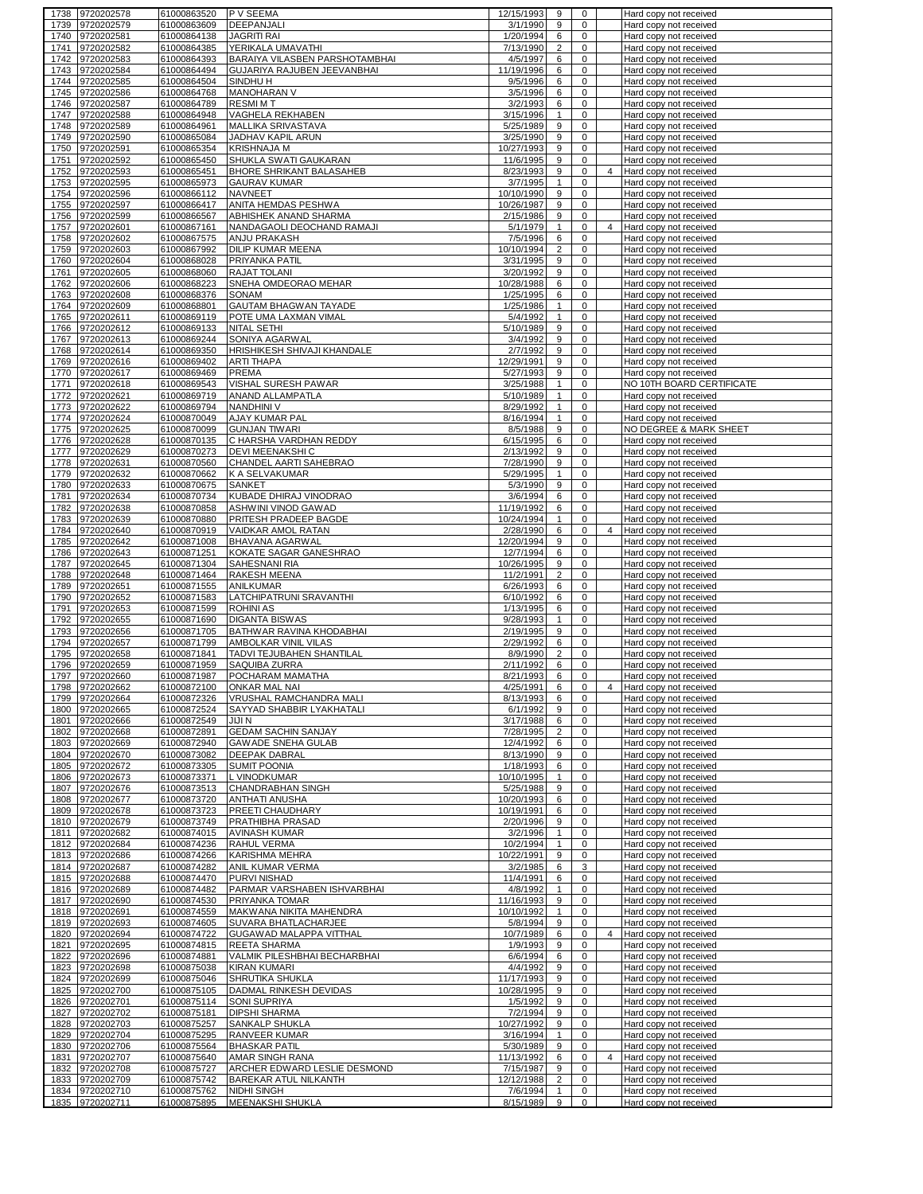| 1738         | 9720202578                         | 61000863520                | P V SEEMA                                                     | 12/15/1993              | 9                              | 0                          |                | Hard copy not received                           |
|--------------|------------------------------------|----------------------------|---------------------------------------------------------------|-------------------------|--------------------------------|----------------------------|----------------|--------------------------------------------------|
| 1739         | 9720202579                         | 61000863609                | DEEPANJALI                                                    | 3/1/1990                | 9                              | 0                          |                | Hard copy not received                           |
| 1740         | 9720202581                         | 61000864138                | <b>JAGRITI RAI</b>                                            | 1/20/1994               | 6                              | 0                          |                | Hard copy not received                           |
| 1741         | 9720202582                         | 61000864385                | YERIKALA UMAVATHI                                             | 7/13/1990               | $\overline{2}$                 | $\mathbf 0$                |                | Hard copy not received                           |
| 1742<br>1743 | 9720202583<br>9720202584           | 61000864393<br>61000864494 | BARAIYA VILASBEN PARSHOTAMBHAI<br>GUJARIYA RAJUBEN JEEVANBHAI | 4/5/1997<br>11/19/1996  | 6<br>6                         | 0<br>$\mathbf 0$           |                | Hard copy not received<br>Hard copy not received |
| 1744         | 9720202585                         | 61000864504                | SINDHU H                                                      | 9/5/1996                | 6                              | $\mathbf 0$                |                | Hard copy not received                           |
| 1745         | 9720202586                         | 61000864768                | MANOHARAN V                                                   | 3/5/1996                | 6                              | $\mathbf 0$                |                | Hard copy not received                           |
| 1746         | 9720202587                         | 61000864789                | <b>RESMIMT</b>                                                | 3/2/1993                | 6                              | $\mathbf 0$                |                | Hard copy not received                           |
| 1747         | 9720202588                         | 61000864948                | VAGHELA REKHABEN                                              | 3/15/1996               | $\mathbf{1}$                   | $\mathbf 0$                |                | Hard copy not received                           |
| 1748         | 9720202589                         | 61000864961                | MALLIKA SRIVASTAVA                                            | 5/25/1989               | 9                              | $\mathbf 0$                |                | Hard copy not received                           |
| 1749         | 9720202590                         | 61000865084                | JADHAV KAPIL ARUN                                             | 3/25/1990               | 9                              | $\mathsf 0$                |                | Hard copy not received                           |
|              | 1750 9720202591                    | 61000865354                | <b>KRISHNAJA M</b>                                            | 10/27/1993              | 9                              | $\mathbf 0$                |                | Hard copy not received                           |
| 1751         | 9720202592                         | 61000865450                | SHUKLA SWATI GAUKARAN                                         | 11/6/1995               | 9                              | $\mathbf 0$                |                | Hard copy not received                           |
| 1752         | 9720202593                         | 61000865451                | <b>BHORE SHRIKANT BALASAHEB</b><br><b>GAURAV KUMAR</b>        | 8/23/1993               | 9                              | $\mathbf 0$                | 4              | Hard copy not received                           |
| 1753<br>1754 | 9720202595<br>9720202596           | 61000865973<br>61000866112 | <b>NAVNEET</b>                                                | 3/7/1995<br>10/10/1990  | 1<br>9                         | $\mathsf{O}\xspace$<br>0   |                | Hard copy not received<br>Hard copy not received |
| 1755         | 9720202597                         | 61000866417                | ANITA HEMDAS PESHWA                                           | 10/26/1987              | 9                              | $\mathbf 0$                |                | Hard copy not received                           |
| 1756         | 9720202599                         | 61000866567                | ABHISHEK ANAND SHARMA                                         | 2/15/1986               | 9                              | $\mathbf 0$                |                | Hard copy not received                           |
| 1757         | 9720202601                         | 61000867161                | NANDAGAOLI DEOCHAND RAMAJI                                    | 5/1/1979                | $\mathbf{1}$                   | $\mathbf 0$                | $\overline{4}$ | Hard copy not received                           |
| 1758         | 9720202602                         | 61000867575                | ANJU PRAKASH                                                  | 7/5/1996                | 6                              | 0                          |                | Hard copy not received                           |
| 1759         | 9720202603                         | 61000867992                | DILIP KUMAR MEENA                                             | 10/10/1994              | $\overline{2}$                 | $\mathbf 0$                |                | Hard copy not received                           |
| 1760         | 9720202604                         | 61000868028                | PRIYANKA PATIL                                                | 3/31/1995               | 9                              | $\mathbf 0$                |                | Hard copy not received                           |
| 1761         | 9720202605                         | 61000868060                | RAJAT TOLANI                                                  | 3/20/1992               | 9                              | $\mathbf 0$                |                | Hard copy not received                           |
| 1762         | 9720202606                         | 61000868223                | SNEHA OMDEORAO MEHAR                                          | 10/28/1988              | 6                              | $\mathbf 0$                |                | Hard copy not received                           |
| 1763<br>1764 | 9720202608<br>9720202609           | 61000868376<br>61000868801 | SONAM<br>GAUTAM BHAGWAN TAYADE                                | 1/25/1995<br>1/25/1986  | 6<br>$\mathbf{1}$              | 0<br>$\mathbf 0$           |                | Hard copy not received<br>Hard copy not received |
| 1765         | 9720202611                         | 61000869119                | POTE UMA LAXMAN VIMAL                                         | 5/4/1992                | $\mathbf{1}$                   | 0                          |                | Hard copy not received                           |
| 1766         | 9720202612                         | 61000869133                | NITAL SETHI                                                   | 5/10/1989               | 9                              | 0                          |                | Hard copy not received                           |
| 1767         | 9720202613                         | 61000869244                | SONIYA AGARWAI                                                | 3/4/1992                | 9                              | 0                          |                | Hard copy not received                           |
| 1768         | 9720202614                         | 61000869350                | HRISHIKESH SHIVAJI KHANDALE                                   | 2/7/1992                | 9                              | $\mathbf 0$                |                | Hard copy not received                           |
| 1769         | 9720202616                         | 61000869402                | ARTI THAPA                                                    | 12/29/1991              | 9                              | $\mathbf 0$                |                | Hard copy not received                           |
| 1770         | 9720202617                         | 61000869469                | PREMA                                                         | 5/27/1993               | 9                              | $\mathbf 0$                |                | Hard copy not received                           |
| 1771         | 9720202618                         | 61000869543                | VISHAL SURESH PAWAR                                           | 3/25/1988               | $\mathbf{1}$                   | $\mathbf 0$                |                | NO 10TH BOARD CERTIFICATE                        |
| 1772         | 9720202621                         | 61000869719                | ANAND ALLAMPATLA                                              | 5/10/1989               | $\mathbf{1}$                   | $\mathbf 0$                |                | Hard copy not received                           |
| 1773         | 9720202622                         | 61000869794                | <b>NANDHINI V</b><br>AJAY KUMAR PAL                           | 8/29/1992               | $\mathbf{1}$<br>$\mathbf{1}$   | $\mathbf 0$<br>$\mathbf 0$ |                | Hard copy not received                           |
|              | 1774 9720202624<br>1775 9720202625 | 61000870049<br>61000870099 | <b>GUNJAN TIWARI</b>                                          | 8/16/1994<br>8/5/1988   | 9                              | $\mathbf 0$                |                | Hard copy not received<br>NO DEGREE & MARK SHEET |
| 1776         | 9720202628                         | 61000870135                | C HARSHA VARDHAN REDDY                                        | 6/15/1995               | 6                              | $\mathbf 0$                |                | Hard copy not received                           |
|              | 1777 9720202629                    | 61000870273                | DEVI MEENAKSHI C                                              | 2/13/1992               | 9                              | $\mathbf 0$                |                | Hard copy not received                           |
| 1778         | 9720202631                         | 61000870560                | CHANDEL AARTI SAHEBRAO                                        | 7/28/1990               | 9                              | $\mathsf{O}\xspace$        |                | Hard copy not received                           |
| 1779         | 9720202632                         | 61000870662                | K A SELVAKUMAR                                                | 5/29/1995               | $\mathbf{1}$                   | 0                          |                | Hard copy not received                           |
| 1780         | 9720202633                         | 61000870675                | <b>SANKET</b>                                                 | 5/3/1990                | 9                              | $\mathbf 0$                |                | Hard copy not received                           |
| 1781         | 9720202634                         | 61000870734                | KUBADE DHIRAJ VINODRAO                                        | 3/6/1994                | 6                              | 0                          |                | Hard copy not received                           |
| 1782         | 9720202638                         | 61000870858                | ASHWINI VINOD GAWAD                                           | 11/19/1992              | 6                              | $\mathbf 0$                |                | Hard copy not received                           |
| 1783         | 9720202639                         | 61000870880                | PRITESH PRADEEP BAGDE                                         | 10/24/1994              | $\mathbf{1}$                   | $\mathbf 0$                |                | Hard copy not received                           |
| 1784<br>1785 | 9720202640<br>9720202642           | 61000870919<br>61000871008 | VAIDKAR AMOL RATAN<br>BHAVANA AGARWAL                         | 2/28/1990<br>12/20/1994 | 6<br>9                         | 0<br>$\mathbf 0$           | $\overline{4}$ | Hard copy not received<br>Hard copy not received |
| 1786         | 9720202643                         | 61000871251                | KOKATE SAGAR GANESHRAO                                        | 12/7/1994               | 6                              | $\mathbf 0$                |                | Hard copy not received                           |
| 1787         | 9720202645                         | 61000871304                | SAHESNANI RIA                                                 | 10/26/1995              | 9                              | 0                          |                | Hard copy not received                           |
| 1788         | 9720202648                         | 61000871464                | RAKESH MEENA                                                  | 11/2/1991               | $\overline{\mathbf{c}}$        | 0                          |                | Hard copy not received                           |
| 1789         | 9720202651                         | 61000871555                | ANILKUMAR                                                     | 6/26/1993               | 6                              | $\mathbf 0$                |                | Hard copy not received                           |
| 1790         | 9720202652                         | 61000871583                | LATCHIPATRUNI SRAVANTHI                                       | 6/10/1992               | 6                              | $\mathbf 0$                |                | Hard copy not received                           |
| 1791         | 9720202653                         | 61000871599                | <b>ROHINI AS</b>                                              | 1/13/1995               | 6                              | $\mathbf 0$                |                | Hard copy not received                           |
| 1792         | 9720202655                         | 61000871690                | <b>DIGANTA BISWAS</b>                                         | 9/28/1993               | $\mathbf{1}$                   | 0                          |                | Hard copy not received                           |
| 1793         | 9720202656                         | 61000871705                | BATHWAR RAVINA KHODABHAI                                      | 2/19/1995               | 9                              | $\mathbf 0$                |                | Hard copy not received                           |
| 1794<br>1795 | 9720202657<br>9720202658           | 61000871799<br>61000871841 | AMBOLKAR VINIL VILAS<br>TADVI TEJUBAHEN SHANTILAL             | 2/29/1992<br>8/9/1990   | 6<br>$\overline{2}$            | 0<br>$\mathbf 0$           |                | Hard copy not received<br>Hard copy not received |
| 1796         | 9720202659                         | 61000871959                | SAQUIBA ZURRA                                                 | 2/11/1992               | 6                              | $\mathbf 0$                |                | Hard copy not received                           |
| 1797         | 9720202660                         | 61000871987                | POCHARAM MAMATHA                                              | 8/21/1993               | 6                              | $\mathbf 0$                |                | Hard copy not received                           |
|              | 1798 9720202662                    | 61000872100                | <b>UNKAR MAL NAI</b>                                          | 4/25/19911              | 6                              | U                          |                | Hard copy not received                           |
|              | 1799 9720202664                    | 61000872326                | VRUSHAL RAMCHANDRA MALI                                       | 8/13/1993               | 6                              | $\mathbf 0$                |                | Hard copy not received                           |
|              | 1800 9720202665                    | 61000872524                | SAYYAD SHABBIR LYAKHATALI                                     | 6/1/1992                | 9                              | $\mathbf 0$                |                | Hard copy not received                           |
|              | 1801 9720202666                    | 61000872549                | JIJI N                                                        | 3/17/1988               | 6                              | $\mathbf 0$                |                | Hard copy not received                           |
|              | 1802 9720202668                    | 61000872891                | <b>GEDAM SACHIN SANJAY</b>                                    | 7/28/1995               | $\overline{2}$                 | $\mathbf 0$<br>$\mathbf 0$ |                | Hard copy not received                           |
|              | 1803 9720202669<br>1804 9720202670 | 61000872940<br>61000873082 | <b>GAWADE SNEHA GULAB</b><br>DEEPAK DABRAL                    | 12/4/1992<br>8/13/1990  | 6<br>9                         | $\mathbf 0$                |                | Hard copy not received<br>Hard copy not received |
| 1805         | 9720202672                         | 61000873305                | <b>SUMIT POONIA</b>                                           | 1/18/1993               | 6                              | 0                          |                | Hard copy not received                           |
|              | 1806 9720202673                    | 61000873371                | L VINODKUMAR                                                  | 10/10/1995              | $\mathbf{1}$                   | 0                          |                | Hard copy not received                           |
| 1807         | 9720202676                         | 61000873513                | CHANDRABHAN SINGH                                             | 5/25/1988               | 9                              | $\mathbf 0$                |                | Hard copy not received                           |
| 1808         | 9720202677                         | 61000873720                | <b>ANTHATI ANUSHA</b>                                         | 10/20/1993              | 6                              | 0                          |                | Hard copy not received                           |
| 1809         | 9720202678                         | 61000873723                | PREETI CHAUDHARY                                              | 10/19/1991              | 6                              | $\mathbf 0$                |                | Hard copy not received                           |
|              | 1810 9720202679                    | 61000873749                | PRATHIBHA PRASAD                                              | 2/20/1996               | 9                              | 0                          |                | Hard copy not received                           |
| 1811         | 9720202682                         | 61000874015                | AVINASH KUMAR                                                 | 3/2/1996                | $\mathbf{1}$                   | $\mathbf 0$                |                | Hard copy not received                           |
|              | 1812 9720202684<br>1813 9720202686 | 61000874236<br>61000874266 | RAHUL VERMA<br>KARISHMA MEHRA                                 | 10/2/1994<br>10/22/1991 | $\mathbf{1}$<br>9              | 0<br>0                     |                | Hard copy not received<br>Hard copy not received |
|              | 1814 9720202687                    | 61000874282                | ANIL KUMAR VERMA                                              | 3/2/1985                | 6                              | 3                          |                | Hard copy not received                           |
|              | 1815 9720202688                    | 61000874470                | PURVI NISHAD                                                  | 11/4/1991               | 6                              | $\mathbf 0$                |                | Hard copy not received                           |
|              | 1816 9720202689                    | 61000874482                | PARMAR VARSHABEN ISHVARBHAI                                   | 4/8/1992                | $\mathbf{1}$                   | 0                          |                | Hard copy not received                           |
| 1817         | 9720202690                         | 61000874530                | PRIYANKA TOMAR                                                | 11/16/1993              | 9                              | 0                          |                | Hard copy not received                           |
|              | 1818 9720202691                    | 61000874559                | MAKWANA NIKITA MAHENDRA                                       | 10/10/1992              | $\mathbf{1}$                   | $\mathbf 0$                |                | Hard copy not received                           |
|              | 1819 9720202693                    | 61000874605                | SUVARA BHATLACHARJEE                                          | 5/8/1994                | 9                              | $\mathbf 0$                |                | Hard copy not received                           |
|              | 1820 9720202694                    | 61000874722                | GUGAWAD MALAPPA VITTHAL                                       | 10/7/1989               | 6                              | $\mathbf 0$                | 4              | Hard copy not received                           |
| 1821<br>1822 | 9720202695<br>9720202696           | 61000874815<br>61000874881 | REETA SHARMA<br>VALMIK PILESHBHAI BECHARBHAI                  | 1/9/1993                | 9<br>6                         | 0<br>$\mathbf 0$           |                | Hard copy not received                           |
|              | 1823 9720202698                    | 61000875038                | <b>KIRAN KUMARI</b>                                           | 6/6/1994<br>4/4/1992    | 9                              | 0                          |                | Hard copy not received<br>Hard copy not received |
|              | 1824 9720202699                    | 61000875046                | SHRUTIKA SHUKLA                                               | 11/17/1993              | 9                              | $\mathbf 0$                |                | Hard copy not received                           |
|              | 1825 9720202700                    | 61000875105                | DADMAL RINKESH DEVIDAS                                        | 10/28/1995              | 9                              | 0                          |                | Hard copy not received                           |
|              | 1826 9720202701                    | 61000875114                | SONI SUPRIYA                                                  | 1/5/1992                | 9                              | $\mathbf 0$                |                | Hard copy not received                           |
|              | 1827 9720202702                    | 61000875181                | <b>DIPSHI SHARMA</b>                                          | 7/2/1994                | 9                              | $\mathbf 0$                |                | Hard copy not received                           |
|              | 1828 9720202703                    | 61000875257                | SANKALP SHUKLA                                                | 10/27/1992              | 9                              | $\mathsf{O}\xspace$        |                | Hard copy not received                           |
|              | 1829 9720202704                    | 61000875295                | RANVEER KUMAR                                                 | 3/16/1994               | $\mathbf{1}$                   | $\mathbf 0$                |                | Hard copy not received                           |
|              |                                    | 61000875564                | <b>BHASKAR PATIL</b>                                          | 5/30/1989               | 9                              | $\mathbf 0$                |                | Hard copy not received                           |
|              | 1830 9720202706                    |                            |                                                               |                         |                                |                            |                |                                                  |
|              | 1831 9720202707                    | 61000875640                | AMAR SINGH RANA                                               | 11/13/1992              | 6                              | 0                          | $\overline{4}$ | Hard copy not received                           |
| 1832         | 9720202708                         | 61000875727                | ARCHER EDWARD LESLIE DESMOND                                  | 7/15/1987               | 9                              | $\mathbf 0$                |                | Hard copy not received                           |
| 1833<br>1834 | 9720202709                         | 61000875742                | BAREKAR ATUL NILKANTH<br>NIDHI SINGH                          | 12/12/1988              | $\overline{2}$<br>$\mathbf{1}$ | 0<br>$\mathbf 0$           |                | Hard copy not received                           |
|              | 9720202710<br>1835 9720202711      | 61000875762<br>61000875895 | <b>MEENAKSHI SHUKLA</b>                                       | 7/6/1994<br>8/15/1989   | 9                              | $\mathbf 0$                |                | Hard copy not received<br>Hard copy not received |